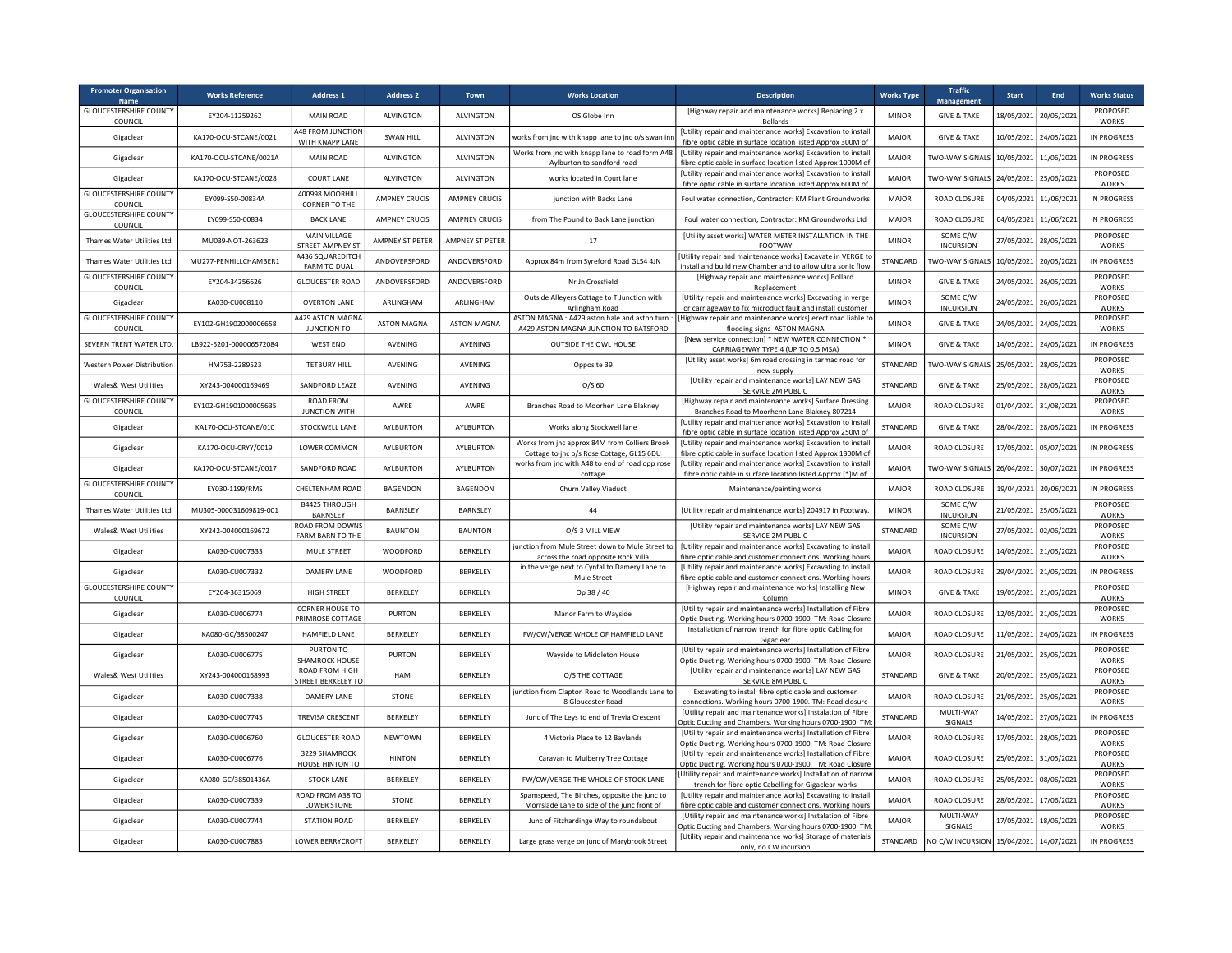| <b>Promoter Organisation</b><br><b>Name</b> | <b>Works Reference</b>  | <b>Address 1</b>                            | <b>Address 2</b>     | Town                 | <b>Works Location</b>                                                                       | <b>Description</b>                                                                                                           | <b>Works Type</b> | <b>Traffic</b><br><b>Management</b> | <b>Start</b> | End        | <b>Works Status</b>      |
|---------------------------------------------|-------------------------|---------------------------------------------|----------------------|----------------------|---------------------------------------------------------------------------------------------|------------------------------------------------------------------------------------------------------------------------------|-------------------|-------------------------------------|--------------|------------|--------------------------|
| <b>GLOUCESTERSHIRE COUNTY</b><br>COUNCIL    | EY204-11259262          | MAIN ROAD                                   | ALVINGTON            | <b>ALVINGTON</b>     | OS Globe Inn                                                                                | [Highway repair and maintenance works] Replacing 2 x<br><b>Bollards</b>                                                      | <b>MINOR</b>      | <b>GIVE &amp; TAKE</b>              | 18/05/2021   | 20/05/2021 | PROPOSED<br><b>WORKS</b> |
| Gigaclear                                   | KA170-OCU-STCANE/0021   | 448 FROM JUNCTION<br>WITH KNAPP LANE        | SWAN HILL            | <b>ALVINGTON</b>     | works from jnc with knapp lane to jnc o/s swan in                                           | [Utility repair and maintenance works] Excavation to install<br>fibre optic cable in surface location listed Approx 300M of  | <b>MAJOR</b>      | <b>GIVE &amp; TAKE</b>              | 10/05/2021   | 24/05/2021 | <b>IN PROGRESS</b>       |
| Gigaclear                                   | KA170-OCU-STCANE/0021A  | MAIN ROAD                                   | <b>ALVINGTON</b>     | <b>ALVINGTON</b>     | Works from jnc with knapp lane to road form A48<br>Aylburton to sandford road               | [Utility repair and maintenance works] Excavation to install<br>fibre optic cable in surface location listed Approx 1000M of | <b>MAJOR</b>      | <b>TWO-WAY SIGNALS</b>              | 10/05/2021   | 11/06/2021 | IN PROGRESS              |
| Gigaclear                                   | KA170-OCU-STCANE/0028   | <b>COURT LANE</b>                           | ALVINGTON            | ALVINGTON            | works located in Court Jane                                                                 | [Utility repair and maintenance works] Excavation to install<br>fibre optic cable in surface location listed Approx 600M of  | <b>MAJOR</b>      | TWO-WAY SIGNALS                     | 24/05/2021   | 25/06/2021 | PROPOSED<br><b>WORKS</b> |
| <b>GLOUCESTERSHIRE COUNTY</b><br>COUNCIL    | EY099-S50-00834A        | 400998 MOORHILL<br>CORNER TO THE            | <b>AMPNEY CRUCIS</b> | <b>AMPNEY CRUCIS</b> | junction with Backs Lane                                                                    | Foul water connection, Contractor: KM Plant Groundworks                                                                      | <b>MAJOR</b>      | ROAD CLOSURE                        | 04/05/2021   | 11/06/2021 | <b>IN PROGRESS</b>       |
| <b>GLOUCESTERSHIRE COUNTY</b><br>COUNCIL    | EY099-S50-00834         | <b>BACK LANE</b>                            | <b>AMPNEY CRUCIS</b> | <b>AMPNEY CRUCIS</b> | from The Pound to Back Lane junction                                                        | Foul water connection, Contractor: KM Groundworks Ltd                                                                        | <b>MAJOR</b>      | ROAD CLOSURE                        | 04/05/2021   | 11/06/2021 | <b>IN PROGRESS</b>       |
| Thames Water Utilities Ltd                  | MU039-NOT-263623        | MAIN VILLAGE<br>STREET AMPNEY ST            | AMPNEY ST PETER      | AMPNEY ST PETER      | 17                                                                                          | [Utility asset works] WATER METER INSTALLATION IN THE<br>FOOTWAY                                                             | <b>MINOR</b>      | SOME C/W<br><b>INCURSION</b>        | 27/05/2021   | 28/05/2021 | PROPOSED<br><b>WORKS</b> |
| Thames Water Utilities Ltd                  | MU277-PENHILLCHAMBER1   | A436 SQUAREDITCH<br><b>FARM TO DUAL</b>     | ANDOVERSFORD         | ANDOVERSFORD         | Approx 84m from Syreford Road GL54 4JN                                                      | Utility repair and maintenance works] Excavate in VERGE to<br>install and build new Chamber and to allow ultra sonic flow    | STANDARD          | TWO-WAY SIGNALS                     | 10/05/2021   | 20/05/2021 | IN PROGRESS              |
| <b>GLOUCESTERSHIRE COUNTY</b><br>COUNCIL    | EY204-34256626          | <b>GLOUCESTER ROAD</b>                      | ANDOVERSFORD         | ANDOVERSFORD         | Nr Jn Crossfield                                                                            | [Highway repair and maintenance works] Bollard<br>Replacement                                                                | <b>MINOR</b>      | <b>GIVE &amp; TAKE</b>              | 24/05/2021   | 26/05/2021 | PROPOSED<br><b>WORKS</b> |
| Gigaclear                                   | KA030-CU008110          | <b>OVERTON LANE</b>                         | ARLINGHAM            | ARLINGHAM            | Outside Alleyers Cottage to T Junction with<br>Arlingham Road                               | [Utility repair and maintenance works] Excavating in verge<br>or carriageway to fix microduct fault and install customer     | <b>MINOR</b>      | SOME C/W<br><b>INCURSION</b>        | 24/05/2021   | 26/05/2021 | PROPOSED<br><b>WORKS</b> |
| <b>GLOUCESTERSHIRE COUNTY</b><br>COUNCIL    | EY102-GH1902000006658   | 4429 ASTON MAGNA<br>JUNCTION TO             | <b>ASTON MAGNA</b>   | <b>ASTON MAGNA</b>   | ASTON MAGNA: A429 aston hale and aston turn:<br>A429 ASTON MAGNA JUNCTION TO BATSFORD       | Highway repair and maintenance works] erect road liable to<br>flooding signs ASTON MAGNA                                     | <b>MINOR</b>      | <b>GIVE &amp; TAKE</b>              | 24/05/2021   | 24/05/2021 | PROPOSED<br><b>WORKS</b> |
| SEVERN TRENT WATER LTD.                     | LB922-5201-000006572084 | WEST END                                    | AVENING              | AVENING              | OUTSIDE THE OWL HOUSE                                                                       | [New service connection] * NEW WATER CONNECTION *<br>CARRIAGEWAY TYPE 4 (UP TO 0.5 MSA)                                      | <b>MINOR</b>      | <b>GIVE &amp; TAKE</b>              | 14/05/2021   | 24/05/2021 | <b>IN PROGRESS</b>       |
| <b>Western Power Distribution</b>           | HM753-2289523           | <b>TETBURY HILL</b>                         | AVENING              | AVENING              | Opposite 39                                                                                 | [Utility asset works] 6m road crossing in tarmac road for<br>new supply                                                      | STANDARD          | TWO-WAY SIGNALS                     | 25/05/2021   | 28/05/2021 | PROPOSED<br><b>WORKS</b> |
| Wales& West Utilities                       | XY243-004000169469      | SANDFORD LEAZE                              | <b>AVENING</b>       | <b>AVENING</b>       | $O/S$ 60                                                                                    | [Utility repair and maintenance works] LAY NEW GAS<br>SERVICE 2M PUBLIC                                                      | STANDARD          | <b>GIVE &amp; TAKE</b>              | 25/05/2021   | 28/05/2021 | PROPOSED<br><b>WORKS</b> |
| <b>GLOUCESTERSHIRE COUNTY</b><br>COUNCIL    | EY102-GH1901000005635   | ROAD FROM<br><b>JUNCTION WITH</b>           | AWRE                 | AWRE                 | Branches Road to Moorhen Lane Blakney                                                       | [Highway repair and maintenance works] Surface Dressing<br>Branches Road to Moorhenn Lane Blakney 807214                     | <b>MAJOR</b>      | ROAD CLOSURE                        | 01/04/2021   | 31/08/2021 | PROPOSED<br><b>WORKS</b> |
| Gigaclear                                   | KA170-OCU-STCANE/010    | STOCKWELL LANE                              | AYLBURTON            | AYLBURTON            | Works along Stockwell lane                                                                  | [Utility repair and maintenance works] Excavation to install<br>fibre optic cable in surface location listed Approx 250M of  | STANDARD          | <b>GIVE &amp; TAKE</b>              | 28/04/2021   | 28/05/2021 | <b>IN PROGRESS</b>       |
| Gigaclear                                   | KA170-OCU-CRYY/0019     | LOWER COMMON                                | AYLBURTON            | AYLBURTON            | Works from jnc approx 84M from Colliers Brook<br>Cottage to jnc o/s Rose Cottage, GL15 6DU  | [Utility repair and maintenance works] Excavation to install<br>fibre optic cable in surface location listed Approx 1300M of | <b>MAJOR</b>      | ROAD CLOSURE                        | 17/05/2021   | 05/07/2021 | IN PROGRESS              |
| Gigaclear                                   | KA170-OCU-STCANE/0017   | SANDFORD ROAD                               | AYLBURTON            | AYLBURTON            | works from jnc with A48 to end of road opp rose<br>cottage                                  | [Utility repair and maintenance works] Excavation to install<br>fibre optic cable in surface location listed Approx [*]M of  | <b>MAJOR</b>      | TWO-WAY SIGNALS                     | 26/04/2021   | 30/07/2021 | <b>IN PROGRESS</b>       |
| <b>GLOUCESTERSHIRE COUNTY</b><br>COUNCIL    | EY030-1199/RMS          | CHELTENHAM ROAD                             | BAGENDON             | BAGENDON             | Churn Valley Viaduct                                                                        | Maintenance/painting works                                                                                                   | <b>MAJOR</b>      | ROAD CLOSURE                        | 19/04/2021   | 20/06/2021 | <b>IN PROGRESS</b>       |
| Thames Water Utilities Ltd                  | MU305-000031609819-001  | B4425 THROUGH<br>BARNSLEY                   | BARNSLEY             | BARNSLEY             | 44                                                                                          | [Utility repair and maintenance works] 204917 in Footway                                                                     | <b>MINOR</b>      | SOME C/W<br><b>INCURSION</b>        | 21/05/2021   | 25/05/2021 | PROPOSED<br><b>WORKS</b> |
| <b>Wales&amp; West Utilities</b>            | XY242-004000169672      | ROAD FROM DOWNS<br><b>FARM BARN TO THE</b>  | <b>BAUNTON</b>       | <b>BAUNTON</b>       | O/S 3 MILL VIEW                                                                             | [Utility repair and maintenance works] LAY NEW GAS<br>SERVICE 2M PUBLIC                                                      | STANDARD          | SOME C/W<br><b>INCURSION</b>        | 27/05/2021   | 02/06/2021 | PROPOSED<br><b>WORKS</b> |
| Gigaclear                                   | KA030-CU007333          | MULE STREET                                 | WOODFORD             | <b>BERKELEY</b>      | junction from Mule Street down to Mule Street to<br>across the road opposite Rock Villa     | [Utility repair and maintenance works] Excavating to install<br>fibre optic cable and customer connections. Working hours    | MAJOR             | <b>ROAD CLOSURE</b>                 | 14/05/2021   | 21/05/2021 | PROPOSED<br><b>WORKS</b> |
| Gigaclear                                   | KA030-CU007332          | DAMERY LANE                                 | WOODFORD             | BERKELEY             | in the verge next to Cynfal to Damery Lane to<br>Mule Street                                | [Utility repair and maintenance works] Excavating to install<br>fibre optic cable and customer connections. Working hours    | MAIOR             | ROAD CLOSURE                        | 29/04/2021   | 21/05/2021 | IN PROGRESS              |
| <b>GLOUCESTERSHIRE COUNTY</b><br>COUNCIL    | EY204-36315069          | HIGH STREET                                 | BERKELEY             | BERKELEY             | Op 38 / 40                                                                                  | [Highway repair and maintenance works] Installing New<br>Column                                                              | <b>MINOR</b>      | <b>GIVE &amp; TAKE</b>              | 19/05/2021   | 21/05/2021 | PROPOSED<br><b>WORKS</b> |
| Gigaclear                                   | KA030-CU006774          | CORNER HOUSE TO<br>PRIMROSE COTTAGE         | <b>PURTON</b>        | BERKELEY             | Manor Farm to Wayside                                                                       | [Utility repair and maintenance works] Installation of Fibre<br>Optic Ducting. Working hours 0700-1900. TM: Road Closure     | MAJOR             | ROAD CLOSURE                        | 12/05/2021   | 21/05/2021 | PROPOSED<br><b>WORKS</b> |
| Gigaclear                                   | KA080-GC/38500247       | HAMFIELD LANE                               | BERKELEY             | BERKELEY             | FW/CW/VERGE WHOLE OF HAMFIELD LANE                                                          | Installation of narrow trench for fibre optic Cabling for<br>Gigaclear                                                       | <b>MAJOR</b>      | <b>ROAD CLOSURE</b>                 | 11/05/2021   | 24/05/2021 | <b>IN PROGRESS</b>       |
| Gigaclear                                   | KA030-CU006775          | PURTON TO<br>SHAMROCK HOUSE                 | <b>PURTON</b>        | BERKELEY             | Wayside to Middleton House                                                                  | [Utility repair and maintenance works] Installation of Fibre<br>Optic Ducting. Working hours 0700-1900. TM: Road Closure     | <b>MAJOR</b>      | <b>ROAD CLOSURE</b>                 | 21/05/2021   | 25/05/2021 | PROPOSED<br><b>WORKS</b> |
| Wales& West Utilities                       | XY243-004000168993      | ROAD FROM HIGH<br><b>STREET BERKELEY TO</b> | HAM                  | BERKELEY             | O/S THE COTTAGE                                                                             | [Utility repair and maintenance works] LAY NEW GAS<br>SERVICE 8M PUBLIC                                                      | STANDARD          | <b>GIVE &amp; TAKE</b>              | 20/05/2021   | 25/05/2021 | PROPOSED<br><b>WORKS</b> |
| Gigaclear                                   | KA030-CU007338          | DAMERY LANE                                 | STONE                | BERKELEY             | junction from Clapton Road to Woodlands Lane to<br>8 Gloucester Road                        | Excavating to install fibre optic cable and customer<br>connections. Working hours 0700-1900. TM: Road closure               | <b>MAJOR</b>      | ROAD CLOSURE                        | 21/05/2021   | 25/05/2021 | PROPOSED<br><b>WORKS</b> |
| Gigaclear                                   | KA030-CU007745          | TREVISA CRESCENT                            | BERKELEY             | BERKELEY             | Junc of The Leys to end of Trevia Crescent                                                  | [Utility repair and maintenance works] Instalation of Fibre<br>Optic Ducting and Chambers. Working hours 0700-1900. TM       | STANDARD          | MULTI-WAY<br>SIGNALS                | 14/05/2021   | 27/05/2021 | <b>IN PROGRESS</b>       |
| Gigaclear                                   | KA030-CU006760          | <b>GLOUCESTER ROAD</b>                      | NEWTOWN              | BERKELEY             | 4 Victoria Place to 12 Baylands                                                             | [Utility repair and maintenance works] Installation of Fibre<br>Optic Ducting. Working hours 0700-1900. TM: Road Closure     | <b>MAJOR</b>      | ROAD CLOSURE                        | 17/05/2021   | 28/05/2021 | PROPOSED<br><b>WORKS</b> |
| Gigaclear                                   | KA030-CU006776          | 3229 SHAMROCK<br>HOUSE HINTON TO            | <b>HINTON</b>        | BERKELEY             | Caravan to Mulberry Tree Cottage                                                            | [Utility repair and maintenance works] Installation of Fibre<br>Optic Ducting. Working hours 0700-1900. TM: Road Closure     | MAJOR             | ROAD CLOSURE                        | 25/05/2021   | 31/05/2021 | PROPOSED<br><b>WORKS</b> |
| Gigaclear                                   | KA080-GC/38501436A      | <b>STOCK LANE</b>                           | BERKELEY             | BERKELEY             | FW/CW/VERGE THE WHOLE OF STOCK LANE                                                         | Utility repair and maintenance works] Installation of narrow<br>trench for fibre optic Cabelling for Gigaclear works         | <b>MAJOR</b>      | ROAD CLOSURE                        | 25/05/2021   | 08/06/2021 | PROPOSED<br><b>WORKS</b> |
| Gigaclear                                   | KA030-CU007339          | ROAD FROM A38 TO<br><b>LOWER STONE</b>      | STONE                | BERKELEY             | Spamspeed, The Birches, opposite the junc to<br>Morrslade Lane to side of the junc front of | [Utility repair and maintenance works] Excavating to install<br>fibre optic cable and customer connections. Working hours    | <b>MAJOR</b>      | <b>ROAD CLOSURE</b>                 | 28/05/2021   | 17/06/2021 | PROPOSED<br><b>WORKS</b> |
| Gigaclear                                   | KA030-CU007744          | <b>STATION ROAD</b>                         | BERKELEY             | BERKELEY             | Junc of Fitzhardinge Way to roundabout                                                      | [Utility repair and maintenance works] Instalation of Fibre<br>Optic Ducting and Chambers. Working hours 0700-1900. TM       | <b>MAJOR</b>      | MULTI-WAY<br>SIGNALS                | 17/05/2021   | 18/06/2021 | PROPOSED<br><b>WORKS</b> |
| Gigaclear                                   | KA030-CU007883          | LOWER BERRYCROFT                            | BERKELEY             | BERKELEY             | Large grass verge on junc of Marybrook Street                                               | [Utility repair and maintenance works] Storage of materials<br>only, no CW incursion                                         | STANDARD          | NO C/W INCURSION                    | 15/04/2021   | 14/07/2021 | IN PROGRESS              |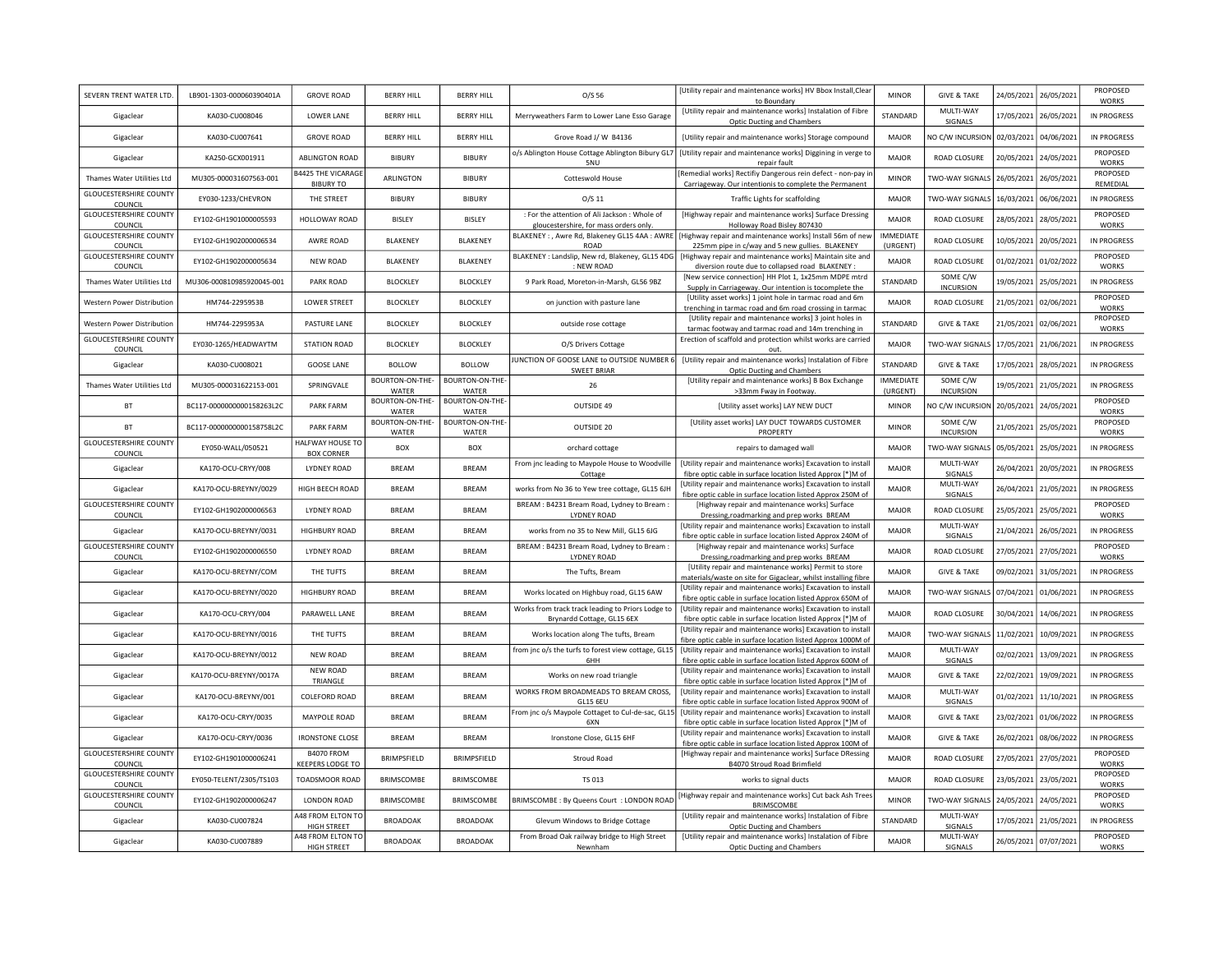| SEVERN TRENT WATER LTD.                  | LB901-1303-000060390401A  | <b>GROVE ROAD</b>                             | <b>BERRY HILL</b>        | <b>BERRY HILL</b>               | O/S 56                                                                                  | [Utility repair and maintenance works] HV Bbox Install, Clear<br>to Boundary                                                                                  | <b>MINOR</b>                 | <b>GIVE &amp; TAKE</b>       | 24/05/2021 | 26/05/2021            | PROPOSED<br><b>WORKS</b> |
|------------------------------------------|---------------------------|-----------------------------------------------|--------------------------|---------------------------------|-----------------------------------------------------------------------------------------|---------------------------------------------------------------------------------------------------------------------------------------------------------------|------------------------------|------------------------------|------------|-----------------------|--------------------------|
| Gigaclear                                | KA030-CU008046            | LOWER LANE                                    | <b>BERRY HILL</b>        | <b>BERRY HILL</b>               | Merryweathers Farm to Lower Lane Esso Garage                                            | [Utility repair and maintenance works] Instalation of Fibre<br><b>Optic Ducting and Chambers</b>                                                              | STANDARD                     | MULTI-WAY<br>SIGNALS         | 17/05/2021 | 26/05/2021            | IN PROGRESS              |
| Gigaclear                                | KA030-CU007641            | <b>GROVE ROAD</b>                             | <b>BERRY HILL</b>        | <b>BERRY HILL</b>               | Grove Road J/ W B4136                                                                   | [Utility repair and maintenance works] Storage compound                                                                                                       | MAJOR                        | NO C/W INCURSION             | 02/03/2021 | 04/06/2021            | <b>IN PROGRESS</b>       |
| Gigaclear                                | KA250-GCX001911           | ABLINGTON ROAD                                | <b>BIBURY</b>            | <b>BIBURY</b>                   | o/s Ablington House Cottage Ablington Bibury GL7<br>5NU                                 | [Utility repair and maintenance works] Diggining in verge to<br>repair fault                                                                                  | <b>MAJOR</b>                 | ROAD CLOSURE                 | 20/05/2021 | 24/05/2021            | PROPOSED<br><b>WORKS</b> |
| Thames Water Utilities Ltd               | MU305-000031607563-001    | <b>B4425 THE VICARAGE</b><br><b>BIBURY TO</b> | ARLINGTON                | <b>BIBURY</b>                   | Cotteswold House                                                                        | [Remedial works] Rectifiy Dangerous rein defect - non-pay i<br>Carriageway. Our intentionis to complete the Permanent                                         | <b>MINOR</b>                 | TWO-WAY SIGNALS              | 26/05/2021 | 26/05/2021            | PROPOSED<br>REMEDIAL     |
| <b>GLOUCESTERSHIRE COUNTY</b><br>COUNCIL | EY030-1233/CHEVRON        | THE STREET                                    | <b>BIBURY</b>            | <b>BIBURY</b>                   | $O/S$ 11                                                                                | Traffic Lights for scaffolding                                                                                                                                | MAJOR                        | TWO-WAY SIGNALS              | 16/03/2021 | 06/06/2021            | IN PROGRESS              |
| <b>GLOUCESTERSHIRE COUNTY</b><br>COUNCIL | EY102-GH1901000005593     | HOLLOWAY ROAD                                 | BISLEY                   | <b>BISLEY</b>                   | : For the attention of Ali Jackson : Whole of<br>gloucestershire, for mass orders only. | [Highway repair and maintenance works] Surface Dressing<br>Holloway Road Bisley 807430                                                                        | <b>MAJOR</b>                 | ROAD CLOSURE                 | 28/05/2021 | 28/05/2021            | PROPOSED<br><b>WORKS</b> |
| <b>GLOUCESTERSHIRE COUNTY</b><br>COUNCIL | EY102-GH1902000006534     | AWRE ROAD                                     | <b>BLAKENEY</b>          | BLAKENEY                        | <b>ROAD</b>                                                                             | BLAKENEY : , Awre Rd, Blakeney GL15 4AA : AWRE   [Highway repair and maintenance works] Install 56m of new<br>225mm pipe in c/way and 5 new gullies. BLAKENEY | <b>IMMEDIATE</b><br>(URGENT) | ROAD CLOSURE                 | 10/05/2021 | 20/05/2021            | IN PROGRESS              |
| <b>GLOUCESTERSHIRE COUNTY</b><br>COUNCIL | EY102-GH1902000005634     | <b>NEW ROAD</b>                               | <b>BLAKENEY</b>          | <b>BLAKENEY</b>                 | BLAKENEY : Landslip, New rd, Blakeney, GL15 4DG<br>NEW ROAD                             | [Highway repair and maintenance works] Maintain site and<br>diversion route due to collapsed road BLAKENEY :                                                  | <b>MAJOR</b>                 | ROAD CLOSURE                 | 01/02/2021 | 01/02/2022            | PROPOSED<br><b>WORKS</b> |
| Thames Water Utilities Ltd               | MU306-000810985920045-001 | PARK ROAD                                     | <b>BLOCKLEY</b>          | <b>BLOCKLEY</b>                 | 9 Park Road, Moreton-in-Marsh, GL56 9BZ                                                 | [New service connection] HH Plot 1, 1x25mm MDPE mtrd<br>Supply in Carriageway. Our intention is tocomplete the                                                | STANDARD                     | SOME C/W<br><b>INCURSION</b> | 19/05/2021 | 25/05/2021            | IN PROGRESS              |
| Western Power Distribution               | HM744-2295953B            | <b>LOWER STREET</b>                           | <b>BLOCKLEY</b>          | <b>BLOCKLEY</b>                 | on junction with pasture lane                                                           | [Utility asset works] 1 joint hole in tarmac road and 6m<br>trenching in tarmac road and 6m road crossing in tarmac                                           | <b>MAJOR</b>                 | ROAD CLOSURE                 | 21/05/2021 | 02/06/2021            | PROPOSED<br><b>WORKS</b> |
| Western Power Distribution               | HM744-2295953A            | PASTURE LANE                                  | <b>BLOCKLEY</b>          | <b>BLOCKLEY</b>                 | outside rose cottage                                                                    | [Utility repair and maintenance works] 3 joint holes in<br>tarmac footway and tarmac road and 14m trenching in                                                | STANDARD                     | <b>GIVE &amp; TAKE</b>       | 21/05/2021 | 02/06/2021            | PROPOSED<br><b>WORKS</b> |
| <b>GLOUCESTERSHIRE COUNTY</b><br>COUNCIL | EY030-1265/HEADWAYTM      | <b>STATION ROAD</b>                           | <b>BLOCKLEY</b>          | <b>BLOCKLEY</b>                 | O/S Drivers Cottage                                                                     | Erection of scaffold and protection whilst works are carried<br>out.                                                                                          | <b>MAJOR</b>                 | TWO-WAY SIGNALS              | 17/05/2021 | 21/06/2021            | IN PROGRESS              |
| Gigaclear                                | KA030-CU008021            | <b>GOOSE LANE</b>                             | <b>BOLLOW</b>            | <b>BOLLOW</b>                   | JUNCTION OF GOOSE LANE to OUTSIDE NUMBER 6<br><b>SWEET BRIAR</b>                        | [Utility repair and maintenance works] Instalation of Fibre<br>Optic Ducting and Chambers                                                                     | <b>STANDARD</b>              | <b>GIVE &amp; TAKE</b>       | 17/05/2021 | 28/05/2021            | IN PROGRESS              |
| Thames Water Utilities Ltd               | MU305-000031622153-001    | SPRINGVALE                                    | BOURTON-ON-THE-<br>WATER | BOURTON-ON-THE-<br>WATER        | 26                                                                                      | [Utility repair and maintenance works] B Box Exchange<br>>33mm Fway in Footway                                                                                | <b>IMMEDIATE</b><br>(URGENT) | SOME C/W<br><b>INCURSION</b> | 19/05/2021 | 21/05/2021            | IN PROGRESS              |
| BT                                       | BC117-0000000000158263L2C | <b>PARK FARM</b>                              | BOURTON-ON-THE-<br>WATER | BOURTON-ON-THE-<br>WATER        | OUTSIDE 49                                                                              | [Utility asset works] LAY NEW DUCT                                                                                                                            | <b>MINOR</b>                 | NO C/W INCURSION             | 20/05/2021 | 24/05/2021            | PROPOSED<br><b>WORKS</b> |
| BT                                       | BC117-0000000000158758L2C | <b>PARK FARM</b>                              | BOURTON-ON-THE-<br>WATER | <b>BOURTON-ON-THE-</b><br>WATER | OUTSIDE 20                                                                              | [Utility asset works] LAY DUCT TOWARDS CUSTOMER<br>PROPERTY                                                                                                   | <b>MINOR</b>                 | SOME C/W<br><b>INCURSION</b> | 21/05/2021 | 25/05/2021            | PROPOSED<br><b>WORKS</b> |
| <b>GLOUCESTERSHIRE COUNTY</b><br>COUNCIL | EY050-WALL/050521         | HALFWAY HOUSE TO<br><b>BOX CORNER</b>         | <b>BOX</b>               | <b>BOX</b>                      | orchard cottage                                                                         | repairs to damaged wall                                                                                                                                       | MAIOR                        | TWO-WAY SIGNALS              | 05/05/2021 | 25/05/2021            | IN PROGRESS              |
| Gigaclear                                | KA170-OCU-CRYY/008        | <b>LYDNEY ROAD</b>                            | <b>BREAM</b>             | <b>BREAM</b>                    | From jnc leading to Maypole House to Woodville<br>Cottage                               | [Utility repair and maintenance works] Excavation to install<br>fibre optic cable in surface location listed Approx [*]M of                                   | <b>MAJOR</b>                 | MULTI-WAY<br><b>SIGNALS</b>  | 26/04/2021 | 20/05/2021            | IN PROGRESS              |
| Gigaclear                                | KA170-OCU-BREYNY/0029     | HIGH BEECH ROAD                               | <b>BREAM</b>             | <b>BREAM</b>                    | works from No 36 to Yew tree cottage, GL15 6JH                                          | [Utility repair and maintenance works] Excavation to install<br>fibre optic cable in surface location listed Approx 250M of                                   | <b>MAJOR</b>                 | MULTI-WAY<br>SIGNALS         | 26/04/2021 | 21/05/2021            | IN PROGRESS              |
| <b>GLOUCESTERSHIRE COUNTY</b><br>COUNCIL | EY102-GH1902000006563     | LYDNEY ROAD                                   | <b>BRFAM</b>             | <b>BRFAM</b>                    | BREAM : B4231 Bream Road, Lydney to Bream :<br><b>LYDNEY ROAD</b>                       | [Highway repair and maintenance works] Surface<br>Dressing, roadmarking and prep works BREAM                                                                  | MAIOR                        | ROAD CLOSURE                 | 25/05/2021 | 25/05/2021            | PROPOSED<br><b>WORKS</b> |
| Gigaclear                                | KA170-OCU-BREYNY/0031     | <b>HIGHBURY ROAD</b>                          | <b>BRFAM</b>             | <b>BREAM</b>                    | works from no 35 to New Mill, GL15 6JG                                                  | [Utility repair and maintenance works] Excavation to install<br>fibre optic cable in surface location listed Approx 240M of                                   | <b>MAJOR</b>                 | MULTI-WAY<br>SIGNALS         | 21/04/2021 | 26/05/2021            | IN PROGRESS              |
| <b>GLOUCESTERSHIRE COUNTY</b><br>COUNCIL | EY102-GH1902000006550     | <b>LYDNEY ROAD</b>                            | <b>BRFAM</b>             | <b>BRFAM</b>                    | BREAM : B4231 Bream Road, Lydney to Bream :<br><b>LYDNEY ROAD</b>                       | [Highway repair and maintenance works] Surface<br>Dressing, roadmarking and prep works BREAM                                                                  | <b>MAIOR</b>                 | ROAD CLOSURE                 | 27/05/2021 | 27/05/2021            | PROPOSED<br><b>WORKS</b> |
| Gigaclear                                | KA170-OCU-BREYNY/COM      | THE TUFTS                                     | <b>BRFAM</b>             | <b>BRFAM</b>                    | The Tufts, Bream                                                                        | [Utility repair and maintenance works] Permit to store<br>materials/waste on site for Gigaclear, whilst installing fibre                                      | MAJOR                        | <b>GIVE &amp; TAKE</b>       | 09/02/2021 | 31/05/2021            | IN PROGRESS              |
| Gigaclear                                | KA170-OCU-BREYNY/0020     | <b>HIGHBURY ROAD</b>                          | <b>BREAM</b>             | <b>BREAM</b>                    | Works located on Highbuy road, GL15 6AW                                                 | [Utility repair and maintenance works] Excavation to install<br>fibre optic cable in surface location listed Approx 650M of                                   | <b>MAJOR</b>                 | TWO-WAY SIGNALS              | 07/04/2021 | 01/06/2021            | IN PROGRESS              |
| Gigaclear                                | KA170-OCU-CRYY/004        | PARAWELL LANE                                 | <b>BREAM</b>             | <b>BRFAM</b>                    | Works from track track leading to Priors Lodge to<br>Brynardd Cottage, GL15 6EX         | [Utility repair and maintenance works] Excavation to install<br>fibre optic cable in surface location listed Approx [*]M of                                   | <b>MAJOR</b>                 | ROAD CLOSURE                 | 30/04/2021 | 14/06/2021            | IN PROGRESS              |
| Gigaclear                                | KA170-OCU-BREYNY/0016     | THE TUFTS                                     | <b>BREAM</b>             | <b>BREAM</b>                    | Works location along The tufts, Bream                                                   | [Utility repair and maintenance works] Excavation to install<br>fibre optic cable in surface location listed Approx 1000M of                                  | <b>MAJOR</b>                 | TWO-WAY SIGNALS              | 11/02/2021 | 10/09/2021            | IN PROGRESS              |
| Gigaclear                                | KA170-OCU-BREYNY/0012     | NEW ROAD                                      | <b>BREAM</b>             | <b>BRFAM</b>                    | from jnc o/s the turfs to forest view cottage, GL15<br>6HH                              | [Utility repair and maintenance works] Excavation to install<br>fibre optic cable in surface location listed Approx 600M of                                   | <b>MAJOR</b>                 | MULTI-WAY<br>SIGNALS         | 02/02/2021 | 13/09/2021            | IN PROGRESS              |
| Gigaclear                                | KA170-OCU-BREYNY/0017A    | <b>NEW ROAD</b><br>TRIANGLE                   | <b>BREAM</b>             | <b>BREAM</b>                    | Works on new road triangle                                                              | [Utility repair and maintenance works] Excavation to install<br>fibre optic cable in surface location listed Approx [*]M of                                   | <b>MAJOR</b>                 | <b>GIVE &amp; TAKE</b>       | 22/02/2021 | 19/09/2021            | IN PROGRESS              |
| Gigaclear                                | KA170-OCU-BREYNY/001      | <b>COLEFORD ROAD</b>                          | <b>BREAM</b>             | <b>BREAM</b>                    | WORKS FROM BROADMEADS TO BREAM CROSS,<br><b>GL15 6EU</b>                                | [Utility repair and maintenance works] Excavation to install<br>fibre optic cable in surface location listed Approx 900M of                                   | <b>MAJOR</b>                 | MULTI-WAY<br>SIGNALS         | 01/02/2021 | 11/10/2021            | IN PROGRESS              |
| Gigaclear                                | KA170-OCU-CRYY/0035       | MAYPOLE ROAD                                  | <b>BREAM</b>             | <b>BREAM</b>                    | rom jnc o/s Maypole Cottaget to Cul-de-sac, GL15<br>6XN                                 | [Utility repair and maintenance works] Excavation to install<br>fibre optic cable in surface location listed Approx [*]M of                                   | <b>MAJOR</b>                 | <b>GIVE &amp; TAKE</b>       | 23/02/2021 | 01/06/2022            | IN PROGRESS              |
| Gigaclear                                | KA170-OCU-CRYY/0036       | <b>IRONSTONE CLOSE</b>                        | <b>BREAM</b>             | <b>BREAM</b>                    | Ironstone Close, GL15 6HF                                                               | [Utility repair and maintenance works] Excavation to install<br>fibre optic cable in surface location listed Approx 100M of                                   | <b>MAJOR</b>                 | <b>GIVE &amp; TAKE</b>       | 26/02/2021 | 08/06/2022            | IN PROGRESS              |
| <b>GLOUCESTERSHIRE COUNTY</b><br>COUNCIL | EY102-GH1901000006241     | B4070 FROM<br><b>KEEPERS LODGE TO</b>         | <b>BRIMPSFIELD</b>       | <b>BRIMPSFIELD</b>              | <b>Stroud Road</b>                                                                      | [Highway repair and maintenance works] Surface DRessing<br>B4070 Stroud Road Brimfield                                                                        | <b>MAJOR</b>                 | ROAD CLOSURE                 |            | 27/05/2021 27/05/2021 | PROPOSED<br><b>WORKS</b> |
| <b>GLOUCESTERSHIRE COUNTY</b><br>COUNCIL | EY050-TELENT/2305/TS103   | TOADSMOOR ROAD                                | <b>BRIMSCOMBE</b>        | BRIMSCOMBE                      | <b>TS 013</b>                                                                           | works to signal ducts                                                                                                                                         | MAJOR                        | ROAD CLOSURE                 | 23/05/2021 | 23/05/2021            | PROPOSED<br><b>WORKS</b> |
| <b>GLOUCESTERSHIRE COUNTY</b><br>COUNCIL | EY102-GH1902000006247     | <b>LONDON ROAD</b>                            | <b>BRIMSCOMBE</b>        | BRIMSCOMBE                      | BRIMSCOMBE: By Queens Court: LONDON ROAD                                                | Highway repair and maintenance works] Cut back Ash Trees<br><b>BRIMSCOMBE</b>                                                                                 | <b>MINOR</b>                 | TWO-WAY SIGNALS              | 24/05/2021 | 24/05/2021            | PROPOSED<br><b>WORKS</b> |
| Gigaclear                                | KA030-CU007824            | 448 FROM ELTON TO<br>HIGH STREET              | <b>BROADOAK</b>          | BROADOAK                        | Glevum Windows to Bridge Cottage                                                        | [Utility repair and maintenance works] Instalation of Fibre<br><b>Optic Ducting and Chambers</b>                                                              | STANDARD                     | MULTI-WAY<br>SIGNALS         | 17/05/2021 | 21/05/2021            | <b>IN PROGRESS</b>       |
| Gigaclear                                | KA030-CU007889            | A48 FROM ELTON TO<br>HIGH STREET              | <b>BROADOAK</b>          | <b>BROADOAK</b>                 | From Broad Oak railway bridge to High Street<br>Newnham                                 | [Utility repair and maintenance works] Instalation of Fibre<br>Optic Ducting and Chambers                                                                     | MAJOR                        | MULTI-WAY<br>SIGNALS         | 26/05/2021 | 07/07/2021            | PROPOSED<br><b>WORKS</b> |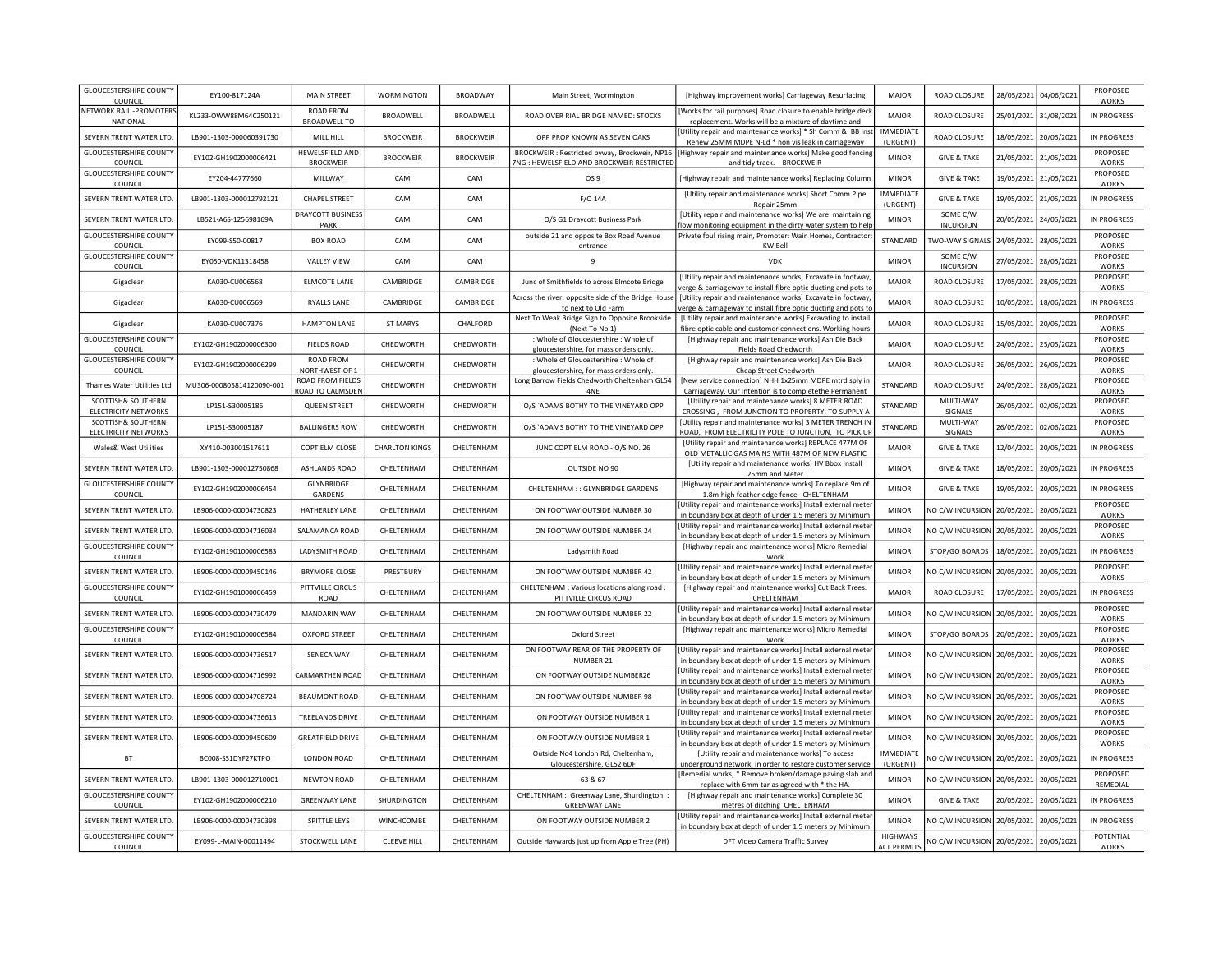| <b>GLOUCESTERSHIRE COUNTY</b><br>COUNCIL          | EY100-817124A             | <b>MAIN STREET</b>                      | WORMINGTON            | <b>BROADWAY</b>  | Main Street, Wormington                                                                    | [Highway improvement works] Carriageway Resurfacing                                                                           | MAJOR                                 | ROAD CLOSURE                           | 28/05/2021 | 04/06/2021 | PROPOSED<br><b>WORKS</b>  |
|---------------------------------------------------|---------------------------|-----------------------------------------|-----------------------|------------------|--------------------------------------------------------------------------------------------|-------------------------------------------------------------------------------------------------------------------------------|---------------------------------------|----------------------------------------|------------|------------|---------------------------|
| NETWORK RAIL -PROMOTERS<br>NATIONAL               | KL233-OWW88M64C250121     | <b>ROAD FROM</b><br><b>BROADWELL TO</b> | BROADWELL             | BROADWELL        | ROAD OVER RIAL BRIDGE NAMED: STOCKS                                                        | Works for rail purposes] Road closure to enable bridge decl<br>replacement. Works will be a mixture of daytime and            | <b>MAJOR</b>                          | ROAD CLOSURE                           | 25/01/2021 | 31/08/2021 | <b>IN PROGRESS</b>        |
| SEVERN TRENT WATER LTD.                           | LB901-1303-000060391730   | MILL HILL                               | <b>BROCKWEIR</b>      | <b>BROCKWEIR</b> | OPP PROP KNOWN AS SEVEN OAKS                                                               | Utility repair and maintenance works] * Sh Comm & BB Inst<br>Renew 25MM MDPE N-Ld * non vis leak in carriageway               | <b>IMMEDIATE</b><br>(URGENT)          | ROAD CLOSURE                           | 18/05/2021 | 20/05/2021 | IN PROGRESS               |
| <b>GLOUCESTERSHIRE COUNTY</b><br>COUNCIL          | EY102-GH1902000006421     | HEWELSFIELD AND<br><b>BROCKWEIR</b>     | <b>BROCKWEIR</b>      | <b>BROCKWEIR</b> | BROCKWEIR: Restricted byway, Brockweir, NP16<br>7NG : HEWELSFIELD AND BROCKWEIR RESTRICTED | [Highway repair and maintenance works] Make good fencing<br>and tidy track. BROCKWEIR                                         | <b>MINOR</b>                          | <b>GIVE &amp; TAKE</b>                 | 21/05/2021 | 21/05/2021 | PROPOSED<br><b>WORKS</b>  |
| <b>GLOUCESTERSHIRE COUNTY</b><br>COUNCIL          | EY204-44777660            | MILLWAY                                 | CAM                   | CAM              | OS <sub>9</sub>                                                                            | [Highway repair and maintenance works] Replacing Columr                                                                       | <b>MINOR</b>                          | <b>GIVE &amp; TAKE</b>                 | 19/05/2021 | 21/05/2021 | PROPOSED<br><b>WORKS</b>  |
| SEVERN TRENT WATER LTD.                           | LB901-1303-000012792121   | <b>CHAPEL STREET</b>                    | CAM                   | CAM              | F/O 14A                                                                                    | [Utility repair and maintenance works] Short Comm Pipe<br>Repair 25mm                                                         | <b>IMMEDIATE</b><br>(URGENT)          | <b>GIVE &amp; TAKE</b>                 | 19/05/2021 | 21/05/2021 | IN PROGRESS               |
| SEVERN TRENT WATER LTD                            | LB521-A6S-125698169A      | DRAYCOTT BUSINESS<br>PARK               | CAM                   | CAM              | O/S G1 Draycott Business Park                                                              | [Utility repair and maintenance works] We are maintaining<br>low monitoring equipment in the dirty water system to help       | <b>MINOR</b>                          | SOME C/W<br><b>INCURSION</b>           | 20/05/2021 | 24/05/2021 | IN PROGRESS               |
| <b>GLOUCESTERSHIRE COUNTY</b><br>COUNCIL          | EY099-S50-00817           | <b>BOX ROAD</b>                         | CAM                   | CAM              | outside 21 and opposite Box Road Avenue<br>entrance                                        | Private foul rising main, Promoter: Wain Homes, Contractor<br>KW Bell                                                         | STANDARD                              | TWO-WAY SIGNALS                        | 24/05/2021 | 28/05/2021 | PROPOSED<br><b>WORKS</b>  |
| <b>GLOUCESTERSHIRE COUNTY</b><br>COUNCIL          | EY050-VDK11318458         | <b>VALLEY VIEW</b>                      | CAM                   | CAM              | 9                                                                                          | <b>VDK</b>                                                                                                                    | <b>MINOR</b>                          | SOME C/W<br><b>INCURSION</b>           | 27/05/2021 | 28/05/2021 | PROPOSED<br><b>WORKS</b>  |
| Gigaclear                                         | KA030-CU006568            | ELMCOTE LANE                            | CAMBRIDGE             | CAMBRIDGE        | Junc of Smithfields to across Elmcote Bridge                                               | [Utility repair and maintenance works] Excavate in footway<br>erge & carriageway to install fibre optic ducting and pots to   | <b>MAJOR</b>                          | ROAD CLOSURE                           | 17/05/2021 | 28/05/2021 | PROPOSED<br>WORKS         |
| Gigaclear                                         | KA030-CU006569            | RYALLS LANE                             | CAMBRIDGE             | CAMBRIDGE        | Across the river, opposite side of the Bridge House<br>to next to Old Farm                 | [Utility repair and maintenance works] Excavate in footway,<br>verge & carriageway to install fibre optic ducting and pots to | <b>MAJOR</b>                          | ROAD CLOSURE                           | 10/05/2021 | 18/06/2021 | IN PROGRESS               |
| Gigaclear                                         | KA030-CU007376            | <b>HAMPTON LANE</b>                     | <b>ST MARYS</b>       | CHALFORD         | Next To Weak Bridge Sign to Opposite Brookside<br>(Next To No 1)                           | [Utility repair and maintenance works] Excavating to install<br>fibre optic cable and customer connections. Working hours     | <b>MAJOR</b>                          | ROAD CLOSURE                           | 15/05/2021 | 20/05/2021 | PROPOSED<br><b>WORKS</b>  |
| <b>GLOUCESTERSHIRE COUNTY</b><br>COUNCIL          | EY102-GH1902000006300     | <b>FIELDS ROAD</b>                      | CHEDWORTH             | CHEDWORTH        | : Whole of Gloucestershire : Whole of<br>gloucestershire, for mass orders only.            | [Highway repair and maintenance works] Ash Die Back<br>Fields Road Chedworth                                                  | <b>MAJOR</b>                          | ROAD CLOSURE                           | 24/05/2021 | 25/05/2021 | PROPOSED<br><b>WORKS</b>  |
| <b>GLOUCESTERSHIRE COUNTY</b><br>COUNCIL          | EY102-GH1902000006299     | ROAD FROM<br>NORTHWEST OF 1             | CHEDWORTH             | CHEDWORTH        | : Whole of Gloucestershire : Whole of<br>gloucestershire, for mass orders only.            | [Highway repair and maintenance works] Ash Die Back<br>Cheap Street Chedworth                                                 | <b>MAJOR</b>                          | ROAD CLOSURE                           | 26/05/2021 | 26/05/2021 | PROPOSED<br><b>WORKS</b>  |
| Thames Water Utilities Ltd                        | MU306-000805814120090-001 | ROAD FROM FIELDS<br>ROAD TO CALMSDEN    | CHEDWORTH             | CHEDWORTH        | Long Barrow Fields Chedworth Cheltenham GL54<br>4NF                                        | [New service connection] NHH 1x25mm MDPE mtrd sply ir<br>Carriageway. Our intention is to completethe Permanent               | STANDARD                              | ROAD CLOSURE                           | 24/05/2021 | 28/05/2021 | PROPOSED<br><b>WORKS</b>  |
| SCOTTISH& SOUTHERN<br><b>ELECTRICITY NETWORKS</b> | LP151-S30005186           | <b>QUEEN STREET</b>                     | CHEDWORTH             | CHEDWORTH        | O/S `ADAMS BOTHY TO THE VINEYARD OPP                                                       | [Utility repair and maintenance works] 8 METER ROAD<br>CROSSING, FROM JUNCTION TO PROPERTY, TO SUPPLY /                       | STANDARD                              | MULTI-WAY<br><b>SIGNALS</b>            | 26/05/2021 | 02/06/2021 | PROPOSED<br><b>WORKS</b>  |
| SCOTTISH& SOUTHERN<br>ELECTRICITY NETWORKS        | LP151-S30005187           | <b>BALLINGERS ROW</b>                   | CHEDWORTH             | CHEDWORTH        | O/S `ADAMS BOTHY TO THE VINEYARD OPP                                                       | [Utility repair and maintenance works] 3 METER TRENCH IN<br>ROAD, FROM ELECTRICITY POLE TO JUNCTION, TO PICK UP               | STANDARD                              | MULTI-WAY<br>SIGNALS                   | 26/05/2021 | 02/06/2021 | PROPOSED<br><b>WORKS</b>  |
| Wales& West Utilities                             | XY410-003001517611        | COPT ELM CLOSE                          | <b>CHARLTON KINGS</b> | CHELTENHAM       | JUNC COPT ELM ROAD - O/S NO. 26                                                            | [Utility repair and maintenance works] REPLACE 477M OF<br>OLD METALLIC GAS MAINS WITH 487M OF NEW PLASTIC                     | <b>MAJOR</b>                          | <b>GIVE &amp; TAKE</b>                 | 12/04/2021 | 20/05/2021 | IN PROGRESS               |
| SEVERN TRENT WATER LTD.                           | LB901-1303-000012750868   | ASHLANDS ROAD                           | CHELTENHAM            | CHELTENHAM       | OUTSIDE NO 90                                                                              | [Utility repair and maintenance works] HV Bbox Install<br>25mm and Meter                                                      | <b>MINOR</b>                          | <b>GIVE &amp; TAKE</b>                 | 18/05/2021 | 20/05/2021 | <b>IN PROGRESS</b>        |
| <b>GLOUCESTERSHIRE COUNTY</b><br>COUNCIL          | EY102-GH1902000006454     | GLYNBRIDGE<br>GARDENS                   | CHELTENHAM            | CHELTENHAM       | CHELTENHAM :: GLYNBRIDGE GARDENS                                                           | [Highway repair and maintenance works] To replace 9m of<br>1.8m high feather edge fence CHELTENHAM                            | <b>MINOR</b>                          | <b>GIVE &amp; TAKE</b>                 | 19/05/2021 | 20/05/2021 | <b>IN PROGRESS</b>        |
| SEVERN TRENT WATER LTD.                           | LB906-0000-00004730823    | HATHERLEY LANE                          | CHELTENHAM            | CHELTENHAM       | ON FOOTWAY OUTSIDE NUMBER 30                                                               | [Utility repair and maintenance works] Install external mete<br>in boundary box at depth of under 1.5 meters by Minimum       | <b>MINOR</b>                          | NO C/W INCURSION                       | 20/05/2021 | 20/05/2021 | PROPOSED<br><b>WORKS</b>  |
| SEVERN TRENT WATER LTD                            | LB906-0000-00004716034    | SALAMANCA ROAD                          | CHELTENHAM            | CHELTENHAM       | ON FOOTWAY OUTSIDE NUMBER 24                                                               | [Utility repair and maintenance works] Install external meter<br>in boundary box at depth of under 1.5 meters by Minimum      | <b>MINOR</b>                          | NO C/W INCURSION                       | 20/05/2021 | 20/05/2021 | PROPOSED<br><b>WORKS</b>  |
| <b>GLOUCESTERSHIRE COUNTY</b><br>COUNCIL          | EY102-GH1901000006583     | LADYSMITH ROAD                          | CHELTENHAM            | CHELTENHAM       | Ladysmith Road                                                                             | [Highway repair and maintenance works] Micro Remedial<br>Work                                                                 | <b>MINOR</b>                          | STOP/GO BOARDS                         | 18/05/2021 | 20/05/2021 | IN PROGRESS               |
| SEVERN TRENT WATER LTD.                           | LB906-0000-00009450146    | <b>BRYMORE CLOSE</b>                    | PRESTBURY             | CHELTENHAM       | ON FOOTWAY OUTSIDE NUMBER 42                                                               | [Utility repair and maintenance works] Install external meter<br>in boundary box at depth of under 1.5 meters by Minimum      | <b>MINOR</b>                          | NO C/W INCURSION                       | 20/05/2021 | 20/05/2021 | PROPOSED<br><b>WORKS</b>  |
| <b>GLOUCESTERSHIRE COUNTY</b><br>COUNCIL          | EY102-GH1901000006459     | PITTVILLE CIRCUS<br>ROAD                | CHELTENHAM            | CHELTENHAM       | CHELTENHAM : Various locations along road :<br>PITTVILLE CIRCUS ROAD                       | [Highway repair and maintenance works] Cut Back Trees.<br>CHELTENHAM                                                          | <b>MAJOR</b>                          | ROAD CLOSURE                           | 17/05/2021 | 20/05/2021 | IN PROGRESS               |
| SEVERN TRENT WATER LTD                            | LB906-0000-00004730479    | <b>MANDARIN WAY</b>                     | CHELTENHAM            | CHELTENHAM       | ON FOOTWAY OUTSIDE NUMBER 22                                                               | [Utility repair and maintenance works] Install external meter<br>in boundary box at depth of under 1.5 meters by Minimum      | <b>MINOR</b>                          | NO C/W INCURSION                       | 20/05/2021 | 20/05/2021 | PROPOSED<br><b>WORKS</b>  |
| <b>GLOUCESTERSHIRE COUNTY</b><br>COUNCIL          | EY102-GH1901000006584     | <b>OXFORD STREET</b>                    | CHELTENHAM            | CHELTENHAM       | Oxford Street                                                                              | [Highway repair and maintenance works] Micro Remedial<br>Work                                                                 | <b>MINOR</b>                          | STOP/GO BOARDS                         | 20/05/2021 | 20/05/2021 | PROPOSED<br><b>WORKS</b>  |
| SEVERN TRENT WATER LTD.                           | LB906-0000-00004736517    | SENECA WAY                              | CHELTENHAM            | CHELTENHAM       | ON FOOTWAY REAR OF THE PROPERTY OF<br>NUMBER 21                                            | [Utility repair and maintenance works] Install external meter<br>in boundary box at depth of under 1.5 meters by Minimum      | <b>MINOR</b>                          | NO C/W INCURSION 20/05/2021            |            | 20/05/2021 | PROPOSED<br><b>WORKS</b>  |
| SEVERN TRENT WATER LTD                            | LB906-0000-00004716992    | CARMARTHEN ROAD                         | CHELTENHAM            | CHELTENHAM       | ON FOOTWAY OUTSIDE NUMBER26                                                                | [Utility repair and maintenance works] Install external meter<br>in boundary box at depth of under 1.5 meters by Minimum      | <b>MINOR</b>                          | NO C/W INCURSION 20/05/2021            |            | 20/05/2021 | PROPOSED<br><b>WORKS</b>  |
| SEVERN TRENT WATER LTD.                           | LB906-0000-00004708724    | <b>BEAUMONT ROAD</b>                    | CHELTENHAM            | CHELTENHAM       | ON FOOTWAY OUTSIDE NUMBER 98                                                               | [Utility repair and maintenance works] Install external meter<br>in boundary box at depth of under 1.5 meters by Minimum      | <b>MINOR</b>                          | NO C/W INCURSION 20/05/2021            |            | 20/05/2021 | PROPOSED<br><b>WORKS</b>  |
| SEVERN TRENT WATER LTD.                           | LB906-0000-00004736613    | TREELANDS DRIVE                         | CHELTENHAM            | CHELTENHAM       | ON FOOTWAY OUTSIDE NUMBER 1                                                                | [Utility repair and maintenance works] Install external mete<br>in boundary box at depth of under 1.5 meters by Minimum       | <b>MINOR</b>                          | NO C/W INCURSION 20/05/2021            |            | 20/05/2021 | PROPOSED<br><b>WORKS</b>  |
| SEVERN TRENT WATER LTD.                           | LB906-0000-00009450609    | <b>GREATFIELD DRIVE</b>                 | CHELTENHAM            | CHELTENHAM       | ON FOOTWAY OUTSIDE NUMBER 1                                                                | [Utility repair and maintenance works] Install external meter<br>in boundary box at depth of under 1.5 meters by Minimur      | <b>MINOR</b>                          | NO C/W INCURSION 20/05/2021            |            | 20/05/2021 | PROPOSED<br><b>WORKS</b>  |
| BT                                                | BC008-SS1DYF27KTPO        | LONDON ROAD                             | CHELTENHAM            | CHELTENHAM       | Outside No4 London Rd, Cheltenham,<br>Gloucestershire, GL52 6DF                            | [Utility repair and maintenance works] To access<br>underground network, in order to restore customer service                 | <b>IMMEDIATE</b><br>(URGENT)          | NO C/W INCURSION                       | 20/05/2021 | 20/05/2021 | IN PROGRESS               |
| SEVERN TRENT WATER LTD                            | LB901-1303-000012710001   | <b>NEWTON ROAD</b>                      | CHELTENHAM            | CHELTENHAM       | 63 & 67                                                                                    | [Remedial works] * Remove broken/damage paving slab and<br>replace with 6mm tar as agreed with * the HA.                      | <b>MINOR</b>                          | NO C/W INCURSION                       | 20/05/2021 | 20/05/2021 | PROPOSED<br>REMEDIAL      |
| <b>GLOUCESTERSHIRE COUNTY</b><br>COUNCIL          | EY102-GH1902000006210     | <b>GREENWAY LANE</b>                    | SHURDINGTON           | CHELTENHAM       | CHELTENHAM : Greenway Lane, Shurdington. :<br><b>GREENWAY LANE</b>                         | [Highway repair and maintenance works] Complete 30<br>metres of ditching CHELTENHAM                                           | <b>MINOR</b>                          | <b>GIVE &amp; TAKE</b>                 | 20/05/2021 | 20/05/2021 | IN PROGRESS               |
| SEVERN TRENT WATER LTD.                           | LB906-0000-00004730398    | SPITTLE LEYS                            | WINCHCOMBE            | CHELTENHAM       | ON FOOTWAY OUTSIDE NUMBER 2                                                                | [Utility repair and maintenance works] Install external meter<br>in boundary box at depth of under 1.5 meters by Minimum      | <b>MINOR</b>                          | NO C/W INCURSION                       | 20/05/2021 | 20/05/2021 | IN PROGRESS               |
| <b>GLOUCESTERSHIRE COUNTY</b><br>COUNCIL          | EY099-L-MAIN-00011494     | STOCKWELL LANE                          | <b>CLEEVE HILL</b>    | CHELTENHAM       | Outside Haywards just up from Apple Tree (PH)                                              | DFT Video Camera Traffic Survey                                                                                               | <b>HIGHWAYS</b><br><b>ACT PERMITS</b> | NO C/W INCURSION 20/05/2021 20/05/2021 |            |            | POTENTIAL<br><b>WORKS</b> |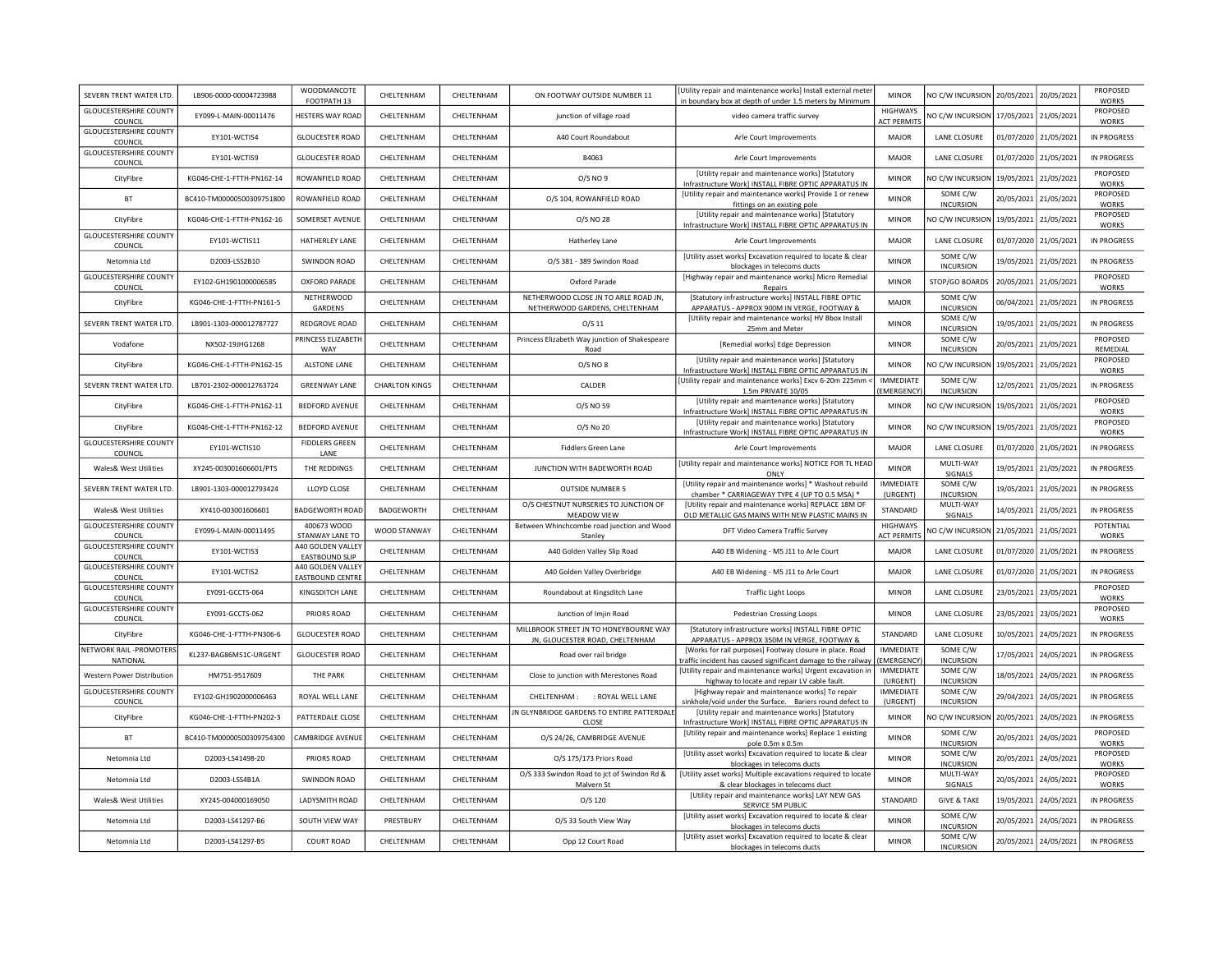| SEVERN TRENT WATER LTD.                  | LB906-0000-00004723988    | WOODMANCOTE<br>FOOTPATH 13                   | CHELTENHAM            | CHELTENHAM        | ON FOOTWAY OUTSIDE NUMBER 11                                              | [Utility repair and maintenance works] Install external meter<br>in boundary box at depth of under 1.5 meters by Minimum | <b>MINOR</b>                          | NO C/W INCURSION 20/05/2021  |            | 20/05/2021            | <b>PROPOSED</b><br><b>WORKS</b> |
|------------------------------------------|---------------------------|----------------------------------------------|-----------------------|-------------------|---------------------------------------------------------------------------|--------------------------------------------------------------------------------------------------------------------------|---------------------------------------|------------------------------|------------|-----------------------|---------------------------------|
| <b>GLOUCESTERSHIRE COUNTY</b><br>COUNCIL | EY099-L-MAIN-00011476     | <b>HESTERS WAY ROAD</b>                      | CHELTENHAM            | CHELTENHAM        | junction of village road                                                  | video camera traffic survey                                                                                              | <b>HIGHWAYS</b><br><b>ACT PERMITS</b> | NO C/W INCURSION             | 17/05/2021 | 21/05/2021            | PROPOSED<br><b>WORKS</b>        |
| <b>GLOUCESTERSHIRE COUNTY</b><br>COUNCIL | EY101-WCTIS4              | <b>GLOUCESTER ROAD</b>                       | CHELTENHAM            | CHELTENHAM        | A40 Court Roundabout                                                      | Arle Court Improvements                                                                                                  | MAJOR                                 | LANE CLOSURE                 | 01/07/2020 | 21/05/2021            | <b>IN PROGRESS</b>              |
| <b>GLOUCESTERSHIRE COUNTY</b><br>COUNCIL | EY101-WCTIS9              | <b>GLOUCESTER ROAD</b>                       | CHELTENHAM            | CHELTENHAM        | B4063                                                                     | Arle Court Improvements                                                                                                  | <b>MAJOR</b>                          | <b>LANE CLOSURE</b>          | 01/07/2020 | 21/05/2021            | IN PROGRESS                     |
| CityFibre                                | KG046-CHE-1-FTTH-PN162-14 | ROWANFIELD ROAD                              | CHELTENHAM            | <b>CHEITENHAM</b> | O/S NO 9                                                                  | [Utility repair and maintenance works] [Statutory<br>Infrastructure Work] INSTALL FIBRE OPTIC APPARATUS IN               | <b>MINOR</b>                          | NO C/W INCURSION             | 19/05/2021 | 21/05/2021            | PROPOSED<br><b>WORKS</b>        |
| <b>BT</b>                                | BC410-TM00000500309751800 | ROWANFIELD ROAD                              | CHELTENHAM            | <b>CHEITENHAM</b> | O/S 104, ROWANFIELD ROAD                                                  | [Utility repair and maintenance works] Provide 1 or renew<br>fittings on an existing pole                                | <b>MINOR</b>                          | SOME C/W<br><b>INCURSION</b> | 20/05/2021 | 21/05/2021            | PROPOSED<br><b>WORKS</b>        |
| CityFibre                                | KG046-CHE-1-FTTH-PN162-16 | SOMERSET AVENUE                              | <b>CHEITENHAM</b>     | CHFI TFNHAM       | 0/S NO 28                                                                 | [Utility repair and maintenance works] [Statutory<br>Infrastructure Work] INSTALL FIBRE OPTIC APPARATUS IN               | <b>MINOR</b>                          | NO C/W INCURSION             | 19/05/2021 | 21/05/2021            | PROPOSED<br><b>WORKS</b>        |
| <b>GLOUCESTERSHIRE COUNTY</b><br>COUNCIL | EY101-WCTIS11             | HATHERLEY LANE                               | CHELTENHAM            | CHELTENHAM        | Hatherley Lane                                                            | Arle Court Improvements                                                                                                  | MAJOR                                 | LANE CLOSURE                 | 01/07/2020 | 21/05/2021            | IN PROGRESS                     |
| Netomnia Ltd                             | D2003-LSS2B10             | <b>SWINDON ROAD</b>                          | CHELTENHAM            | CHELTENHAM        | O/S 381 - 389 Swindon Road                                                | [Utility asset works] Excavation required to locate & clear<br>blockages in telecoms ducts                               | <b>MINOR</b>                          | SOME C/W<br><b>INCURSION</b> | 19/05/2021 | 21/05/2021            | <b>IN PROGRESS</b>              |
| <b>GLOUCESTERSHIRE COUNTY</b><br>COUNCIL | EY102-GH1901000006585     | <b>OXFORD PARADE</b>                         | CHELTENHAM            | CHELTENHAM        | Oxford Parade                                                             | [Highway repair and maintenance works] Micro Remedial<br>Repairs                                                         | <b>MINOR</b>                          | STOP/GO BOARDS               | 20/05/2021 | 21/05/2021            | PROPOSED<br><b>WORKS</b>        |
| CityFibre                                | KG046-CHE-1-FTTH-PN161-5  | NETHERWOOD<br>GARDENS                        | CHELTENHAM            | CHELTENHAM        | NETHERWOOD CLOSE JN TO ARLE ROAD JN,<br>NETHERWOOD GARDENS, CHELTENHAM    | [Statutory infrastructure works] INSTALL FIBRE OPTIC<br>APPARATUS - APPROX 900M IN VERGE, FOOTWAY &                      | MAIOR                                 | SOME C/W<br><b>INCURSION</b> | 06/04/2021 | 21/05/2021            | IN PROGRESS                     |
| SEVERN TRENT WATER LTD                   | LB901-1303-000012787727   | REDGROVE ROAD                                | CHELTENHAM            | CHELTENHAM        | $O/S$ 11                                                                  | [Utility repair and maintenance works] HV Bbox Install<br>25mm and Meter                                                 | <b>MINOR</b>                          | SOME C/W<br><b>INCURSION</b> | 19/05/2021 | 21/05/2021            | <b>IN PROGRESS</b>              |
| Vodafone                                 | NX502-19JHG1268           | PRINCESS ELIZABETH<br>WAY                    | CHELTENHAM            | CHELTENHAM        | Princess Elizabeth Way junction of Shakespeare<br>Road                    | [Remedial works] Edge Depression                                                                                         | <b>MINOR</b>                          | SOME C/W<br><b>INCURSION</b> | 20/05/2021 | 21/05/2021            | PROPOSED<br>REMEDIAL            |
| CityFibre                                | KG046-CHE-1-FTTH-PN162-15 | ALSTONE LANE                                 | CHELTENHAM            | CHELTENHAM        | 0/S NO 8                                                                  | [Utility repair and maintenance works] [Statutory<br>Infrastructure Work] INSTALL FIBRE OPTIC APPARATUS IN               | <b>MINOR</b>                          | NO C/W INCURSION             | 19/05/2021 | 21/05/2021            | PROPOSED<br>WORKS               |
| SEVERN TRENT WATER LTD.                  | LB701-2302-000012763724   | <b>GREENWAY LANE</b>                         | <b>CHARLTON KINGS</b> | CHELTENHAM        | CALDER                                                                    | [Utility repair and maintenance works] Excv 6-20m 225mm ·<br>1.5m PRIVATE 10/05                                          | <b>IMMEDIATE</b><br>EMERGENCY         | SOME C/W<br><b>INCURSION</b> | 12/05/2021 | 21/05/2021            | IN PROGRESS                     |
| CityFibre                                | KG046-CHE-1-FTTH-PN162-11 | <b>BEDFORD AVENUE</b>                        | CHELTENHAM            | CHELTENHAM        | O/S NO 59                                                                 | [Utility repair and maintenance works] [Statutory<br>Infrastructure Work] INSTALL FIBRE OPTIC APPARATUS IN               | <b>MINOR</b>                          | NO C/W INCURSION             | 19/05/2021 | 21/05/2021            | PROPOSED<br><b>WORKS</b>        |
| CityFibre                                | KG046-CHE-1-FTTH-PN162-12 | <b>BEDFORD AVENUE</b>                        | CHELTENHAM            | CHELTENHAM        | O/S No 20                                                                 | [Utility repair and maintenance works] [Statutory<br>Infrastructure Work] INSTALL FIBRE OPTIC APPARATUS IN               | <b>MINOR</b>                          | NO C/W INCURSION             | 19/05/2021 | 21/05/2021            | PROPOSED<br><b>WORKS</b>        |
| <b>GLOUCESTERSHIRE COUNTY</b><br>COUNCIL | EY101-WCTIS10             | <b>FIDDLERS GREEN</b><br>LANE                | CHELTENHAM            | <b>CHEITENHAM</b> | Fiddlers Green Lane                                                       | Arle Court Improvements                                                                                                  | MAIOR                                 | <b>LANE CLOSURE</b>          | 01/07/2020 | 21/05/2021            | <b>IN PROGRESS</b>              |
| Wales& West Utilities                    | XY245-003001606601/PTS    | THE REDDINGS                                 | CHELTENHAM            | CHELTENHAM        | JUNCTION WITH BADEWORTH ROAD                                              | [Utility repair and maintenance works] NOTICE FOR TL HEAD<br>ONLY                                                        | <b>MINOR</b>                          | MULTI-WAY<br>SIGNALS         | 19/05/2021 | 21/05/2021            | <b>IN PROGRESS</b>              |
| SEVERN TRENT WATER LTD.                  | LB901-1303-000012793424   | LLOYD CLOSE                                  | CHELTENHAM            | CHELTENHAM        | <b>OUTSIDE NUMBER 5</b>                                                   | [Utility repair and maintenance works] * Washout rebuild<br>chamber * CARRIAGEWAY TYPE 4 (UP TO 0.5 MSA) *               | <b>IMMEDIATE</b><br>(URGENT)          | SOME C/W<br><b>INCURSION</b> | 19/05/2021 | 21/05/2021            | <b>IN PROGRESS</b>              |
| Wales& West Utilities                    | XY410-003001606601        | <b>BADGEWORTH ROAD</b>                       | BADGEWORTH            | CHELTENHAM        | O/S CHESTNUT NURSERIES TO JUNCTION OF<br>MEADOW VIEW                      | [Utility repair and maintenance works] REPLACE 18M OF<br>OLD METALLIC GAS MAINS WITH NEW PLASTIC MAINS IN                | STANDARD                              | MULTI-WAY<br>SIGNALS         | 14/05/2021 | 21/05/2021            | <b>IN PROGRESS</b>              |
| <b>GLOUCESTERSHIRE COUNTY</b><br>COUNCIL | EY099-L-MAIN-00011495     | 400673 WOOD<br>STANWAY LANE TO               | WOOD STANWAY          | CHELTENHAM        | Between Whinchcombe road junction and Wood<br>Stanley                     | DFT Video Camera Traffic Survey                                                                                          | <b>HIGHWAYS</b><br><b>ACT PERMITS</b> | <b>VO C/W INCURSION</b>      | 21/05/2021 | 21/05/2021            | POTENTIAL<br><b>WORKS</b>       |
| <b>GLOUCESTERSHIRE COUNTY</b><br>COUNCIL | EY101-WCTIS3              | A40 GOLDEN VALLEY<br><b>EASTBOUND SLIP</b>   | CHELTENHAM            | CHELTENHAM        | A40 Golden Valley Slip Road                                               | A40 EB Widening - M5 J11 to Arle Court                                                                                   | MAJOR                                 | <b>LANE CLOSURE</b>          |            | 01/07/2020 21/05/2021 | <b>IN PROGRESS</b>              |
| <b>GLOUCESTERSHIRE COUNTY</b><br>COUNCIL | EY101-WCTIS2              | A40 GOLDEN VALLEY<br><b>EASTBOUND CENTRE</b> | CHELTENHAM            | CHELTENHAM        | A40 Golden Valley Overbridge                                              | A40 EB Widening - M5 J11 to Arle Court                                                                                   | MAJOR                                 | LANE CLOSURE                 |            | 01/07/2020 21/05/2021 | <b>IN PROGRESS</b>              |
| <b>GLOUCESTERSHIRE COUNTY</b><br>COUNCIL | EY091-GCCTS-064           | KINGSDITCH LANE                              | CHELTENHAM            | CHELTENHAM        | Roundabout at Kingsditch Lane                                             | <b>Traffic Light Loops</b>                                                                                               | <b>MINOR</b>                          | LANE CLOSURE                 | 23/05/2021 | 23/05/2021            | PROPOSED<br><b>WORKS</b>        |
| <b>GLOUCESTERSHIRE COUNTY</b><br>COUNCIL | EY091-GCCTS-062           | PRIORS ROAD                                  | CHELTENHAM            | CHELTENHAM        | Junction of Imjin Road                                                    | <b>Pedestrian Crossing Loops</b>                                                                                         | <b>MINOR</b>                          | LANE CLOSURE                 | 23/05/2021 | 23/05/2021            | PROPOSED<br><b>WORKS</b>        |
| CityFibre                                | KG046-CHE-1-FTTH-PN306-6  | <b>GLOUCESTER ROAD</b>                       | CHELTENHAM            | CHELTENHAM        | MILLBROOK STREET JN TO HONEYBOURNE WAY<br>JN, GLOUCESTER ROAD, CHELTENHAM | [Statutory infrastructure works] INSTALL FIBRE OPTIC<br>APPARATUS - APPROX 350M IN VERGE, FOOTWAY &                      | STANDARD                              | LANE CLOSURE                 | 10/05/2021 | 24/05/2021            | IN PROGRESS                     |
| NETWORK RAIL -PROMOTERS<br>NATIONAL      | KL237-BAG86M51C-URGENT    | <b>GLOUCESTER ROAD</b>                       | CHELTENHAM            | CHELTENHAM        | Road over rail bridge                                                     | [Works for rail purposes] Footway closure in place. Road<br>raffic incident has caused significant damage to the railway | <b>IMMEDIATE</b><br>(EMERGENCY)       | SOME C/W<br><b>INCURSION</b> | 17/05/2021 | 24/05/2021            | IN PROGRESS                     |
| Western Power Distribution               | HM751-9517609             | THE PARK                                     | CHELTENHAM            | CHELTENHAM        | Close to junction with Merestones Road                                    | [Utility repair and maintenance works] Urgent excavation in<br>highway to locate and repair LV cable fault.              | <b>IMMEDIATE</b><br>(URGENT)          | SOME C/W<br><b>INCURSION</b> | 18/05/2021 | 24/05/2021            | IN PROGRESS                     |
| <b>GLOUCESTERSHIRE COUNTY</b><br>COUNCIL | EY102-GH1902000006463     | ROYAL WELL LANE                              | CHELTENHAM            | CHELTENHAM        | CHELTENHAM:<br>: ROYAL WELL LANE                                          | [Highway repair and maintenance works] To repair<br>sinkhole/void under the Surface. Bariers round defect to             | <b>IMMEDIATE</b><br>(URGENT)          | SOME C/W<br><b>INCURSION</b> | 29/04/2021 | 24/05/2021            | IN PROGRESS                     |
| CityFibre                                | KG046-CHE-1-FTTH-PN202-3  | PATTERDALE CLOSE                             | CHELTENHAM            | CHELTENHAM        | JN GLYNBRIDGE GARDENS TO ENTIRE PATTERDALE<br>CLOSE                       | [Utility repair and maintenance works] [Statutory<br>Infrastructure Work] INSTALL FIBRE OPTIC APPARATUS IN               | <b>MINOR</b>                          | NO C/W INCURSION 20/05/2021  |            | 24/05/2021            | IN PROGRESS                     |
| <b>BT</b>                                | BC410-TM00000500309754300 | <b>CAMBRIDGE AVENUE</b>                      | CHELTENHAM            | CHELTENHAM        | O/S 24/26, CAMBRIDGE AVENUE                                               | [Utility repair and maintenance works] Replace 1 existing<br>pole 0.5m x 0.5m                                            | <b>MINOR</b>                          | SOME C/W<br><b>INCURSION</b> | 20/05/2021 | 24/05/2021            | PROPOSED<br><b>WORKS</b>        |
| Netomnia Ltd                             | D2003-LS41498-20          | PRIORS ROAD                                  | CHELTENHAM            | CHELTENHAM        | O/S 175/173 Priors Road                                                   | [Utility asset works] Excavation required to locate & clear<br>blockages in telecoms ducts                               | <b>MINOR</b>                          | SOME C/W<br><b>INCURSION</b> | 20/05/2021 | 24/05/2021            | PROPOSED<br><b>WORKS</b>        |
| Netomnia I td                            | D2003-LSS4B1A             | SWINDON ROAD                                 | CHELTENHAM            | CHELTENHAM        | O/S 333 Swindon Road to jct of Swindon Rd &<br>Malvern St                 | [Utility asset works] Multiple excavations required to locate<br>& clear blockages in telecoms duct                      | <b>MINOR</b>                          | MULTI-WAY<br>SIGNALS         | 20/05/2021 | 24/05/2021            | PROPOSED<br>WORKS               |
| Wales& West Utilities                    | XY245-004000169050        | LADYSMITH ROAD                               | CHELTENHAM            | CHELTENHAM        | O/S 120                                                                   | [Utility repair and maintenance works] LAY NEW GAS<br>SERVICE 5M PUBLIC                                                  | STANDARD                              | <b>GIVE &amp; TAKE</b>       | 19/05/2021 | 24/05/2021            | <b>IN PROGRESS</b>              |
| Netomnia Ltd                             | D2003-LS41297-B6          | SOUTH VIEW WAY                               | PRESTBURY             | CHELTENHAM        | O/S 33 South View Way                                                     | [Utility asset works] Excavation required to locate & clear<br>blockages in telecoms ducts                               | <b>MINOR</b>                          | SOME C/W<br><b>INCURSION</b> | 20/05/2021 | 24/05/2021            | <b>IN PROGRESS</b>              |
| Netomnia Ltd                             | D2003-LS41297-B5          | COURT ROAD                                   | <b>CHEITENHAM</b>     | CHELTENHAM        | Opp 12 Court Road                                                         | [Utility asset works] Excavation required to locate & clear<br>blockages in telecoms ducts                               | <b>MINOR</b>                          | SOME C/W<br><b>INCURSION</b> | 20/05/2021 | 24/05/2021            | <b>IN PROGRESS</b>              |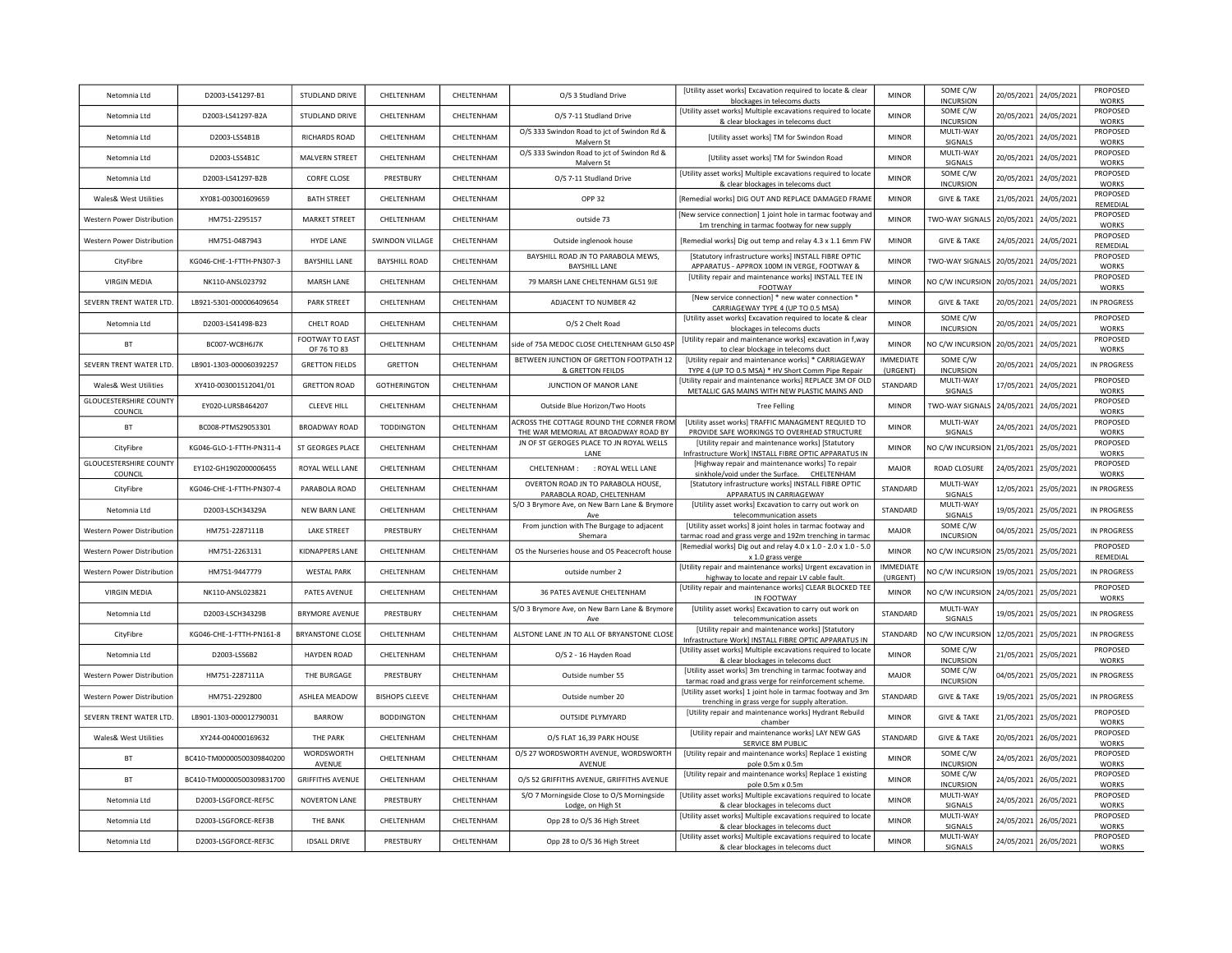| Netomnia Ltd                                    | D2003-LS41297-B1          | STUDLAND DRIVE                 | CHELTENHAM             | CHELTENHAM        | O/S 3 Studland Drive                                                             | [Utility asset works] Excavation required to locate & clear<br>blockages in telecoms ducts                            | <b>MINOR</b>                 | SOME C/W<br><b>INCURSION</b> | 20/05/2021 | 24/05/2021 | PROPOSED<br><b>WORKS</b> |
|-------------------------------------------------|---------------------------|--------------------------------|------------------------|-------------------|----------------------------------------------------------------------------------|-----------------------------------------------------------------------------------------------------------------------|------------------------------|------------------------------|------------|------------|--------------------------|
| Netomnia Ltd                                    | D2003-LS41297-B2A         | STUDLAND DRIVE                 | CHELTENHAM             | CHELTENHAM        | O/S 7-11 Studland Drive                                                          | [Utility asset works] Multiple excavations required to locate<br>& clear blockages in telecoms duct                   | <b>MINOR</b>                 | SOME C/W<br><b>INCURSION</b> | 20/05/2021 | 24/05/2021 | PROPOSED<br><b>WORKS</b> |
| Netomnia Ltd                                    | D2003-LSS4B1B             | RICHARDS ROAD                  | CHELTENHAM             | CHELTENHAM        | O/S 333 Swindon Road to jct of Swindon Rd &<br>Malvern St                        | [Utility asset works] TM for Swindon Road                                                                             | <b>MINOR</b>                 | MULTI-WAY<br>SIGNALS         | 20/05/2021 | 24/05/2021 | PROPOSED<br><b>WORKS</b> |
| Netomnia I td                                   | D2003-LSS4B1C             | MALVERN STREET                 | CHELTENHAM             | CHELTENHAM        | O/S 333 Swindon Road to jct of Swindon Rd &<br>Malvern St                        | [Utility asset works] TM for Swindon Road                                                                             | <b>MINOR</b>                 | MULTI-WAY<br><b>SIGNALS</b>  | 20/05/2021 | 24/05/2021 | PROPOSED<br><b>WORKS</b> |
| Netomnia Ltd                                    | D2003-LS41297-B2B         | <b>CORFE CLOSE</b>             | PRESTBURY              | CHELTENHAM        | O/S 7-11 Studland Drive                                                          | [Utility asset works] Multiple excavations required to locate<br>& clear blockages in telecoms duct                   | <b>MINOR</b>                 | SOME C/W<br><b>INCURSION</b> | 20/05/2021 | 24/05/2021 | PROPOSED<br><b>WORKS</b> |
| Wales& West Utilities                           | XY081-003001609659        | <b>BATH STREET</b>             | CHELTENHAM             | CHEI TENHAM       | <b>OPP 32</b>                                                                    | [Remedial works] DIG OUT AND REPLACE DAMAGED FRAME                                                                    | <b>MINOR</b>                 | <b>GIVE &amp; TAKE</b>       | 21/05/2021 | 24/05/2021 | PROPOSED<br>REMEDIAL     |
| <b>Western Power Distribution</b>               | HM751-2295157             | <b>MARKET STREET</b>           | CHELTENHAM             | CHFITENHAM        | outside 73                                                                       | [New service connection] 1 joint hole in tarmac footway and<br>1m trenching in tarmac footway for new supply          | <b>MINOR</b>                 | <b>TWO-WAY SIGNALS</b>       | 20/05/2021 | 24/05/2021 | PROPOSED<br><b>WORKS</b> |
| Western Power Distribution                      | HM751-0487943             | <b>HYDE LANE</b>               | <b>SWINDON VILLAGE</b> | CHELTENHAM        | Outside inglenook house                                                          | [Remedial works] Dig out temp and relay 4.3 x 1.1 6mm FW                                                              | <b>MINOR</b>                 | <b>GIVE &amp; TAKE</b>       | 24/05/2021 | 24/05/2021 | PROPOSED<br>REMEDIAL     |
| CityFibre                                       | KG046-CHE-1-FTTH-PN307-3  | <b>BAYSHILL LANE</b>           | <b>BAYSHILL ROAD</b>   | CHFI TFNHAM       | BAYSHILL ROAD JN TO PARABOLA MEWS,<br><b>BAYSHILL LANE</b>                       | [Statutory infrastructure works] INSTALL FIBRE OPTIC<br>APPARATUS - APPROX 100M IN VERGE, FOOTWAY &                   | <b>MINOR</b>                 | TWO-WAY SIGNALS              | 20/05/2021 | 24/05/2021 | PROPOSED<br><b>WORKS</b> |
| <b>VIRGIN MEDIA</b>                             | NK110-ANSL023792          | <b>MARSH LANE</b>              | CHELTENHAM             | CHELTENHAM        | 79 MARSH LANE CHELTENHAM GL51 9JE                                                | [Utility repair and maintenance works] INSTALL TEE IN<br>FOOTWAY                                                      | <b>MINOR</b>                 | NO C/W INCURSION             | 20/05/2021 | 24/05/2021 | PROPOSED<br><b>WORKS</b> |
| SEVERN TRENT WATER LTD.                         | LB921-5301-000006409654   | <b>PARK STREET</b>             | CHELTENHAM             | CHELTENHAM        | ADJACENT TO NUMBER 42                                                            | [New service connection] * new water connection *<br>CARRIAGEWAY TYPE 4 (UP TO 0.5 MSA)                               | <b>MINOR</b>                 | <b>GIVE &amp; TAKE</b>       | 20/05/2021 | 24/05/2021 | IN PROGRESS              |
| Netomnia Ltd                                    | D2003-LS41498-B23         | CHELT ROAD                     | CHELTENHAM             | CHELTENHAM        | O/S 2 Chelt Road                                                                 | [Utility asset works] Excavation required to locate & clear<br>blockages in telecoms ducts                            | <b>MINOR</b>                 | SOME C/W<br><b>INCURSION</b> | 20/05/2021 | 24/05/2021 | PROPOSED<br><b>WORKS</b> |
| BT                                              | BC007-WC8H6J7K            | FOOTWAY TO EAST<br>OF 76 TO 83 | CHELTENHAM             | CHELTENHAM        | side of 75A MEDOC CLOSE CHELTENHAM GL50 4SP                                      | [Utility repair and maintenance works] excavation in f, way<br>to clear blockage in telecoms duct                     | <b>MINOR</b>                 | <b>VO C/W INCURSION</b>      | 20/05/2021 | 24/05/2021 | PROPOSED<br>WORKS        |
| SEVERN TRENT WATER LTD.                         | LB901-1303-000060392257   | <b>GRETTON FIELDS</b>          | <b>GRETTON</b>         | CHELTENHAM        | BETWEEN JUNCTION OF GRETTON FOOTPATH 12<br>& GRETTON FEILDS                      | [Utility repair and maintenance works] * CARRIAGEWAY<br>TYPE 4 (UP TO 0.5 MSA) * HV Short Comm Pipe Repair            | <b>IMMEDIATE</b><br>(URGENT) | SOME C/W<br><b>INCURSION</b> | 20/05/2021 | 24/05/2021 | IN PROGRESS              |
| <b>Wales&amp; West Utilities</b>                | XY410-003001512041/01     | <b>GRETTON ROAD</b>            | <b>GOTHERINGTON</b>    | CHELTENHAM        | JUNCTION OF MANOR LANE                                                           | Utility repair and maintenance works] REPLACE 3M OF OLD<br>METALLIC GAS MAINS WITH NEW PLASTIC MAINS AND              | STANDARD                     | MULTI-WAY<br>SIGNALS         | 17/05/2021 | 24/05/2021 | PROPOSED<br><b>WORKS</b> |
| <b>GLOUCESTERSHIRE COUNTY</b><br>COUNCIL        | EY020-LURSB464207         | <b>CLEEVE HILL</b>             | CHELTENHAM             | CHELTENHAM        | Outside Blue Horizon/Two Hoots                                                   | <b>Tree Felling</b>                                                                                                   | <b>MINOR</b>                 | TWO-WAY SIGNALS              | 24/05/2021 | 24/05/2021 | PROPOSED<br><b>WORKS</b> |
| <b>BT</b>                                       | BC008-PTMS29053301        | <b>BROADWAY ROAD</b>           | <b>TODDINGTON</b>      | CHELTENHAM        | ACROSS THE COTTAGE ROUND THE CORNER FROM<br>THE WAR MEMORIAL AT BROADWAY ROAD BY | [Utility asset works] TRAFFIC MANAGMENT REQUIED TO<br>PROVIDE SAFE WORKINGS TO OVERHEAD STRUCTURE                     | <b>MINOR</b>                 | MULTI-WAY<br>SIGNALS         | 24/05/2021 | 24/05/2021 | PROPOSED<br><b>WORKS</b> |
| CityFibre                                       | KG046-GLO-1-FTTH-PN311-4  | ST GEORGES PLACE               | CHELTENHAM             | CHELTENHAM        | JN OF ST GEROGES PLACE TO JN ROYAL WELLS<br><b>LANF</b>                          | [Utility repair and maintenance works] [Statutory<br>Infrastructure Work] INSTALL FIBRE OPTIC APPARATUS IN            | <b>MINOR</b>                 | NO C/W INCURSION             | 21/05/2021 | 25/05/2021 | PROPOSED<br><b>WORKS</b> |
| <b>GLOUCESTERSHIRE COUNTY</b><br><b>COUNCIL</b> | EY102-GH1902000006455     | ROYAL WELL LANE                | CHELTENHAM             | CHELTENHAM        | CHELTENHAM : : ROYAL WELL LANE                                                   | [Highway repair and maintenance works] To repair<br>sinkhole/void under the Surface. CHELTENHAM                       | <b>MAJOR</b>                 | ROAD CLOSURE                 | 24/05/2021 | 25/05/2021 | PROPOSED<br><b>WORKS</b> |
| CityFibre                                       | KG046-CHE-1-FTTH-PN307-4  | PARABOLA ROAD                  | CHELTENHAM             | CHELTENHAM        | OVERTON ROAD JN TO PARABOLA HOUSE,<br>PARABOLA ROAD, CHELTENHAM                  | [Statutory infrastructure works] INSTALL FIBRE OPTIC<br>APPARATUS IN CARRIAGEWAY                                      | STANDARD                     | MULTI-WAY<br>SIGNALS         | 12/05/2021 | 25/05/2021 | <b>IN PROGRESS</b>       |
| Netomnia Ltd                                    | D2003-LSCH34329A          | <b>NEW BARN LANE</b>           | CHELTENHAM             | CHELTENHAM        | S/O 3 Brymore Ave, on New Barn Lane & Brymore<br>Ave                             | [Utility asset works] Excavation to carry out work on<br>telecommunication assets                                     | STANDARD                     | MULTI-WAY<br>SIGNALS         | 19/05/2021 | 25/05/2021 | <b>IN PROGRESS</b>       |
| <b>Western Power Distribution</b>               | HM751-2287111B            | <b>LAKE STREET</b>             | PRESTBURY              | CHELTENHAM        | From junction with The Burgage to adjacent<br>Shemara                            | [Utility asset works] 8 joint holes in tarmac footway and<br>tarmac road and grass verge and 192m trenching in tarmac | <b>MAJOR</b>                 | SOME C/W<br><b>INCURSION</b> | 04/05/2021 | 25/05/2021 | <b>IN PROGRESS</b>       |
| Western Power Distribution                      | HM751-2263131             | KIDNAPPERS LANE                | CHELTENHAM             | CHELTENHAM        | OS the Nurseries house and OS Peacecroft house                                   | [Remedial works] Dig out and relay 4.0 x 1.0 - 2.0 x 1.0 - 5.0<br>x 1.0 grass verge                                   | <b>MINOR</b>                 | NO C/W INCURSION             | 25/05/2021 | 25/05/2021 | PROPOSED<br>REMEDIAL     |
| Western Power Distribution                      | HM751-9447779             | <b>WESTAL PARK</b>             | CHELTENHAM             | CHELTENHAM        | outside number 2                                                                 | [Utility repair and maintenance works] Urgent excavation in<br>highway to locate and repair LV cable fault.           | <b>IMMEDIATE</b><br>(URGENT) | <b>VO C/W INCURSION</b>      | 19/05/2021 | 25/05/2021 | <b>IN PROGRESS</b>       |
| <b>VIRGIN MEDIA</b>                             | NK110-ANSL023821          | PATES AVENUE                   | CHELTENHAM             | CHELTENHAM        | 36 PATES AVENUE CHELTENHAM                                                       | [Utility repair and maintenance works] CLEAR BLOCKED TEE<br>IN FOOTWAY                                                | <b>MINOR</b>                 | NO C/W INCURSION             | 24/05/2021 | 25/05/2021 | PROPOSED<br><b>WORKS</b> |
| Netomnia Ltd                                    | D2003-LSCH34329B          | <b>BRYMORE AVENUE</b>          | PRESTBURY              | CHELTENHAM        | S/O 3 Brymore Ave, on New Barn Lane & Brymore<br>Ave                             | [Utility asset works] Excavation to carry out work on<br>telecommunication assets                                     | STANDARD                     | MULTI-WAY<br>SIGNALS         | 19/05/2021 | 25/05/2021 | <b>IN PROGRESS</b>       |
| CityFibre                                       | KG046-CHE-1-FTTH-PN161-8  | <b>BRYANSTONE CLOSE</b>        | CHELTENHAM             | CHELTENHAM        | ALSTONE LANE JN TO ALL OF BRYANSTONE CLOSE                                       | [Utility repair and maintenance works] [Statutory<br>Infrastructure Work] INSTALL FIBRE OPTIC APPARATUS IN            | STANDARD                     | <b>IO C/W INCURSION</b>      | 12/05/2021 | 25/05/2021 | <b>IN PROGRESS</b>       |
| Netomnia Ltd                                    | D2003-LSS6B2              | <b>HAYDEN ROAD</b>             | CHELTENHAM             | CHELTENHAM        | O/S 2 - 16 Hayden Road                                                           | [Utility asset works] Multiple excavations required to locate<br>& clear blockages in telecoms duct                   | <b>MINOR</b>                 | SOME C/W<br><b>INCURSION</b> | 21/05/2021 | 25/05/2021 | PROPOSED<br><b>WORKS</b> |
| <b>Western Power Distribution</b>               | HM751-2287111A            | THE BURGAGE                    | PRESTBURY              | CHELTENHAM        | Outside number 55                                                                | [Utility asset works] 3m trenching in tarmac footway and<br>tarmac road and grass verge for reinforcement scheme.     | <b>MAJOR</b>                 | SOME C/W<br><b>INCURSION</b> | 04/05/2021 | 25/05/2021 | IN PROGRESS              |
| <b>Western Power Distribution</b>               | HM751-2292800             | ASHLEA MEADOW                  | <b>BISHOPS CLEEVE</b>  | CHELTENHAM        | Outside number 20                                                                | [Utility asset works] 1 joint hole in tarmac footway and 3m<br>trenching in grass verge for supply alteration.        | STANDARD                     | <b>GIVE &amp; TAKE</b>       | 19/05/2021 | 25/05/2021 | IN PROGRESS              |
| SEVERN TRENT WATER LTD.                         | 18901-1303-000012790031   | <b>BARROW</b>                  | <b>BODDINGTON</b>      | CHELTENHAM        | <b>OUTSIDE PLYMYARD</b>                                                          | [Utility repair and maintenance works] Hydrant Rebuild<br>chamber                                                     | <b>MINOR</b>                 | <b>GIVE &amp; TAKE</b>       | 21/05/2021 | 25/05/2021 | PROPOSED<br><b>WORKS</b> |
| Wales& West Utilities                           | XY244-004000169632        | THE PARK                       | CHFITFNHAM             | <b>CHELTENHAM</b> | O/S FLAT 16,39 PARK HOUSE                                                        | [Utility repair and maintenance works] LAY NEW GAS<br><b>SERVICE 8M PUBLIC</b>                                        | STANDARD                     | <b>GIVE &amp; TAKE</b>       | 20/05/2021 | 26/05/2021 | PROPOSED<br><b>WORKS</b> |
| <b>BT</b>                                       | BC410-TM00000500309840200 | WORDSWORTH<br>AVENUE           | CHELTENHAM             | CHELTENHAM        | O/S 27 WORDSWORTH AVENUE, WORDSWORTH<br>AVENUE                                   | [Utility repair and maintenance works] Replace 1 existing<br>pole 0.5m x 0.5m                                         | <b>MINOR</b>                 | SOME C/W<br><b>INCURSION</b> | 24/05/2021 | 26/05/2021 | PROPOSED<br><b>WORKS</b> |
| BT                                              | BC410-TM00000500309831700 | <b>GRIFFITHS AVENUE</b>        | CHELTENHAM             | CHELTENHAM        | O/S 52 GRIFFITHS AVENUE, GRIFFITHS AVENUE                                        | [Utility repair and maintenance works] Replace 1 existing<br>pole 0.5m x 0.5m                                         | <b>MINOR</b>                 | SOME C/W<br><b>INCURSION</b> | 24/05/2021 | 26/05/2021 | PROPOSED<br><b>WORKS</b> |
| Netomnia Ltd                                    | D2003-LSGFORCE-REF5C      | <b>NOVERTON LANE</b>           | PRESTBURY              | CHELTENHAM        | S/O 7 Morningside Close to O/S Morningside<br>Lodge, on High St                  | [Utility asset works] Multiple excavations required to locate<br>& clear blockages in telecoms duct                   | <b>MINOR</b>                 | MULTI-WAY<br>SIGNALS         | 24/05/2021 | 26/05/2021 | PROPOSED<br><b>WORKS</b> |
| Netomnia Ltd                                    | D2003-LSGFORCE-REF3B      | THE BANK                       | CHELTENHAM             | CHELTENHAM        | Opp 28 to O/S 36 High Street                                                     | [Utility asset works] Multiple excavations required to locate<br>& clear blockages in telecoms duct                   | <b>MINOR</b>                 | MULTI-WAY<br>SIGNALS         | 24/05/2021 | 26/05/2021 | PROPOSED<br><b>WORKS</b> |
| Netomnia Ltd                                    | D2003-LSGFORCE-REF3C      | <b>IDSALL DRIVE</b>            | PRESTRURY              | CHELTENHAM        | Opp 28 to O/S 36 High Street                                                     | [Utility asset works] Multiple excavations required to locate<br>& clear blockages in telecoms duct                   | <b>MINOR</b>                 | MULTI-WAY<br>SIGNALS         | 24/05/2021 | 26/05/2021 | PROPOSED<br><b>WORKS</b> |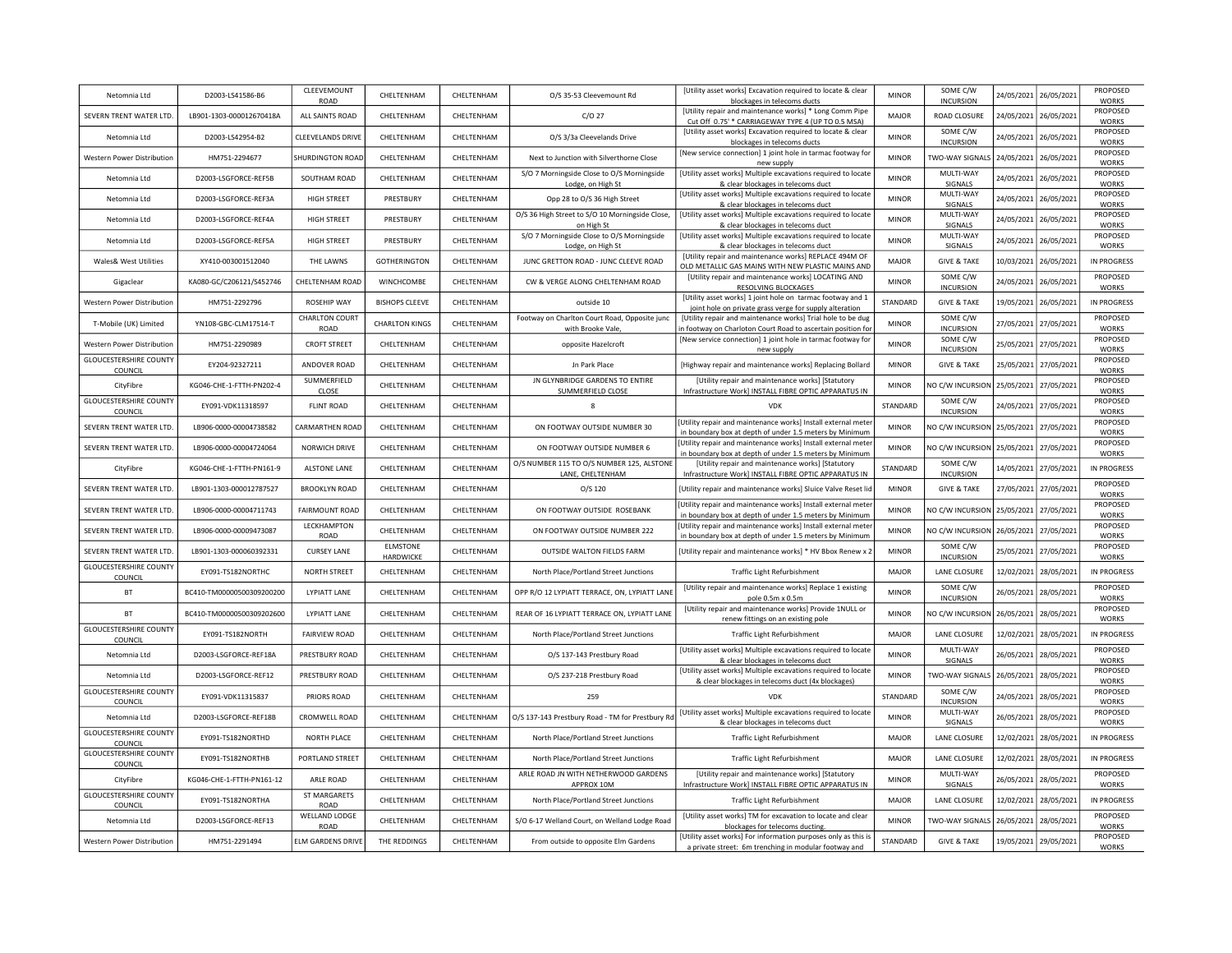| Netomnia Ltd                             | D2003-LS41586-B6          | CLEEVEMOUNT<br><b>ROAD</b>    | CHELTENHAM                   | CHELTENHAM  | O/S 35-53 Cleevemount Rd                                          | [Utility asset works] Excavation required to locate & clear<br>blockages in telecoms ducts                                  | <b>MINOR</b> | SOME C/W<br><b>INCURSION</b> | 24/05/2021 | 26/05/2021 | PROPOSED<br><b>WORKS</b> |
|------------------------------------------|---------------------------|-------------------------------|------------------------------|-------------|-------------------------------------------------------------------|-----------------------------------------------------------------------------------------------------------------------------|--------------|------------------------------|------------|------------|--------------------------|
| SEVERN TRENT WATER LTD.                  | LB901-1303-000012670418A  | ALL SAINTS ROAD               | CHELTENHAM                   | CHELTENHAM  | $C/O$ 27                                                          | [Utility repair and maintenance works] * Long Comm Pipe<br>Cut Off 0.75' * CARRIAGEWAY TYPE 4 (UP TO 0.5 MSA)               | <b>MAJOR</b> | ROAD CLOSURE                 | 24/05/2021 | 26/05/2021 | PROPOSED<br><b>WORKS</b> |
| Netomnia Ltd                             | D2003-LS42954-B2          | <b>CLEEVELANDS DRIVE</b>      | CHELTENHAM                   | CHELTENHAM  | O/S 3/3a Cleevelands Drive                                        | [Utility asset works] Excavation required to locate & clear<br>blockages in telecoms ducts                                  | <b>MINOR</b> | SOME C/W<br><b>INCURSION</b> | 24/05/2021 | 26/05/2021 | PROPOSED<br><b>WORKS</b> |
| Western Power Distribution               | HM751-2294677             | SHURDINGTON ROAD              | CHELTENHAM                   | CHELTENHAM  | Next to Junction with Silverthorne Close                          | [New service connection] 1 joint hole in tarmac footway for<br>new supply                                                   | <b>MINOR</b> | TWO-WAY SIGNALS 24/05/2021   |            | 26/05/2021 | PROPOSED<br><b>WORKS</b> |
| Netomnia Ltd                             | D2003-LSGFORCE-REF5B      | SOUTHAM ROAD                  | CHELTENHAM                   | CHELTENHAM  | S/O 7 Morningside Close to O/S Morningside<br>Lodge, on High St   | [Utility asset works] Multiple excavations required to locate<br>& clear blockages in telecoms duct                         | <b>MINOR</b> | MULTI-WAY<br>SIGNALS         | 24/05/2021 | 26/05/2021 | PROPOSED<br><b>WORKS</b> |
| Netomnia I td                            | D2003-LSGFORCE-REF3A      | <b>HIGH STREET</b>            | PRESTBURY                    | CHFI TFNHAM | Opp 28 to O/S 36 High Street                                      | [Utility asset works] Multiple excavations required to locate<br>& clear blockages in telecoms duct                         | <b>MINOR</b> | MULTI-WAY<br>SIGNALS         | 24/05/2021 | 26/05/2021 | PROPOSED<br><b>WORKS</b> |
| Netomnia I td                            | D2003-LSGFORCE-REF4A      | <b>HIGH STREET</b>            | PRESTBURY                    | CHELTENHAM  | O/S 36 High Street to S/O 10 Morningside Close<br>on High St      | [Utility asset works] Multiple excavations required to locate<br>& clear blockages in telecoms duct                         | <b>MINOR</b> | MULTI-WAY<br>SIGNALS         | 24/05/2021 | 26/05/2021 | PROPOSED<br><b>WORKS</b> |
| Netomnia Ltd                             | D2003-LSGFORCE-REF5A      | HIGH STREET                   | PRESTBURY                    | CHELTENHAM  | S/O 7 Morningside Close to O/S Morningside<br>Lodge, on High St   | [Utility asset works] Multiple excavations required to locate<br>& clear blockages in telecoms duct                         | <b>MINOR</b> | MULTI-WAY<br>SIGNALS         | 24/05/2021 | 26/05/2021 | PROPOSED<br><b>WORKS</b> |
| Wales& West Utilities                    | XY410-003001512040        | THE LAWNS                     | GOTHERINGTON                 | CHFI TFNHAM | JUNC GRETTON ROAD - JUNC CLEEVE ROAD                              | [Utility repair and maintenance works] REPLACE 494M OF<br>OLD METALLIC GAS MAINS WITH NEW PLASTIC MAINS AND                 | <b>MAJOR</b> | <b>GIVE &amp; TAKE</b>       | 10/03/2021 | 26/05/2021 | IN PROGRESS              |
| Gigaclear                                | KA080-GC/C206121/S452746  | CHELTENHAM ROAD               | WINCHCOMBE                   | CHELTENHAM  | CW & VERGE ALONG CHELTENHAM ROAD                                  | [Utility repair and maintenance works] LOCATING AND<br>RESOLVING BLOCKAGES                                                  | <b>MINOR</b> | SOME C/W<br><b>INCURSION</b> | 24/05/2021 | 26/05/2021 | PROPOSED<br><b>WORKS</b> |
| Western Power Distribution               | HM751-2292796             | <b>ROSEHIP WAY</b>            | <b>BISHOPS CLEEVE</b>        | CHELTENHAM  | outside 10                                                        | [Utility asset works] 1 joint hole on tarmac footway and 1<br>joint hole on private grass verge for supply alteration       | STANDARD     | <b>GIVE &amp; TAKE</b>       | 19/05/2021 | 26/05/2021 | IN PROGRESS              |
| T-Mobile (UK) Limited                    | YN108-GBC-CLM17514-T      | <b>CHARLTON COURT</b><br>ROAD | <b>CHARLTON KINGS</b>        | CHELTENHAM  | Footway on Charlton Court Road, Opposite junc<br>with Brooke Vale | [Utility repair and maintenance works] Trial hole to be dug<br>in footway on Charloton Court Road to ascertain position for | <b>MINOR</b> | SOME C/W<br><b>INCURSION</b> | 27/05/2021 | 27/05/2021 | PROPOSED<br><b>WORKS</b> |
| Western Power Distribution               | HM751-2290989             | <b>CROFT STREET</b>           | CHELTENHAM                   | CHELTENHAM  | opposite Hazelcroft                                               | [New service connection] 1 joint hole in tarmac footway for<br>new supply                                                   | <b>MINOR</b> | SOME C/W<br><b>INCURSION</b> | 25/05/2021 | 27/05/2021 | PROPOSED<br><b>WORKS</b> |
| <b>GLOUCESTERSHIRE COUNTY</b><br>COUNCIL | EY204-92327211            | ANDOVER ROAD                  | CHELTENHAM                   | CHELTENHAM  | Jn Park Place                                                     | [Highway repair and maintenance works] Replacing Bollard                                                                    | <b>MINOR</b> | <b>GIVE &amp; TAKE</b>       | 25/05/2021 | 27/05/2021 | PROPOSED<br><b>WORKS</b> |
| CityFibre                                | KG046-CHE-1-FTTH-PN202-4  | SUMMERFIELD<br>CLOSE          | CHELTENHAM                   | CHELTENHAM  | JN GLYNBRIDGE GARDENS TO ENTIRE<br>SUMMERFIELD CLOSE              | [Utility repair and maintenance works] [Statutory<br>Infrastructure Work] INSTALL FIBRE OPTIC APPARATUS IN                  | <b>MINOR</b> | NO C/W INCURSION             | 25/05/2021 | 27/05/2021 | PROPOSED<br><b>WORKS</b> |
| <b>GLOUCESTERSHIRE COUNTY</b><br>COUNCIL | EY091-VDK11318597         | <b>FLINT ROAD</b>             | CHELTENHAM                   | CHELTENHAM  | $\mathbf{g}$                                                      | <b>VDK</b>                                                                                                                  | STANDARD     | SOME C/W<br><b>INCURSION</b> | 24/05/2021 | 27/05/2021 | PROPOSED<br><b>WORKS</b> |
| SEVERN TRENT WATER LTD.                  | LB906-0000-00004738582    | CARMARTHEN ROAD               | CHELTENHAM                   | CHELTENHAM  | ON FOOTWAY OUTSIDE NUMBER 30                                      | Utility repair and maintenance works] Install external meter<br>in boundary box at depth of under 1.5 meters by Minimum     | <b>MINOR</b> | NO C/W INCURSION 25/05/2021  |            | 27/05/2021 | PROPOSED<br><b>WORKS</b> |
| SEVERN TRENT WATER LTD.                  | LB906-0000-00004724064    | NORWICH DRIVE                 | CHELTENHAM                   | CHELTENHAM  | ON FOOTWAY OUTSIDE NUMBER 6                                       | [Utility repair and maintenance works] Install external meter<br>in boundary box at depth of under 1.5 meters by Minimum    | <b>MINOR</b> | NO C/W INCURSION             | 25/05/2021 | 27/05/2021 | PROPOSED<br><b>WORKS</b> |
| CityFibre                                | KG046-CHE-1-FTTH-PN161-9  | <b>ALSTONE LANE</b>           | CHELTENHAM                   | CHELTENHAM  | O/S NUMBER 115 TO O/S NUMBER 125, ALSTONE<br>LANE, CHELTENHAM     | [Utility repair and maintenance works] [Statutory<br>Infrastructure Work] INSTALL FIBRE OPTIC APPARATUS IN                  | STANDARD     | SOME C/W<br><b>INCURSION</b> | 14/05/2021 | 27/05/2021 | <b>IN PROGRESS</b>       |
| SEVERN TRENT WATER LTD.                  | LB901-1303-000012787527   | <b>BROOKLYN ROAD</b>          | CHELTENHAM                   | CHELTENHAM  | O/S 120                                                           | [Utility repair and maintenance works] Sluice Valve Reset lid                                                               | <b>MINOR</b> | <b>GIVE &amp; TAKE</b>       | 27/05/2021 | 27/05/2021 | PROPOSED<br><b>WORKS</b> |
| SEVERN TRENT WATER LTD.                  | LB906-0000-00004711743    | <b>FAIRMOUNT ROAD</b>         | CHELTENHAM                   | CHELTENHAM  | ON FOOTWAY OUTSIDE ROSEBANK                                       | Utility repair and maintenance works] Install external meter<br>in boundary box at depth of under 1.5 meters by Minimum     | <b>MINOR</b> | NO C/W INCURSION             | 25/05/2021 | 27/05/2021 | PROPOSED<br><b>WORKS</b> |
| SEVERN TRENT WATER LTD.                  | LB906-0000-00009473087    | LECKHAMPTON<br>ROAD           | CHELTENHAM                   | CHELTENHAM  | ON FOOTWAY OUTSIDE NUMBER 222                                     | [Utility repair and maintenance works] Install external meter<br>in boundary box at depth of under 1.5 meters by Minimum    | <b>MINOR</b> | NO C/W INCURSION             | 26/05/2021 | 27/05/2021 | PROPOSED<br><b>WORKS</b> |
| SEVERN TRENT WATER LTD.                  | LB901-1303-000060392331   | <b>CURSEY LANE</b>            | <b>ELMSTONE</b><br>HARDWICKE | CHELTENHAM  | OUTSIDE WALTON FIELDS FARM                                        | [Utility repair and maintenance works] * HV Bbox Renew x 2                                                                  | <b>MINOR</b> | SOME C/W<br><b>INCURSION</b> | 25/05/2021 | 27/05/2021 | PROPOSED<br><b>WORKS</b> |
| <b>GLOUCESTERSHIRE COUNTY</b><br>COUNCIL | EY091-TS182NORTHC         | <b>NORTH STREET</b>           | CHELTENHAM                   | CHELTENHAM  | North Place/Portland Street Junctions                             | Traffic Light Refurbishment                                                                                                 | <b>MAJOR</b> | LANE CLOSURE                 | 12/02/2021 | 28/05/2021 | IN PROGRESS              |
| <b>BT</b>                                | BC410-TM00000500309200200 | <b>LYPIATT LANE</b>           | CHELTENHAM                   | CHELTENHAM  | OPP R/O 12 LYPIATT TERRACE, ON, LYPIATT LANE                      | [Utility repair and maintenance works] Replace 1 existing<br>pole 0.5m x 0.5m                                               | <b>MINOR</b> | SOME C/W<br><b>INCURSION</b> | 26/05/2021 | 28/05/2021 | PROPOSED<br><b>WORKS</b> |
| <b>BT</b>                                | BC410-TM00000500309202600 | <b>LYPIATT LANE</b>           | CHELTENHAM                   | CHELTENHAM  | REAR OF 16 LYPIATT TERRACE ON, LYPIATT LANE                       | [Utility repair and maintenance works] Provide 1NULL or<br>renew fittings on an existing pole                               | <b>MINOR</b> | NO C/W INCURSION             | 26/05/2021 | 28/05/2021 | PROPOSED<br><b>WORKS</b> |
| <b>GLOUCESTERSHIRE COUNTY</b><br>COUNCIL | EY091-TS182NORTH          | <b>FAIRVIEW ROAD</b>          | CHELTENHAM                   | CHELTENHAM  | North Place/Portland Street Junctions                             | Traffic Light Refurbishment                                                                                                 | MAIOR        | LANE CLOSURE                 | 12/02/2021 | 28/05/2021 | <b>IN PROGRESS</b>       |
| Netomnia Ltd                             | D2003-LSGFORCE-REF18A     | PRESTBURY ROAD                | CHELTENHAM                   | CHELTENHAM  | O/S 137-143 Prestbury Road                                        | [Utility asset works] Multiple excavations required to locate<br>& clear blockages in telecoms duct                         | <b>MINOR</b> | MULTI-WAY<br>SIGNALS         | 26/05/2021 | 28/05/2021 | PROPOSED<br><b>WORKS</b> |
| Netomnia Ltd                             | D2003-LSGFORCE-REF12      | PRESTBURY ROAD                | CHELTENHAM                   | CHELTENHAM  | O/S 237-218 Prestbury Road                                        | [Utility asset works] Multiple excavations required to locate<br>& clear blockages in telecoms duct (4x blockages)          | <b>MINOR</b> | TWO-WAY SIGNALS              | 26/05/2021 | 28/05/2021 | PROPOSED<br>WORKS        |
| <b>GLOUCESTERSHIRE COUNTY</b><br>COUNCIL | EY091-VDK11315837         | PRIORS ROAD                   | CHELTENHAM                   | CHELTENHAM  | 259                                                               | VDK                                                                                                                         | STANDARD     | SOME C/W<br><b>INCURSION</b> | 24/05/2021 | 28/05/2021 | PROPOSED<br><b>WORKS</b> |
| Netomnia Ltd                             | D2003-LSGEORCE-REE18B     | CROMWELL ROAD                 | CHELTENHAM                   | CHELTENHAM  | O/S 137-143 Prestbury Road - TM for Prestbury Rd                  | [Utility asset works] Multiple excavations required to locate<br>& clear blockages in telecoms duct                         | <b>MINOR</b> | MULTI-WAY<br>SIGNALS         | 26/05/2021 | 28/05/2021 | PROPOSED<br><b>WORKS</b> |
| <b>GLOUCESTERSHIRE COUNTY</b><br>COUNCIL | EY091-TS182NORTHD         | NORTH PLACE                   | CHELTENHAM                   | CHELTENHAM  | North Place/Portland Street Junctions                             | <b>Traffic Light Refurbishment</b>                                                                                          | MAIOR        | LANE CLOSURE                 | 12/02/2021 | 28/05/2021 | <b>IN PROGRESS</b>       |
| <b>GLOUCESTERSHIRE COUNTY</b><br>COUNCIL | FY091-TS182NORTHB         | PORTLAND STREET               | CHELTENHAM                   | CHELTENHAM  | North Place/Portland Street Junctions                             | Traffic Light Refurbishment                                                                                                 | <b>MAJOR</b> | LANE CLOSURE                 | 12/02/2021 | 28/05/2021 | IN PROGRESS              |
| CityFibre                                | KG046-CHE-1-FTTH-PN161-12 | ARLE ROAD                     | CHELTENHAM                   | CHELTENHAM  | ARLE ROAD JN WITH NETHERWOOD GARDENS<br>APPROX 10M                | [Utility repair and maintenance works] [Statutory<br>Infrastructure Work] INSTALL FIBRE OPTIC APPARATUS IN                  | <b>MINOR</b> | MULTI-WAY<br>SIGNALS         | 26/05/2021 | 28/05/2021 | PROPOSED<br><b>WORKS</b> |
| <b>GLOUCESTERSHIRE COUNTY</b><br>COUNCIL | EY091-TS182NORTHA         | ST MARGARETS<br>ROAD          | CHELTENHAM                   | CHELTENHAM  | North Place/Portland Street Junctions                             | Traffic Light Refurbishment                                                                                                 | MAJOR        | LANE CLOSURE                 | 12/02/2021 | 28/05/2021 | <b>IN PROGRESS</b>       |
| Netomnia Ltd                             | D2003-LSGFORCE-REF13      | <b>WELLAND LODGE</b><br>ROAD  | CHELTENHAM                   | CHELTENHAM  | S/O 6-17 Welland Court, on Welland Lodge Road                     | [Utility asset works] TM for excavation to locate and clear<br>blockages for telecoms ducting.                              | <b>MINOR</b> | TWO-WAY SIGNALS              | 26/05/2021 | 28/05/2021 | PROPOSED<br><b>WORKS</b> |
| Western Power Distribution               | HM751-2291494             | <b>ELM GARDENS DRIVE</b>      | THE REDDINGS                 | CHELTENHAM  | From outside to opposite Elm Gardens                              | [Utility asset works] For information purposes only as this is<br>a private street: 6m trenching in modular footway and     | STANDARD     | <b>GIVE &amp; TAKE</b>       | 19/05/2021 | 29/05/2021 | PROPOSED<br><b>WORKS</b> |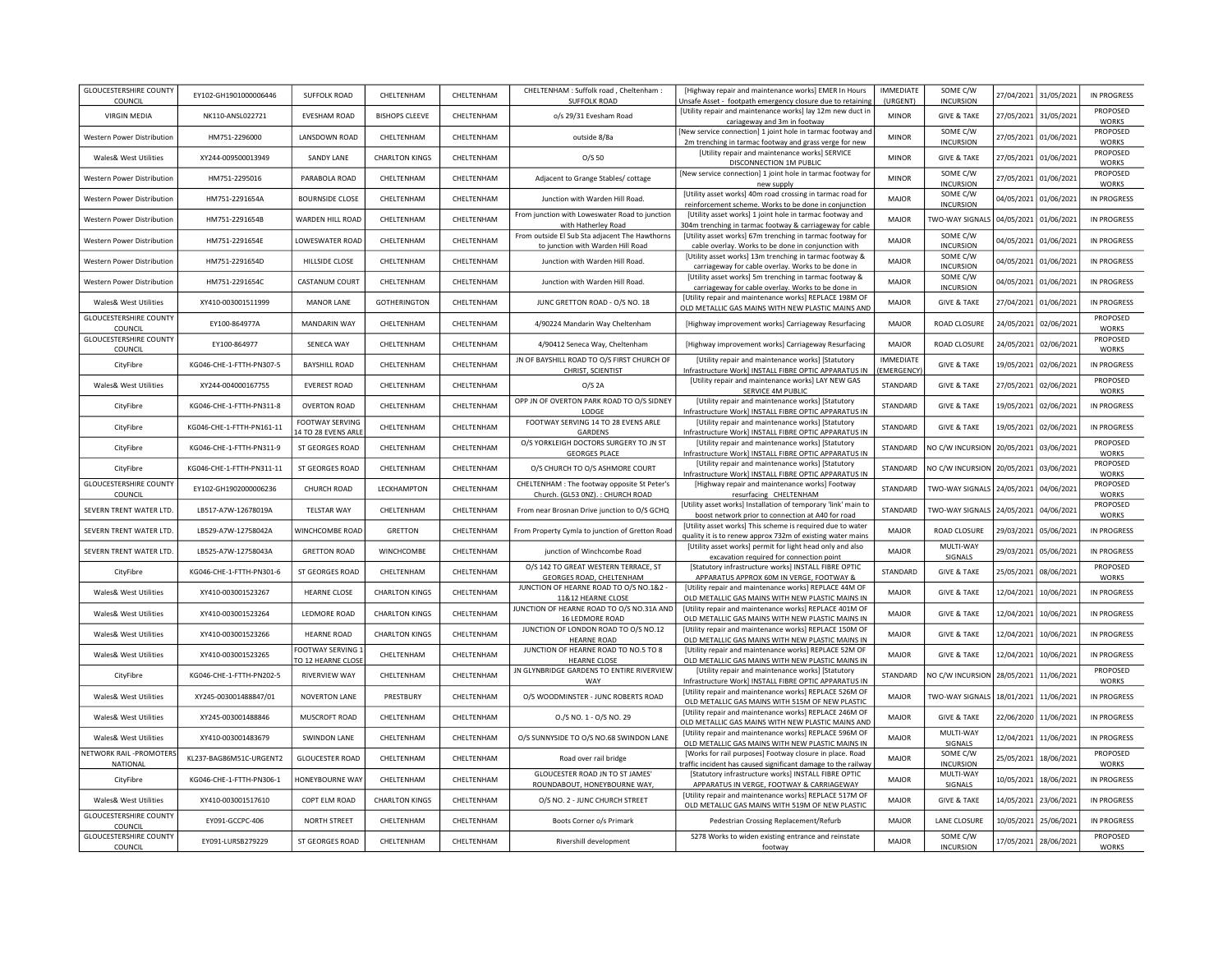| <b>GLOUCESTERSHIRE COUNTY</b><br>COUNCIL | EY102-GH1901000006446     | <b>SUFFOLK ROAD</b>                    | CHELTENHAM            | CHELTENHAM | CHELTENHAM : Suffolk road, Cheltenham :<br><b>SUFFOLK ROAD</b>                      | [Highway repair and maintenance works] EMER In Hours<br>Unsafe Asset - footpath emergency closure due to retaining                            | <b>IMMEDIATE</b><br>(URGENT)  | SOME C/W<br><b>INCURSION</b>      | 27/04/2021 | 31/05/2021 | <b>IN PROGRESS</b>                 |
|------------------------------------------|---------------------------|----------------------------------------|-----------------------|------------|-------------------------------------------------------------------------------------|-----------------------------------------------------------------------------------------------------------------------------------------------|-------------------------------|-----------------------------------|------------|------------|------------------------------------|
| <b>VIRGIN MEDIA</b>                      | NK110-ANSL022721          | <b>EVESHAM ROAD</b>                    | <b>BISHOPS CLEEVE</b> | CHELTENHAM | o/s 29/31 Evesham Road                                                              | [Utility repair and maintenance works] lay 12m new duct in<br>cariageway and 3m in footway                                                    | <b>MINOR</b>                  | <b>GIVE &amp; TAKE</b>            | 27/05/2021 | 31/05/2021 | PROPOSED<br><b>WORKS</b>           |
| Western Power Distribution               | HM751-2296000             | LANSDOWN ROAD                          | CHELTENHAM            | CHELTENHAM | outside 8/8a                                                                        | [New service connection] 1 joint hole in tarmac footway and                                                                                   | <b>MINOR</b>                  | SOME C/W<br><b>INCURSION</b>      | 27/05/2021 | 01/06/2021 | PROPOSED<br><b>WORKS</b>           |
| Wales& West Utilities                    | XY244-009500013949        | SANDY LANE                             | <b>CHARLTON KINGS</b> | CHELTENHAM | O/S 50                                                                              | 2m trenching in tarmac footway and grass verge for new<br>[Utility repair and maintenance works] SERVICE<br>DISCONNECTION 1M PUBLIC           | <b>MINOR</b>                  | <b>GIVE &amp; TAKE</b>            | 27/05/2021 | 01/06/2021 | PROPOSED<br><b>WORKS</b>           |
| <b>Western Power Distribution</b>        | HM751-2295016             | PARABOLA ROAD                          | CHELTENHAM            | CHELTENHAM | Adjacent to Grange Stables/ cottage                                                 | [New service connection] 1 joint hole in tarmac footway for<br>new supply                                                                     | <b>MINOR</b>                  | SOME C/W<br><b>INCURSION</b>      | 27/05/2021 | 01/06/2021 | PROPOSED<br><b>WORKS</b>           |
| Western Power Distribution               | HM751-2291654A            | <b>BOURNSIDE CLOSE</b>                 | CHELTENHAM            | CHELTENHAM | Junction with Warden Hill Road                                                      | [Utility asset works] 40m road crossing in tarmac road for<br>reinforcement scheme. Works to be done in conjunction                           | <b>MAJOR</b>                  | SOME C/W<br><b>INCURSION</b>      | 04/05/2021 | 01/06/2021 | <b>IN PROGRESS</b>                 |
| <b>Western Power Distribution</b>        | HM751-2291654B            | WARDEN HILL ROAD                       | CHELTENHAM            | CHELTENHAM | From junction with Loweswater Road to junction<br>with Hatherley Road               | [Utility asset works] 1 joint hole in tarmac footway and<br>304m trenching in tarmac footway & carriageway for cable                          | <b>MAJOR</b>                  | TWO-WAY SIGNALS                   | 04/05/2021 | 01/06/2021 | <b>IN PROGRESS</b>                 |
| <b>Western Power Distribution</b>        | HM751-2291654E            | <b>LOWESWATER ROAD</b>                 | CHELTENHAM            | CHELTENHAM | From outside El Sub Sta adjacent The Hawthorns<br>to junction with Warden Hill Road | [Utility asset works] 67m trenching in tarmac footway for<br>cable overlay. Works to be done in conjunction with                              | <b>MAJOR</b>                  | SOME C/W<br><b>INCURSION</b>      | 04/05/2021 | 01/06/2021 | <b>IN PROGRESS</b>                 |
| Western Power Distribution               | HM751-2291654D            | HILLSIDE CLOSE                         | CHELTENHAM            | CHELTENHAM | Junction with Warden Hill Road                                                      | [Utility asset works] 13m trenching in tarmac footway &<br>carriageway for cable overlay. Works to be done in                                 | <b>MAJOR</b>                  | SOME C/W<br><b>INCURSION</b>      | 04/05/2021 | 01/06/2021 | IN PROGRESS                        |
| Western Power Distribution               | HM751-2291654C            | CASTANUM COURT                         | CHELTENHAM            | CHELTENHAM | Junction with Warden Hill Road.                                                     | [Utility asset works] 5m trenching in tarmac footway &<br>carriageway for cable overlay. Works to be done in                                  | <b>MAJOR</b>                  | SOME C/W<br><b>INCURSION</b>      | 04/05/2021 | 01/06/2021 | IN PROGRESS                        |
| Wales& West Utilities                    | XY410-003001511999        | <b>MANOR LANE</b>                      | <b>GOTHERINGTON</b>   | CHELTENHAM | JUNC GRETTON ROAD - O/S NO. 18                                                      | [Utility repair and maintenance works] REPLACE 198M OF<br>OLD METALLIC GAS MAINS WITH NEW PLASTIC MAINS AND                                   | <b>MAJOR</b>                  | <b>GIVE &amp; TAKE</b>            | 27/04/2021 | 01/06/2021 | <b>IN PROGRESS</b>                 |
| <b>GLOUCESTERSHIRE COUNTY</b><br>COUNCIL | EY100-864977A             | <b>MANDARIN WAY</b>                    | CHELTENHAM            | CHELTENHAM | 4/90224 Mandarin Way Cheltenham                                                     | [Highway improvement works] Carriageway Resurfacing                                                                                           | MAJOR                         | ROAD CLOSURE                      | 24/05/2021 | 02/06/2021 | PROPOSED<br><b>WORKS</b>           |
| <b>GLOUCESTERSHIRE COUNTY</b><br>COUNCIL | EY100-864977              | SENECA WAY                             | CHELTENHAM            | CHELTENHAM | 4/90412 Seneca Way, Cheltenham                                                      | [Highway improvement works] Carriageway Resurfacing                                                                                           | MAIOR                         | ROAD CLOSURE                      | 24/05/2021 | 02/06/2021 | PROPOSED<br>WORKS                  |
| CityFibre                                | KG046-CHE-1-FTTH-PN307-5  | <b>BAYSHILL ROAD</b>                   | CHELTENHAM            | CHELTENHAM | JN OF BAYSHILL ROAD TO O/S FIRST CHURCH OF<br>CHRIST, SCIENTIST                     | [Utility repair and maintenance works] [Statutory<br>Infrastructure Work] INSTALL FIBRE OPTIC APPARATUS IN                                    | <b>IMMEDIATE</b><br>EMERGENCY | <b>GIVE &amp; TAKE</b>            | 19/05/2021 | 02/06/2021 | <b>IN PROGRESS</b>                 |
| Wales& West Utilities                    | XY244-004000167755        | <b>EVEREST ROAD</b>                    | CHELTENHAM            | CHELTENHAM | $O/S$ 2A                                                                            | [Utility repair and maintenance works] LAY NEW GAS<br>SERVICE 4M PUBLIC                                                                       | STANDARD                      | <b>GIVE &amp; TAKE</b>            | 27/05/2021 | 02/06/2021 | PROPOSED<br>WORKS                  |
| CityFibre                                | KG046-CHE-1-FTTH-PN311-8  | <b>OVERTON ROAD</b>                    | CHELTENHAM            | CHELTENHAM | OPP JN OF OVERTON PARK ROAD TO O/S SIDNEY<br>LODGE                                  | [Utility repair and maintenance works] [Statutory<br>Infrastructure Work] INSTALL FIBRE OPTIC APPARATUS IN                                    | STANDARD                      | <b>GIVE &amp; TAKE</b>            | 19/05/2021 | 02/06/2021 | IN PROGRESS                        |
| CityFibre                                | KG046-CHE-1-FTTH-PN161-11 | FOOTWAY SERVING<br>14 TO 28 EVENS ARLE | CHELTENHAM            | CHELTENHAM | FOOTWAY SERVING 14 TO 28 EVENS ARLE<br><b>GARDENS</b>                               | [Utility repair and maintenance works] [Statutory<br>Infrastructure Work] INSTALL FIBRE OPTIC APPARATUS IN                                    | STANDARD                      | <b>GIVE &amp; TAKE</b>            | 19/05/2021 | 02/06/2021 | <b>IN PROGRESS</b>                 |
| CityFibre                                | KG046-CHE-1-FTTH-PN311-9  | ST GEORGES ROAD                        | CHELTENHAM            | CHELTENHAM | O/S YORKLEIGH DOCTORS SURGERY TO JN ST<br><b>GEORGES PLACE</b>                      | [Utility repair and maintenance works] [Statutory<br>Infrastructure Work] INSTALL FIBRE OPTIC APPARATUS IN                                    | STANDARD                      | NO C/W INCURSION                  | 20/05/2021 | 03/06/2021 | PROPOSED<br><b>WORKS</b>           |
| CityFibre                                | KG046-CHE-1-FTTH-PN311-11 | ST GEORGES ROAD                        | CHELTENHAM            | CHELTENHAM | O/S CHURCH TO O/S ASHMORE COURT                                                     | [Utility repair and maintenance works] [Statutory                                                                                             | STANDARD                      | NO C/W INCURSION                  | 20/05/2021 | 03/06/2021 | PROPOSED<br><b>WORKS</b>           |
| <b>GLOUCESTERSHIRE COUNTY</b>            | EY102-GH1902000006236     | CHURCH ROAD                            | LECKHAMPTON           | CHELTENHAM | CHELTENHAM : The footway opposite St Peter's                                        | Infrastructure Work] INSTALL FIBRE OPTIC APPARATUS IN<br>[Highway repair and maintenance works] Footway                                       | STANDARD                      | <b>TWO-WAY SIGNALS</b>            | 24/05/2021 | 04/06/2021 | PROPOSED<br><b>WORKS</b>           |
| COUNCIL<br>SEVERN TRENT WATER LTD.       | LB517-A7W-12678019A       | <b>TELSTAR WAY</b>                     | CHELTENHAM            | CHELTENHAM | Church. (GL53 0NZ).: CHURCH ROAD<br>From near Brosnan Drive junction to O/S GCHQ    | resurfacing CHELTENHAM<br>[Utility asset works] Installation of temporary 'link' main to<br>boost network prior to connection at A40 for road | STANDARD                      | TWO-WAY SIGNALS                   | 24/05/2021 | 04/06/2021 | PROPOSED<br><b>WORKS</b>           |
| SEVERN TRENT WATER LTD.                  | LB529-A7W-12758042A       | WINCHCOMBE ROAD                        | GRETTON               | CHELTENHAM | From Property Cymla to junction of Gretton Road                                     | [Utility asset works] This scheme is required due to water<br>quality it is to renew approx 732m of existing water mains                      | <b>MAJOR</b>                  | ROAD CLOSURE                      | 29/03/2021 | 05/06/2021 | <b>IN PROGRESS</b>                 |
| SEVERN TRENT WATER LTD.                  | LB525-A7W-12758043A       | <b>GRETTON ROAD</b>                    | WINCHCOMBE            | CHELTENHAM | junction of Winchcombe Road                                                         | [Utility asset works] permit for light head only and also<br>excavation required for connection point                                         | MAJOR                         | MULTI-WAY<br>SIGNALS              | 29/03/2021 | 05/06/2021 | <b>IN PROGRESS</b>                 |
| CityFibre                                | KG046-CHE-1-FTTH-PN301-6  | ST GEORGES ROAD                        | CHELTENHAM            | CHELTENHAM | O/S 142 TO GREAT WESTERN TERRACE, ST                                                | [Statutory infrastructure works] INSTALL FIBRE OPTIC                                                                                          | STANDARD                      | <b>GIVE &amp; TAKE</b>            | 25/05/2021 | 08/06/2021 | PROPOSED                           |
| Wales& West Utilities                    | XY410-003001523267        | <b>HEARNE CLOSE</b>                    | <b>CHARLTON KINGS</b> | CHELTENHAM | GEORGES ROAD, CHELTENHAM<br>JUNCTION OF HEARNE ROAD TO O/S NO.1&2 -                 | APPARATUS APPROX 60M IN VERGE, FOOTWAY &<br>[Utility repair and maintenance works] REPLACE 44M OF                                             | <b>MAJOR</b>                  | <b>GIVE &amp; TAKE</b>            | 12/04/2021 | 10/06/2021 | <b>WORKS</b><br><b>IN PROGRESS</b> |
| Wales& West Utilities                    | XY410-003001523264        | LEDMORE ROAD                           | <b>CHARLTON KINGS</b> | CHELTENHAM | 11&12 HEARNE CLOSE<br>JUNCTION OF HEARNE ROAD TO O/S NO.31A AND                     | OLD METALLIC GAS MAINS WITH NEW PLASTIC MAINS IN<br>[Utility repair and maintenance works] REPLACE 401M OF                                    | <b>MAJOR</b>                  | <b>GIVE &amp; TAKE</b>            | 12/04/2021 | 10/06/2021 | <b>IN PROGRESS</b>                 |
| Wales& West Utilities                    | XY410-003001523266        | <b>HEARNE ROAD</b>                     | <b>CHARLTON KINGS</b> | CHELTENHAM | 16 LEDMORE ROAD<br>JUNCTION OF LONDON ROAD TO O/S NO.12                             | OLD METALLIC GAS MAINS WITH NEW PLASTIC MAINS IN<br>[Utility repair and maintenance works] REPLACE 150M OF                                    | <b>MAJOR</b>                  | <b>GIVE &amp; TAKE</b>            | 12/04/2021 | 10/06/2021 | <b>IN PROGRESS</b>                 |
| Wales& West Utilities                    | XY410-003001523265        | FOOTWAY SERVING                        | CHELTENHAM            | CHELTENHAM | <b>HEARNE ROAD</b><br>JUNCTION OF HEARNE ROAD TO NO.5 TO 8                          | OLD METALLIC GAS MAINS WITH NEW PLASTIC MAINS IN<br>[Utility repair and maintenance works] REPLACE 52M OF                                     | MAJOR                         | <b>GIVE &amp; TAKE</b>            | 12/04/2021 | 10/06/2021 | <b>IN PROGRESS</b>                 |
| CityFibre                                | KG046-CHE-1-FTTH-PN202-5  | TO 12 HEARNE CLOSE<br>RIVERVIEW WAY    | CHELTENHAM            | CHELTENHAM | <b>HEARNE CLOSE</b><br>JN GLYNBRIDGE GARDENS TO ENTIRE RIVERVIEW                    | OLD METALLIC GAS MAINS WITH NEW PLASTIC MAINS IN<br>[Utility repair and maintenance works] [Statutory                                         | STANDARD                      | NO C/W INCURSION                  | 28/05/2021 | 11/06/2021 | PROPOSED                           |
| <b>Wales&amp; West Utilities</b>         | XY245-003001488847/01     | <b>NOVERTON LANE</b>                   | PRESTBURY             | CHELTENHAM | <b>WAY</b><br>O/S WOODMINSTER - JUNC ROBERTS ROAD                                   | Infrastructure Work] INSTALL FIBRE OPTIC APPARATUS IN<br>[Utility repair and maintenance works] REPLACE 526M OF                               | <b>MAJOR</b>                  | <b>TWO-WAY SIGNALS</b>            | 18/01/2021 | 11/06/2021 | <b>WORKS</b><br><b>IN PROGRESS</b> |
| Wales& West Utilities                    | XY245-003001488846        | MUSCROFT ROAD                          | CHELTENHAM            | CHELTENHAM | 0./S NO. 1 - 0/S NO. 29                                                             | OLD METALLIC GAS MAINS WITH 515M OF NEW PLASTIC<br>[Utility repair and maintenance works] REPLACE 246M OF                                     | <b>MAJOR</b>                  | <b>GIVE &amp; TAKE</b>            | 22/06/2020 | 11/06/2021 | <b>IN PROGRESS</b>                 |
| Wales& West Utilities                    | XY410-003001483679        | <b>SWINDON LANE</b>                    | CHELTENHAM            | CHELTENHAM | O/S SUNNYSIDE TO O/S NO.68 SWINDON LANE                                             | OLD METALLIC GAS MAINS WITH NEW PLASTIC MAINS AND<br>[Utility repair and maintenance works] REPLACE 596M OF                                   | <b>MAIOR</b>                  | MULTI-WAY                         | 12/04/2021 | 11/06/2021 | <b>IN PROGRESS</b>                 |
| NETWORK RAIL -PROMOTERS                  | KL237-BAG86M51C-URGENT2   | <b>GLOUCESTER ROAD</b>                 | CHELTENHAM            | CHELTENHAM | Road over rail bridge                                                               | OLD METALLIC GAS MAINS WITH NEW PLASTIC MAINS IN<br>[Works for rail purposes] Footway closure in place. Road                                  | MAJOR                         | SIGNALS<br>SOME C/W               | 25/05/2021 | 18/06/2021 | PROPOSED                           |
| NATIONAL<br>CityFibre                    | KG046-CHE-1-FTTH-PN306-1  | HONEYBOURNE WAY                        | CHELTENHAM            | CHELTENHAM | GLOUCESTER ROAD JN TO ST JAMES'                                                     | raffic incident has caused significant damage to the railway<br>[Statutory infrastructure works] INSTALL FIBRE OPTIC                          | <b>MAJOR</b>                  | <b>INCURSION</b><br>MULTI-WAY     | 10/05/2021 | 18/06/2021 | <b>WORKS</b><br><b>IN PROGRESS</b> |
| Wales& West Utilities                    | XY410-003001517610        | COPT ELM ROAD                          | <b>CHARLTON KINGS</b> | CHELTENHAM | ROUNDABOUT, HONEYBOURNE WAY,<br>O/S NO. 2 - JUNC CHURCH STREET                      | APPARATUS IN VERGE, FOOTWAY & CARRIAGEWAY<br>[Utility repair and maintenance works] REPLACE 517M OF                                           | <b>MAJOR</b>                  | SIGNALS<br><b>GIVE &amp; TAKE</b> | 14/05/2021 | 23/06/2021 | IN PROGRESS                        |
| <b>GLOUCESTERSHIRE COUNTY</b>            | EY091-GCCPC-406           | NORTH STREET                           | CHELTENHAM            | CHELTENHAM | Boots Corner o/s Primark                                                            | OLD METALLIC GAS MAINS WITH 519M OF NEW PLASTIC<br>Pedestrian Crossing Replacement/Refurb                                                     | MAJOR                         | <b>LANE CLOSURE</b>               | 10/05/2021 | 25/06/2021 | <b>IN PROGRESS</b>                 |
| COUNCIL<br><b>GLOUCESTERSHIRE COUNTY</b> | EY091-LURSB279229         | ST GEORGES ROAD                        | CHELTENHAM            | CHELTENHAM | Rivershill development                                                              | S278 Works to widen existing entrance and reinstate                                                                                           | MAIOR                         | SOME C/W                          | 17/05/2021 | 28/06/2021 | PROPOSED                           |
| COUNCIL                                  |                           |                                        |                       |            |                                                                                     | footway                                                                                                                                       |                               | <b>INCURSION</b>                  |            |            | <b>WORKS</b>                       |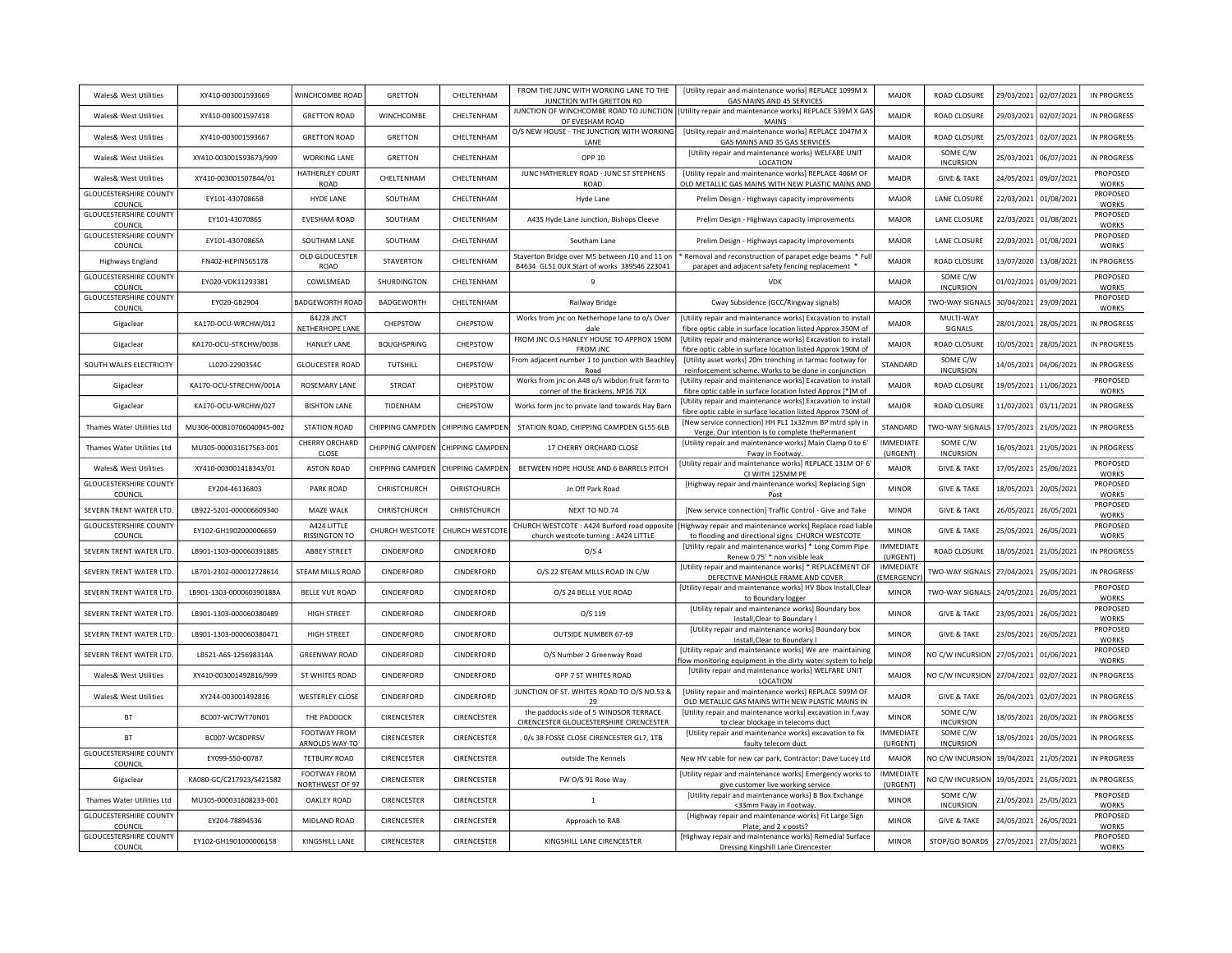| Wales& West Utilities                    | XY410-003001593669        | WINCHCOMBE ROAD                       | GRETTON            | CHELTENHAM       | FROM THE JUNC WITH WORKING LANE TO THE<br>JUNCTION WITH GRETTON RD                            | [Utility repair and maintenance works] REPLACE 1099M X<br>GAS MAINS AND 45 SERVICES                                                  | <b>MAJOR</b>                  | ROAD CLOSURE                                | 29/03/2021 | 02/07/2021 | <b>IN PROGRESS</b>                       |
|------------------------------------------|---------------------------|---------------------------------------|--------------------|------------------|-----------------------------------------------------------------------------------------------|--------------------------------------------------------------------------------------------------------------------------------------|-------------------------------|---------------------------------------------|------------|------------|------------------------------------------|
| Wales& West Utilities                    | XY410-003001597418        | <b>GRETTON ROAD</b>                   | WINCHCOMBE         | CHELTENHAM       | OF EVESHAM ROAD                                                                               | JUNCTION OF WINCHCOMBE ROAD TO JUNCTION   [Utility repair and maintenance works] REPLACE 539M X GAS<br><b>MAINS</b>                  | <b>MAJOR</b>                  | ROAD CLOSURE                                | 29/03/2021 | 02/07/2021 | <b>IN PROGRESS</b>                       |
| Wales& West Utilities                    | XY410-003001593667        | <b>GRETTON ROAD</b>                   | GRETTON            | CHELTENHAM       | O/S NEW HOUSE - THE JUNCTION WITH WORKING<br><b>I ANF</b>                                     | [Utility repair and maintenance works] REPLACE 1047M X<br>GAS MAINS AND 35 GAS SERVICES                                              | <b>MAJOR</b>                  | ROAD CLOSURE                                | 25/03/2021 | 02/07/2021 | <b>IN PROGRESS</b>                       |
| Wales& West Utilities                    | XY410-003001593673/999    | <b>WORKING LANE</b>                   | GRETTON            | CHELTENHAM       | OPP 10                                                                                        | [Utility repair and maintenance works] WELFARE UNIT<br><b>LOCATION</b>                                                               | <b>MAJOR</b>                  | SOME C/W<br><b>INCURSION</b>                | 25/03/2021 | 06/07/2021 | <b>IN PROGRESS</b>                       |
| Wales& West Utilities                    | XY410-003001507844/01     | HATHERLEY COURT<br>ROAD               | CHELTENHAM         | CHELTENHAM       | JUNC HATHERLEY ROAD - JUNC ST STEPHENS<br><b>ROAD</b>                                         | [Utility repair and maintenance works] REPLACE 406M OF<br>OLD METALLIC GAS MAINS WITH NEW PLASTIC MAINS AND                          | <b>MAJOR</b>                  | <b>GIVE &amp; TAKE</b>                      | 24/05/2021 | 09/07/2021 | PROPOSED<br><b>WORKS</b>                 |
| <b>GLOUCESTERSHIRE COUNTY</b><br>COUNCIL | EY101-43070865B           | <b>HYDE LANE</b>                      | SOUTHAM            | CHELTENHAM       | Hyde Lane                                                                                     | Prelim Design - Highways capacity improvements                                                                                       | MAJOR                         | LANE CLOSURE                                | 22/03/2021 | 01/08/2021 | PROPOSED<br><b>WORKS</b>                 |
| <b>GLOUCESTERSHIRE COUNTY</b><br>COUNCIL | EY101-43070865            | <b>EVESHAM ROAD</b>                   | SOUTHAM            | CHELTENHAM       | A435 Hyde Lane Junction, Bishops Cleeve                                                       | Prelim Design - Highways capacity improvements                                                                                       | MAJOR                         | LANE CLOSURE                                | 22/03/2021 | 01/08/2021 | PROPOSED<br><b>WORKS</b>                 |
| <b>GLOUCESTERSHIRE COUNTY</b><br>COUNCIL | EY101-43070865A           | SOUTHAM LANE                          | SOUTHAM            | CHFI TFNHAM      | Southam Lane                                                                                  | Prelim Design - Highways capacity improvements                                                                                       | MAJOR                         | <b>LANE CLOSURE</b>                         | 22/03/2021 | 01/08/2021 | PROPOSED<br><b>WORKS</b>                 |
| Highways England                         | FN402-HFPIN565178         | OLD GLOUCESTER<br>ROAD                | <b>STAVERTON</b>   | CHELTENHAM       | Staverton Bridge over M5 between J10 and 11 on<br>B4634 GL51 OUX Start of works 389546 223041 | * Removal and reconstruction of parapet edge beams * Ful<br>parapet and adjacent safety fencing replacement *                        | <b>MAJOR</b>                  | ROAD CLOSURE                                | 13/07/2020 | 13/08/2021 | <b>IN PROGRESS</b>                       |
| <b>GLOUCESTERSHIRE COUNTY</b><br>COUNCIL | EY020-VDK11293381         | COWLSMEAD                             | SHURDINGTON        | CHELTENHAM       | $\overline{9}$                                                                                | <b>VDK</b>                                                                                                                           | MAJOR                         | SOME C/W<br><b>INCURSION</b>                | 01/02/2021 | 01/09/2021 | PROPOSED<br><b>WORKS</b>                 |
| <b>GLOUCESTERSHIRE COUNTY</b><br>COUNCIL | EY020-GB2904              | <b>BADGEWORTH ROAD</b>                | BADGEWORTH         | CHELTENHAM       | Railway Bridge                                                                                | Cway Subsidence (GCC/Ringway signals)                                                                                                | MAJOR                         | <b>TWO-WAY SIGNALS</b>                      | 30/04/2021 | 29/09/2021 | PROPOSED<br>WORKS                        |
| Gigaclear                                | KA170-OCU-WRCHW/012       | B4228 JNCT<br>NETHERHOPE LANE         | CHEPSTOW           | CHEPSTOW         | Works from jnc on Netherhope lane to o/s Over<br>dale                                         | [Utility repair and maintenance works] Excavation to install<br>fibre optic cable in surface location listed Approx 350M of          | <b>MAJOR</b>                  | MULTI-WAY<br>SIGNALS                        | 28/01/2021 | 28/05/2021 | <b>IN PROGRESS</b>                       |
| Gigaclear                                | KA170-OCU-STRCHW/0038     | <b>HANLEY LANE</b>                    | <b>BOUGHSPRING</b> | CHEPSTOW         | FROM JNC O.S HANLEY HOUSE TO APPROX 190M<br><b>FROM JNC</b>                                   | [Utility repair and maintenance works] Excavation to install<br>fibre optic cable in surface location listed Approx 190M of          | MAIOR                         | ROAD CLOSURE                                | 10/05/2021 | 28/05/2021 | <b>IN PROGRESS</b>                       |
| SOUTH WALES ELECTRICITY                  | LL020-2290354C            | <b>GLOUCESTER ROAD</b>                | TUTSHILL           | CHEPSTOW         | From adjacent number 1 to junction with Beachley                                              | [Utility asset works] 20m trenching in tarmac footway for                                                                            | STANDARD                      | SOME C/W<br><b>INCURSION</b>                | 14/05/2021 | 04/06/2021 | <b>IN PROGRESS</b>                       |
| Gigaclear                                | KA170-OCU-STRECHW/001A    | ROSEMARY LANE                         | <b>STROAT</b>      | CHEPSTOW         | Road<br>Works from jnc on A48 o/s wibdon fruit farm to                                        | reinforcement scheme. Works to be done in conjunction<br>[Utility repair and maintenance works] Excavation to install                | <b>MAJOR</b>                  | ROAD CLOSURE                                | 19/05/2021 | 11/06/2021 | PROPOSED                                 |
| Gigaclear                                | KA170-OCU-WRCHW/027       | <b>BISHTON LANE</b>                   | TIDENHAM           | CHEPSTOW         | corner of the Brackens, NP16 7LX<br>Works form inc to private land towards Hay Barn           | fibre optic cable in surface location listed Approx [*]M of<br>[Utility repair and maintenance works] Excavation to install          | <b>MAJOR</b>                  | ROAD CLOSURE                                | 11/02/2021 | 03/11/2021 | <b>WORKS</b><br><b>IN PROGRESS</b>       |
| Thames Water Utilities Ltd               | MU306-000810706040045-002 | <b>STATION ROAD</b>                   | CHIPPING CAMPDEN   | CHIPPING CAMPDEN | STATION ROAD, CHIPPING CAMPDEN GL55 6LB                                                       | fibre optic cable in surface location listed Approx 750M of<br>[New service connection] HH PL1 1x32mm BP mtrd sply in                | STANDARD                      | <b>TWO-WAY SIGNALS</b>                      | 17/05/2021 | 21/05/2021 | <b>IN PROGRESS</b>                       |
| Thames Water Utilities I td              | MU305-000031617563-001    | CHERRY ORCHARD<br>CLOSE               | CHIPPING CAMPDEN   | CHIPPING CAMPDEN | 17 CHERRY ORCHARD CLOSE                                                                       | Verge. Our intention is to complete thePermanent<br>[Utility repair and maintenance works] Main Clamp 0 to 6'<br>Fway in Footway.    | <b>IMMFDIATE</b><br>(URGENT)  | SOME C/W<br><b>INCURSION</b>                | 16/05/2021 | 21/05/2021 | IN PROGRESS                              |
| Wales& West Utilities                    | XY410-003001418343/01     | <b>ASTON ROAD</b>                     | CHIPPING CAMPDEN   | CHIPPING CAMPDEN | BETWEEN HOPE HOUSE AND 6 BARRELS PITCH                                                        | [Utility repair and maintenance works] REPLACE 131M OF 6                                                                             | <b>MAJOR</b>                  | <b>GIVE &amp; TAKE</b>                      | 17/05/2021 | 25/06/2021 | <b>PROPOSED</b>                          |
| <b>GLOUCESTERSHIRE COUNTY</b>            | EY204-46116803            | PARK ROAD                             | CHRISTCHURCH       | CHRISTCHURCH     | Jn Off Park Road                                                                              | CI WITH 125MM PE<br>[Highway repair and maintenance works] Replacing Sign                                                            | <b>MINOR</b>                  | <b>GIVE &amp; TAKE</b>                      | 18/05/2021 | 20/05/2021 | <b>WORKS</b><br>PROPOSED<br><b>WORKS</b> |
| COUNCIL<br>SEVERN TRENT WATER LTD.       | LB922-5201-000006609340   | MAZE WALK                             | CHRISTCHURCH       | CHRISTCHURCH     | NEXT TO NO.74                                                                                 | Post<br>[New service connection] Traffic Control - Give and Take                                                                     | <b>MINOR</b>                  | <b>GIVE &amp; TAKE</b>                      | 26/05/2021 | 26/05/2021 | PROPOSED<br><b>WORKS</b>                 |
| <b>GLOUCESTERSHIRE COUNTY</b><br>COUNCIL | EY102-GH1902000006659     | A424 LITTLE<br><b>RISSINGTON TO</b>   | CHURCH WESTCOTE    | CHURCH WESTCOTE  | CHURCH WESTCOTE: A424 Burford road opposite<br>church westcote turning : A424 LITTLE          | [Highway repair and maintenance works] Replace road liable<br>to flooding and directional signs CHURCH WESTCOTE                      | <b>MINOR</b>                  | <b>GIVE &amp; TAKE</b>                      | 25/05/2021 | 26/05/2021 | PROPOSED<br><b>WORKS</b>                 |
| SEVERN TRENT WATER LTD.                  | LB901-1303-000060391885   | ABBEY STREET                          | CINDERFORD         | CINDERFORD       | O/S <sub>4</sub>                                                                              | [Utility repair and maintenance works] * Long Comm Pipe<br>Renew 0.75' * non visible leak                                            | <b>IMMEDIATE</b><br>(URGENT)  | ROAD CLOSURE                                | 18/05/2021 | 21/05/2021 | <b>IN PROGRESS</b>                       |
| SEVERN TRENT WATER LTD.                  | LB701-2302-000012728614   | STEAM MILLS ROAD                      | CINDERFORD         | CINDERFORD       | O/S 22 STEAM MILLS ROAD IN C/W                                                                | [Utility repair and maintenance works] * REPLACEMENT OF<br>DEFECTIVE MANHOLE FRAME AND COVER                                         | <b>IMMEDIATE</b><br>EMERGENCY | <b>TWO-WAY SIGNALS</b>                      | 27/04/2021 | 25/05/2021 | <b>IN PROGRESS</b>                       |
| SEVERN TRENT WATER LTD.                  | LB901-1303-000060390188A  | <b>BELLE VUE ROAD</b>                 | CINDERFORD         | CINDERFORD       | O/S 24 BELLE VUE ROAD                                                                         | [Utility repair and maintenance works] HV Bbox Install, Clear                                                                        | <b>MINOR</b>                  | TWO-WAY SIGNALS                             | 24/05/2021 | 26/05/2021 | PROPOSED<br><b>WORKS</b>                 |
| SEVERN TRENT WATER LTD.                  | LB901-1303-000060380489   | <b>HIGH STREET</b>                    | CINDERFORD         | CINDERFORD       | O/S 119                                                                                       | to Boundary logger<br>[Utility repair and maintenance works] Boundary box<br>Install.Clear to Boundary I                             | <b>MINOR</b>                  | <b>GIVE &amp; TAKE</b>                      | 23/05/2021 | 26/05/2021 | PROPOSED<br><b>WORKS</b>                 |
| SEVERN TRENT WATER LTD.                  | LB901-1303-000060380471   | <b>HIGH STREET</b>                    | CINDERFORD         | CINDERFORD       | OUTSIDE NUMBER 67-69                                                                          | [Utility repair and maintenance works] Boundary box<br>Install, Clear to Boundary I                                                  | <b>MINOR</b>                  | <b>GIVE &amp; TAKE</b>                      | 23/05/2021 | 26/05/2021 | PROPOSED<br><b>WORKS</b>                 |
| SEVERN TRENT WATER LTD.                  | LB521-A6S-125698314A      | <b>GREENWAY ROAD</b>                  | CINDERFORD         | CINDERFORD       | O/S Number 2 Greenway Road                                                                    | [Utility repair and maintenance works] We are maintaining                                                                            | <b>MINOR</b>                  | <b>VO C/W INCURSION</b>                     | 27/05/2021 | 01/06/2021 | PROPOSED<br><b>WORKS</b>                 |
| Wales& West Utilities                    | XY410-003001492816/999    | ST WHITES ROAD                        | CINDERFORD         | CINDERFORD       | OPP 7 ST WHITES ROAD                                                                          | low monitoring equipment in the dirty water system to help<br>[Utility repair and maintenance works] WELFARE UNIT<br><b>LOCATION</b> | <b>MAJOR</b>                  | NO C/W INCURSION                            | 27/04/2021 | 02/07/2021 | <b>IN PROGRESS</b>                       |
| Wales& West Utilities                    | XY244-003001492816        | <b>WESTERLEY CLOSE</b>                | CINDERFORD         | CINDERFORD       | JUNCTION OF ST. WHITES ROAD TO O/S NO.53 &<br>29                                              | [Utility repair and maintenance works] REPLACE 599M OF<br>OLD METALLIC GAS MAINS WITH NEW PLASTIC MAINS IN                           | <b>MAJOR</b>                  | <b>GIVE &amp; TAKE</b>                      | 26/04/2021 | 02/07/2021 | <b>IN PROGRESS</b>                       |
| <b>BT</b>                                | BC007-WC7WT70N01          | THE PADDOCK                           | CIRENCESTER        | CIRENCESTER      | the paddocks side of 5 WINDSOR TERRACE<br>CIRENCESTER GLOUCESTERSHIRE CIRENCESTER             | [Utility repair and maintenance works] excavation in f, way                                                                          | <b>MINOR</b>                  | SOME C/W<br><b>INCURSION</b>                | 18/05/2021 | 20/05/2021 | <b>IN PROGRESS</b>                       |
| <b>BT</b>                                | BC007-WC8DPR5V            | FOOTWAY FROM                          | CIRENCESTER        | CIRENCESTER      | 0/s 38 FOSSE CLOSE CIRENCESTER GL7, 1TB                                                       | to clear blockage in telecoms duct<br>[Utility repair and maintenance works] excavation to fix                                       | <b>IMMFDIATE</b>              | SOME C/W                                    | 18/05/2021 | 20/05/2021 | <b>IN PROGRESS</b>                       |
| <b>GLOUCESTERSHIRE COUNTY</b><br>COUNCIL | FY099-S50-00787           | ARNOLDS WAY TO<br><b>TETBURY ROAD</b> | CIRENCESTER        | CIRENCESTER      | outside The Kennels                                                                           | faulty telecom duct<br>New HV cable for new car park, Contractor: Dave Lucey Ltd                                                     | (URGENT)<br>MAIOR             | <b>INCURSION</b><br><b>VO C/W INCURSION</b> | 19/04/2021 | 21/05/2021 | IN PROGRESS                              |
| Gigaclear                                | KA080-GC/C217923/S421582  | FOOTWAY FROM<br>NORTHWEST OF 97       | CIRENCESTER        | CIRENCESTER      | FW O/S 91 Rose Way                                                                            | [Utility repair and maintenance works] Emergency works to<br>give customer live working service                                      | IMMEDIATE<br>(URGENT)         | <b>VO C/W INCURSION</b>                     | 19/05/2021 | 21/05/2021 | <b>IN PROGRESS</b>                       |
| Thames Water Utilities Ltd               | MU305-000031608233-001    | OAKLEY ROAD                           | CIRENCESTER        | CIRENCESTER      | $\mathbf{1}$                                                                                  | [Utility repair and maintenance works] B Box Exchange<br><33mm Fway in Footway.                                                      | <b>MINOR</b>                  | SOME C/W<br><b>INCURSION</b>                | 21/05/2021 | 25/05/2021 | PROPOSED<br><b>WORKS</b>                 |
| <b>GLOUCESTERSHIRE COUNTY</b><br>COUNCIL | EY204-78894536            | MIDLAND ROAD                          | CIRENCESTER        | CIRENCESTER      | Approach to RAB                                                                               | [Highway repair and maintenance works] Fit Large Sign<br>Plate, and 2 x posts?                                                       | <b>MINOR</b>                  | <b>GIVE &amp; TAKE</b>                      | 24/05/2021 | 26/05/2021 | PROPOSED<br><b>WORKS</b>                 |
| <b>GLOUCESTERSHIRE COUNTY</b><br>COUNCIL | EY102-GH1901000006158     | KINGSHILL LANE                        | CIRENCESTER        | CIRENCESTER      | KINGSHILL LANE CIRENCESTER                                                                    | [Highway repair and maintenance works] Remedial Surface<br>Dressing Kingshill Lane Cirencester                                       | <b>MINOR</b>                  | STOP/GO BOARDS                              | 27/05/2021 | 27/05/2021 | PROPOSED<br><b>WORKS</b>                 |
|                                          |                           |                                       |                    |                  |                                                                                               |                                                                                                                                      |                               |                                             |            |            |                                          |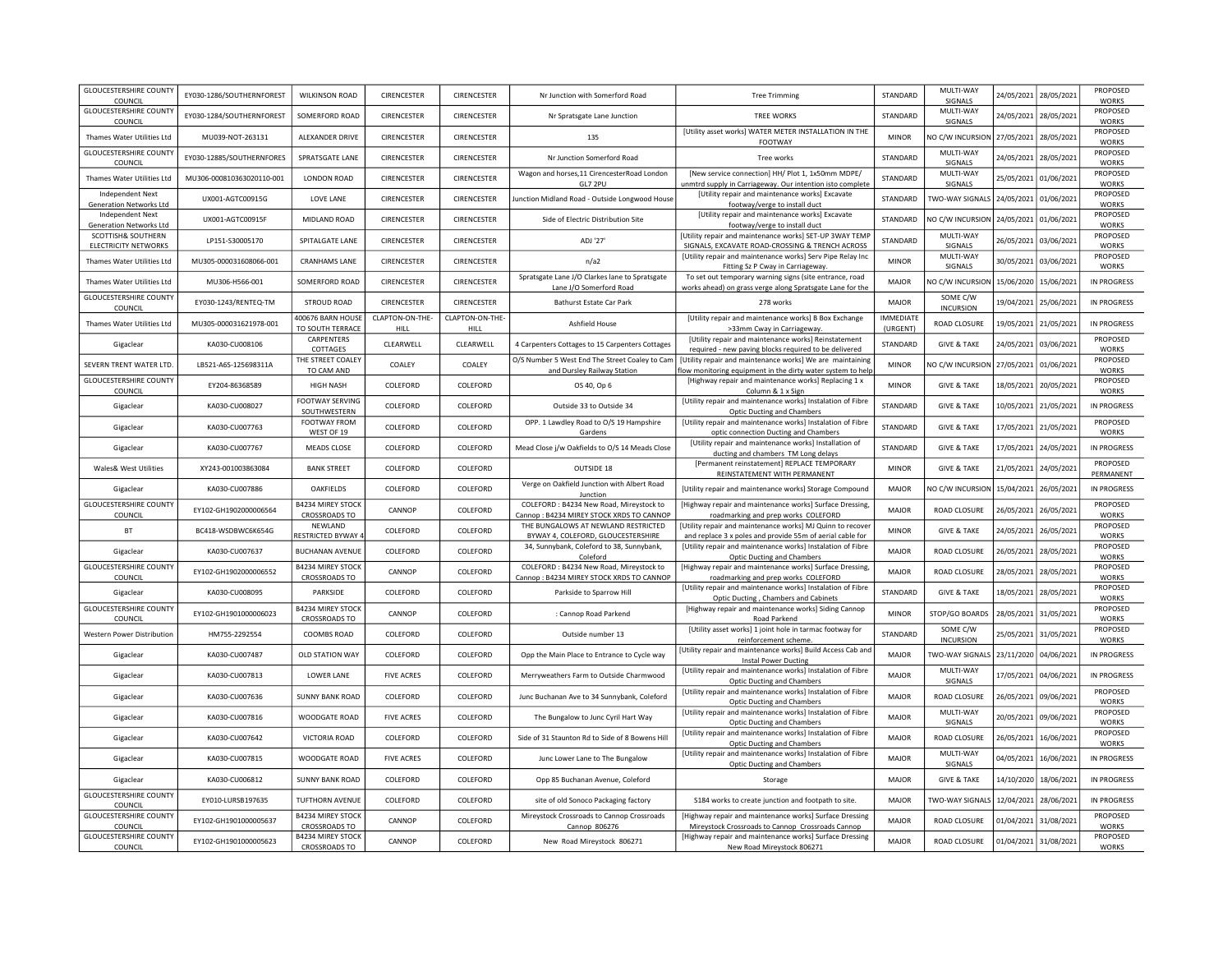| <b>GLOUCESTERSHIRE COUNTY</b><br>COUNCIL           | EY030-1286/SOUTHERNFOREST | <b>WILKINSON ROAD</b>                            | CIRENCESTER             | CIRENCESTER             | Nr Junction with Somerford Road                                                      | <b>Tree Trimming</b>                                                                                                    | STANDARD                     | MULTI-WAY<br>SIGNALS         | 24/05/2021 | 28/05/2021            | PROPOSED<br><b>WORKS</b> |
|----------------------------------------------------|---------------------------|--------------------------------------------------|-------------------------|-------------------------|--------------------------------------------------------------------------------------|-------------------------------------------------------------------------------------------------------------------------|------------------------------|------------------------------|------------|-----------------------|--------------------------|
| <b>GLOUCESTERSHIRE COUNTY</b><br>COUNCIL           | EY030-1284/SOUTHERNFOREST | SOMERFORD ROAD                                   | CIRENCESTER             | CIRENCESTER             | Nr Spratsgate Lane Junction                                                          | <b>TREE WORKS</b>                                                                                                       | STANDARD                     | MULTI-WAY<br>SIGNALS         | 24/05/2021 | 28/05/2021            | PROPOSED<br><b>WORKS</b> |
| Thames Water Utilities Ltd                         | MU039-NOT-263131          | ALEXANDER DRIVE                                  | CIRENCESTER             | CIRENCESTER             | 135                                                                                  | [Utility asset works] WATER METER INSTALLATION IN THE<br>FOOTWAY                                                        | <b>MINOR</b>                 | NO C/W INCURSION             | 27/05/2021 | 28/05/2021            | PROPOSED<br><b>WORKS</b> |
| <b>GLOUCESTERSHIRE COUNTY</b><br>COUNCIL           | EY030-12885/SOUTHERNFORES | SPRATSGATE LANE                                  | CIRENCESTER             | CIRENCESTER             | Nr Junction Somerford Road                                                           | Tree works                                                                                                              | STANDARD                     | MULTI-WAY<br>SIGNALS         | 24/05/2021 | 28/05/2021            | PROPOSED<br><b>WORKS</b> |
| Thames Water Utilities Ltd                         | MU306-000810363020110-001 | <b>LONDON ROAD</b>                               | CIRENCESTER             | CIRENCESTER             | Wagon and horses, 11 CirencesterRoad London<br>GL7 2PU                               | [New service connection] HH/ Plot 1, 1x50mm MDPE/<br>unmtrd supply in Carriageway. Our intention isto complete          | STANDARD                     | MULTI-WAY<br>SIGNALS         | 25/05/2021 | 01/06/2021            | PROPOSED<br><b>WORKS</b> |
| Independent Next<br><b>Generation Networks Ltd</b> | UX001-AGTC00915G          | LOVE LANE                                        | <b>CIRENCESTER</b>      | CIRENCESTER             | Junction Midland Road - Outside Longwood House                                       | <b>IUtility repair and maintenance works] Excavate</b><br>footway/verge to install duct                                 | STANDARD                     | TWO-WAY SIGNALS 24/05/2021   |            | 01/06/2021            | PROPOSED<br><b>WORKS</b> |
| Independent Next<br><b>Generation Networks Ltd</b> | UX001-AGTC00915F          | MIDLAND ROAD                                     | CIRENCESTER             | CIRENCESTER             | Side of Electric Distribution Site                                                   | [Utility repair and maintenance works] Excavate<br>footway/verge to install duct                                        | STANDARD                     | NO C/W INCURSION             | 24/05/2021 | 01/06/2021            | PROPOSED<br><b>WORKS</b> |
| SCOTTISH& SOUTHERN<br>ELECTRICITY NETWORKS         | LP151-S30005170           | SPITALGATE LANE                                  | CIRENCESTER             | CIRENCESTER             | ADJ '27'                                                                             | [Utility repair and maintenance works] SET-UP 3WAY TEMP<br>SIGNALS, EXCAVATE ROAD-CROSSING & TRENCH ACROSS              | STANDARD                     | MULTI-WAY<br>SIGNALS         | 26/05/2021 | 03/06/2021            | PROPOSED<br><b>WORKS</b> |
| Thames Water Utilities Ltd                         | MU305-000031608066-001    | <b>CRANHAMS LANE</b>                             | CIRENCESTER             | CIRENCESTER             | n/a2                                                                                 | [Utility repair and maintenance works] Serv Pipe Relay Inc<br>Fitting Sz P Cway in Carriageway.                         | <b>MINOR</b>                 | MULTI-WAY<br>SIGNALS         | 30/05/2021 | 03/06/2021            | PROPOSED<br><b>WORKS</b> |
| Thames Water Utilities Ltd                         | MU306-H566-001            | SOMERFORD ROAD                                   | <b>CIRENCESTER</b>      | <b>CIRENCESTER</b>      | Spratsgate Lane J/O Clarkes lane to Spratsgate<br>Lane J/O Somerford Road            | To set out temporary warning signs (site entrance, road<br>works ahead) on grass verge along Spratsgate Lane for the    | <b>MAJOR</b>                 | NO C/W INCURSION             | 15/06/2020 | 15/06/2021            | <b>IN PROGRESS</b>       |
| <b>GLOUCESTERSHIRE COUNTY</b><br>COUNCIL           | EY030-1243/RENTEQ-TM      | STROUD ROAD                                      | CIRENCESTER             | CIRENCESTER             | Bathurst Estate Car Park                                                             | 278 works                                                                                                               | MAJOR                        | SOME C/W<br><b>INCURSION</b> | 19/04/2021 | 25/06/2021            | <b>IN PROGRESS</b>       |
| Thames Water Utilities Ltd                         | MU305-000031621978-001    | 100676 BARN HOUSE<br>TO SOUTH TERRACE            | CLAPTON-ON-THE-<br>HILL | CLAPTON-ON-THE-<br>HILL | Ashfield House                                                                       | [Utility repair and maintenance works] B Box Exchange<br>>33mm Cway in Carriageway.                                     | <b>IMMEDIATE</b><br>(URGENT) | ROAD CLOSURE                 | 19/05/2021 | 21/05/2021            | <b>IN PROGRESS</b>       |
| Gigaclear                                          | KA030-CU008106            | CARPENTERS<br>COTTAGES                           | CLEARWELL               | CLEARWELL               | 4 Carpenters Cottages to 15 Carpenters Cottages                                      | [Utility repair and maintenance works] Reinstatement<br>required - new paving blocks required to be delivered           | STANDARD                     | <b>GIVE &amp; TAKE</b>       | 24/05/2021 | 03/06/2021            | PROPOSED<br><b>WORKS</b> |
| SEVERN TRENT WATER LTD                             | LB521-A6S-125698311A      | THE STREET COALEY<br>TO CAM AND                  | COALEY                  | COALEY                  | O/S Number 5 West End The Street Coaley to Cam<br>and Dursley Railway Station        | [Utility repair and maintenance works] We are maintaining<br>ow monitoring equipment in the dirty water system to help  | <b>MINOR</b>                 | NO C/W INCURSION             | 27/05/2021 | 01/06/2021            | PROPOSED<br><b>WORKS</b> |
| <b>GLOUCESTERSHIRE COUNTY</b><br>COUNCIL           | EY204-86368589            | <b>HIGH NASH</b>                                 | COLEFORD                | COLEFORD                | OS 40, Op 6                                                                          | [Highway repair and maintenance works] Replacing 1 x<br>Column & 1 x Sign                                               | <b>MINOR</b>                 | <b>GIVE &amp; TAKE</b>       | 18/05/2021 | 20/05/2021            | PROPOSED<br>WORKS        |
| Gigaclear                                          | KA030-CU008027            | <b>FOOTWAY SERVING</b><br>SOUTHWESTERN           | COLEFORD                | COLEFORD                | Outside 33 to Outside 34                                                             | [Utility repair and maintenance works] Instalation of Fibre<br>Optic Ducting and Chambers                               | STANDARD                     | <b>GIVE &amp; TAKE</b>       | 10/05/2021 | 21/05/2021            | IN PROGRESS              |
| Gigaclear                                          | KA030-CU007763            | FOOTWAY FROM<br>WEST OF 19                       | COLEFORD                | COLEFORD                | OPP. 1 Lawdley Road to O/S 19 Hampshire<br>Gardens                                   | [Utility repair and maintenance works] Instalation of Fibre<br>optic connection Ducting and Chambers                    | STANDARD                     | <b>GIVE &amp; TAKE</b>       | 17/05/2021 | 21/05/2021            | PROPOSED<br><b>WORKS</b> |
| Gigaclear                                          | KA030-CU007767            | <b>MEADS CLOSE</b>                               | COLEFORD                | COLEFORD                | Mead Close j/w Oakfields to O/S 14 Meads Close                                       | [Utility repair and maintenance works] Installation of<br>ducting and chambers TM Long delays                           | <b>STANDARD</b>              | <b>GIVE &amp; TAKE</b>       | 17/05/2021 | 24/05/2021            | IN PROGRESS              |
| Wales& West Utilities                              | XY243-001003863084        | <b>BANK STREET</b>                               | COLEFORD                | COLEFORD                | OUTSIDE 18                                                                           | [Permanent reinstatement] REPLACE TEMPORARY<br>REINSTATEMENT WITH PERMANENT                                             | <b>MINOR</b>                 | <b>GIVE &amp; TAKE</b>       | 21/05/2021 | 24/05/2021            | PROPOSED<br>PERMANENT    |
| Gigaclear                                          | KA030-CU007886            | OAKFIELDS                                        | COLEFORD                | COLEFORD                | Verge on Oakfield Junction with Albert Road<br>Junction                              | [Utility repair and maintenance works] Storage Compound                                                                 | <b>MAJOR</b>                 | NO C/W INCURSION             | 15/04/2021 | 26/05/2021            | <b>IN PROGRESS</b>       |
| <b>GLOUCESTERSHIRE COUNTY</b><br>COUNCIL           | EY102-GH1902000006564     | <b>B4234 MIREY STOCK</b><br><b>CROSSROADS TO</b> | CANNOP                  | COLEFORD                | COLEFORD : B4234 New Road, Mireystock to<br>Cannop: B4234 MIREY STOCK XRDS TO CANNOP | [Highway repair and maintenance works] Surface Dressing,<br>roadmarking and prep works COLEFORD                         | MAIOR                        | ROAD CLOSURE                 | 26/05/2021 | 26/05/2021            | PROPOSED<br><b>WORKS</b> |
| <b>BT</b>                                          | BC418-WSDBWC6K654G        | NEWLAND<br><b>RESTRICTED BYWAY</b>               | COLEFORD                | COLEFORD                | THE BUNGALOWS AT NEWLAND RESTRICTED<br>BYWAY 4, COLEFORD, GLOUCESTERSHIRE            | [Utility repair and maintenance works] MJ Quinn to recover<br>and replace 3 x poles and provide 55m of aerial cable for | <b>MINOR</b>                 | <b>GIVE &amp; TAKE</b>       | 24/05/2021 | 26/05/2021            | PROPOSED<br><b>WORKS</b> |
| Gigaclear                                          | KA030-CU007637            | <b>BUCHANAN AVENUE</b>                           | COLEFORD                | COLEFORD                | 34, Sunnybank, Coleford to 38, Sunnybank,<br>Coleford                                | [Utility repair and maintenance works] Instalation of Fibre<br>Optic Ducting and Chambers                               | <b>MAJOR</b>                 | ROAD CLOSURE                 | 26/05/2021 | 28/05/2021            | PROPOSED<br><b>WORKS</b> |
| <b>GLOUCESTERSHIRE COUNTY</b><br>COUNCIL           | EY102-GH1902000006552     | <b>B4234 MIREY STOCK</b><br>CROSSROADS TO        | CANNOP                  | COLEFORD                | COLEFORD : B4234 New Road, Mireystock to<br>Cannop: B4234 MIREY STOCK XRDS TO CANNOP | [Highway repair and maintenance works] Surface Dressing,<br>roadmarking and prep works COLEFORD                         | <b>MAJOR</b>                 | ROAD CLOSURE                 | 28/05/2021 | 28/05/2021            | PROPOSED<br><b>WORKS</b> |
| Gigaclear                                          | KA030-CU008095            | PARKSIDE                                         | COLEFORD                | COLEFORD                | Parkside to Sparrow Hill                                                             | [Utility repair and maintenance works] Instalation of Fibre<br>Optic Ducting, Chambers and Cabinets                     | STANDARD                     | <b>GIVE &amp; TAKE</b>       | 18/05/2021 | 28/05/2021            | PROPOSED<br><b>WORKS</b> |
| <b>GLOUCESTERSHIRE COUNTY</b><br>COUNCIL           | EY102-GH1901000006023     | <b>B4234 MIREY STOCK</b><br>CROSSROADS TO        | CANNOP                  | COLEFORD                | : Cannop Road Parkend                                                                | [Highway repair and maintenance works] Siding Cannop<br>Road Parkend                                                    | <b>MINOR</b>                 | STOP/GO BOARDS               | 28/05/2021 | 31/05/2021            | PROPOSED<br><b>WORKS</b> |
| Western Power Distribution                         | HM755-2292554             | COOMBS ROAD                                      | COLEFORD                | COLEFORD                | Outside number 13                                                                    | [Utility asset works] 1 joint hole in tarmac footway for<br>reinforcement scheme.                                       | STANDARD                     | SOME C/W<br><b>INCURSION</b> | 25/05/2021 | 31/05/2021            | PROPOSED<br>WORKS        |
| Gigaclear                                          | KA030-CU007487            | OLD STATION WAY                                  | COLEFORD                | COLEFORD                | Opp the Main Place to Entrance to Cycle way                                          | Utility repair and maintenance works] Build Access Cab and<br>Instal Power Ducting                                      | <b>MAJOR</b>                 | TWO-WAY SIGNALS              | 23/11/2020 | 04/06/2021            | <b>IN PROGRESS</b>       |
| Gigaclear                                          | KA030-CU007813            | LOWER LANE                                       | <b>FIVE ACRES</b>       | COLEFORD                | Merryweathers Farm to Outside Charmwood                                              | [Utility repair and maintenance works] Instalation of Fibre<br><b>Optic Ducting and Chambers</b>                        | <b>MAJOR</b>                 | MULTI-WAY<br>SIGNALS         | 17/05/2021 | 04/06/2021            | <b>IN PROGRESS</b>       |
| Gigaclear                                          | KA030-CU007636            | <b>SUNNY BANK ROAD</b>                           | COLEFORD                | COLEFORD                | Junc Buchanan Ave to 34 Sunnybank, Coleford                                          | [Utility repair and maintenance works] Instalation of Fibre<br>Optic Ducting and Chambers                               | <b>MAJOR</b>                 | ROAD CLOSURE                 | 26/05/2021 | 09/06/2021            | PROPOSED<br><b>WORKS</b> |
| Gigaclear                                          | KA030-CU007816            | WOODGATE ROAD                                    | <b>FIVE ACRES</b>       | COLEFORD                | The Bungalow to Junc Cyril Hart Way                                                  | [Utility repair and maintenance works] Instalation of Fibre<br><b>Optic Ducting and Chambers</b>                        | <b>MAJOR</b>                 | MULTI-WAY<br>SIGNALS         | 20/05/2021 | 09/06/2021            | PROPOSED<br><b>WORKS</b> |
| Gigaclear                                          | KA030-CU007642            | VICTORIA ROAD                                    | COLEFORD                | COLEFORD                | Side of 31 Staunton Rd to Side of 8 Bowens Hill                                      | [Utility repair and maintenance works] Instalation of Fibre<br>Optic Ducting and Chambers                               | <b>MAJOR</b>                 | <b>ROAD CLOSURE</b>          | 26/05/2021 | 16/06/2021            | PROPOSED<br><b>WORKS</b> |
| Gigaclear                                          | KA030-CU007815            | WOODGATE ROAD                                    | <b>FIVE ACRES</b>       | COLEFORD                | Junc Lower Lane to The Bungalow                                                      | [Utility repair and maintenance works] Instalation of Fibre<br><b>Optic Ducting and Chambers</b>                        | <b>MAJOR</b>                 | MULTI-WAY<br>SIGNALS         | 04/05/2021 | 16/06/2021            | IN PROGRESS              |
| Gigaclear                                          | KA030-CU006812            | <b>SUNNY BANK ROAD</b>                           | COLEFORD                | COLEFORD                | Opp 85 Buchanan Avenue, Coleford                                                     | Storage                                                                                                                 | MAIOR                        | <b>GIVE &amp; TAKE</b>       |            | 14/10/2020 18/06/2021 | <b>IN PROGRESS</b>       |
| <b>GLOUCESTERSHIRE COUNTY</b><br>COUNCIL           | EY010-LURSB197635         | <b>TUFTHORN AVENUE</b>                           | COLEFORD                | COLEFORD                | site of old Sonoco Packaging factory                                                 | S184 works to create junction and footpath to site.                                                                     | MAJOR                        | TWO-WAY SIGNALS              |            | 12/04/2021 28/06/2021 | IN PROGRESS              |
| <b>GLOUCESTERSHIRE COUNTY</b><br>COUNCIL           | FY102-GH1901000005637     | <b>B4234 MIREY STOCK</b><br>CROSSROADS TO        | CANNOP                  | COLEFORD                | Mireystock Crossroads to Cannop Crossroads<br>Cannop 806276                          | [Highway repair and maintenance works] Surface Dressing<br>Mireystock Crossroads to Cannop Crossroads Cannop            | <b>MAJOR</b>                 | ROAD CLOSURE                 |            | 01/04/2021 31/08/2021 | PROPOSED<br><b>WORKS</b> |
| <b>GLOUCESTERSHIRE COUNTY</b><br>COUNCIL           | EY102-GH1901000005623     | <b>B4234 MIREY STOCK</b><br><b>CROSSROADS TO</b> | CANNOP                  | COLEFORD                | New Road Mireystock 806271                                                           | [Highway repair and maintenance works] Surface Dressing<br>New Road Mireystock 806271                                   | <b>MAJOR</b>                 | ROAD CLOSURE                 |            | 01/04/2021 31/08/2021 | PROPOSED<br><b>WORKS</b> |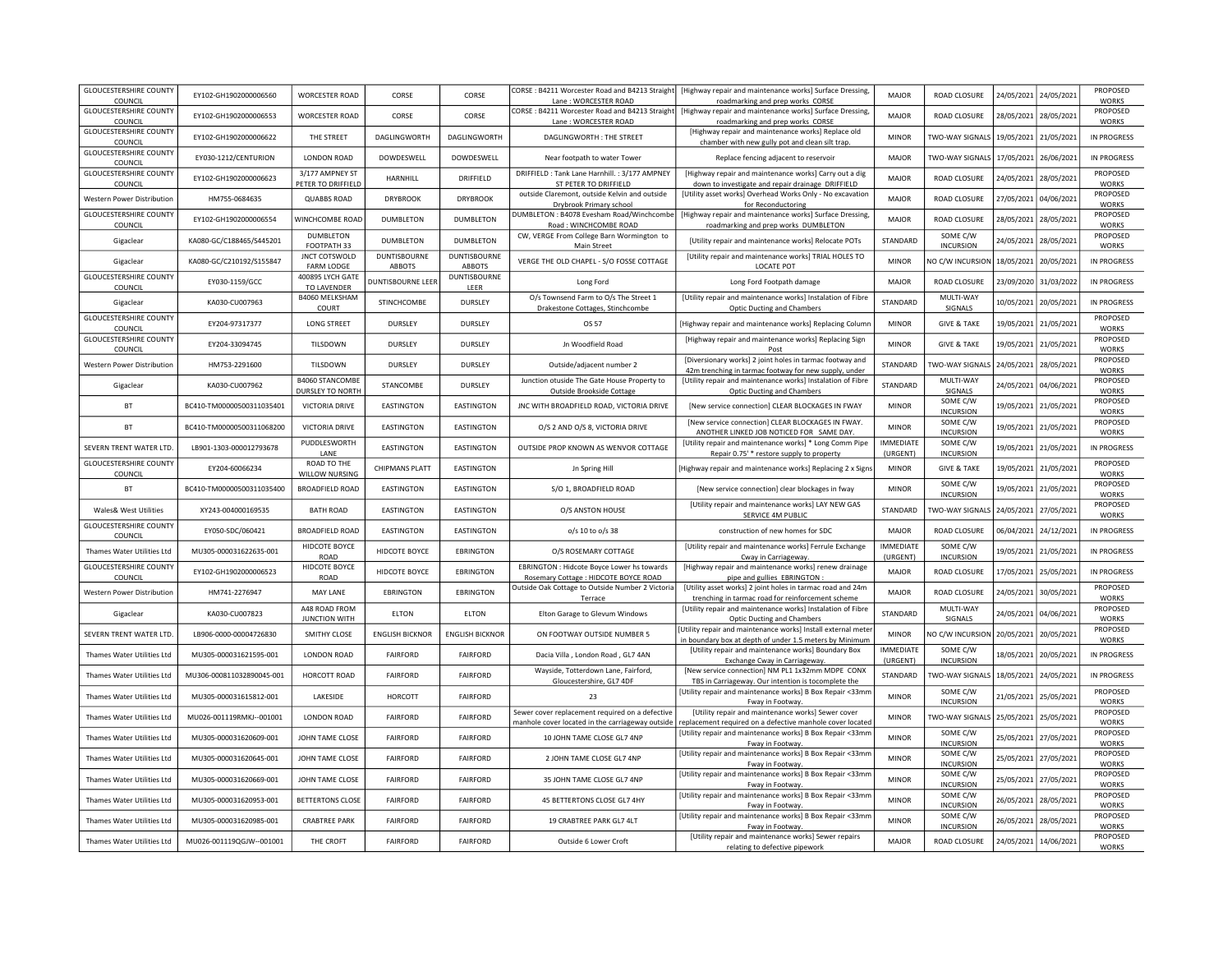| <b>GLOUCESTERSHIRE COUNTY</b><br>COUNCIL        | EY102-GH1902000006560     | <b>WORCESTER ROAD</b>                      | CORSE                    | CORSE                         | CORSE: B4211 Worcester Road and B4213 Straight<br>Lane: WORCESTER ROAD                              | [Highway repair and maintenance works] Surface Dressing,<br>roadmarking and prep works CORSE                            | MAIOR                        | ROAD CLOSURE                 | 24/05/2021 | 24/05/2021            | <b>PROPOSED</b><br><b>WORKS</b> |
|-------------------------------------------------|---------------------------|--------------------------------------------|--------------------------|-------------------------------|-----------------------------------------------------------------------------------------------------|-------------------------------------------------------------------------------------------------------------------------|------------------------------|------------------------------|------------|-----------------------|---------------------------------|
| <b>GLOUCESTERSHIRE COUNTY</b><br>COUNCIL        | FY102-GH1902000006553     | <b>WORCESTER ROAD</b>                      | CORSE                    | CORSE                         | CORSE: B4211 Worcester Road and B4213 Straight<br>Lane: WORCESTER ROAD                              | [Highway repair and maintenance works] Surface Dressing,<br>roadmarking and prep works CORSE                            | MAIOR                        | ROAD CLOSURE                 | 28/05/2021 | 28/05/2021            | PROPOSED<br><b>WORKS</b>        |
| <b>GLOUCESTERSHIRE COUNTY</b><br><b>COUNCIL</b> | EY102-GH1902000006622     | THE STREET                                 | DAGLINGWORTH             | DAGLINGWORTH                  | DAGUNGWORTH: THE STREET                                                                             | [Highway repair and maintenance works] Replace old                                                                      | <b>MINOR</b>                 | TWO-WAY SIGNALS              | 19/05/2021 | 21/05/2021            | IN PROGRESS                     |
| <b>GLOUCESTERSHIRE COUNTY</b><br>COUNCIL        | EY030-1212/CENTURION      | LONDON ROAD                                | DOWDESWELL               | DOWDESWELL                    | Near footpath to water Tower                                                                        | chamber with new gully pot and clean silt trap.<br>Replace fencing adjacent to reservoir                                | <b>MAJOR</b>                 | <b>TWO-WAY SIGNALS</b>       | 17/05/2021 | 26/06/2021            | <b>IN PROGRESS</b>              |
| <b>GLOUCESTERSHIRE COUNTY</b><br>COUNCIL        | EY102-GH1902000006623     | 3/177 AMPNEY ST<br>PETER TO DRIFFIELD      | HARNHILL                 | DRIFFIELD                     | DRIFFIELD : Tank Lane Harnhill. : 3/177 AMPNEY<br>ST PETER TO DRIFFIELD                             | [Highway repair and maintenance works] Carry out a dig<br>down to investigate and repair drainage DRIFFIELD             | <b>MAJOR</b>                 | ROAD CLOSURE                 | 24/05/2021 | 28/05/2021            | PROPOSED<br><b>WORKS</b>        |
| Western Power Distribution                      | HM755-0684635             | <b>QUABBS ROAD</b>                         | <b>DRYBROOK</b>          | <b>DRYBROOK</b>               | outside Claremont, outside Kelvin and outside<br>Drybrook Primary school                            | [Utility asset works] Overhead Works Only - No excavation<br>for Reconductoring                                         | <b>MAJOR</b>                 | ROAD CLOSURE                 | 27/05/2021 | 04/06/2021            | PROPOSED<br><b>WORKS</b>        |
| <b>GLOUCESTERSHIRE COUNTY</b><br><b>COUNCIL</b> | EY102-GH1902000006554     | WINCHCOMBE ROAD                            | <b>DUMBLETON</b>         | <b>DUMBLETON</b>              | DUMBLETON: B4078 Evesham Road/Winchcombe<br>Road: WINCHCOMBE ROAD                                   | [Highway repair and maintenance works] Surface Dressing,<br>roadmarking and prep works DUMBLETON                        | MAJOR                        | ROAD CLOSURE                 | 28/05/2021 | 28/05/2021            | PROPOSED<br><b>WORKS</b>        |
| Gigaclear                                       | KA080-GC/C188465/S445201  | DUMBLETON<br>FOOTPATH 33                   | DUMBLETON                | DUMBLETON                     | CW, VERGE From College Barn Wormington to<br>Main Street                                            | [Utility repair and maintenance works] Relocate POTs                                                                    | STANDARD                     | SOME C/W<br><b>INCURSION</b> | 24/05/2021 | 28/05/2021            | PROPOSED<br><b>WORKS</b>        |
| Gigaclear                                       | KA080-GC/C210192/S155847  | <b>JNCT COTSWOLD</b><br>FARM LODGE         | DUNTISBOURNE<br>ABBOTS   | <b>DUNTISBOURNE</b><br>ABBOTS | VERGE THE OLD CHAPEL - S/O FOSSE COTTAGE                                                            | [Utility repair and maintenance works] TRIAL HOLES TO<br>LOCATE POT                                                     | <b>MINOR</b>                 | NO C/W INCURSION             | 18/05/2021 | 20/05/2021            | <b>IN PROGRESS</b>              |
| <b>GLOUCESTERSHIRE COUNTY</b><br>COUNCIL        | EY030-1159/GCC            | 400895 LYCH GATE<br>TO LAVENDER            | <b>DUNTISBOURNE LEER</b> | <b>DUNTISBOURNE</b><br>LEER   | Long Ford                                                                                           | Long Ford Footpath damage                                                                                               | MAJOR                        | ROAD CLOSURE                 | 23/09/2020 | 31/03/2022            | <b>IN PROGRESS</b>              |
| Gigaclear                                       | KA030-CU007963            | B4060 MELKSHAM<br>COURT                    | STINCHCOMBE              | DURSLEY                       | O/s Townsend Farm to O/s The Street 1<br>Drakestone Cottages, Stinchcombe                           | [Utility repair and maintenance works] Instalation of Fibre<br><b>Optic Ducting and Chambers</b>                        | <b>STANDARD</b>              | MULTI-WAY<br>SIGNALS         | 10/05/2021 | 20/05/2021            | <b>IN PROGRESS</b>              |
| <b>GLOUCESTERSHIRE COUNTY</b><br>COUNCIL        | EY204-97317377            | LONG STREET                                | <b>DURSLEY</b>           | <b>DURSLEY</b>                | OS 57                                                                                               | [Highway repair and maintenance works] Replacing Columi                                                                 | <b>MINOR</b>                 | <b>GIVE &amp; TAKE</b>       | 19/05/2021 | 21/05/2021            | PROPOSED<br><b>WORKS</b>        |
| <b>GLOUCESTERSHIRE COUNTY</b><br>COUNCIL        | EY204-33094745            | TILSDOWN                                   | <b>DURSLEY</b>           | DURSLEY                       | Jn Woodfield Road                                                                                   | [Highway repair and maintenance works] Replacing Sign<br>Post                                                           | <b>MINOR</b>                 | <b>GIVE &amp; TAKE</b>       | 19/05/2021 | 21/05/2021            | PROPOSED<br><b>WORKS</b>        |
| Western Power Distribution                      | HM753-2291600             | TILSDOWN                                   | DURSLEY                  | <b>DURSLEY</b>                | Outside/adjacent number 2                                                                           | [Diversionary works] 2 joint holes in tarmac footway and<br>42m trenching in tarmac footway for new supply, under       | STANDARD                     | <b>TWO-WAY SIGNALS</b>       | 24/05/2021 | 28/05/2021            | PROPOSED<br><b>WORKS</b>        |
| Gigaclear                                       | KA030-CU007962            | <b>B4060 STANCOMBE</b><br>DURSLEY TO NORTH | STANCOMBE                | <b>DURSLEY</b>                | Junction otuside The Gate House Property to<br>Outside Brookside Cottage                            | [Utility repair and maintenance works] Instalation of Fibre<br><b>Optic Ducting and Chambers</b>                        | STANDARD                     | MULTI-WAY<br>SIGNALS         | 24/05/2021 | 04/06/2021            | PROPOSED<br><b>WORKS</b>        |
| <b>BT</b>                                       | BC410-TM00000500311035401 | VICTORIA DRIVE                             | EASTINGTON               | EASTINGTON                    | JNC WITH BROADFIELD ROAD, VICTORIA DRIVE                                                            | [New service connection] CLEAR BLOCKAGES IN FWAY                                                                        | <b>MINOR</b>                 | SOME C/W<br><b>INCURSION</b> | 19/05/2021 | 21/05/2021            | PROPOSED<br><b>WORKS</b>        |
| <b>BT</b>                                       | BC410-TM00000500311068200 | VICTORIA DRIVE                             | EASTINGTON               | EASTINGTON                    | O/S 2 AND O/S 8, VICTORIA DRIVE                                                                     | [New service connection] CLEAR BLOCKAGES IN FWAY.<br>ANOTHER LINKED JOB NOTICED FOR SAME DAY.                           | <b>MINOR</b>                 | SOME C/W<br><b>INCURSION</b> | 19/05/2021 | 21/05/2021            | PROPOSED<br><b>WORKS</b>        |
| SEVERN TRENT WATER LTD.                         | LB901-1303-000012793678   | PUDDLESWORTH<br>LANE                       | EASTINGTON               | EASTINGTON                    | OUTSIDE PROP KNOWN AS WENVOR COTTAGE                                                                | [Utility repair and maintenance works] * Long Comm Pipe<br>Repair 0.75' * restore supply to property                    | <b>IMMFDIATE</b><br>(URGENT) | SOME C/W<br><b>INCURSION</b> | 19/05/2021 | 21/05/2021            | <b>IN PROGRESS</b>              |
| <b>GLOUCESTERSHIRE COUNTY</b><br>COUNCIL        | EY204-60066234            | ROAD TO THE<br>WILLOW NURSING              | CHIPMANS PLATT           | EASTINGTON                    | Jn Spring Hill                                                                                      | [Highway repair and maintenance works] Replacing 2 x Signs                                                              | <b>MINOR</b>                 | <b>GIVE &amp; TAKE</b>       | 19/05/2021 | 21/05/2021            | PROPOSED<br><b>WORKS</b>        |
| BT                                              | BC410-TM00000500311035400 | <b>BROADFIELD ROAD</b>                     | EASTINGTON               | EASTINGTON                    | S/O 1, BROADFIELD ROAD                                                                              | [New service connection] clear blockages in fway                                                                        | <b>MINOR</b>                 | SOME C/W<br><b>INCURSION</b> | 19/05/2021 | 21/05/2021            | PROPOSED<br><b>WORKS</b>        |
| Wales& West Utilities                           | XY243-004000169535        | <b>BATH ROAD</b>                           | EASTINGTON               | EASTINGTON                    | O/S ANSTON HOUSE                                                                                    | [Utility repair and maintenance works] LAY NEW GAS<br>SERVICE 4M PUBLIC                                                 | STANDARD                     | TWO-WAY SIGNALS              | 24/05/2021 | 27/05/2021            | PROPOSED<br><b>WORKS</b>        |
| <b>GLOUCESTERSHIRE COUNTY</b><br>COUNCIL        | EY050-SDC/060421          | <b>BROADFIELD ROAD</b>                     | EASTINGTON               | EASTINGTON                    | o/s 10 to o/s 38                                                                                    | construction of new homes for SDC                                                                                       | <b>MAJOR</b>                 | ROAD CLOSURE                 | 06/04/2021 | 24/12/2021            | IN PROGRESS                     |
| Thames Water Utilities Ltd                      | MU305-000031622635-001    | HIDCOTE BOYCE<br><b>ROAD</b>               | HIDCOTE BOYCE            | EBRINGTON                     | O/S ROSEMARY COTTAGE                                                                                | [Utility repair and maintenance works] Ferrule Exchange<br>Cway in Carriageway                                          | <b>IMMEDIATE</b><br>(URGENT) | SOME C/W<br><b>INCURSION</b> | 19/05/2021 | 21/05/2021            | <b>IN PROGRESS</b>              |
| <b>GLOUCESTERSHIRE COUNTY</b><br>COUNCIL        | EY102-GH1902000006523     | HIDCOTE BOYCE<br>ROAD                      | HIDCOTE BOYCE            | <b>EBRINGTON</b>              | EBRINGTON : Hidcote Boyce Lower hs towards<br>Rosemary Cottage : HIDCOTE BOYCE ROAD                 | [Highway repair and maintenance works] renew drainage<br>pipe and gullies EBRINGTON                                     | <b>MAJOR</b>                 | <b>ROAD CLOSURE</b>          | 17/05/2021 | 25/05/2021            | <b>IN PROGRESS</b>              |
| Western Power Distribution                      | HM741-2276947             | MAY LANE                                   | EBRINGTON                | EBRINGTON                     | Outside Oak Cottage to Outside Number 2 Victoria<br>Terrace                                         | [Utility asset works] 2 joint holes in tarmac road and 24m<br>trenching in tarmac road for reinforcement scheme         | <b>MAJOR</b>                 | ROAD CLOSURE                 | 24/05/2021 | 30/05/2021            | PROPOSED<br><b>WORKS</b>        |
| Gigaclear                                       | KA030-CU007823            | A48 ROAD FROM<br><b>JUNCTION WITH</b>      | <b>ELTON</b>             | <b>ELTON</b>                  | Elton Garage to Glevum Windows                                                                      | [Utility repair and maintenance works] Instalation of Fibre<br>Optic Ducting and Chambers                               | STANDARD                     | MULTI-WAY<br>SIGNALS         | 24/05/2021 | 04/06/2021            | PROPOSED<br><b>WORKS</b>        |
| SEVERN TRENT WATER LTD                          | LB906-0000-00004726830    | SMITHY CLOSE                               | <b>ENGLISH BICKNOR</b>   | <b>ENGLISH BICKNOR</b>        | ON FOOTWAY OUTSIDE NUMBER 5                                                                         | Utility repair and maintenance works] Install external meter<br>in boundary box at depth of under 1.5 meters by Minimum | <b>MINOR</b>                 | NO C/W INCURSION 20/05/2021  |            | 20/05/2021            | PROPOSED<br><b>WORKS</b>        |
| Thames Water Utilities Ltd                      | MU305-000031621595-001    | <b>LONDON ROAD</b>                         | <b>FAIRFORD</b>          | <b>FAIRFORD</b>               | Dacia Villa, London Road, GL7 4AN                                                                   | [Utility repair and maintenance works] Boundary Box<br>Exchange Cway in Carriageway.                                    | <b>IMMEDIATE</b><br>(URGENT) | SOME C/W<br><b>INCURSION</b> | 18/05/2021 | 20/05/2021            | IN PROGRESS                     |
| Thames Water Utilities Ltd                      | MU306-000811032890045-001 | HORCOTT ROAD                               | <b>FAIRFORD</b>          | <b>FAIRFORD</b>               | Wayside, Totterdown Lane, Fairford,<br>Gloucestershire, GL7 4DF                                     | [New service connection] NM PL1 1x32mm MDPE CONX<br>TBS in Carriageway. Our intention is tocomplete the                 | STANDARD                     | TWO-WAY SIGNALS              | 18/05/2021 | 24/05/2021            | IN PROGRESS                     |
| Thames Water Utilities Ltd                      | MU305-000031615812-001    | LAKESIDE                                   | HORCOTT                  | <b>FAIRFORD</b>               | 23                                                                                                  | Utility repair and maintenance works] B Box Repair <33mr<br>Fway in Footway                                             | <b>MINOR</b>                 | SOME C/W<br><b>INCURSION</b> |            | 21/05/2021 25/05/2021 | PROPOSED<br><b>WORKS</b>        |
| Thames Water Utilities Ltd                      | MU026-001119RMKJ--001001  | LONDON ROAD                                | <b>FAIRFORD</b>          | <b>FAIRFORD</b>               | Sewer cover replacement required on a defective<br>manhole cover located in the carriageway outside | [Utility repair and maintenance works] Sewer cover<br>replacement required on a defective manhole cover located         | <b>MINOR</b>                 | TWO-WAY SIGNALS   25/05/2021 |            | 25/05/2021            | PROPOSED<br><b>WORKS</b>        |
| Thames Water Utilities Ltd                      | MU305-000031620609-001    | JOHN TAME CLOSE                            | <b>FAIRFORD</b>          | <b>FAIRFORD</b>               | 10 JOHN TAME CLOSE GL7 4NP                                                                          | Utility repair and maintenance works] B Box Repair <33mr<br>Fway in Footway                                             | <b>MINOR</b>                 | SOME C/W<br><b>INCURSION</b> |            | 25/05/2021 27/05/2021 | PROPOSED<br><b>WORKS</b>        |
| Thames Water Utilities Ltd                      | MU305-000031620645-001    | JOHN TAME CLOSE                            | <b>FAIRFORD</b>          | FAIRFORD                      | 2 JOHN TAME CLOSE GL7 4NP                                                                           | [Utility repair and maintenance works] B Box Repair <33mr<br>Fway in Footway                                            | <b>MINOR</b>                 | SOME C/W<br><b>INCURSION</b> | 25/05/2021 | 27/05/2021            | PROPOSED<br><b>WORKS</b>        |
| Thames Water Utilities Ltd                      | MU305-000031620669-001    | JOHN TAME CLOSE                            | <b>FAIRFORD</b>          | <b>FAIRFORD</b>               | 35 JOHN TAME CLOSE GL7 4NP                                                                          | [Utility repair and maintenance works] B Box Repair <33mr<br>Fway in Footway                                            | <b>MINOR</b>                 | SOME C/W<br><b>INCURSION</b> | 25/05/2021 | 27/05/2021            | PROPOSED<br><b>WORKS</b>        |
| Thames Water Utilities Ltd                      | MU305-000031620953-001    | <b>BETTERTONS CLOSE</b>                    | <b>FAIRFORD</b>          | <b>FAIRFORD</b>               | 45 BETTERTONS CLOSE GL7 4HY                                                                         | [Utility repair and maintenance works] B Box Repair <33mr<br>Fway in Footway.                                           | <b>MINOR</b>                 | SOME C/W<br><b>INCURSION</b> | 26/05/2021 | 28/05/2021            | PROPOSED<br><b>WORKS</b>        |
| Thames Water Utilities Ltd                      | MU305-000031620985-001    | <b>CRABTREE PARK</b>                       | <b>FAIRFORD</b>          | <b>FAIRFORD</b>               | 19 CRABTREE PARK GL7 4LT                                                                            | [Utility repair and maintenance works] B Box Repair <33mr<br>Fway in Footway.                                           | <b>MINOR</b>                 | SOME C/W<br><b>INCURSION</b> | 26/05/2021 | 28/05/2021            | PROPOSED<br><b>WORKS</b>        |
| Thames Water Utilities Ltd                      | MU026-001119QGJW--001001  | THE CROFT                                  | <b>FAIRFORD</b>          | <b>FAIRFORD</b>               | Outside 6 Lower Croft                                                                               | [Utility repair and maintenance works] Sewer repairs<br>relating to defective pipework                                  | <b>MAIOR</b>                 | ROAD CLOSURE                 | 24/05/2021 | 14/06/2021            | PROPOSED<br><b>WORKS</b>        |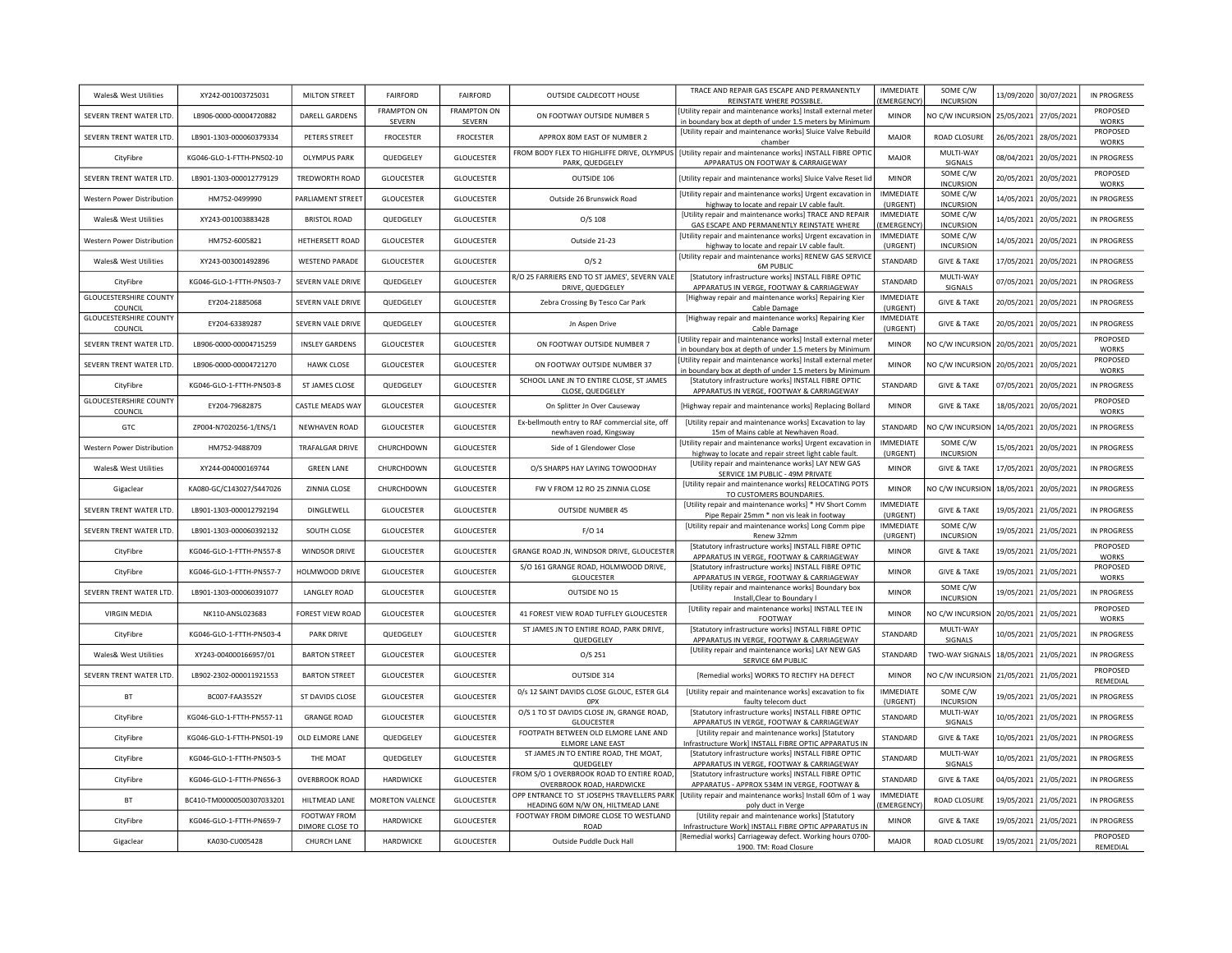| Wales& West Utilities                    | XY242-001003725031        | <b>MILTON STREET</b>            | <b>FAIRFORD</b>              | <b>FAIRFORD</b>              | OUTSIDE CALDECOTT HOUSE                                                         | TRACE AND REPAIR GAS ESCAPE AND PERMANENTLY<br><b>REINSTATE WHERE POSSIBLE</b>                                                                | <b>IMMEDIATE</b><br>(EMERGENCY)      | SOME C/W<br><b>INCURSION</b> | 13/09/2020 | 30/07/2021 | <b>IN PROGRESS</b>       |
|------------------------------------------|---------------------------|---------------------------------|------------------------------|------------------------------|---------------------------------------------------------------------------------|-----------------------------------------------------------------------------------------------------------------------------------------------|--------------------------------------|------------------------------|------------|------------|--------------------------|
| SEVERN TRENT WATER LTD.                  | LB906-0000-00004720882    | DARELL GARDENS                  | <b>FRAMPTON ON</b><br>SEVERN | <b>FRAMPTON ON</b><br>SEVERN | ON FOOTWAY OUTSIDE NUMBER 5                                                     | Utility repair and maintenance works] Install external mete<br>in boundary box at depth of under 1.5 meters by Minimum                        | <b>MINOR</b>                         | NO C/W INCURSION             | 25/05/2021 | 27/05/2021 | PROPOSED<br><b>WORKS</b> |
| SEVERN TRENT WATER LTD.                  | LB901-1303-000060379334   | PETERS STREET                   | <b>FROCESTER</b>             | <b>FROCESTER</b>             | APPROX 80M EAST OF NUMBER 2                                                     | [Utility repair and maintenance works] Sluice Valve Rebuild<br>chamber                                                                        | <b>MAJOR</b>                         | ROAD CLOSURE                 | 26/05/2021 | 28/05/2021 | PROPOSED<br><b>WORKS</b> |
| CityFibre                                | KG046-GLO-1-FTTH-PN502-10 | <b>OLYMPUS PARK</b>             | QUEDGELEY                    | <b>GLOUCESTER</b>            | PARK, QUEDGELEY                                                                 | FROM BODY FLEX TO HIGHLIFFE DRIVE, OLYMPUS   [Utility repair and maintenance works] INSTALL FIBRE OPTIC<br>APPARATUS ON FOOTWAY & CARRAIGEWAY | MAIOR                                | MULTI-WAY<br>SIGNALS         | 08/04/2021 | 20/05/2021 | <b>IN PROGRESS</b>       |
| SEVERN TRENT WATER LTD.                  | LB901-1303-000012779129   | TREDWORTH ROAD                  | <b>GLOUCESTER</b>            | <b>GLOUCESTER</b>            | OUTSIDE 106                                                                     | [Utility repair and maintenance works] Sluice Valve Reset lid                                                                                 | <b>MINOR</b>                         | SOME C/W<br><b>INCURSION</b> | 20/05/2021 | 20/05/2021 | PROPOSED<br><b>WORKS</b> |
| <b>Western Power Distribution</b>        | HM752-0499990             | PARLIAMENT STREET               | <b>GLOUCESTER</b>            | <b>GLOUCESTER</b>            | Outside 26 Brunswick Road                                                       | [Utility repair and maintenance works] Urgent excavation in<br>highway to locate and repair LV cable fault.                                   | <b>IMMEDIATE</b><br>(URGENT)         | SOME C/W<br><b>INCURSION</b> | 14/05/2021 | 20/05/2021 | IN PROGRESS              |
| Wales& West Utilities                    | XY243-001003883428        | <b>BRISTOL ROAD</b>             | QUEDGELEY                    | <b>GLOUCESTER</b>            | $O/S$ 108                                                                       | [Utility repair and maintenance works] TRACE AND REPAIR<br>GAS ESCAPE AND PERMANENTLY REINSTATE WHERE                                         | <b>IMMEDIATE</b><br><b>EMERGENCY</b> | SOME C/W<br><b>INCURSION</b> | 14/05/2021 | 20/05/2021 | <b>IN PROGRESS</b>       |
| <b>Western Power Distribution</b>        | HM752-6005821             | HETHERSETT ROAD                 | <b>GLOUCESTER</b>            | <b>GLOUCESTER</b>            | Outside 21-23                                                                   | [Utility repair and maintenance works] Urgent excavation in<br>highway to locate and repair LV cable fault.                                   | <b>IMMEDIATE</b><br>(URGENT)         | SOME C/W<br><b>INCURSION</b> | 14/05/2021 | 20/05/2021 | <b>IN PROGRESS</b>       |
| Wales& West Utilities                    | XY243-003001492896        | <b>WESTEND PARADE</b>           | <b>GLOUCESTER</b>            | <b>GLOUCESTER</b>            | O/S <sub>2</sub>                                                                | [Utility repair and maintenance works] RENEW GAS SERVICE<br><b>6M PUBLIC</b>                                                                  | STANDARD                             | <b>GIVE &amp; TAKE</b>       | 17/05/2021 | 20/05/2021 | <b>IN PROGRESS</b>       |
| CityFibre                                | KG046-GLO-1-FTTH-PN503-7  | <b>SEVERN VALE DRIVE</b>        | QUEDGELEY                    | <b>GLOUCESTER</b>            | R/O 25 FARRIERS END TO ST JAMES', SEVERN VALE<br>DRIVE, QUEDGELEY               | [Statutory infrastructure works] INSTALL FIBRE OPTIC<br>APPARATUS IN VERGE, FOOTWAY & CARRIAGEWAY                                             | STANDARD                             | MULTI-WAY<br>SIGNALS         | 07/05/2021 | 20/05/2021 | <b>IN PROGRESS</b>       |
| <b>GLOUCESTERSHIRE COUNTY</b><br>COUNCIL | EY204-21885068            | SEVERN VALE DRIVE               | QUEDGELEY                    | <b>GLOUCESTER</b>            | Zebra Crossing By Tesco Car Park                                                | [Highway repair and maintenance works] Repairing Kier<br>Cable Damage                                                                         | <b>IMMEDIATE</b><br>(URGENT)         | <b>GIVE &amp; TAKE</b>       | 20/05/2021 | 20/05/2021 | <b>IN PROGRESS</b>       |
| <b>GLOUCESTERSHIRE COUNTY</b><br>COUNCIL | EY204-63389287            | SEVERN VALE DRIVE               | QUEDGELEY                    | <b>GLOUCESTER</b>            | Jn Aspen Drive                                                                  | [Highway repair and maintenance works] Repairing Kier<br>Cable Damage                                                                         | IMMEDIATE<br>(URGENT)                | <b>GIVE &amp; TAKE</b>       | 20/05/2021 | 20/05/2021 | <b>IN PROGRESS</b>       |
| SEVERN TRENT WATER LTD.                  | LB906-0000-00004715259    | <b>INSLEY GARDENS</b>           | <b>GLOUCESTER</b>            | <b>GLOUCESTER</b>            | ON FOOTWAY OUTSIDE NUMBER 7                                                     | Utility repair and maintenance works] Install external meter<br>in boundary box at depth of under 1.5 meters by Minimum                       | <b>MINOR</b>                         | NO C/W INCURSION             | 20/05/2021 | 20/05/2021 | PROPOSED<br><b>WORKS</b> |
| SEVERN TRENT WATER LTD.                  | LB906-0000-00004721270    | <b>HAWK CLOSE</b>               | <b>GLOUCESTER</b>            | <b>GLOUCESTER</b>            | ON FOOTWAY OUTSIDE NUMBER 37                                                    | Utility repair and maintenance works] Install external meter<br>in boundary box at depth of under 1.5 meters by Minimum                       | <b>MINOR</b>                         | NO C/W INCURSION             | 20/05/2021 | 20/05/2021 | PROPOSED<br><b>WORKS</b> |
| CityFibre                                | KG046-GLO-1-FTTH-PN503-8  | ST JAMES CLOSE                  | QUEDGELEY                    | <b>GLOUCESTER</b>            | SCHOOL LANE JN TO ENTIRE CLOSE, ST JAMES<br>CLOSE, QUEDGELEY                    | [Statutory infrastructure works] INSTALL FIBRE OPTIC<br>APPARATUS IN VERGE, FOOTWAY & CARRIAGEWAY                                             | STANDARD                             | <b>GIVE &amp; TAKE</b>       | 07/05/2021 | 20/05/2021 | <b>IN PROGRESS</b>       |
| <b>GLOUCESTERSHIRE COUNTY</b><br>COUNCIL | EY204-79682875            | CASTLE MEADS WAY                | <b>GLOUCESTER</b>            | <b>GLOUCESTER</b>            | On Splitter Jn Over Causeway                                                    | [Highway repair and maintenance works] Replacing Bollard                                                                                      | <b>MINOR</b>                         | <b>GIVE &amp; TAKE</b>       | 18/05/2021 | 20/05/2021 | PROPOSED<br><b>WORKS</b> |
| GTC                                      | ZP004-N7020256-1/ENS/1    | <b>NEWHAVEN ROAD</b>            | <b>GLOUCESTER</b>            | <b>GLOUCESTER</b>            | Ex-bellmouth entry to RAF commercial site, off<br>newhaven road, Kingsway       | [Utility repair and maintenance works] Excavation to lay<br>15m of Mains cable at Newhaven Road.                                              | <b>STANDARD</b>                      | NO C/W INCURSION             | 14/05/2021 | 20/05/2021 | <b>IN PROGRESS</b>       |
| <b>Western Power Distribution</b>        | HM752-9488709             | <b>TRAFALGAR DRIVE</b>          | CHURCHDOWN                   | <b>GLOUCESTER</b>            | Side of 1 Glendower Close                                                       | [Utility repair and maintenance works] Urgent excavation in<br>highway to locate and repair street light cable fault.                         | <b>IMMEDIATE</b><br>(URGENT)         | SOME C/W<br><b>INCURSION</b> | 15/05/2021 | 20/05/2021 | IN PROGRESS              |
| Wales& West Utilities                    | XY244-004000169744        | <b>GREEN LANE</b>               | CHURCHDOWN                   | <b>GLOUCESTER</b>            | O/S SHARPS HAY LAYING TOWOODHAY                                                 | [Utility repair and maintenance works] LAY NEW GAS<br>SERVICE 1M PUBLIC - 49M PRIVATE                                                         | <b>MINOR</b>                         | <b>GIVE &amp; TAKE</b>       | 17/05/2021 | 20/05/2021 | <b>IN PROGRESS</b>       |
| Gigaclear                                | KA080-GC/C143027/S447026  | ZINNIA CLOSE                    | CHURCHDOWN                   | <b>GLOUCESTER</b>            | FW V FROM 12 RO 25 ZINNIA CLOSE                                                 | [Utility repair and maintenance works] RELOCATING POTS<br>TO CUSTOMERS BOUNDARIES.                                                            | <b>MINOR</b>                         | NO C/W INCURSION             | 18/05/2021 | 20/05/2021 | <b>IN PROGRESS</b>       |
| SEVERN TRENT WATER LTD.                  | LB901-1303-000012792194   | DINGLEWELL                      | GLOUCESTER                   | GLOUCESTER                   | <b>OUTSIDE NUMBER 45</b>                                                        | [Utility repair and maintenance works] * HV Short Comm<br>Pipe Repair 25mm * non vis leak in footway                                          | <b>IMMEDIATE</b><br>(URGENT)         | <b>GIVE &amp; TAKE</b>       | 19/05/2021 | 21/05/2021 | <b>IN PROGRESS</b>       |
| SEVERN TRENT WATER LTD.                  | LB901-1303-000060392132   | SOUTH CLOSE                     | GLOUCESTER                   | <b>GLOUCESTER</b>            | $F/O$ 14                                                                        | [Utility repair and maintenance works] Long Comm pipe<br>Renew 32mm                                                                           | <b>IMMEDIATE</b><br>(URGENT)         | SOME C/W<br><b>INCURSION</b> | 19/05/2021 | 21/05/2021 | IN PROGRESS              |
| CityFibre                                | KG046-GLO-1-FTTH-PN557-8  | <b>WINDSOR DRIVE</b>            | GLOUCESTER                   | <b>GLOUCESTER</b>            | GRANGE ROAD JN, WINDSOR DRIVE, GLOUCESTER                                       | [Statutory infrastructure works] INSTALL FIBRE OPTIC<br>APPARATUS IN VERGE, FOOTWAY & CARRIAGEWAY                                             | <b>MINOR</b>                         | <b>GIVE &amp; TAKE</b>       | 19/05/2021 | 21/05/2021 | PROPOSED<br><b>WORKS</b> |
| CityFibre                                | KG046-GLO-1-FTTH-PN557-7  | HOLMWOOD DRIVE                  | GLOUCESTER                   | <b>GLOUCESTER</b>            | S/O 161 GRANGE ROAD, HOLMWOOD DRIVE,<br><b>GLOUCESTER</b>                       | [Statutory infrastructure works] INSTALL FIBRE OPTIC<br>APPARATUS IN VERGE, FOOTWAY & CARRIAGEWAY                                             | <b>MINOR</b>                         | <b>GIVE &amp; TAKE</b>       | 19/05/2021 | 21/05/2021 | PROPOSED<br><b>WORKS</b> |
| SEVERN TRENT WATER LTD.                  | LB901-1303-000060391077   | <b>LANGLEY ROAD</b>             | <b>GLOUCESTER</b>            | <b>GLOUCESTER</b>            | OUTSIDE NO 15                                                                   | [Utility repair and maintenance works] Boundary box<br>Install, Clear to Boundary I                                                           | <b>MINOR</b>                         | SOME C/W<br><b>INCURSION</b> | 19/05/2021 | 21/05/2021 | <b>IN PROGRESS</b>       |
| <b>VIRGIN MEDIA</b>                      | NK110-ANSL023683          | FOREST VIEW ROAD                | <b>GLOUCESTER</b>            | <b>GLOUCESTER</b>            | 41 FOREST VIEW ROAD TUFFLEY GLOUCESTER                                          | [Utility repair and maintenance works] INSTALL TEE IN<br><b>FOOTWAY</b>                                                                       | <b>MINOR</b>                         | NO C/W INCURSION             | 20/05/2021 | 21/05/2021 | PROPOSED<br><b>WORKS</b> |
| CityFibre                                | KG046-GLO-1-FTTH-PN503-4  | <b>PARK DRIVE</b>               | QUEDGELEY                    | <b>GLOUCESTER</b>            | ST JAMES JN TO ENTIRE ROAD. PARK DRIVE.<br>QUEDGELEY                            | [Statutory infrastructure works] INSTALL FIBRE OPTIC<br>APPARATUS IN VERGE, FOOTWAY & CARRIAGEWAY                                             | STANDARD                             | MULTI-WAY<br>SIGNALS         | 10/05/2021 | 21/05/2021 | IN PROGRESS              |
| Wales& West Utilities                    | XY243-004000166957/01     | <b>BARTON STREET</b>            | <b>GLOUCESTER</b>            | <b>GLOUCESTER</b>            | $O/S$ 251                                                                       | [Utility repair and maintenance works] LAY NEW GAS<br>SERVICE 6M PUBLIC                                                                       | STANDARD                             | <b>TWO-WAY SIGNALS</b>       | 18/05/2021 | 21/05/2021 | IN PROGRESS              |
| SEVERN TRENT WATER LTD.                  | 18902-2302-000011921553   | <b>BARTON STREET</b>            | GLOUCESTER                   | <b>GLOUCESTER</b>            | OUTSIDE 314                                                                     | [Remedial works] WORKS TO RECTIFY HA DEFECT                                                                                                   | <b>MINOR</b>                         | NO C/W INCURSION             | 21/05/2021 | 21/05/2021 | PROPOSED<br>REMEDIAL     |
| BT                                       | BC007-FAA3552Y            | ST DAVIDS CLOSE                 | GLOUCESTER                   | <b>GLOUCESTER</b>            | 0/s 12 SAINT DAVIDS CLOSE GLOUC, ESTER GL4<br>0PX                               | [Utility repair and maintenance works] excavation to fix<br>faulty telecom duct                                                               | <b>IMMEDIATE</b><br>(URGENT)         | SOME C/W<br><b>INCURSION</b> | 19/05/2021 | 21/05/2021 | <b>IN PROGRESS</b>       |
| CityFibre                                | KG046-GLO-1-FTTH-PN557-11 | <b>GRANGE ROAD</b>              | <b>GLOUCESTER</b>            | <b>GLOUCESTER</b>            | O/S 1 TO ST DAVIDS CLOSE JN, GRANGE ROAD,<br><b>GLOUCESTER</b>                  | [Statutory infrastructure works] INSTALL FIBRE OPTIC<br>APPARATUS IN VERGE, FOOTWAY & CARRIAGEWAY                                             | STANDARD                             | MULTI-WAY<br>SIGNALS         | 10/05/2021 | 21/05/2021 | <b>IN PROGRESS</b>       |
| CityFibre                                | KG046-GLO-1-FTTH-PN501-19 | OLD ELMORE LANE                 | QUEDGELEY                    | GLOUCESTER                   | FOOTPATH BETWEEN OLD ELMORE LANE AND<br>ELMORE LANE EAST                        | [Utility repair and maintenance works] [Statutory<br>Infrastructure Work] INSTALL FIBRE OPTIC APPARATUS IN                                    | STANDARD                             | <b>GIVE &amp; TAKE</b>       | 10/05/2021 | 21/05/2021 | <b>IN PROGRESS</b>       |
| CityFibre                                | KG046-GLO-1-FTTH-PN503-5  | THE MOAT                        | QUEDGELEY                    | <b>GLOUCESTER</b>            | ST JAMES JN TO ENTIRE ROAD, THE MOAT,<br>QUEDGELEY                              | [Statutory infrastructure works] INSTALL FIBRE OPTIC<br>APPARATUS IN VERGE, FOOTWAY & CARRIAGEWAY                                             | STANDARD                             | MULTI-WAY<br>SIGNALS         | 10/05/2021 | 21/05/2021 | <b>IN PROGRESS</b>       |
| CityFibre                                | KG046-GLO-1-FTTH-PN656-3  | <b>OVERBROOK ROAD</b>           | HARDWICKE                    | <b>GLOUCESTER</b>            | FROM S/O 1 OVERBROOK ROAD TO ENTIRE ROAD,<br>OVERBROOK ROAD, HARDWICKE          | [Statutory infrastructure works] INSTALL FIBRE OPTIC<br>APPARATUS - APPROX 534M IN VERGE, FOOTWAY &                                           | STANDARD                             | <b>GIVE &amp; TAKE</b>       | 04/05/2021 | 21/05/2021 | <b>IN PROGRESS</b>       |
| BT                                       | BC410-TM00000500307033201 | HILTMEAD LANE                   | MORETON VALENCE              | <b>GLOUCESTER</b>            | OPP ENTRANCE TO ST JOSEPHS TRAVELLERS PARK<br>HEADING 60M N/W ON, HILTMEAD LANE | [Utility repair and maintenance works] Install 60m of 1 way<br>poly duct in Verge                                                             | <b>IMMFDIATE</b><br><b>EMERGENCY</b> | ROAD CLOSURE                 | 19/05/2021 | 21/05/2021 | <b>IN PROGRESS</b>       |
| CityFibre                                | KG046-GLO-1-FTTH-PN659-7  | FOOTWAY FROM<br>DIMORE CLOSE TO | <b>HARDWICKE</b>             | <b>GLOUCESTER</b>            | FOOTWAY FROM DIMORE CLOSE TO WESTLAND<br><b>ROAD</b>                            | [Utility repair and maintenance works] [Statutory<br>Infrastructure Work] INSTALL FIBRE OPTIC APPARATUS IN                                    | <b>MINOR</b>                         | <b>GIVE &amp; TAKE</b>       | 19/05/2021 | 21/05/2021 | IN PROGRESS              |
| Gigaclear                                | KA030-CU005428            | CHURCH LANE                     | HARDWICKE                    | <b>GLOUCESTER</b>            | Outside Puddle Duck Hall                                                        | [Remedial works] Carriageway defect. Working hours 0700-<br>1900. TM: Road Closure                                                            | MAJOR                                | ROAD CLOSURE                 | 19/05/2021 | 21/05/2021 | PROPOSED<br>REMEDIAL     |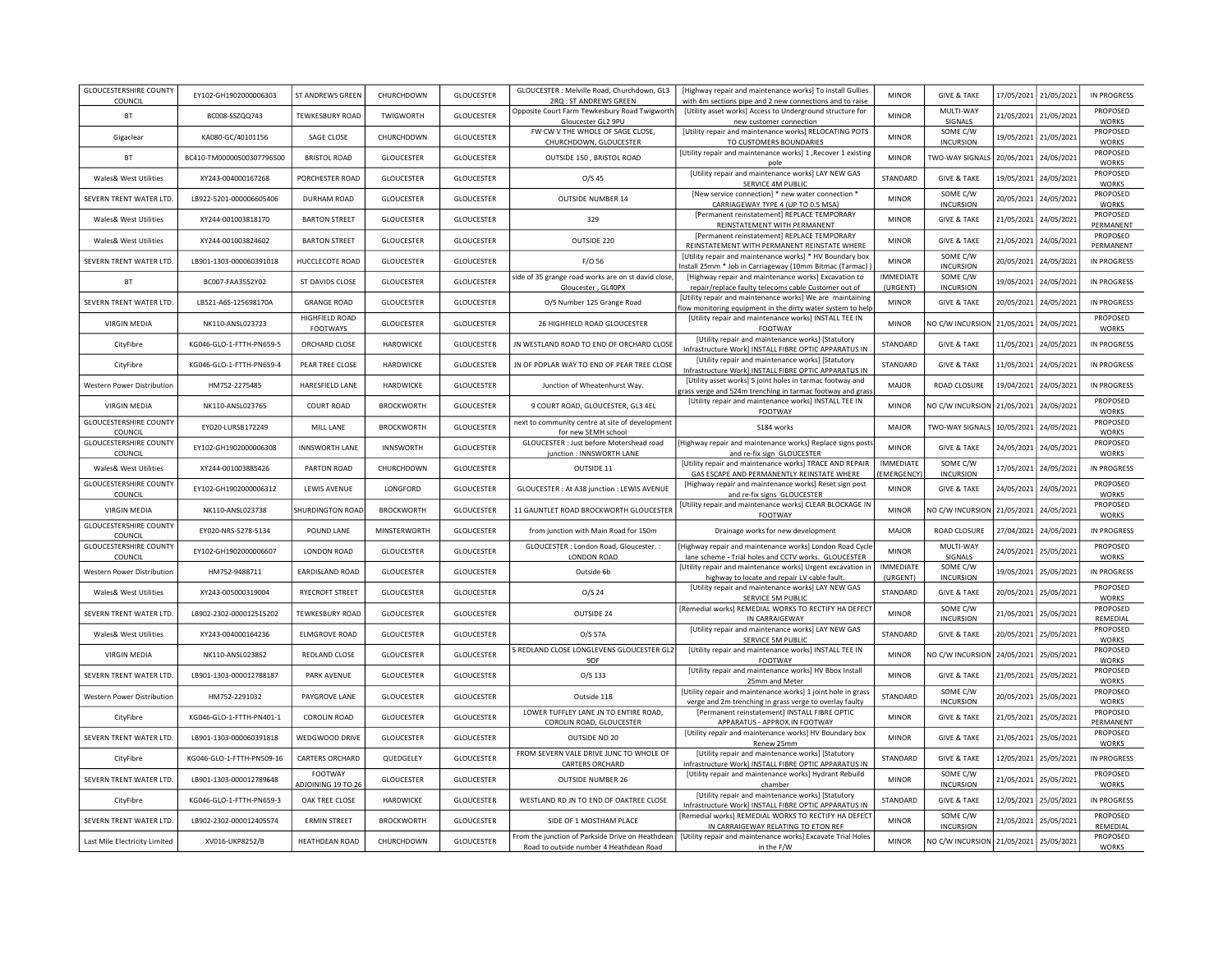| <b>GLOUCESTERSHIRE COUNTY</b>            |                           |                            |                   |                   |                                                                      |                                                                                                                       |                              |                              |            |            |                                    |
|------------------------------------------|---------------------------|----------------------------|-------------------|-------------------|----------------------------------------------------------------------|-----------------------------------------------------------------------------------------------------------------------|------------------------------|------------------------------|------------|------------|------------------------------------|
| COUNCIL                                  | EY102-GH1902000006303     | ST ANDREWS GREEN           | CHURCHDOWN        | <b>GLOUCESTER</b> | GLOUCESTER : Melville Road, Churchdown, GL3<br>2RQ: ST ANDREWS GREEN | [Highway repair and maintenance works] To install Gullies<br>with 4m sections pipe and 2 new connections and to raise | <b>MINOR</b>                 | <b>GIVE &amp; TAKE</b>       | 17/05/2021 | 21/05/2021 | <b>IN PROGRESS</b>                 |
| <b>BT</b>                                | BC008-SSZQQ743            | <b>TEWKESBURY ROAD</b>     | <b>TWIGWORTH</b>  | <b>GLOUCESTER</b> | Opposite Court Farm Tewkesbury Road Twigworth<br>Gloucester GL2 9PU  | [Utility asset works] Access to Underground structure for                                                             | <b>MINOR</b>                 | MULTI-WAY<br>SIGNALS         | 21/05/2021 | 21/05/2021 | PROPOSED<br><b>WORKS</b>           |
| Gigaclear                                | KA080-GC/40101156         | SAGE CLOSE                 | CHURCHDOWN        | <b>GLOUCESTER</b> | FW CW V THE WHOLE OF SAGE CLOSE,                                     | new customer connection<br>[Utility repair and maintenance works] RELOCATING POTS                                     | <b>MINOR</b>                 | SOME C/W                     | 19/05/2021 | 21/05/2021 | PROPOSED                           |
|                                          |                           |                            |                   |                   | CHURCHDOWN, GLOUCESTER                                               | TO CUSTOMERS BOUNDARIES<br>[Utility repair and maintenance works] 1, Recover 1 existing                               |                              | <b>INCURSION</b>             |            |            | <b>WORKS</b><br>PROPOSED           |
| BT                                       | BC410-TM00000500307796500 | <b>BRISTOL ROAD</b>        | <b>GLOUCESTER</b> | GLOUCESTER        | OUTSIDE 150, BRISTOL ROAD                                            |                                                                                                                       | <b>MINOR</b>                 | TWO-WAY SIGNALS              | 20/05/2021 | 24/05/2021 | <b>WORKS</b>                       |
| Wales& West Utilities                    | XY243-004000167268        | PORCHESTER ROAD            | <b>GLOUCESTER</b> | <b>GLOUCESTER</b> | O/S <sub>45</sub>                                                    | [Utility repair and maintenance works] LAY NEW GAS<br>SERVICE 4M PUBLIC                                               | STANDARD                     | <b>GIVE &amp; TAKE</b>       | 19/05/2021 | 24/05/2021 | PROPOSED<br><b>WORKS</b>           |
| SEVERN TRENT WATER LTD.                  | LB922-5201-000006605406   | <b>DURHAM ROAD</b>         | <b>GLOUCESTER</b> | <b>GLOUCESTER</b> | OUTSIDE NUMBER 14                                                    | [New service connection] * new water connection *                                                                     | <b>MINOR</b>                 | SOME C/W                     | 20/05/2021 | 24/05/2021 | PROPOSED                           |
|                                          |                           |                            |                   |                   |                                                                      | CARRIAGEWAY TYPE 4 (UP TO 0.5 MSA)<br>[Permanent reinstatement] REPLACE TEMPORARY                                     |                              | <b>INCURSION</b>             |            |            | <b>WORKS</b><br>PROPOSED           |
| Wales& West Utilities                    | XY244-001003818170        | <b>BARTON STREET</b>       | GLOUCESTER        | GLOUCESTER        | 329                                                                  | REINSTATEMENT WITH PERMANENT                                                                                          | <b>MINOR</b>                 | <b>GIVE &amp; TAKE</b>       | 21/05/2021 | 24/05/2021 | PERMANENT                          |
| Wales& West Utilities                    | XY244-001003824602        | <b>BARTON STREET</b>       | <b>GLOUCESTER</b> | GLOUCESTER        | OUTSIDE 220                                                          | [Permanent reinstatement] REPLACE TEMPORARY<br>REINSTATEMENT WITH PERMANENT REINSTATE WHERE                           | <b>MINOR</b>                 | <b>GIVE &amp; TAKE</b>       | 21/05/2021 | 24/05/2021 | PROPOSED<br>PERMANENT              |
| SEVERN TRENT WATER LTD.                  | LB901-1303-000060391018   | <b>HUCCLECOTE ROAD</b>     | <b>GLOUCESTER</b> | <b>GLOUCESTER</b> | F/O 56                                                               | [Utility repair and maintenance works] * HV Boundary box<br>nstall 25mm * Job in Carriageway (10mm Bitmac (Tarmac)    | <b>MINOR</b>                 | SOME C/W<br><b>INCURSION</b> | 20/05/2021 | 24/05/2021 | <b>IN PROGRESS</b>                 |
| <b>BT</b>                                | BC007-FAA3552Y02          | ST DAVIDS CLOSE            | <b>GLOUCESTER</b> | <b>GLOUCESTER</b> | side of 35 grange road works are on st david close,                  | [Highway repair and maintenance works] Excavation to                                                                  | <b>IMMEDIATE</b>             | SOME C/W                     | 19/05/2021 | 24/05/2021 | <b>IN PROGRESS</b>                 |
|                                          |                           |                            |                   |                   | Gloucester, GL40PX                                                   | repair/replace faulty telecoms cable Customer out of<br>[Utility repair and maintenance works] We are maintaining     | (URGENT)                     | <b>INCURSION</b>             |            |            |                                    |
| SEVERN TRENT WATER LTD.                  | LB521-A6S-125698170A      | <b>GRANGE ROAD</b>         | <b>GLOUCESTER</b> | <b>GLOUCESTER</b> | O/S Number 125 Grange Road                                           | low monitoring equipment in the dirty water system to help                                                            | <b>MINOR</b>                 | <b>GIVE &amp; TAKE</b>       | 20/05/2021 | 24/05/2021 | <b>IN PROGRESS</b>                 |
| <b>VIRGIN MEDIA</b>                      | NK110-ANSL023723          | HIGHFIELD ROAD<br>FOOTWAYS | <b>GLOUCESTER</b> | <b>GLOUCESTER</b> | 26 HIGHFIELD ROAD GLOUCESTER                                         | [Utility repair and maintenance works] INSTALL TEE IN<br>FOOTWAY                                                      | <b>MINOR</b>                 | NO C/W INCURSION             | 21/05/2021 | 24/05/2021 | PROPOSED<br><b>WORKS</b>           |
| CityFibre                                | KG046-GLO-1-FTTH-PN659-5  | ORCHARD CLOSE              | HARDWICKE         | <b>GLOUCESTER</b> | JN WESTLAND ROAD TO END OF ORCHARD CLOSE                             | [Utility repair and maintenance works] [Statutory                                                                     | STANDARD                     | <b>GIVE &amp; TAKE</b>       | 11/05/2021 | 24/05/2021 | <b>IN PROGRESS</b>                 |
| CityFibre                                | KG046-GLO-1-FTTH-PN659-4  | PEAR TREE CLOSE            | <b>HARDWICKE</b>  | <b>GLOUCESTER</b> | JN OF POPLAR WAY TO END OF PEAR TREE CLOSE                           | Infrastructure Work] INSTALL FIBRE OPTIC APPARATUS IN<br>[Utility repair and maintenance works] [Statutory            | STANDARD                     | <b>GIVE &amp; TAKE</b>       | 11/05/2021 | 24/05/2021 | <b>IN PROGRESS</b>                 |
|                                          |                           |                            |                   |                   |                                                                      | Infrastructure Work] INSTALL FIBRE OPTIC APPARATUS IN<br>[Utility asset works] 5 joint holes in tarmac footway and    |                              |                              |            |            |                                    |
| <b>Western Power Distribution</b>        | HM752-2275485             | HARESFIELD LANE            | <b>HARDWICKE</b>  | <b>GLOUCESTER</b> | Junction of Wheatenhurst Way.                                        | rass verge and 524m trenching in tarmac footway and gras                                                              | <b>MAJOR</b>                 | <b>ROAD CLOSURE</b>          | 19/04/2021 | 24/05/2021 | <b>IN PROGRESS</b>                 |
| <b>VIRGIN MEDIA</b>                      | NK110-ANSL023765          | <b>COURT ROAD</b>          | <b>BROCKWORTH</b> | <b>GLOUCESTER</b> | 9 COURT ROAD, GLOUCESTER, GL3 4EL                                    | [Utility repair and maintenance works] INSTALL TEE IN<br>FOOTWAY                                                      | <b>MINOR</b>                 | NO C/W INCURSION             | 21/05/2021 | 24/05/2021 | PROPOSED<br><b>WORKS</b>           |
| <b>GLOUCESTERSHIRE COUNTY</b>            | EY020-LURSB172249         | MILL LANE                  | <b>BROCKWORTH</b> | GLOUCESTER        | next to community centre at site of development                      | S184 works                                                                                                            | <b>MAJOR</b>                 | TWO-WAY SIGNALS              | 10/05/2021 | 24/05/2021 | PROPOSED                           |
| COUNCIL<br><b>GLOUCESTERSHIRE COUNTY</b> | EY102-GH1902000006308     | <b>INNSWORTH LANE</b>      | <b>INNSWORTH</b>  | GLOUCESTER        | for new SEMH school<br>GLOUCESTER : Just before Motershead road      | Highway repair and maintenance works] Replace signs posts                                                             | <b>MINOR</b>                 | <b>GIVE &amp; TAKE</b>       | 24/05/2021 | 24/05/2021 | <b>WORKS</b><br>PROPOSED           |
| COUNCIL                                  |                           |                            |                   |                   | junction : INNSWORTH LANE                                            | and re-fix sign GLOUCESTER<br>[Utility repair and maintenance works] TRACE AND REPAIR                                 | <b>IMMEDIATE</b>             | SOME C/W                     |            |            | <b>WORKS</b>                       |
| Wales& West Utilities                    | XY244-001003885426        | PARTON ROAD                | CHURCHDOWN        | GLOUCESTER        | OUTSIDE 11                                                           | GAS ESCAPE AND PERMANENTLY REINSTATE WHERE                                                                            | MERGENCY)                    | <b>INCURSION</b>             | 17/05/2021 | 24/05/2021 | <b>IN PROGRESS</b>                 |
| <b>GLOUCESTERSHIRE COUNTY</b><br>COUNCIL | EY102-GH1902000006312     | LEWIS AVENUE               | LONGFORD          | GLOUCESTER        | GLOUCESTER : At A38 junction : LEWIS AVENUE                          | [Highway repair and maintenance works] Reset sign post<br>and re-fix signs GLOUCESTER                                 | <b>MINOR</b>                 | <b>GIVE &amp; TAKE</b>       | 24/05/2021 | 24/05/2021 | PROPOSED<br><b>WORKS</b>           |
| <b>VIRGIN MEDIA</b>                      | NK110-ANSL023738          | SHURDINGTON ROAD           | <b>BROCKWORTH</b> | GLOUCESTER        | 11 GAUNTLET ROAD BROCKWORTH GLOUCESTER                               | Utility repair and maintenance works] CLEAR BLOCKAGE IN                                                               | <b>MINOR</b>                 | NO C/W INCURSION             | 21/05/2021 | 24/05/2021 | PROPOSED                           |
| <b>GLOUCESTERSHIRE COUNTY</b>            | EY020-NRS-S278-5134       | POUND LANE                 | MINSTERWORTH      | GLOUCESTER        | from junction with Main Road for 150m                                | FOOTWAY                                                                                                               | MAJOR                        | ROAD CLOSURE                 | 27/04/2021 | 24/05/2021 | <b>WORKS</b><br>IN PROGRESS        |
| COUNCIL<br><b>GLOUCESTERSHIRE COUNTY</b> |                           |                            |                   |                   | GLOUCESTER : London Road, Gloucester. :                              | Drainage works for new development<br>Highway repair and maintenance works] London Road Cycle                         |                              | MULTI-WAY                    |            |            | PROPOSED                           |
| COUNCIL                                  | EY102-GH1902000006607     | LONDON ROAD                | <b>GLOUCESTER</b> | <b>GLOUCESTER</b> | <b>LONDON ROAD</b>                                                   | lane scheme - Trial holes and CCTV works. GLOUCESTER                                                                  | <b>MINOR</b>                 | SIGNALS                      | 24/05/2021 | 25/05/2021 | <b>WORKS</b>                       |
| <b>Western Power Distribution</b>        | HM752-9488711             | EARDISLAND ROAD            | <b>GLOUCESTER</b> | <b>GLOUCESTER</b> | Outside 6b                                                           | [Utility repair and maintenance works] Urgent excavation in<br>highway to locate and repair LV cable fault.           | <b>IMMEDIATE</b><br>(URGENT) | SOME C/W<br><b>INCURSION</b> | 19/05/2021 | 25/05/2021 | IN PROGRESS                        |
| Wales& West Utilities                    | XY243-005000319004        | <b>RYECROFT STREET</b>     | <b>GLOUCESTER</b> | <b>GLOUCESTER</b> | $O/S$ 24                                                             | [Utility repair and maintenance works] LAY NEW GAS                                                                    | STANDARD                     | <b>GIVE &amp; TAKE</b>       | 20/05/2021 | 25/05/2021 | PROPOSED                           |
|                                          |                           |                            |                   |                   |                                                                      | SERVICE 5M PUBLIC<br>[Remedial works] REMEDIAL WORKS TO RECTIFY HA DEFECT                                             |                              | SOME C/W                     |            |            | <b>WORKS</b><br>PROPOSED           |
| SEVERN TRENT WATER LTD.                  | LB902-2302-000012515202   | <b>TEWKESBURY ROAD</b>     | <b>GLOUCESTER</b> | <b>GLOUCESTER</b> | OUTSIDE 24                                                           | IN CARRAIGEWAY                                                                                                        | <b>MINOR</b>                 | <b>INCURSION</b>             | 21/05/2021 | 25/05/2021 | REMEDIAL<br>PROPOSED               |
| <b>Wales&amp; West Utilities</b>         | XY243-004000164236        | <b>ELMGROVE ROAD</b>       | <b>GLOUCESTER</b> | <b>GLOUCESTER</b> | O/S 57A                                                              | [Utility repair and maintenance works] LAY NEW GAS<br>SERVICE 5M PUBLIC                                               | STANDARD                     | <b>GIVE &amp; TAKE</b>       | 20/05/2021 | 25/05/2021 | <b>WORKS</b>                       |
| <b>VIRGIN MEDIA</b>                      | NK110-ANSL023852          | REDLAND CLOSE              | <b>GLOUCESTER</b> | <b>GLOUCESTER</b> | 5 REDLAND CLOSE LONGLEVENS GLOUCESTER GL2<br>9DF                     | [Utility repair and maintenance works] INSTALL TEE IN<br><b>FOOTWAY</b>                                               | <b>MINOR</b>                 | NO C/W INCURSION             | 24/05/2021 | 25/05/2021 | PROPOSED<br><b>WORKS</b>           |
| SEVERN TRENT WATER LTD.                  | LB901-1303-000012788187   | PARK AVENUE                | <b>GLOUCESTER</b> | <b>GLOUCESTER</b> | $O/S$ 133                                                            | [Utility repair and maintenance works] HV Bbox Install                                                                | <b>MINOR</b>                 | <b>GIVE &amp; TAKE</b>       | 21/05/2021 | 25/05/2021 | PROPOSED                           |
|                                          |                           |                            |                   |                   |                                                                      | 25mm and Meter<br>[Utility repair and maintenance works] 1 joint hole in grass                                        |                              | SOME C/W                     |            |            | <b>WORKS</b><br>PROPOSED           |
| <b>Western Power Distribution</b>        | HM752-2291032             | PAYGROVE LANE              | <b>GLOUCESTER</b> | <b>GLOUCESTER</b> | Outside 118                                                          | verge and 2m trenching in grass verge to overlay faulty                                                               | STANDARD                     | <b>INCURSION</b>             | 20/05/2021 | 25/05/2021 | <b>WORKS</b>                       |
| CityFibre                                | KG046-GLO-1-FTTH-PN401-1  | <b>COROLIN ROAD</b>        | <b>GLOUCESTER</b> | <b>GLOUCESTER</b> | LOWER TUFFLEY LANE JN TO ENTIRE ROAD,<br>COROLIN ROAD, GLOUCESTER    | [Permanent reinstatement] INSTALL FIBRE OPTIC<br>APPARATUS - APPROX.IN FOOTWAY                                        | <b>MINOR</b>                 | <b>GIVE &amp; TAKE</b>       | 21/05/2021 | 25/05/2021 | PROPOSED<br>PERMANENT              |
| SEVERN TRENT WATER LTD.                  | 18901-1303-000060391818   | WEDGWOOD DRIVE             | GLOUCESTER        | <b>GLOUCESTER</b> | OUTSIDE NO 20                                                        | [Utility repair and maintenance works] HV Boundary box                                                                | <b>MINOR</b>                 | <b>GIVE &amp; TAKE</b>       | 21/05/2021 | 25/05/2021 | PROPOSED                           |
|                                          | KG046-GLO-1-FTTH-PN509-16 | <b>CARTERS ORCHARD</b>     | QUEDGELEY         | GLOUCESTER        | FROM SEVERN VALE DRIVE JUNC TO WHOLE OF                              | Renew 25mm<br>[Utility repair and maintenance works] [Statutory                                                       | STANDARD                     | <b>GIVE &amp; TAKE</b>       | 12/05/2021 | 25/05/2021 | <b>WORKS</b><br><b>IN PROGRESS</b> |
| CityFibre                                |                           | FOOTWAY                    |                   |                   | <b>CARTERS ORCHARD</b>                                               | Infrastructure Work] INSTALL FIBRE OPTIC APPARATUS IN<br>[Utility repair and maintenance works] Hydrant Rebuild       |                              | SOME C/W                     |            |            | PROPOSED                           |
| SEVERN TRENT WATER LTD.                  | LB901-1303-000012789648   | ADJOINING 19 TO 26         | GLOUCESTER        | GLOUCESTER        | <b>OUTSIDE NUMBER 26</b>                                             | chamber                                                                                                               | <b>MINOR</b>                 | <b>INCURSION</b>             | 21/05/2021 | 25/05/2021 | <b>WORKS</b>                       |
| CityFibre                                | KG046-GLO-1-FTTH-PN659-3  | OAK TREE CLOSE             | HARDWICKE         | <b>GLOUCESTER</b> | WESTLAND RD JN TO END OF OAKTREE CLOSE                               | [Utility repair and maintenance works] [Statutory<br>Infrastructure Work] INSTALL FIBRE OPTIC APPARATUS IN            | STANDARD                     | <b>GIVE &amp; TAKE</b>       | 12/05/2021 | 25/05/2021 | <b>IN PROGRESS</b>                 |
| SEVERN TRENT WATER LTD.                  | LB902-2302-000012405574   | <b>ERMIN STREET</b>        | <b>BROCKWORTH</b> | <b>GLOUCESTER</b> | SIDE OF 1 MOSTHAM PLACE                                              | [Remedial works] REMEDIAL WORKS TO RECTIFY HA DEFECT                                                                  | <b>MINOR</b>                 | SOME C/W                     | 21/05/2021 | 25/05/2021 | PROPOSED                           |
|                                          |                           |                            |                   |                   | From the junction of Parkside Drive on Heathdean                     | IN CARRAIGEWAY RELATING TO ETON REF<br>[Utility repair and maintenance works] Excavate Trial Holes                    |                              | <b>INCURSION</b>             |            |            | REMEDIAL<br>PROPOSED               |
| Last Mile Electricity Limited            | XV016-UKP8252/B           | HEATHDEAN ROAD             | CHURCHDOWN        | <b>GLOUCESTER</b> | Road to outside number 4 Heathdean Road                              | in the F/W                                                                                                            | <b>MINOR</b>                 | NO C/W INCURSION             | 21/05/2021 | 25/05/2021 | <b>WORKS</b>                       |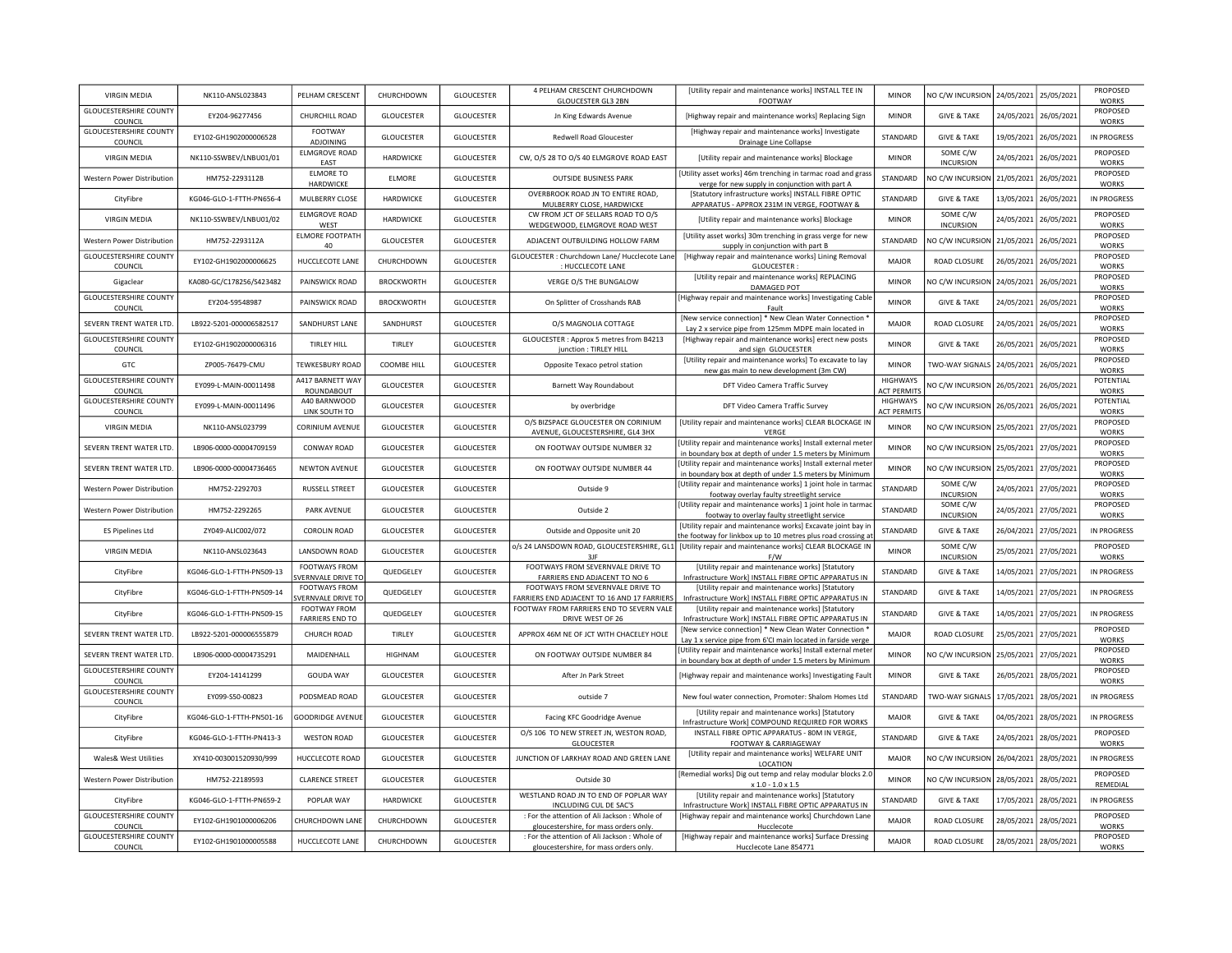| VIRGIN MEDIA                               | NK110-ANSL023843          | PELHAM CRESCENT                           | CHURCHDOWN        | <b>GLOUCESTER</b> | 4 PELHAM CRESCENT CHURCHDOWN                                                            | [Utility repair and maintenance works] INSTALL TEE IN                                                                         | <b>MINOR</b>                          | NO C/W INCURSION                                | 24/05/2021 | 25/05/2021 | <b>PROPOSED</b>                    |
|--------------------------------------------|---------------------------|-------------------------------------------|-------------------|-------------------|-----------------------------------------------------------------------------------------|-------------------------------------------------------------------------------------------------------------------------------|---------------------------------------|-------------------------------------------------|------------|------------|------------------------------------|
| <b>GLOUCESTERSHIRE COUNTY</b>              | EY204-96277456            | CHURCHILL ROAD                            | <b>GLOUCESTER</b> | <b>GLOUCESTER</b> | <b>GLOUCESTER GL3 2BN</b><br>Jn King Edwards Avenue                                     | FOOTWAY<br>[Highway repair and maintenance works] Replacing Sign                                                              | <b>MINOR</b>                          | <b>GIVE &amp; TAKE</b>                          | 24/05/2021 | 26/05/2021 | <b>WORKS</b><br>PROPOSED           |
| COUNCIL<br><b>GLOUCESTERSHIRE COUNTY</b>   | EY102-GH1902000006528     | <b>FOOTWAY</b>                            | <b>GLOUCESTER</b> | <b>GLOUCESTER</b> | <b>Redwell Road Gloucester</b>                                                          | [Highway repair and maintenance works] Investigate                                                                            | STANDARD                              | <b>GIVE &amp; TAKE</b>                          | 19/05/2021 | 26/05/2021 | <b>WORKS</b><br>IN PROGRESS        |
| COUNCIL<br><b>VIRGIN MEDIA</b>             | NK110-SSWBEV/LNBU01/01    | ADJOINING<br><b>ELMGROVE ROAD</b>         | HARDWICKE         | <b>GLOUCESTER</b> | CW, O/S 28 TO O/S 40 ELMGROVE ROAD EAST                                                 | Drainage Line Collapse<br>[Utility repair and maintenance works] Blockage                                                     | <b>MINOR</b>                          | SOME C/W                                        | 24/05/2021 | 26/05/2021 | PROPOSED                           |
| Western Power Distribution                 | HM752-2293112B            | EAST<br><b>ELMORE TO</b>                  | <b>ELMORE</b>     | <b>GLOUCESTER</b> | <b>OUTSIDE BUSINESS PARK</b>                                                            | [Utility asset works] 46m trenching in tarmac road and gras                                                                   | STANDARD                              | <b>INCURSION</b><br>NO C/W INCURSION 21/05/2021 |            | 26/05/2021 | <b>WORKS</b><br>PROPOSED           |
| CityFibre                                  | KG046-GLO-1-FTTH-PN656-4  | HARDWICKE<br>MULBERRY CLOSE               | <b>HARDWICKE</b>  | <b>GLOUCESTER</b> | OVERBROOK ROAD JN TO ENTIRE ROAD,                                                       | verge for new supply in conjunction with part A<br>[Statutory infrastructure works] INSTALL FIBRE OPTIC                       | <b>STANDARD</b>                       | <b>GIVE &amp; TAKE</b>                          | 13/05/2021 | 26/05/2021 | <b>WORKS</b><br>IN PROGRESS        |
| <b>VIRGIN MEDIA</b>                        | NK110-SSWBEV/LNBU01/02    | <b>ELMGROVE ROAD</b>                      | <b>HARDWICKE</b>  | <b>GLOUCESTER</b> | MULBERRY CLOSE, HARDWICKE<br>CW FROM JCT OF SELLARS ROAD TO O/S                         | APPARATUS - APPROX 231M IN VERGE, FOOTWAY &<br>[Utility repair and maintenance works] Blockage                                | <b>MINOR</b>                          | SOME C/W                                        | 24/05/2021 | 26/05/2021 | PROPOSED                           |
| Western Power Distribution                 | HM752-2293112A            | WEST<br><b>ELMORE FOOTPATH</b>            | GLOUCESTER        | GLOUCESTER        | WEDGEWOOD, ELMGROVE ROAD WEST<br>ADJACENT OUTBUILDING HOLLOW FARM                       | [Utility asset works] 30m trenching in grass verge for new                                                                    | STANDARD                              | <b>INCURSION</b><br>NO C/W INCURSION 21/05/2021 |            | 26/05/2021 | <b>WORKS</b><br>PROPOSED           |
| <b>GLOUCESTERSHIRE COUNTY</b>              | EY102-GH1902000006625     | 40<br>HUCCLECOTE LANE                     | CHURCHDOWN        | <b>GLOUCESTER</b> | GLOUCESTER : Churchdown Lane/ Hucclecote Lane                                           | supply in conjunction with part B<br>[Highway repair and maintenance works] Lining Removal                                    | <b>MAJOR</b>                          | ROAD CLOSURE                                    | 26/05/2021 | 26/05/2021 | <b>WORKS</b><br>PROPOSED           |
| COUNCIL                                    |                           |                                           |                   |                   | : HUCCLECOTE LANE                                                                       | GLOUCESTER:<br>[Utility repair and maintenance works] REPLACING                                                               |                                       |                                                 |            |            | <b>WORKS</b><br>PROPOSED           |
| Gigaclear<br><b>GLOUCESTERSHIRE COUNTY</b> | KA080-GC/C178256/S423482  | PAINSWICK ROAD                            | <b>BROCKWORTH</b> | <b>GLOUCESTER</b> | VERGE O/S THE BUNGALOW                                                                  | DAMAGED POT<br>[Highway repair and maintenance works] Investigating Cable                                                     | <b>MINOR</b>                          | NO C/W INCURSION                                | 24/05/2021 | 26/05/2021 | <b>WORKS</b><br>PROPOSED           |
| COUNCIL                                    | EY204-59548987            | PAINSWICK ROAD                            | <b>BROCKWORTH</b> | <b>GLOUCESTER</b> | On Splitter of Crosshands RAB                                                           | Fault<br>[New service connection] * New Clean Water Connection                                                                | <b>MINOR</b>                          | <b>GIVE &amp; TAKE</b>                          | 24/05/2021 | 26/05/2021 | <b>WORKS</b><br>PROPOSED           |
| SEVERN TRENT WATER LTD.                    | LB922-5201-000006582517   | SANDHURST LANE                            | SANDHURST         | <b>GLOUCESTER</b> | O/S MAGNOLIA COTTAGE                                                                    | Lay 2 x service pipe from 125mm MDPE main located in                                                                          | <b>MAJOR</b>                          | ROAD CLOSURE                                    | 24/05/2021 | 26/05/2021 | <b>WORKS</b>                       |
| <b>GLOUCESTERSHIRE COUNTY</b><br>COUNCIL   | EY102-GH1902000006316     | <b>TIRLEY HILL</b>                        | TIRLEY            | <b>GLOUCESTER</b> | GLOUCESTER: Approx 5 metres from B4213<br>junction : TIRLEY HILL                        | [Highway repair and maintenance works] erect new posts<br>and sign GLOUCESTER                                                 | <b>MINOR</b>                          | <b>GIVE &amp; TAKE</b>                          | 26/05/2021 | 26/05/2021 | PROPOSED<br><b>WORKS</b>           |
| GTC                                        | ZP005-76479-CMU           | <b>TEWKESBURY ROAD</b>                    | COOMBE HILL       | <b>GLOUCESTER</b> | Opposite Texaco petrol station                                                          | [Utility repair and maintenance works] To excavate to lay<br>new gas main to new development (3m CW)                          | <b>MINOR</b>                          | TWO-WAY SIGNALS                                 | 24/05/2021 | 26/05/2021 | PROPOSED<br><b>WORKS</b>           |
| <b>GLOUCESTERSHIRE COUNTY</b><br>COUNCIL   | EY099-L-MAIN-00011498     | A417 BARNETT WAY<br>ROUNDABOUT            | <b>GLOUCESTER</b> | <b>GLOUCESTER</b> | Barnett Way Roundabout                                                                  | DFT Video Camera Traffic Survey                                                                                               | <b>HIGHWAYS</b><br><b>ACT PERMITS</b> | NO C/W INCURSION                                | 26/05/2021 | 26/05/2021 | POTENTIAL<br><b>WORKS</b>          |
| <b>GLOUCESTERSHIRE COUNTY</b><br>COUNCIL   | EY099-L-MAIN-00011496     | A40 BARNWOOD<br>LINK SOUTH TO             | <b>GLOUCESTER</b> | <b>GLOUCESTER</b> | by overbridge                                                                           | DFT Video Camera Traffic Survey                                                                                               | <b>HIGHWAYS</b><br><b>ACT PERMITS</b> | NO C/W INCURSION                                | 26/05/2021 | 26/05/2021 | POTENTIAL<br><b>WORKS</b>          |
| <b>VIRGIN MEDIA</b>                        | NK110-ANSL023799          | CORINIUM AVENUE                           | GLOUCESTER        | <b>GLOUCESTER</b> | O/S BIZSPACE GLOUCESTER ON CORINIUM<br>AVENUE, GLOUCESTERSHIRE, GL4 3HX                 | [Utility repair and maintenance works] CLEAR BLOCKAGE IN<br>VERGE                                                             | <b>MINOR</b>                          | NO C/W INCURSION                                | 25/05/2021 | 27/05/2021 | PROPOSED<br><b>WORKS</b>           |
| SEVERN TRENT WATER LTD.                    | LB906-0000-00004709159    | CONWAY ROAD                               | GLOUCESTER        | <b>GLOUCESTER</b> | ON FOOTWAY OUTSIDE NUMBER 32                                                            | [Utility repair and maintenance works] Install external meter<br>in boundary box at depth of under 1.5 meters by Minimum      | <b>MINOR</b>                          | NO C/W INCURSION                                | 25/05/2021 | 27/05/2021 | PROPOSED<br><b>WORKS</b>           |
| SEVERN TRENT WATER LTD.                    | LB906-0000-00004736465    | <b>NEWTON AVENUE</b>                      | GLOUCESTER        | <b>GLOUCESTER</b> | ON FOOTWAY OUTSIDE NUMBER 44                                                            | [Utility repair and maintenance works] Install external meter<br>in boundary box at depth of under 1.5 meters by Minimum      | <b>MINOR</b>                          | NO C/W INCURSION                                | 25/05/2021 | 27/05/2021 | PROPOSED<br><b>WORKS</b>           |
| <b>Western Power Distribution</b>          | HM752-2292703             | <b>RUSSELL STREET</b>                     | GLOUCESTER        | GLOUCESTER        | Outside 9                                                                               | [Utility repair and maintenance works] 1 joint hole in tarmac<br>footway overlay faulty streetlight service                   | STANDARD                              | SOME C/W<br><b>INCURSION</b>                    | 24/05/2021 | 27/05/2021 | PROPOSED<br><b>WORKS</b>           |
| Western Power Distribution                 | HM752-2292265             | PARK AVENUE                               | GLOUCESTER        | <b>GLOUCESTER</b> | Outside 2                                                                               | [Utility repair and maintenance works] 1 joint hole in tarma<br>footway to overlay faulty streetlight service                 | STANDARD                              | SOME C/W<br><b>INCURSION</b>                    | 24/05/2021 | 27/05/2021 | PROPOSED<br>WORKS                  |
| <b>ES Pipelines Ltd</b>                    | ZY049-ALIC002/072         | <b>COROLIN ROAD</b>                       | GLOUCESTER        | <b>GLOUCESTER</b> | Outside and Opposite unit 20                                                            | [Utility repair and maintenance works] Excavate joint bay in<br>the footway for linkbox up to 10 metres plus road crossing at | STANDARD                              | <b>GIVE &amp; TAKE</b>                          | 26/04/2021 | 27/05/2021 | <b>IN PROGRESS</b>                 |
| <b>VIRGIN MEDIA</b>                        | NK110-ANSL023643          | LANSDOWN ROAD                             | <b>GLOUCESTER</b> | <b>GLOUCESTER</b> | 3JF                                                                                     | o/s 24 LANSDOWN ROAD, GLOUCESTERSHIRE, GL1 [Utility repair and maintenance works] CLEAR BLOCKAGE IN<br>F/W                    | <b>MINOR</b>                          | SOME C/W<br><b>INCURSION</b>                    | 25/05/2021 | 27/05/2021 | PROPOSED<br><b>WORKS</b>           |
| CityFibre                                  | KG046-GLO-1-FTTH-PN509-13 | <b>FOOTWAYS FROM</b><br>VERNVALE DRIVE TO | QUEDGELEY         | <b>GLOUCESTER</b> | FOOTWAYS FROM SEVERNVALE DRIVE TO<br>FARRIERS END ADJACENT TO NO 6                      | [Utility repair and maintenance works] [Statutory<br>Infrastructure Work] INSTALL FIBRE OPTIC APPARATUS IN                    | STANDARD                              | <b>GIVE &amp; TAKE</b>                          | 14/05/2021 | 27/05/2021 | IN PROGRESS                        |
| CityFibre                                  | KG046-GLO-1-FTTH-PN509-14 | <b>FOOTWAYS FROM</b><br>VERNVALE DRIVE TO | QUEDGELEY         | GLOUCESTER        | FOOTWAYS FROM SEVERNVALE DRIVE TO<br>FARRIERS END ADJACENT TO 16 AND 17 FARRIERS        | [Utility repair and maintenance works] [Statutory<br>Infrastructure Work] INSTALL FIBRE OPTIC APPARATUS IN                    | STANDARD                              | <b>GIVE &amp; TAKE</b>                          | 14/05/2021 | 27/05/2021 | <b>IN PROGRESS</b>                 |
| CityFibre                                  | KG046-GLO-1-FTTH-PN509-15 | FOOTWAY FROM<br><b>FARRIERS END TO</b>    | QUEDGELEY         | <b>GLOUCESTER</b> | FOOTWAY FROM FARRIERS END TO SEVERN VALE<br>DRIVE WEST OF 26                            | [Utility repair and maintenance works] [Statutory<br>Infrastructure Work] INSTALL FIBRE OPTIC APPARATUS IN                    | STANDARD                              | <b>GIVE &amp; TAKE</b>                          | 14/05/2021 | 27/05/2021 | <b>IN PROGRESS</b>                 |
| SEVERN TRENT WATER LTD.                    | LB922-5201-000006555879   | CHURCH ROAD                               | TIRLEY            | <b>GLOUCESTER</b> | APPROX 46M NE OF JCT WITH CHACELEY HOLE                                                 | [New service connection] * New Clean Water Connection<br>Lay 1 x service pipe from 6'CI main located in farside verge         | <b>MAJOR</b>                          | ROAD CLOSURE                                    | 25/05/2021 | 27/05/2021 | PROPOSED<br><b>WORKS</b>           |
| SEVERN TRENT WATER LTD.                    | LB906-0000-00004735291    | MAIDENHALL                                | HIGHNAM           | <b>GLOUCESTER</b> | ON FOOTWAY OUTSIDE NUMBER 84                                                            | [Utility repair and maintenance works] Install external meter                                                                 | <b>MINOR</b>                          | NO C/W INCURSION                                | 25/05/2021 | 27/05/2021 | PROPOSED                           |
| <b>GLOUCESTERSHIRE COUNTY</b><br>COUNCIL   | EY204-14141299            | <b>GOUDA WAY</b>                          | <b>GLOUCESTER</b> | <b>GLOUCESTER</b> | After In Park Street                                                                    | in boundary box at depth of under 1.5 meters by Minimum<br>[Highway repair and maintenance works] Investigating Fault         | <b>MINOR</b>                          | <b>GIVE &amp; TAKE</b>                          | 26/05/2021 | 28/05/2021 | <b>WORKS</b><br>PROPOSED           |
| <b>GLOUCESTERSHIRE COUNTY</b>              | EY099-S50-00823           | PODSMEAD ROAD                             | <b>GLOUCESTER</b> | <b>GLOUCESTER</b> | outside 7                                                                               | New foul water connection, Promoter: Shalom Homes Ltd                                                                         | STANDARD                              | TWO-WAY SIGNALS                                 | 17/05/2021 | 28/05/2021 | <b>WORKS</b><br>IN PROGRESS        |
| COUNCIL<br>CityFibre                       | KG046-GLO-1-FTTH-PN501-16 | <b>GOODRIDGE AVENUE</b>                   | <b>GLOUCESTER</b> | <b>GLOUCESTER</b> | Facing KFC Goodridge Avenue                                                             | [Utility repair and maintenance works] [Statutory                                                                             | <b>MAJOR</b>                          | <b>GIVE &amp; TAKE</b>                          | 04/05/2021 | 28/05/2021 | <b>IN PROGRESS</b>                 |
| CityFibre                                  | KG046-GLO-1-FTTH-PN413-3  | <b>WESTON ROAD</b>                        | GLOUCESTER        | <b>GLOUCESTER</b> | O/S 106 TO NEW STREET JN, WESTON ROAD,                                                  | Infrastructure Work] COMPOUND REQUIRED FOR WORKS<br>INSTALL FIBRE OPTIC APPARATUS - 80M IN VERGE,                             | STANDARD                              | <b>GIVE &amp; TAKE</b>                          | 24/05/2021 | 28/05/2021 | PROPOSED                           |
| Wales& West Utilities                      | XY410-003001520930/999    | HUCCLECOTE ROAD                           | GLOUCESTER        | <b>GLOUCESTER</b> | <b>GLOUCESTER</b><br>JUNCTION OF LARKHAY ROAD AND GREEN LANE                            | FOOTWAY & CARRIAGEWAY<br>[Utility repair and maintenance works] WELFARE UNIT                                                  | MAIOR                                 | NO C/W INCURSION                                | 26/04/2021 | 28/05/2021 | <b>WORKS</b><br><b>IN PROGRESS</b> |
| Western Power Distribution                 | HM752-22189593            | <b>CLARENCE STREET</b>                    | GLOUCESTER        | <b>GLOUCESTER</b> | Outside 30                                                                              | LOCATION<br>[Remedial works] Dig out temp and relay modular blocks 2.0                                                        | <b>MINOR</b>                          | NO C/W INCURSION                                | 28/05/2021 | 28/05/2021 | PROPOSED                           |
| CityFibre                                  | KG046-GLO-1-FTTH-PN659-2  | POPLAR WAY                                | HARDWICKE         | <b>GLOUCESTER</b> | WESTLAND ROAD JN TO END OF POPLAR WAY                                                   | $x 1.0 - 1.0 x 1.5$<br>[Utility repair and maintenance works] [Statutory                                                      | STANDARD                              | <b>GIVE &amp; TAKE</b>                          | 17/05/2021 | 28/05/2021 | REMEDIAL<br><b>IN PROGRESS</b>     |
| <b>GLOUCESTERSHIRE COUNTY</b>              | EY102-GH1901000006206     | CHURCHDOWN LANE                           | CHURCHDOWN        | <b>GLOUCESTER</b> | INCLUDING CUL DE SAC'S<br>: For the attention of Ali Jackson : Whole of                 | Infrastructure Work] INSTALL FIBRE OPTIC APPARATUS IN<br>[Highway repair and maintenance works] Churchdown Lane               | <b>MAJOR</b>                          | ROAD CLOSURE                                    | 28/05/2021 | 28/05/2021 | PROPOSED                           |
| COUNCIL<br><b>GLOUCESTERSHIRE COUNTY</b>   |                           |                                           |                   |                   | gloucestershire, for mass orders only.<br>: For the attention of Ali Jackson : Whole of | Hucclecote<br>[Highway repair and maintenance works] Surface Dressing                                                         |                                       |                                                 |            |            | <b>WORKS</b><br>PROPOSED           |
| COUNCIL                                    | EY102-GH1901000005588     | HUCCLECOTE LANE                           | CHURCHDOWN        | <b>GLOUCESTER</b> | gloucestershire, for mass orders only.                                                  | Hucclecote Lane 854771                                                                                                        | MAIOR                                 | ROAD CLOSURE                                    | 28/05/2021 | 28/05/2021 | <b>WORKS</b>                       |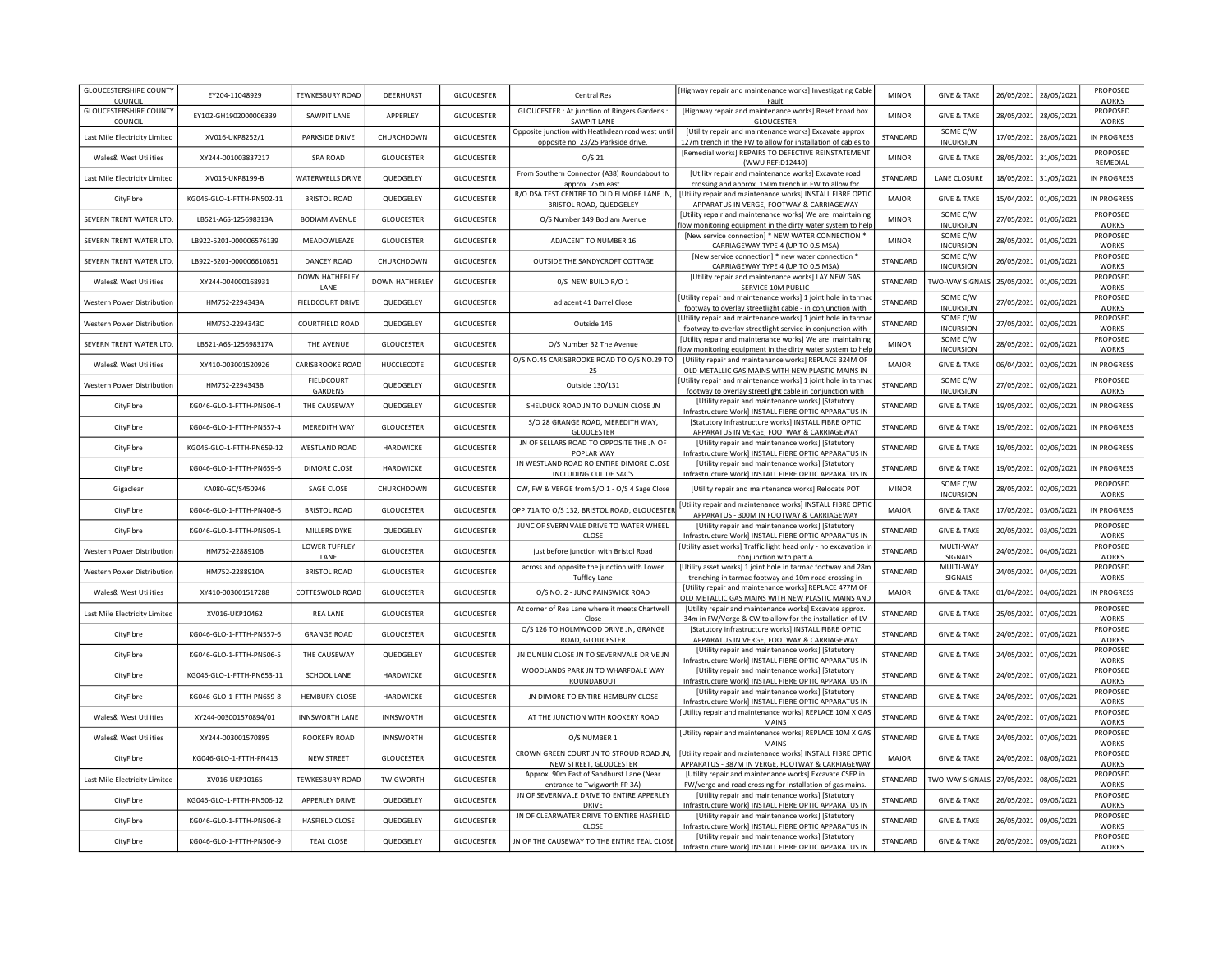| <b>GLOUCESTERSHIRE COUNTY</b><br>COUNCIL | EY204-11048929            | <b>TEWKESBURY ROAD</b>       | DEERHURST             | <b>GLOUCESTER</b> | <b>Central Res</b>                                                                     | [Highway repair and maintenance works] Investigating Cable<br>Fault                                                                                  | <b>MINOR</b> | <b>GIVE &amp; TAKE</b>       | 26/05/2021 | 28/05/2021            | PROPOSED<br><b>WORKS</b> |
|------------------------------------------|---------------------------|------------------------------|-----------------------|-------------------|----------------------------------------------------------------------------------------|------------------------------------------------------------------------------------------------------------------------------------------------------|--------------|------------------------------|------------|-----------------------|--------------------------|
| <b>GLOUCESTERSHIRE COUNTY</b><br>COUNCIL | EY102-GH1902000006339     | SAWPIT LANE                  | APPERLEY              | <b>GLOUCESTER</b> | <b>GLOUCESTER : At junction of Ringers Gardens :</b><br>SAWPIT LANE                    | [Highway repair and maintenance works] Reset broad box<br><b>GLOUCESTER</b>                                                                          | <b>MINOR</b> | <b>GIVE &amp; TAKE</b>       | 28/05/2021 | 28/05/2021            | PROPOSED<br><b>WORKS</b> |
| Last Mile Electricity Limited            | XV016-UKP8252/1           | PARKSIDE DRIVE               | CHURCHDOWN            | <b>GLOUCESTER</b> | Opposite junction with Heathdean road west until<br>opposite no. 23/25 Parkside drive. | [Utility repair and maintenance works] Excavate approx<br>127m trench in the FW to allow for installation of cables to                               | STANDARD     | SOME C/W<br><b>INCURSION</b> | 17/05/2021 | 28/05/2021            | IN PROGRESS              |
| Wales& West Utilities                    | XY244-001003837217        | SPA ROAD                     | GLOUCESTER            | <b>GLOUCESTER</b> | O/S 21                                                                                 | [Remedial works] REPAIRS TO DEFECTIVE REINSTATEMENT<br>(WWU REF:D12440)                                                                              | <b>MINOR</b> | <b>GIVE &amp; TAKE</b>       | 28/05/2021 | 31/05/2021            | PROPOSED<br>REMEDIAL     |
| Last Mile Electricity Limited            | XV016-UKP8199-B           | <b>WATERWELLS DRIVE</b>      | QUEDGELEY             | <b>GLOUCESTER</b> | From Southern Connector (A38) Roundabout to<br>approx. 75m east.                       | [Utility repair and maintenance works] Excavate road<br>crossing and approx. 150m trench in FW to allow for                                          | STANDARD     | <b>LANE CLOSURE</b>          | 18/05/2021 | 31/05/2021            | IN PROGRESS              |
| CityFibre                                | KG046-GLO-1-FTTH-PN502-11 | BRISTOL ROAD                 | QUEDGELEY             | <b>GLOUCESTER</b> | BRISTOL ROAD, QUEDGELEY                                                                | R/O DSA TEST CENTRE TO OLD ELMORE LANE JN,   [Utility repair and maintenance works] INSTALL FIBRE OPTIC<br>APPARATUS IN VERGE, FOOTWAY & CARRIAGEWAY | <b>MAJOR</b> | <b>GIVE &amp; TAKE</b>       | 15/04/2021 | 01/06/2021            | IN PROGRESS              |
| SEVERN TRENT WATER LTD.                  | LB521-A6S-125698313A      | <b>BODIAM AVENUE</b>         | <b>GLOUCESTER</b>     | <b>GLOUCESTER</b> | O/S Number 149 Bodiam Avenue                                                           | [Utility repair and maintenance works] We are maintaining<br>low monitoring equipment in the dirty water system to help                              | <b>MINOR</b> | SOME C/W<br><b>INCURSION</b> | 27/05/2021 | 01/06/2021            | PROPOSED<br><b>WORKS</b> |
| SEVERN TRENT WATER LTD.                  | LB922-5201-000006576139   | MEADOWLEAZE                  | <b>GLOUCESTER</b>     | <b>GLOUCESTER</b> | ADJACENT TO NUMBER 16                                                                  | [New service connection] * NEW WATER CONNECTION *<br>CARRIAGEWAY TYPE 4 (UP TO 0.5 MSA)                                                              | <b>MINOR</b> | SOME C/W<br><b>INCURSION</b> | 28/05/2021 | 01/06/2021            | PROPOSED<br><b>WORKS</b> |
| SEVERN TRENT WATER LTD.                  | LB922-5201-000006610851   | DANCEY ROAD                  | CHURCHDOWN            | <b>GLOUCESTER</b> | OUTSIDE THE SANDYCROFT COTTAGE                                                         | [New service connection] * new water connection *<br>CARRIAGEWAY TYPE 4 (UP TO 0.5 MSA)                                                              | STANDARD     | SOME C/W<br><b>INCURSION</b> | 26/05/2021 | 01/06/2021            | PROPOSED<br><b>WORKS</b> |
| Wales& West Utilities                    | XY244-004000168931        | DOWN HATHERLEY<br>LANE       | <b>DOWN HATHERLEY</b> | GLOUCESTER        | 0/S NEW BUILD R/O 1                                                                    | [Utility repair and maintenance works] LAY NEW GAS<br>SERVICE 10M PUBLIC                                                                             | STANDARD     | TWO-WAY SIGNALS              | 25/05/2021 | 01/06/2021            | PROPOSED<br><b>WORKS</b> |
| Western Power Distribution               | HM752-2294343A            | FIELDCOURT DRIVE             | QUEDGELEY             | <b>GLOUCESTER</b> | adjacent 41 Darrel Close                                                               | [Utility repair and maintenance works] 1 joint hole in tarma<br>footway to overlay streetlight cable - in conjunction with                           | STANDARD     | SOME C/W<br><b>INCURSION</b> | 27/05/2021 | 02/06/2021            | PROPOSED<br>WORKS        |
| <b>Western Power Distribution</b>        | HM752-2294343C            | <b>COURTFIELD ROAD</b>       | QUEDGELEY             | <b>GLOUCESTER</b> | Outside 146                                                                            | [Utility repair and maintenance works] 1 joint hole in tarmac<br>footway to overlay streetlight service in conjunction with                          | STANDARD     | SOME C/W<br><b>INCURSION</b> | 27/05/2021 | 02/06/2021            | PROPOSED<br><b>WORKS</b> |
| SEVERN TRENT WATER LTD.                  | LB521-A6S-125698317A      | THE AVENUE                   | <b>GLOUCESTER</b>     | <b>GLOUCESTER</b> | O/S Number 32 The Avenue                                                               | [Utility repair and maintenance works] We are maintaining<br>low monitoring equipment in the dirty water system to help                              | <b>MINOR</b> | SOME C/W<br><b>INCURSION</b> | 28/05/2021 | 02/06/2021            | PROPOSED<br>WORKS        |
| Wales& West Utilities                    | XY410-003001520926        | CARISBROOKE ROAD             | HUCCLECOTE            | <b>GLOUCESTER</b> | O/S NO.45 CARISBROOKE ROAD TO O/S NO.29 TO<br>25                                       | [Utility repair and maintenance works] REPLACE 324M OF<br>OLD METALLIC GAS MAINS WITH NEW PLASTIC MAINS IN                                           | <b>MAJOR</b> | <b>GIVE &amp; TAKE</b>       | 06/04/2021 | 02/06/2021            | IN PROGRESS              |
| Western Power Distribution               | HM752-2294343B            | <b>FIELDCOURT</b><br>GARDENS | QUEDGELEY             | <b>GLOUCESTER</b> | Outside 130/131                                                                        | Utility repair and maintenance works] 1 joint hole in tarmac<br>footway to overlay streetlight cable in conjunction with                             | STANDARD     | SOME C/W<br><b>INCURSION</b> | 27/05/2021 | 02/06/2021            | PROPOSED<br><b>WORKS</b> |
| CityFibre                                | KG046-GLO-1-FTTH-PN506-4  | THE CAUSEWAY                 | QUEDGELEY             | <b>GLOUCESTER</b> | SHELDUCK ROAD JN TO DUNLIN CLOSE JN                                                    | [Utility repair and maintenance works] [Statutory<br>Infrastructure Work] INSTALL FIBRE OPTIC APPARATUS IN                                           | STANDARD     | <b>GIVE &amp; TAKE</b>       | 19/05/2021 | 02/06/2021            | IN PROGRESS              |
| CityFibre                                | KG046-GLO-1-FTTH-PN557-4  | MEREDITH WAY                 | <b>GLOUCESTER</b>     | <b>GLOUCESTER</b> | S/O 28 GRANGE ROAD. MEREDITH WAY.<br><b>GLOUCESTER</b>                                 | [Statutory infrastructure works] INSTALL FIBRE OPTIC<br>APPARATUS IN VERGE, FOOTWAY & CARRIAGEWAY                                                    | STANDARD     | <b>GIVE &amp; TAKE</b>       | 19/05/2021 | 02/06/2021            | <b>IN PROGRESS</b>       |
| CityFibre                                | KG046-GLO-1-FTTH-PN659-12 | <b>WESTLAND ROAD</b>         | <b>HARDWICKE</b>      | <b>GLOUCESTER</b> | JN OF SELLARS ROAD TO OPPOSITE THE JN OF<br>POPI AR WAY                                | [Utility repair and maintenance works] [Statutory<br>Infrastructure Work] INSTALL FIBRE OPTIC APPARATUS IN                                           | STANDARD     | <b>GIVE &amp; TAKE</b>       | 19/05/2021 | 02/06/2021            | IN PROGRESS              |
| CityFibre                                | KG046-GLO-1-FTTH-PN659-6  | <b>DIMORE CLOSE</b>          | HARDWICKE             | <b>GLOUCESTER</b> | JN WESTLAND ROAD RO ENTIRE DIMORE CLOSE<br>INCLUDING CUL DE SAC'S                      | [Utility repair and maintenance works] [Statutory<br>Infrastructure Work] INSTALL FIBRE OPTIC APPARATUS IN                                           | STANDARD     | <b>GIVE &amp; TAKE</b>       | 19/05/2021 | 02/06/2021            | <b>IN PROGRESS</b>       |
| Gigaclear                                | KA080-GC/S450946          | SAGE CLOSE                   | CHURCHDOWN            | <b>GLOUCESTER</b> | CW, FW & VERGE from S/O 1 - O/S 4 Sage Close                                           | [Utility repair and maintenance works] Relocate POT                                                                                                  | <b>MINOR</b> | SOME C/W<br><b>INCURSION</b> | 28/05/2021 | 02/06/2021            | PROPOSED<br><b>WORKS</b> |
| CityFibre                                | KG046-GLO-1-FTTH-PN408-6  | <b>BRISTOL ROAD</b>          | GLOUCESTER            | <b>GLOUCESTER</b> | OPP 71A TO O/S 132, BRISTOL ROAD, GLOUCESTER                                           | Utility repair and maintenance works] INSTALL FIBRE OPTIC<br>APPARATUS - 300M IN FOOTWAY & CARRIAGEWAY                                               | <b>MAJOR</b> | <b>GIVE &amp; TAKE</b>       | 17/05/2021 | 03/06/2021            | <b>IN PROGRESS</b>       |
| CityFibre                                | KG046-GLO-1-FTTH-PN505-1  | MILLERS DYKE                 | QUEDGELEY             | <b>GLOUCESTER</b> | JUNC OF SVERN VALE DRIVE TO WATER WHEEL<br>CLOSE                                       | [Utility repair and maintenance works] [Statutory<br>Infrastructure Work] INSTALL FIBRE OPTIC APPARATUS IN                                           | STANDARD     | <b>GIVE &amp; TAKE</b>       | 20/05/2021 | 03/06/2021            | PROPOSED<br><b>WORKS</b> |
| Western Power Distribution               | HM752-2288910B            | LOWER TUFFLEY<br>LANE        | GLOUCESTER            | GLOUCESTER        | just before junction with Bristol Road                                                 | [Utility asset works] Traffic light head only - no excavation i<br>conjunction with part A                                                           | STANDARD     | MULTI-WAY<br>SIGNALS         | 24/05/2021 | 04/06/2021            | PROPOSED<br><b>WORKS</b> |
| Western Power Distribution               | HM752-2288910A            | <b>BRISTOL ROAD</b>          | GLOUCESTER            | <b>GLOUCESTER</b> | across and opposite the junction with Lower<br><b>Tuffley Lane</b>                     | [Utility asset works] 1 joint hole in tarmac footway and 28n<br>trenching in tarmac footway and 10m road crossing in                                 | STANDARD     | MULTI-WAY<br>SIGNALS         | 24/05/2021 | 04/06/2021            | PROPOSED<br><b>WORKS</b> |
| Wales& West Utilities                    | XY410-003001517288        | COTTESWOLD ROAD              | GLOUCESTER            | <b>GLOUCESTER</b> | O/S NO. 2 - JUNC PAINSWICK ROAD                                                        | [Utility repair and maintenance works] REPLACE 477M OF<br>OLD METALLIC GAS MAINS WITH NEW PLASTIC MAINS AND                                          | <b>MAJOR</b> | <b>GIVE &amp; TAKE</b>       | 01/04/2021 | 04/06/2021            | <b>IN PROGRESS</b>       |
| Last Mile Electricity Limited            | XV016-UKP10462            | <b>REA LANE</b>              | GLOUCESTER            | <b>GLOUCESTER</b> | At corner of Rea Lane where it meets Chartwell<br>Close                                | [Utility repair and maintenance works] Excavate approx.<br>34m in FW/Verge & CW to allow for the installation of LV                                  | STANDARD     | <b>GIVE &amp; TAKE</b>       | 25/05/2021 | 07/06/2021            | PROPOSED<br><b>WORKS</b> |
| CityFibre                                | KG046-GLO-1-FTTH-PN557-6  | <b>GRANGE ROAD</b>           | <b>GLOUCESTER</b>     | <b>GLOUCESTER</b> | O/S 126 TO HOLMWOOD DRIVE JN, GRANGE<br>ROAD, GLOUCESTER                               | [Statutory infrastructure works] INSTALL FIBRE OPTIC<br>APPARATUS IN VERGE, FOOTWAY & CARRIAGEWAY                                                    | STANDARD     | <b>GIVE &amp; TAKE</b>       | 24/05/2021 | 07/06/2021            | PROPOSED<br><b>WORKS</b> |
| CityFibre                                | KG046-GLO-1-FTTH-PN506-5  | THE CAUSEWAY                 | QUEDGELEY             | <b>GLOUCESTER</b> | JN DUNLIN CLOSE JN TO SEVERNVALE DRIVE JN                                              | [Utility repair and maintenance works] [Statutory<br>Infrastructure Work] INSTALL FIBRE OPTIC APPARATUS IN                                           | STANDARD     | <b>GIVE &amp; TAKE</b>       |            | 24/05/2021 07/06/2021 | PROPOSED<br><b>WORKS</b> |
| CityFibre                                | KG046-GLO-1-FTTH-PN653-11 | SCHOOL LANE                  | HARDWICKE             | <b>GLOUCESTER</b> | WOODLANDS PARK JN TO WHARFDALE WAY<br>ROUNDABOUT                                       | [Utility repair and maintenance works] [Statutory<br>Infrastructure Work] INSTALL FIBRE OPTIC APPARATUS IN                                           | STANDARD     | <b>GIVE &amp; TAKE</b>       |            | 24/05/2021 07/06/2021 | PROPOSED<br><b>WORKS</b> |
| CityFibre                                | KG046-GLO-1-FTTH-PN659-8  | <b>HEMBURY CLOSE</b>         | HARDWICKE             | <b>GLOUCESTER</b> | JN DIMORE TO ENTIRE HEMBURY CLOSE                                                      | [Utility repair and maintenance works] [Statutory<br>Infrastructure Work] INSTALL FIBRE OPTIC APPARATUS IN                                           | STANDARD     | <b>GIVE &amp; TAKE</b>       |            | 24/05/2021 07/06/2021 | PROPOSED<br><b>WORKS</b> |
| Wales& West Utilities                    | XY244-003001570894/01     | <b>INNSWORTH LANE</b>        | <b>INNSWORTH</b>      | <b>GLOUCESTER</b> | AT THE JUNCTION WITH ROOKERY ROAD                                                      | [Utility repair and maintenance works] REPLACE 10M X GAS<br><b>MAINS</b>                                                                             | STANDARD     | <b>GIVE &amp; TAKE</b>       |            | 24/05/2021 07/06/2021 | PROPOSED<br><b>WORKS</b> |
| Wales& West Utilities                    | XY244-003001570895        | <b>ROOKERY ROAD</b>          | <b>INNSWORTH</b>      | <b>GLOUCESTER</b> | O/S NUMBER 1                                                                           | [Utility repair and maintenance works] REPLACE 10M X GAS<br><b>MAINS</b>                                                                             | STANDARD     | <b>GIVE &amp; TAKE</b>       | 24/05/2021 | 07/06/2021            | PROPOSED<br><b>WORKS</b> |
| CityFibre                                | KG046-GLO-1-FTTH-PN413    | NEW STREET                   | GLOUCESTER            | <b>GLOUCESTER</b> | CROWN GREEN COURT JN TO STROUD ROAD JN,<br>NEW STREET, GLOUCESTER                      | [Utility repair and maintenance works] INSTALL FIBRE OPTIC<br>APPARATUS - 387M IN VERGE, FOOTWAY & CARRIAGEWAY                                       | <b>MAJOR</b> | <b>GIVE &amp; TAKE</b>       | 24/05/2021 | 08/06/2021            | PROPOSED<br><b>WORKS</b> |
| Last Mile Electricity Limited            | XV016-UKP10165            | <b>TEWKESBURY ROAD</b>       | TWIGWORTH             | <b>GLOUCESTER</b> | Approx. 90m East of Sandhurst Lane (Near<br>entrance to Twigworth FP 3A)               | [Utility repair and maintenance works] Excavate CSEP in<br>FW/verge and road crossing for installation of gas mains                                  | STANDARD     | <b>TWO-WAY SIGNALS</b>       | 27/05/2021 | 08/06/2021            | PROPOSED<br><b>WORKS</b> |
| CityFibre                                | KG046-GLO-1-FTTH-PN506-12 | APPERLEY DRIVE               | QUEDGELEY             | <b>GLOUCESTER</b> | JN OF SEVERNVALE DRIVE TO ENTIRE APPERLEY<br>DRIVE                                     | [Utility repair and maintenance works] [Statutory<br>Infrastructure Work] INSTALL FIBRE OPTIC APPARATUS IN                                           | STANDARD     | <b>GIVE &amp; TAKE</b>       | 26/05/2021 | 09/06/2021            | PROPOSED<br><b>WORKS</b> |
| CityFibre                                | KG046-GLO-1-FTTH-PN506-8  | <b>HASFIELD CLOSE</b>        | QUEDGELEY             | <b>GLOUCESTER</b> | JN OF CLEARWATER DRIVE TO ENTIRE HASFIELD<br>CLOSE                                     | [Utility repair and maintenance works] [Statutory<br>Infrastructure Work] INSTALL FIBRE OPTIC APPARATUS IN                                           | STANDARD     | <b>GIVE &amp; TAKE</b>       | 26/05/2021 | 09/06/2021            | PROPOSED<br><b>WORKS</b> |
| CityFibre                                | KG046-GLO-1-FTTH-PN506-9  | <b>TEAL CLOSE</b>            | QUEDGELEY             | <b>GLOUCESTER</b> | JN OF THE CAUSEWAY TO THE ENTIRE TEAL CLOSE                                            | [Utility repair and maintenance works] [Statutory<br>Infrastructure Work] INSTALL FIBRE OPTIC APPARATUS IN                                           | STANDARD     | <b>GIVE &amp; TAKE</b>       | 26/05/2021 | 09/06/2021            | PROPOSED<br><b>WORKS</b> |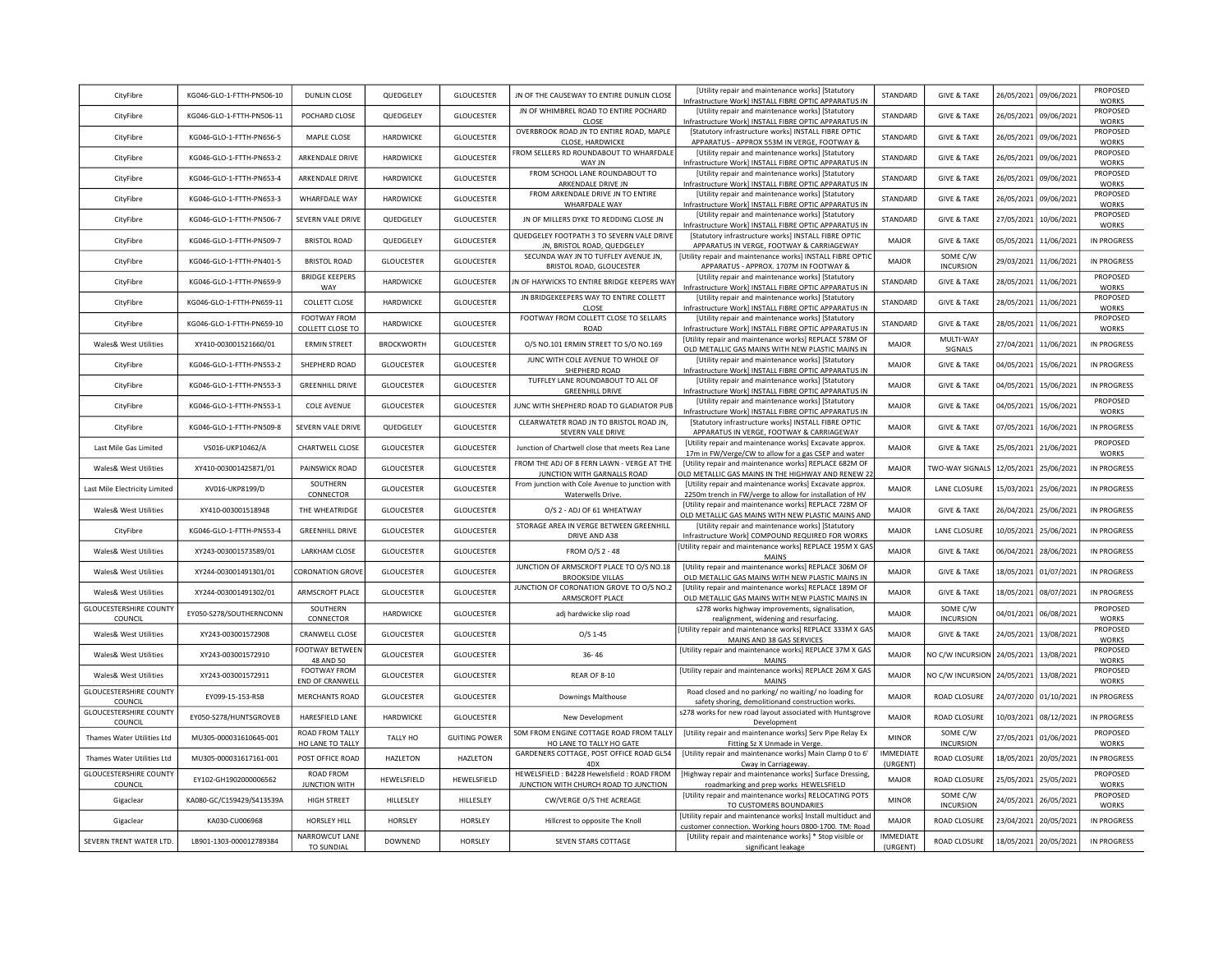| CityFibre                                | KG046-GLO-1-FTTH-PN506-10 | <b>DUNLIN CLOSE</b>                    | QUEDGELEY         | <b>GLOUCESTER</b>    | JN OF THE CAUSEWAY TO ENTIRE DUNLIN CLOSE                                          | [Utility repair and maintenance works] [Statutory<br>Infrastructure Work] INSTALL FIBRE OPTIC APPARATUS IN             | STANDARD                     | <b>GIVE &amp; TAKE</b>       | 26/05/2021 | 09/06/2021 | PROPOSED<br><b>WORKS</b> |
|------------------------------------------|---------------------------|----------------------------------------|-------------------|----------------------|------------------------------------------------------------------------------------|------------------------------------------------------------------------------------------------------------------------|------------------------------|------------------------------|------------|------------|--------------------------|
| CityFibre                                | KG046-GLO-1-FTTH-PN506-11 | POCHARD CLOSE                          | QUEDGELEY         | <b>GLOUCESTER</b>    | JN OF WHIMBREL ROAD TO ENTIRE POCHARD<br>CLOSE                                     | [Utility repair and maintenance works] [Statutory<br>Infrastructure Work] INSTALL FIBRE OPTIC APPARATUS IN             | STANDARD                     | <b>GIVE &amp; TAKE</b>       | 26/05/2021 | 09/06/2021 | PROPOSED<br><b>WORKS</b> |
| CityFibre                                | KG046-GLO-1-FTTH-PN656-5  | MAPLE CLOSE                            | HARDWICKE         | <b>GLOUCESTER</b>    | OVERBROOK ROAD JN TO ENTIRE ROAD, MAPLE<br>CLOSE, HARDWICKE                        | [Statutory infrastructure works] INSTALL FIBRE OPTIC<br>APPARATUS - APPROX 553M IN VERGE, FOOTWAY &                    | STANDARD                     | <b>GIVE &amp; TAKE</b>       | 26/05/2021 | 09/06/2021 | PROPOSED<br><b>WORKS</b> |
| CityFibre                                | KG046-GLO-1-FTTH-PN653-2  | ARKENDALE DRIVE                        | HARDWICKE         | <b>GLOUCESTER</b>    | FROM SELLERS RD ROUNDABOUT TO WHARFDALE<br>WAY JN                                  | [Utility repair and maintenance works] [Statutory<br>Infrastructure Work] INSTALL FIBRE OPTIC APPARATUS IN             | STANDARD                     | <b>GIVE &amp; TAKE</b>       | 26/05/2021 | 09/06/2021 | PROPOSED<br><b>WORKS</b> |
| CityFibre                                | KG046-GLO-1-FTTH-PN653-4  | ARKENDALE DRIVE                        | <b>HARDWICKE</b>  | <b>GLOUCESTER</b>    | FROM SCHOOL LANE ROUNDABOUT TO<br>ARKENDALE DRIVE JN                               | [Utility repair and maintenance works] [Statutory<br>Infrastructure Work] INSTALL FIBRE OPTIC APPARATUS IN             | STANDARD                     | <b>GIVE &amp; TAKE</b>       | 26/05/2021 | 09/06/2021 | PROPOSED<br><b>WORKS</b> |
| CityFibre                                | KG046-GLO-1-FTTH-PN653-3  | WHARFDALE WAY                          | <b>HARDWICKE</b>  | <b>GLOUCESTER</b>    | FROM ARKENDALE DRIVE JN TO ENTIRE<br>WHARFDALE WAY                                 | [Utility repair and maintenance works] [Statutory<br>Infrastructure Work] INSTALL FIBRE OPTIC APPARATUS IN             | STANDARD                     | <b>GIVE &amp; TAKE</b>       | 26/05/2021 | 09/06/2021 | PROPOSED<br><b>WORKS</b> |
| CityFibre                                | KG046-GLO-1-FTTH-PN506-7  | <b>SEVERN VALE DRIVE</b>               | QUEDGELEY         | <b>GLOUCESTER</b>    | JN OF MILLERS DYKE TO REDDING CLOSE JN                                             | [Utility repair and maintenance works] [Statutory<br>Infrastructure Work] INSTALL FIBRE OPTIC APPARATUS IN             | STANDARD                     | <b>GIVE &amp; TAKE</b>       | 27/05/2021 | 10/06/2021 | PROPOSED<br><b>WORKS</b> |
| CityFibre                                | KG046-GLO-1-FTTH-PN509-7  | <b>BRISTOL ROAD</b>                    | QUEDGELEY         | <b>GLOUCESTER</b>    | QUEDGELEY FOOTPATH 3 TO SEVERN VALE DRIVE<br>JN, BRISTOL ROAD, QUEDGELEY           | [Statutory infrastructure works] INSTALL FIBRE OPTIC<br>APPARATUS IN VERGE, FOOTWAY & CARRIAGEWAY                      | <b>MAJOR</b>                 | <b>GIVE &amp; TAKE</b>       | 05/05/2021 | 11/06/2021 | IN PROGRESS              |
| CityFibre                                | KG046-GLO-1-FTTH-PN401-5  | <b>BRISTOL ROAD</b>                    | <b>GLOUCESTER</b> | <b>GLOUCESTER</b>    | SECUNDA WAY JN TO TUFFLEY AVENUE JN,<br>BRISTOL ROAD, GLOUCESTER                   | [Utility repair and maintenance works] INSTALL FIBRE OPTIC<br>APPARATUS - APPROX. 1707M IN FOOTWAY &                   | <b>MAJOR</b>                 | SOME C/W<br><b>INCURSION</b> | 29/03/2021 | 11/06/2021 | IN PROGRESS              |
| CityFibre                                | KG046-GLO-1-FTTH-PN659-9  | <b>BRIDGE KEEPERS</b><br>WAY           | HARDWICKE         | <b>GLOUCESTER</b>    | JN OF HAYWICKS TO ENTIRE BRIDGE KEEPERS WAY                                        | [Utility repair and maintenance works] [Statutory<br>Infrastructure Work] INSTALL FIBRE OPTIC APPARATUS IN             | STANDARD                     | <b>GIVE &amp; TAKE</b>       | 28/05/2021 | 11/06/2021 | PROPOSED<br><b>WORKS</b> |
| CityFibre                                | KG046-GLO-1-FTTH-PN659-11 | <b>COLLETT CLOSE</b>                   | <b>HARDWICKE</b>  | <b>GLOUCESTER</b>    | JN BRIDGEKEEPERS WAY TO ENTIRE COLLETT<br>CLOSE                                    | [Utility repair and maintenance works] [Statutory<br>Infrastructure Work] INSTALL FIBRE OPTIC APPARATUS IN             | STANDARD                     | <b>GIVE &amp; TAKE</b>       | 28/05/2021 | 11/06/2021 | PROPOSED<br><b>WORKS</b> |
| CityFibre                                | KG046-GLO-1-FTTH-PN659-10 | FOOTWAY FROM<br>COLLETT CLOSE TO       | HARDWICKE         | <b>GLOUCESTER</b>    | FOOTWAY FROM COLLETT CLOSE TO SELLARS<br>ROAD                                      | [Utility repair and maintenance works] [Statutory<br>Infrastructure Work] INSTALL FIBRE OPTIC APPARATUS IN             | STANDARD                     | <b>GIVE &amp; TAKE</b>       | 28/05/2021 | 11/06/2021 | PROPOSED<br><b>WORKS</b> |
| Wales& West Utilities                    | XY410-003001521660/01     | <b>ERMIN STREET</b>                    | <b>BROCKWORTH</b> | <b>GLOUCESTER</b>    | O/S NO.101 ERMIN STREET TO S/O NO.169                                              | [Utility repair and maintenance works] REPLACE 578M OF<br>OLD METALLIC GAS MAINS WITH NEW PLASTIC MAINS IN             | MAJOR                        | MULTI-WAY<br>SIGNALS         | 27/04/2021 | 11/06/2021 | IN PROGRESS              |
| CityFibre                                | KG046-GLO-1-FTTH-PN553-2  | SHEPHERD ROAD                          | GLOUCESTER        | GLOUCESTER           | JUNC WITH COLE AVENUE TO WHOLE OF<br>SHEPHERD ROAD                                 | [Utility repair and maintenance works] [Statutory<br>Infrastructure Work] INSTALL FIBRE OPTIC APPARATUS IN             | <b>MAJOR</b>                 | <b>GIVE &amp; TAKE</b>       | 04/05/2021 | 15/06/2021 | IN PROGRESS              |
| CityFibre                                | KG046-GLO-1-FTTH-PN553-3  | <b>GREENHILL DRIVE</b>                 | GLOUCESTER        | <b>GLOUCESTER</b>    | TUFFLEY LANE ROUNDABOUT TO ALL OF<br><b>GREENHILL DRIVE</b>                        | [Utility repair and maintenance works] [Statutory<br>Infrastructure Work] INSTALL FIBRE OPTIC APPARATUS IN             | <b>MAJOR</b>                 | <b>GIVE &amp; TAKE</b>       | 04/05/2021 | 15/06/2021 | <b>IN PROGRESS</b>       |
| CityFibre                                | KG046-GLO-1-FTTH-PN553-1  | <b>COLE AVENUE</b>                     | <b>GLOUCESTER</b> | <b>GLOUCESTER</b>    | JUNC WITH SHEPHERD ROAD TO GLADIATOR PUB                                           | [Utility repair and maintenance works] [Statutory<br>Infrastructure Work] INSTALL FIBRE OPTIC APPARATUS IN             | <b>MAJOR</b>                 | <b>GIVE &amp; TAKE</b>       | 04/05/2021 | 15/06/2021 | PROPOSED<br><b>WORKS</b> |
| CityFibre                                | KG046-GLO-1-FTTH-PN509-8  | SEVERN VALE DRIVE                      | QUEDGELEY         | <b>GLOUCESTER</b>    | CLEARWATETR ROAD JN TO BRISTOL ROAD JN,<br>SEVERN VALE DRIVE                       | [Statutory infrastructure works] INSTALL FIBRE OPTIC<br>APPARATUS IN VERGE, FOOTWAY & CARRIAGEWAY                      | <b>MAJOR</b>                 | <b>GIVE &amp; TAKE</b>       | 07/05/2021 | 16/06/2021 | <b>IN PROGRESS</b>       |
| Last Mile Gas Limited                    | VS016-UKP10462/A          | CHARTWELL CLOSE                        | <b>GLOUCESTER</b> | <b>GLOUCESTER</b>    | Junction of Chartwell close that meets Rea Lane                                    | [Utility repair and maintenance works] Excavate approx.<br>17m in FW/Verge/CW to allow for a gas CSEP and water        | <b>MAJOR</b>                 | <b>GIVE &amp; TAKE</b>       | 25/05/2021 | 21/06/2021 | PROPOSED<br>WORKS        |
| Wales& West Utilities                    | XY410-003001425871/01     | PAINSWICK ROAD                         | GLOUCESTER        | <b>GLOUCESTER</b>    | FROM THE ADJ OF 8 FERN LAWN - VERGE AT THE<br>JUNCTION WITH GARNALLS ROAD          | [Utility repair and maintenance works] REPLACE 682M OF<br>OLD METALLIC GAS MAINS IN THE HIGHWAY AND RENEW 22           | <b>MAJOR</b>                 | TWO-WAY SIGNALS              | 12/05/2021 | 25/06/2021 | <b>IN PROGRESS</b>       |
| Last Mile Electricity Limited            | XV016-UKP8199/D           | SOUTHERN<br>CONNECTOR                  | <b>GLOUCESTER</b> | GLOUCESTER           | From junction with Cole Avenue to junction with<br>Waterwells Drive.               | [Utility repair and maintenance works] Excavate approx.<br>2250m trench in FW/verge to allow for installation of HV    | <b>MAJOR</b>                 | LANE CLOSURE                 | 15/03/2021 | 25/06/2021 | <b>IN PROGRESS</b>       |
| Wales& West Utilities                    | XY410-003001518948        | THE WHEATRIDGE                         | <b>GLOUCESTER</b> | <b>GLOUCESTER</b>    | O/S 2 - ADJ OF 61 WHEATWAY                                                         | [Utility repair and maintenance works] REPLACE 728M OF<br>OLD METALLIC GAS MAINS WITH NEW PLASTIC MAINS AND            | <b>MAJOR</b>                 | <b>GIVE &amp; TAKE</b>       | 26/04/2021 | 25/06/2021 | <b>IN PROGRESS</b>       |
| CityFibre                                | KG046-GLO-1-FTTH-PN553-4  | <b>GREENHILL DRIVE</b>                 | <b>GLOUCESTER</b> | <b>GLOUCESTER</b>    | STORAGE AREA IN VERGE BETWEEN GREENHILL<br>DRIVE AND A38                           | [Utility repair and maintenance works] [Statutory<br>Infrastructure Work] COMPOUND REQUIRED FOR WORKS                  | MAJOR                        | <b>LANE CLOSURE</b>          | 10/05/2021 | 25/06/2021 | <b>IN PROGRESS</b>       |
| Wales& West Utilities                    | XY243-003001573589/01     | LARKHAM CLOSE                          | <b>GLOUCESTER</b> | <b>GLOUCESTER</b>    | FROM O/S 2 - 48                                                                    | [Utility repair and maintenance works] REPLACE 195M X GAS<br><b>MAINS</b>                                              | MAIOR                        | <b>GIVE &amp; TAKE</b>       | 06/04/2021 | 28/06/2021 | IN PROGRESS              |
| Wales& West Utilities                    | XY244-003001491301/01     | <b>CORONATION GROVE</b>                | <b>GLOUCESTER</b> | <b>GLOUCESTER</b>    | JUNCTION OF ARMSCROFT PLACE TO O/S NO.18<br><b>BROOKSIDE VILLAS</b>                | [Utility repair and maintenance works] REPLACE 306M OF<br>OLD METALLIC GAS MAINS WITH NEW PLASTIC MAINS IN             | <b>MAJOR</b>                 | <b>GIVE &amp; TAKE</b>       | 18/05/2021 | 01/07/2021 | IN PROGRESS              |
| Wales& West Utilities                    | XY244-003001491302/01     | ARMSCROFT PLACE                        | GLOUCESTER        | <b>GLOUCESTER</b>    | JUNCTION OF CORONATION GROVE TO O/S NO.2<br>ARMSCROFT PLACE                        | [Utility repair and maintenance works] REPLACE 189M OF<br>OLD METALLIC GAS MAINS WITH NEW PLASTIC MAINS IN             | <b>MAJOR</b>                 | <b>GIVE &amp; TAKE</b>       | 18/05/2021 | 08/07/2021 | <b>IN PROGRESS</b>       |
| <b>GLOUCESTERSHIRE COUNTY</b><br>COUNCIL | EY050-S278/SOUTHERNCONN   | SOUTHERN<br>CONNECTOR                  | HARDWICKE         | GLOUCESTER           | adj hardwicke slip road                                                            | s278 works highway improvements, signalisation,<br>realignment, widening and resurfacing.                              | <b>MAJOR</b>                 | SOME C/W<br><b>INCURSION</b> | 04/01/2021 | 06/08/2021 | PROPOSED<br><b>WORKS</b> |
| Wales& West Utilities                    | XY243-003001572908        | CRANWELL CLOSE                         | <b>GLOUCESTER</b> | <b>GLOUCESTER</b>    | $O/S$ 1-45                                                                         | [Utility repair and maintenance works] REPLACE 333M X GAS<br>MAINS AND 38 GAS SERVICES                                 | MAIOR                        | <b>GIVE &amp; TAKE</b>       | 24/05/2021 | 13/08/2021 | PROPOSED<br><b>WORKS</b> |
| Wales& West Utilities                    | XY243-003001572910        | FOOTWAY BETWEEN<br>48 AND 50           | <b>GLOUCESTER</b> | <b>GLOUCESTER</b>    | $36 - 46$                                                                          | [Utility repair and maintenance works] REPLACE 37M X GAS<br><b>MAINS</b>                                               | MAIOR                        | NO C/W INCURSION             | 24/05/2021 | 13/08/2021 | PROPOSED<br><b>WORKS</b> |
| Wales& West Utilities                    | XY243-003001572911        | <b>FOOTWAY FROM</b><br>END OF CRANWELL | <b>GLOUCESTER</b> | GLOUCESTER           | REAR OF 8-10                                                                       | [Utility repair and maintenance works] REPLACE 26M X GAS<br>MAINS                                                      | MAJOR                        | NO C/W INCURSION             | 24/05/2021 | 13/08/2021 | PROPOSED<br><b>WORKS</b> |
| <b>GLOUCESTERSHIRE COUNTY</b><br>COUNCIL | EY099-15-153-RSB          | <b>MERCHANTS ROAD</b>                  | GLOUCESTER        | GLOUCESTER           | Downings Malthouse                                                                 | Road closed and no parking/ no waiting/ no loading for<br>safety shoring, demolitionand construction works.            | <b>MAJOR</b>                 | ROAD CLOSURE                 | 24/07/2020 | 01/10/2021 | IN PROGRESS              |
| <b>GLOUCESTERSHIRE COUNTY</b><br>COUNCIL | EY050-S278/HUNTSGROVEB    | HARESFIELD LANE                        | HARDWICKE         | <b>GLOUCESTER</b>    | New Development                                                                    | s278 works for new road layout associated with Huntsgrove<br>Development                                               | <b>MAJOR</b>                 | ROAD CLOSURE                 | 10/03/2021 | 08/12/2021 | IN PROGRESS              |
| Thames Water Utilities Ltd               | MU305-000031610645-001    | ROAD FROM TALLY<br>HO LANE TO TALLY    | TALLY HO          | <b>GUITING POWER</b> | 50M FROM ENGINE COTTAGE ROAD FROM TALLY<br>HO LANE TO TALLY HO GATE                | [Utility repair and maintenance works] Serv Pipe Relay Ex<br>Fitting Sz X Unmade in Verge.                             | <b>MINOR</b>                 | SOME C/W<br><b>INCURSION</b> | 27/05/2021 | 01/06/2021 | PROPOSED<br><b>WORKS</b> |
| Thames Water Utilities Ltd               | MU305-000031617161-001    | POST OFFICE ROAD                       | HAZLETON          | HAZLETON             | GARDENERS COTTAGE, POST OFFICE ROAD GL54<br>4DX                                    | [Utility repair and maintenance works] Main Clamp 0 to 6'<br>Cway in Carriageway.                                      | IMMEDIATE<br>(URGENT)        | ROAD CLOSURE                 | 18/05/2021 | 20/05/2021 | IN PROGRESS              |
| <b>GLOUCESTERSHIRE COUNTY</b><br>COUNCIL | EY102-GH1902000006562     | ROAD FROM<br><b>JUNCTION WITH</b>      | HEWELSFIELD       | HEWELSFIELD          | HEWELSFIELD: B4228 Hewelsfield: ROAD FROM<br>JUNCTION WITH CHURCH ROAD TO JUNCTION | [Highway repair and maintenance works] Surface Dressing,<br>roadmarking and prep works HEWELSFIELD                     | <b>MAJOR</b>                 | ROAD CLOSURE                 | 25/05/2021 | 25/05/2021 | PROPOSED<br><b>WORKS</b> |
| Gigaclear                                | KA080-GC/C159429/S413539A | HIGH STREET                            | HILLESLEY         | HILLESLEY            | CW/VERGE O/S THE ACREAGE                                                           | [Utility repair and maintenance works] RELOCATING POTS<br>TO CUSTOMERS BOUNDARIES                                      | <b>MINOR</b>                 | SOME C/W<br><b>INCURSION</b> | 24/05/2021 | 26/05/2021 | PROPOSED<br><b>WORKS</b> |
| Gigaclear                                | KA030-CU006968            | HORSLEY HILL                           | HORSLEY           | HORSLEY              | Hillcrest to opposite The Knoll                                                    | [Utility repair and maintenance works] Install multiduct and<br>customer connection. Working hours 0800-1700. TM: Road | MAJOR                        | ROAD CLOSURE                 | 23/04/2021 | 20/05/2021 | IN PROGRESS              |
| SEVERN TRENT WATER LTD.                  | LB901-1303-000012789384   | NARROWCUT LANE<br><b>TO SUNDIAL</b>    | DOWNEND           | HORSLEY              | SEVEN STARS COTTAGE                                                                | [Utility repair and maintenance works] * Stop visible or<br>significant leakage                                        | <b>IMMEDIATE</b><br>(URGENT) | ROAD CLOSURE                 | 18/05/2021 | 20/05/2021 | IN PROGRESS              |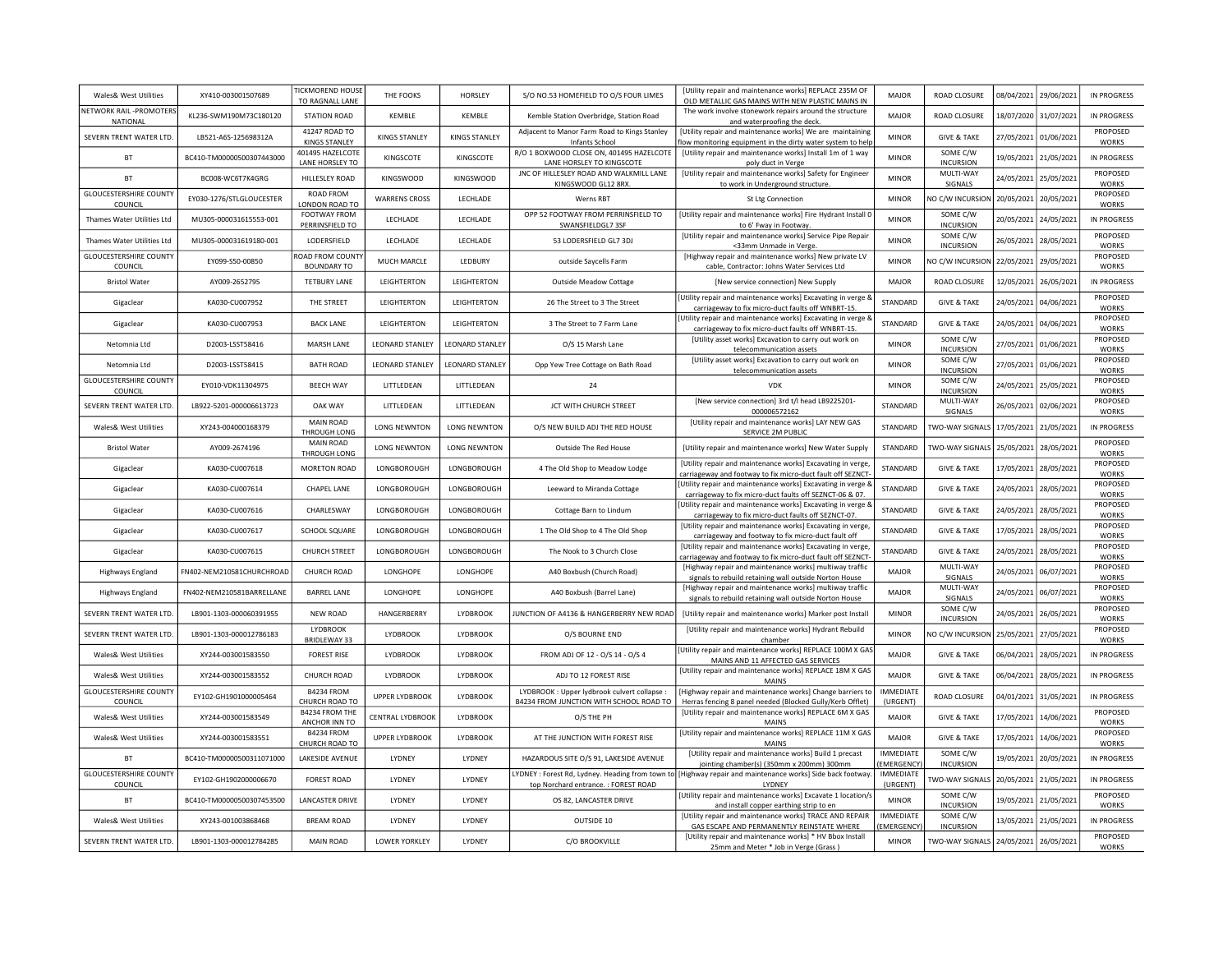| Wales& West Utilities                      | XY410-003001507689        | <b>TICKMOREND HOUSE</b><br>TO RAGNALL LANE | THE FOOKS               | HORSLEY              | S/O NO.53 HOMEFIELD TO O/S FOUR LIMES                                                | [Utility repair and maintenance works] REPLACE 235M OF<br>OLD METALLIC GAS MAINS WITH NEW PLASTIC MAINS IN               | <b>MAJOR</b>                         | ROAD CLOSURE                 | 08/04/2021 | 29/06/2021 | <b>IN PROGRESS</b>              |
|--------------------------------------------|---------------------------|--------------------------------------------|-------------------------|----------------------|--------------------------------------------------------------------------------------|--------------------------------------------------------------------------------------------------------------------------|--------------------------------------|------------------------------|------------|------------|---------------------------------|
| <b>NETWORK RAIL -PROMOTERS</b><br>NATIONAL | KL236-SWM190M73C180120    | <b>STATION ROAD</b>                        | KEMBLE                  | KEMBLE               | Kemble Station Overbridge, Station Road                                              | The work involve stonework repairs around the structure<br>and waterproofing the deck                                    | MAJOR                                | <b>ROAD CLOSURE</b>          | 18/07/2020 | 31/07/2021 | <b>IN PROGRESS</b>              |
| SEVERN TRENT WATER LTD.                    | LB521-A6S-125698312A      | 41247 ROAD TO<br><b>KINGS STANLEY</b>      | <b>KINGS STANLEY</b>    | <b>KINGS STANLEY</b> | Adjacent to Manor Farm Road to Kings Stanley<br>Infants School                       | [Utility repair and maintenance works] We are maintaining<br>low monitoring equipment in the dirty water system to help  | <b>MINOR</b>                         | <b>GIVE &amp; TAKE</b>       | 27/05/2021 | 01/06/2021 | PROPOSED<br><b>WORKS</b>        |
| <b>BT</b>                                  | BC410-TM00000500307443000 | 401495 HAZELCOTE<br>LANE HORSLEY TO        | KINGSCOTE               | KINGSCOTE            | R/O 1 BOXWOOD CLOSE ON, 401495 HAZELCOTE<br>LANE HORSLEY TO KINGSCOTE                | [Utility repair and maintenance works] Install 1m of 1 way<br>poly duct in Verge                                         | <b>MINOR</b>                         | SOME C/W<br><b>INCURSION</b> | 19/05/2021 | 21/05/2021 | <b>IN PROGRESS</b>              |
| <b>BT</b>                                  | BC008-WC6T7K4GRG          | HILLESLEY ROAD                             | KINGSWOOD               | KINGSWOOD            | JNC OF HILLESLEY ROAD AND WALKMILL LANE<br>KINGSWOOD GL12 8RX.                       | [Utility repair and maintenance works] Safety for Engineer<br>to work in Underground structure                           | <b>MINOR</b>                         | MULTI-WAY<br>SIGNALS         | 24/05/2021 | 25/05/2021 | PROPOSED<br><b>WORKS</b>        |
| <b>GLOUCESTERSHIRE COUNTY</b><br>COUNCIL   | EY030-1276/STLGLOUCESTER  | ROAD FROM<br>LONDON ROAD TO                | <b>WARRENS CROSS</b>    | LECHLADE             | Werns RBT                                                                            | <b>St Ltg Connection</b>                                                                                                 | <b>MINOR</b>                         | NO C/W INCURSION             | 20/05/2021 | 20/05/2021 | PROPOSED<br><b>WORKS</b>        |
| Thames Water Utilities Ltd                 | MU305-000031615553-001    | FOOTWAY FROM<br>PERRINSFIELD TO            | <b>I FCHI ADF</b>       | LECHLADE             | OPP 52 FOOTWAY FROM PERRINSFIELD TO<br>SWANSFIELDGL7 3SF                             | [Utility repair and maintenance works] Fire Hydrant Install 0<br>to 6' Fway in Footway                                   | <b>MINOR</b>                         | SOME C/W<br><b>INCURSION</b> | 20/05/2021 | 24/05/2021 | <b>IN PROGRESS</b>              |
| Thames Water Utilities Ltd                 | MU305-000031619180-001    | LODERSFIELD                                | LECHLADE                | LECHLADE             | 53 LODERSFIELD GL7 3DJ                                                               | [Utility repair and maintenance works] Service Pipe Repair<br><33mm Unmade in Verge                                      | <b>MINOR</b>                         | SOME C/W<br><b>INCURSION</b> | 26/05/2021 | 28/05/2021 | PROPOSED<br><b>WORKS</b>        |
| <b>GLOUCESTERSHIRE COUNTY</b><br>COUNCIL   | FY099-S50-00850           | ROAD FROM COUNTY<br><b>BOUNDARY TO</b>     | MUCH MARCLE             | <b>I FDBURY</b>      | outside Saycells Farm                                                                | [Highway repair and maintenance works] New private LV<br>cable, Contractor: Johns Water Services Ltd                     | <b>MINOR</b>                         | NO C/W INCURSION             | 22/05/2021 | 29/05/2021 | PROPOSED<br><b>WORKS</b>        |
| <b>Bristol Water</b>                       | AY009-2652795             | <b>TETBURY LANE</b>                        | LEIGHTERTON             | LEIGHTERTON          | <b>Outside Meadow Cottage</b>                                                        | [New service connection] New Supply                                                                                      | <b>MAJOR</b>                         | ROAD CLOSURE                 | 12/05/2021 | 26/05/2021 | IN PROGRESS                     |
| Gigaclear                                  | KA030-CU007952            | THE STREET                                 | LEIGHTERTON             | LEIGHTERTON          | 26 The Street to 3 The Street                                                        | Utility repair and maintenance works] Excavating in verge &<br>carriageway to fix micro-duct faults off WNBRT-15.        | STANDARD                             | <b>GIVE &amp; TAKE</b>       | 24/05/2021 | 04/06/2021 | PROPOSED<br><b>WORKS</b>        |
| Gigaclear                                  | KA030-CU007953            | <b>BACK LANE</b>                           | LEIGHTERTON             | LEIGHTERTON          | 3 The Street to 7 Farm Lane                                                          | Utility repair and maintenance works] Excavating in verge &<br>carriageway to fix micro-duct faults off WNBRT-15.        | STANDARD                             | <b>GIVE &amp; TAKE</b>       | 24/05/2021 | 04/06/2021 | PROPOSED<br><b>WORKS</b>        |
| Netomnia Ltd                               | D2003-LSST58416           | <b>MARSH LANE</b>                          | <b>LEONARD STANLEY</b>  | LEONARD STANLEY      | O/S 15 Marsh Lane                                                                    | [Utility asset works] Excavation to carry out work on<br>telecommunication assets                                        | <b>MINOR</b>                         | SOME C/W<br><b>INCURSION</b> | 27/05/2021 | 01/06/2021 | <b>PROPOSED</b><br><b>WORKS</b> |
| Netomnia Ltd                               | D2003-LSST58415           | <b>BATH ROAD</b>                           | <b>LEONARD STANLEY</b>  | LEONARD STANLEY      | Opp Yew Tree Cottage on Bath Road                                                    | [Utility asset works] Excavation to carry out work on<br>telecommunication assets                                        | <b>MINOR</b>                         | SOME C/W<br><b>INCURSION</b> | 27/05/2021 | 01/06/2021 | PROPOSED<br><b>WORKS</b>        |
| <b>GLOUCESTERSHIRE COUNTY</b><br>COUNCIL   | EY010-VDK11304975         | <b>BEECH WAY</b>                           | LITTLEDEAN              | LITTLEDEAN           | 24                                                                                   | VDK                                                                                                                      | <b>MINOR</b>                         | SOME C/W<br><b>INCURSION</b> | 24/05/2021 | 25/05/2021 | PROPOSED<br><b>WORKS</b>        |
| SEVERN TRENT WATER LTD.                    | LB922-5201-000006613723   | OAK WAY                                    | LITTLEDEAN              | LITTLEDEAN           | JCT WITH CHURCH STREET                                                               | [New service connection] 3rd t/l head LB9225201-<br>000006572162                                                         | STANDARD                             | MULTI-WAY<br>SIGNALS         | 26/05/2021 | 02/06/2021 | PROPOSED<br><b>WORKS</b>        |
| Wales& West Utilities                      | XY243-004000168379        | MAIN ROAD<br>THROUGH LONG                  | <b>LONG NEWNTON</b>     | <b>LONG NEWNTON</b>  | O/S NEW BUILD ADJ THE RED HOUSE                                                      | [Utility repair and maintenance works] LAY NEW GAS<br>SERVICE 2M PUBLIC                                                  | STANDARD                             | <b>TWO-WAY SIGNALS</b>       | 17/05/2021 | 21/05/2021 | <b>IN PROGRESS</b>              |
| <b>Bristol Water</b>                       | AY009-2674196             | <b>MAIN ROAD</b><br>THROUGH LONG           | <b>LONG NEWNTON</b>     | <b>LONG NEWNTON</b>  | Outside The Red House                                                                | [Utility repair and maintenance works] New Water Supply                                                                  | <b>STANDARD</b>                      | <b>TWO-WAY SIGNALS</b>       | 25/05/2021 | 28/05/2021 | PROPOSED<br><b>WORKS</b>        |
| Gigaclear                                  | KA030-CU007618            | MORETON ROAD                               | LONGBOROUGH             | LONGBOROUGH          | 4 The Old Shop to Meadow Lodge                                                       | [Utility repair and maintenance works] Excavating in verge<br>carriageway and footway to fix micro-duct fault off SEZNCT | STANDARD                             | <b>GIVE &amp; TAKE</b>       | 17/05/2021 | 28/05/2021 | PROPOSED<br><b>WORKS</b>        |
| Gigaclear                                  | KA030-CU007614            | <b>CHAPEL LANE</b>                         | LONGBOROUGH             | LONGBOROUGH          | Leeward to Miranda Cottage                                                           | Utility repair and maintenance works] Excavating in verge 8<br>carriageway to fix micro-duct faults off SEZNCT-06 & 07.  | STANDARD                             | <b>GIVE &amp; TAKE</b>       | 24/05/2021 | 28/05/2021 | PROPOSED<br><b>WORKS</b>        |
| Gigaclear                                  | KA030-CU007616            | CHARLESWAY                                 | LONGBOROUGH             | LONGBOROUGH          | Cottage Barn to Lindum                                                               | Utility repair and maintenance works] Excavating in verge 8<br>carriageway to fix micro-duct faults off SEZNCT-07.       | STANDARD                             | <b>GIVE &amp; TAKE</b>       | 24/05/2021 | 28/05/2021 | PROPOSED<br><b>WORKS</b>        |
| Gigaclear                                  | KA030-CU007617            | SCHOOL SQUARE                              | LONGBOROUGH             | LONGBOROUGH          | 1 The Old Shop to 4 The Old Shop                                                     | [Utility repair and maintenance works] Excavating in verge<br>carriageway and footway to fix micro-duct fault off        | STANDARD                             | <b>GIVE &amp; TAKE</b>       | 17/05/2021 | 28/05/2021 | PROPOSED<br><b>WORKS</b>        |
| Gigaclear                                  | KA030-CU007615            | <b>CHURCH STREET</b>                       | LONGBOROUGH             | LONGBOROUGH          | The Nook to 3 Church Close                                                           | [Utility repair and maintenance works] Excavating in verge<br>carriageway and footway to fix micro-duct fault off SEZNCT | STANDARD                             | <b>GIVE &amp; TAKE</b>       | 24/05/2021 | 28/05/2021 | PROPOSED<br><b>WORKS</b>        |
| <b>Highways England</b>                    | FN402-NEM210581CHURCHROAD | CHURCH ROAD                                | LONGHOPE                | LONGHOPE             | A40 Boxbush (Church Road)                                                            | [Highway repair and maintenance works] multiway traffic<br>signals to rebuild retaining wall outside Norton House        | <b>MAJOR</b>                         | MULTI-WAY<br>SIGNALS         | 24/05/2021 | 06/07/2021 | PROPOSED<br><b>WORKS</b>        |
| <b>Highways England</b>                    | FN402-NEM210581BARRELLANE | <b>BARREL LANE</b>                         | LONGHOPE                | LONGHOPE             | A40 Boxbush (Barrel Lane)                                                            | [Highway repair and maintenance works] multiway traffic<br>signals to rebuild retaining wall outside Norton House        | <b>MAJOR</b>                         | MULTI-WAY<br>SIGNALS         | 24/05/2021 | 06/07/2021 | PROPOSED<br><b>WORKS</b>        |
| SEVERN TRENT WATER LTD.                    | LB901-1303-000060391955   | <b>NEW ROAD</b>                            | HANGERBERRY             | LYDBROOK             | JUNCTION OF A4136 & HANGERBERRY NEW ROAD                                             | [Utility repair and maintenance works] Marker post Install                                                               | <b>MINOR</b>                         | SOME C/W<br><b>INCURSION</b> | 24/05/2021 | 26/05/2021 | PROPOSED<br><b>WORKS</b>        |
| SEVERN TRENT WATER LTD.                    | LB901-1303-000012786183   | <b>LYDBROOK</b><br><b>BRIDLEWAY 33</b>     | LYDBROOK                | LYDBROOK             | O/S BOURNE END                                                                       | [Utility repair and maintenance works] Hydrant Rebuild<br>chamber                                                        | <b>MINOR</b>                         | NO C/W INCURSION             | 25/05/2021 | 27/05/2021 | PROPOSED<br><b>WORKS</b>        |
| Wales& West Utilities                      | XY244-003001583550        | <b>FOREST RISE</b>                         | LYDBROOK                | LYDBROOK             | FROM ADJ OF 12 - 0/S 14 - 0/S 4                                                      | Utility repair and maintenance works] REPLACE 100M X GAS<br>MAINS AND 11 AFFECTED GAS SERVICES                           | MAIOR                                | <b>GIVE &amp; TAKE</b>       | 06/04/2021 | 28/05/2021 | <b>IN PROGRESS</b>              |
| Wales& West Utilities                      | XY244-003001583552        | CHURCH ROAD                                | LYDBROOK                | LYDBROOK             | ADJ TO 12 FOREST RISE                                                                | [Utility repair and maintenance works] REPLACE 18M X GAS<br>MAINS                                                        | MAJOR                                | <b>GIVE &amp; TAKE</b>       | 06/04/2021 | 28/05/2021 | <b>IN PROGRESS</b>              |
| <b>GLOUCESTERSHIRE COUNTY</b><br>COUNCIL   | EY102-GH1901000005464     | <b>B4234 FROM</b><br>CHURCH ROAD TO        | <b>UPPER LYDBROOK</b>   | LYDBROOK             | LYDBROOK: Upper lydbrook culvert collapse<br>B4234 FROM JUNCTION WITH SCHOOL ROAD TO | [Highway repair and maintenance works] Change barriers to<br>Herras fencing 8 panel needed (Blocked Gully/Kerb Offlet)   | <b>IMMEDIATE</b><br>(URGENT)         | ROAD CLOSURE                 | 04/01/2021 | 31/05/2021 | <b>IN PROGRESS</b>              |
| Wales& West Utilities                      | XY244-003001583549        | B4234 FROM THE<br>ANCHOR INN TO            | <b>CENTRAL LYDBROOK</b> | LYDBROOK             | O/S THE PH                                                                           | [Utility repair and maintenance works] REPLACE 6M X GAS<br><b>MAINS</b>                                                  | MAIOR                                | <b>GIVE &amp; TAKE</b>       | 17/05/2021 | 14/06/2021 | PROPOSED<br><b>WORKS</b>        |
| Wales& West Utilities                      | XY244-003001583551        | B4234 FROM<br>CHURCH ROAD TO               | <b>UPPER LYDBROOK</b>   | <b>LYDBROOK</b>      | AT THE JUNCTION WITH FOREST RISE                                                     | [Utility repair and maintenance works] REPLACE 11M X GAS<br><b>MAINS</b>                                                 | MAIOR                                | <b>GIVE &amp; TAKE</b>       | 17/05/2021 | 14/06/2021 | PROPOSED<br><b>WORKS</b>        |
| <b>BT</b>                                  | BC410-TM00000500311071000 | LAKESIDE AVENUE                            | <b>I YDNEY</b>          | LYDNEY               | HAZARDOUS SITE O/S 91, LAKESIDE AVENUE                                               | [Utility repair and maintenance works] Build 1 precast<br>jointing chamber(s) (350mm x 200mm) 300mm                      | <b>IMMEDIATE</b><br><b>EMERGENCY</b> | SOME C/W<br><b>INCURSION</b> | 19/05/2021 | 20/05/2021 | <b>IN PROGRESS</b>              |
| <b>GLOUCESTERSHIRE COUNTY</b><br>COUNCIL   | EY102-GH1902000006670     | <b>FOREST ROAD</b>                         | LYDNEY                  | LYDNEY               | top Norchard entrance.: FOREST ROAD                                                  | LYDNEY : Forest Rd, Lydney. Heading from town to [[Highway repair and maintenance works] Side back footway<br>LYDNEY     | IMMEDIATE<br>(URGENT)                | <b>WO-WAY SIGNALS</b>        | 20/05/2021 | 21/05/2021 | <b>IN PROGRESS</b>              |
| BT                                         | BC410-TM00000500307453500 | LANCASTER DRIVE                            | LYDNEY                  | LYDNEY               | OS 82, LANCASTER DRIVE                                                               | [Utility repair and maintenance works] Excavate 1 location/s<br>and install copper earthing strip to en                  | <b>MINOR</b>                         | SOME C/W<br><b>INCURSION</b> | 19/05/2021 | 21/05/2021 | PROPOSED<br><b>WORKS</b>        |
| Wales& West Utilities                      | XY243-001003868468        | <b>BREAM ROAD</b>                          | LYDNEY                  | LYDNEY               | OUTSIDE 10                                                                           | [Utility repair and maintenance works] TRACE AND REPAIR<br>GAS ESCAPE AND PERMANENTLY REINSTATE WHERE                    | <b>IMMEDIATE</b><br>EMERGENCY)       | SOME C/W<br><b>INCURSION</b> | 13/05/2021 | 21/05/2021 | <b>IN PROGRESS</b>              |
| SEVERN TRENT WATER LTD.                    | LB901-1303-000012784285   | <b>MAIN ROAD</b>                           | <b>LOWER YORKLEY</b>    | <b>I YDNEY</b>       | C/O BROOKVILLE                                                                       | [Utility repair and maintenance works] * HV Bbox Install<br>25mm and Meter * Job in Verge (Grass)                        | <b>MINOR</b>                         | TWO-WAY SIGNALS              | 24/05/2021 | 26/05/2021 | PROPOSED<br><b>WORKS</b>        |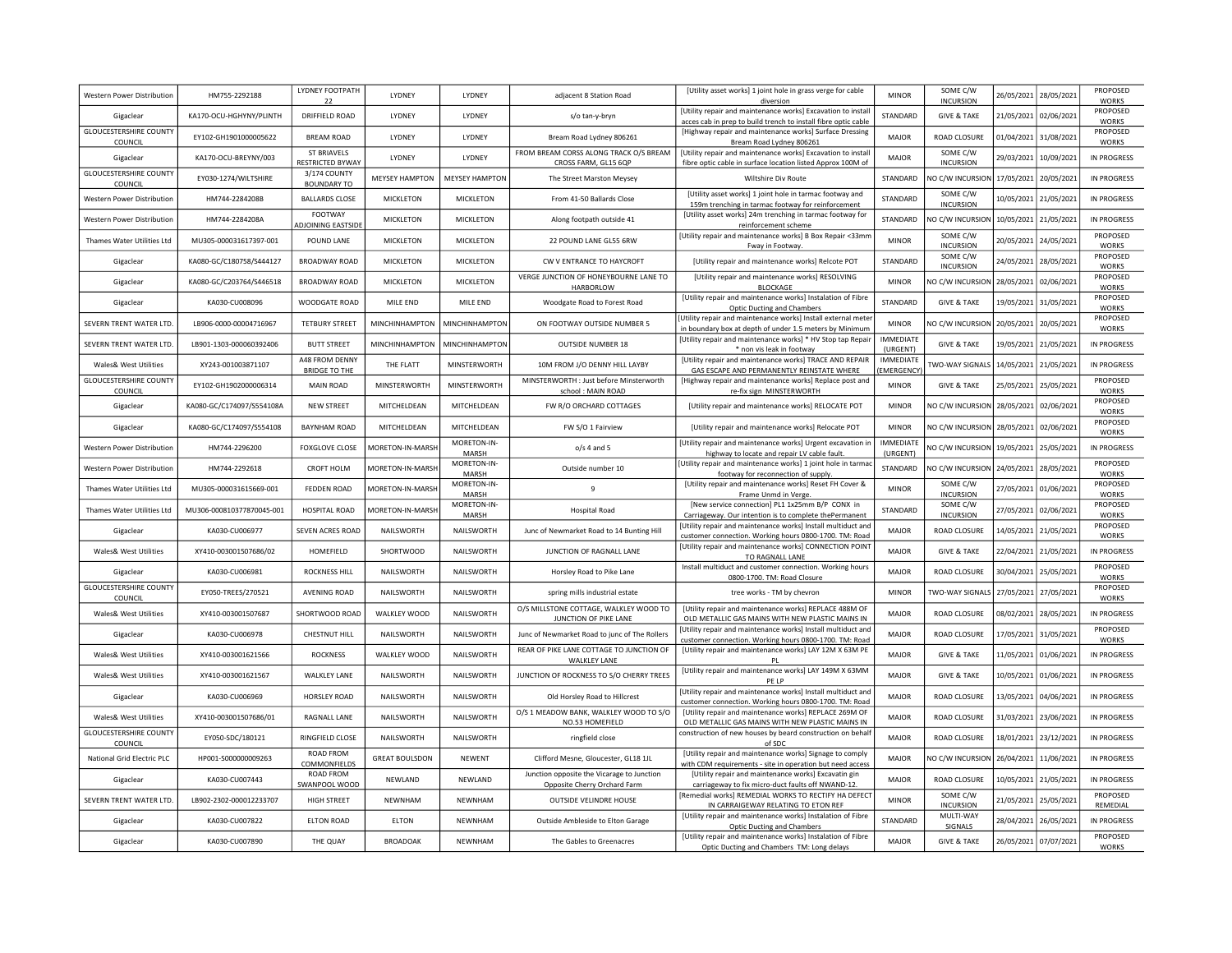| Western Power Distribution               | HM755-2292188             | LYDNEY FOOTPATH<br>22                  | LYDNEY                | LYDNEY               | adjacent 8 Station Road                                                    | [Utility asset works] 1 joint hole in grass verge for cable<br>diversion                                                      | <b>MINOR</b>                 | SOME C/W<br><b>INCURSION</b> | 26/05/2021 | 28/05/2021 | PROPOSED<br><b>WORKS</b> |
|------------------------------------------|---------------------------|----------------------------------------|-----------------------|----------------------|----------------------------------------------------------------------------|-------------------------------------------------------------------------------------------------------------------------------|------------------------------|------------------------------|------------|------------|--------------------------|
| Gigaclear                                | KA170-OCU-HGHYNY/PLINTH   | DRIFFIELD ROAD                         | LYDNEY                | LYDNEY               | s/o tan-y-bryn                                                             | [Utility repair and maintenance works] Excavation to instal<br>acces cab in prep to build trench to install fibre optic cable | STANDARD                     | <b>GIVE &amp; TAKE</b>       | 21/05/2021 | 02/06/2021 | PROPOSED<br><b>WORKS</b> |
| <b>GLOUCESTERSHIRE COUNTY</b><br>COUNCIL | EY102-GH1901000005622     | <b>BREAM ROAD</b>                      | LYDNEY                | LYDNEY               | Bream Road Lydney 806261                                                   | [Highway repair and maintenance works] Surface Dressing<br>Bream Road Lydney 806261                                           | <b>MAJOR</b>                 | ROAD CLOSURE                 | 01/04/2021 | 31/08/2021 | PROPOSED<br><b>WORKS</b> |
| Gigaclear                                | KA170-OCU-BREYNY/003      | ST BRIAVELS<br>RESTRICTED BYWAY        | LYDNEY                | <b>I YDNEY</b>       | FROM BREAM CORSS ALONG TRACK O/S BREAM<br>CROSS FARM, GL15 6QP             | [Utility repair and maintenance works] Excavation to install<br>fibre optic cable in surface location listed Approx 100M of   | <b>MAJOR</b>                 | SOME C/W<br><b>INCURSION</b> | 29/03/2021 | 10/09/2021 | <b>IN PROGRESS</b>       |
| <b>GLOUCESTERSHIRE COUNTY</b><br>COUNCIL | EY030-1274/WILTSHIRE      | 3/174 COUNTY<br><b>BOUNDARY TO</b>     | MEYSEY HAMPTON        | MEYSEY HAMPTON       | The Street Marston Meysey                                                  | Wiltshire Div Route                                                                                                           | STANDARD                     | <b>VO C/W INCURSION</b>      | 17/05/2021 | 20/05/2021 | IN PROGRESS              |
| <b>Western Power Distribution</b>        | HM744-2284208B            | <b>BALLARDS CLOSE</b>                  | MICKLETON             | MICKLETON            | From 41-50 Ballards Close                                                  | [Utility asset works] 1 joint hole in tarmac footway and<br>159m trenching in tarmac footway for reinforcement                | STANDARD                     | SOME C/W<br><b>INCURSION</b> | 10/05/2021 | 21/05/2021 | IN PROGRESS              |
| <b>Western Power Distribution</b>        | HM744-2284208A            | <b>FOOTWAY</b><br>ADJOINING EASTSIDE   | MICKLETON             | MICKLETON            | Along footpath outside 41                                                  | [Utility asset works] 24m trenching in tarmac footway for<br>reinforcement scheme                                             | STANDARD                     | NO C/W INCURSION             | 10/05/2021 | 21/05/2021 | IN PROGRESS              |
| Thames Water Utilities Ltd               | MU305-000031617397-001    | POUND LANE                             | MICKLETON             | MICKLETON            | 22 POUND LANE GL55 6RW                                                     | [Utility repair and maintenance works] B Box Repair <33mm<br>Fway in Footway.                                                 | <b>MINOR</b>                 | SOME C/W<br><b>INCURSION</b> | 20/05/2021 | 24/05/2021 | PROPOSED<br><b>WORKS</b> |
| Gigaclear                                | KA080-GC/C180758/S444127  | <b>BROADWAY ROAD</b>                   | MICKLETON             | <b>MICKLETON</b>     | CW V ENTRANCE TO HAYCROFT                                                  | [Utility repair and maintenance works] Relcote POT                                                                            | STANDARD                     | SOME C/W<br><b>INCURSION</b> | 24/05/2021 | 28/05/2021 | PROPOSED<br><b>WORKS</b> |
| Gigaclear                                | KA080-GC/C203764/S446518  | <b>BROADWAY ROAD</b>                   | MICKLETON             | MICKLETON            | VERGE JUNCTION OF HONEYBOURNE LANE TO<br><b>HARBORLOW</b>                  | [Utility repair and maintenance works] RESOLVING<br><b>BLOCKAGE</b>                                                           | <b>MINOR</b>                 | NO C/W INCURSION             | 28/05/2021 | 02/06/2021 | PROPOSED<br><b>WORKS</b> |
| Gigaclear                                | KA030-CU008096            | WOODGATE ROAD                          | MILE END              | MILE END             | Woodgate Road to Forest Road                                               | [Utility repair and maintenance works] Instalation of Fibre<br>Optic Ducting and Chambers                                     | STANDARD                     | <b>GIVE &amp; TAKE</b>       | 19/05/2021 | 31/05/2021 | PROPOSED<br><b>WORKS</b> |
| SEVERN TRENT WATER LTD.                  | LB906-0000-00004716967    | <b>TETBURY STREET</b>                  | MINCHINHAMPTON        | MINCHINHAMPTON       | ON FOOTWAY OUTSIDE NUMBER 5                                                | Utility repair and maintenance works] Install external meter<br>in boundary box at depth of under 1.5 meters by Minimum       | <b>MINOR</b>                 | NO C/W INCURSION             | 20/05/2021 | 20/05/2021 | PROPOSED<br><b>WORKS</b> |
| SEVERN TRENT WATER LTD.                  | LB901-1303-000060392406   | <b>BUTT STREET</b>                     | MINCHINHAMPTON        | MINCHINHAMPTON       | <b>OUTSIDE NUMBER 18</b>                                                   | [Utility repair and maintenance works] * HV Stop tap Repair<br>* non vis leak in footway                                      | <b>IMMEDIATE</b><br>(URGENT) | <b>GIVE &amp; TAKE</b>       | 19/05/2021 | 21/05/2021 | IN PROGRESS              |
| <b>Wales&amp; West Utilities</b>         | XY243-001003871107        | A48 FROM DENNY<br><b>BRIDGE TO THE</b> | THE FLATT             | MINSTERWORTH         | 10M FROM J/O DENNY HILL LAYBY                                              | [Utility repair and maintenance works] TRACE AND REPAIR<br>GAS ESCAPE AND PERMANENTLY REINSTATE WHERE                         | IMMEDIATE<br>EMERGENCY       | <b>TWO-WAY SIGNALS</b>       | 14/05/2021 | 21/05/2021 | <b>IN PROGRESS</b>       |
| <b>GLOUCESTERSHIRE COUNTY</b><br>COUNCIL | EY102-GH1902000006314     | MAIN ROAD                              | MINSTERWORTH          | MINSTERWORTH         | MINSTERWORTH : Just before Minsterworth<br>school: MAIN ROAD               | [Highway repair and maintenance works] Replace post and<br>re-fix sign_MINSTERWORTH                                           | <b>MINOR</b>                 | <b>GIVE &amp; TAKE</b>       | 25/05/2021 | 25/05/2021 | PROPOSED<br><b>WORKS</b> |
| Gigaclear                                | KA080-GC/C174097/S554108A | <b>NEW STREET</b>                      | MITCHELDEAN           | MITCHELDEAN          | FW R/O ORCHARD COTTAGES                                                    | [Utility repair and maintenance works] RELOCATE POT                                                                           | <b>MINOR</b>                 | NO C/W INCURSION             | 28/05/2021 | 02/06/2021 | PROPOSED<br><b>WORKS</b> |
| Gigaclear                                | KA080-GC/C174097/S554108  | <b>BAYNHAM ROAD</b>                    | MITCHELDEAN           | MITCHELDEAN          | FW S/O 1 Fairview                                                          | [Utility repair and maintenance works] Relocate POT                                                                           | <b>MINOR</b>                 | NO C/W INCURSION             | 28/05/2021 | 02/06/2021 | PROPOSED<br><b>WORKS</b> |
| Western Power Distribution               | HM744-2296200             | <b>FOXGLOVE CLOSE</b>                  | MORETON-IN-MARSH      | MORETON-IN-<br>MARSH | $o/s$ 4 and 5                                                              | [Utility repair and maintenance works] Urgent excavation in<br>highway to locate and repair LV cable fault.                   | <b>IMMEDIATE</b><br>(URGENT) | <b>VO C/W INCURSION</b>      | 19/05/2021 | 25/05/2021 | IN PROGRESS              |
| <b>Western Power Distribution</b>        | HM744-2292618             | CROFT HOLM                             | MORETON-IN-MARSH      | MORETON-IN-<br>MARSH | Outside number 10                                                          | [Utility repair and maintenance works] 1 joint hole in tarmad<br>footway for reconnection of supply.                          | STANDARD                     | NO C/W INCURSION             | 24/05/2021 | 28/05/2021 | PROPOSED<br><b>WORKS</b> |
| Thames Water Utilities Ltd               | MU305-000031615669-001    | <b>FEDDEN ROAD</b>                     | MORETON-IN-MARSH      | MORETON-IN-<br>MARSH | 9                                                                          | [Utility repair and maintenance works] Reset FH Cover &<br>Frame Unmd in Verge.                                               | <b>MINOR</b>                 | SOME C/W<br><b>INCURSION</b> | 27/05/2021 | 01/06/2021 | PROPOSED<br><b>WORKS</b> |
| Thames Water Utilities Ltd               | MU306-000810377870045-001 | HOSPITAL ROAD                          | MORETON-IN-MARSH      | MORETON-IN-<br>MARSH | <b>Hospital Road</b>                                                       | [New service connection] PL1 1x25mm B/P CONX in<br>Carriageway. Our intention is to complete thePermanent                     | STANDARD                     | SOME C/W<br><b>INCURSION</b> | 27/05/2021 | 02/06/2021 | PROPOSED<br><b>WORKS</b> |
| Gigaclear                                | KA030-CU006977            | SEVEN ACRES ROAD                       | NAILSWORTH            | NAILSWORTH           | Junc of Newmarket Road to 14 Bunting Hill                                  | [Utility repair and maintenance works] Install multiduct and<br>customer connection. Working hours 0800-1700. TM: Road        | <b>MAJOR</b>                 | ROAD CLOSURE                 | 14/05/2021 | 21/05/2021 | PROPOSED<br><b>WORKS</b> |
| <b>Wales&amp; West Utilities</b>         | XY410-003001507686/02     | HOMEFIELD                              | SHORTWOOD             | NAILSWORTH           | JUNCTION OF RAGNALL LANE                                                   | [Utility repair and maintenance works] CONNECTION POINT<br>TO RAGNALL LANE                                                    | <b>MAJOR</b>                 | <b>GIVE &amp; TAKE</b>       | 22/04/2021 | 21/05/2021 | <b>IN PROGRESS</b>       |
| Gigaclear                                | KA030-CU006981            | <b>ROCKNESS HILL</b>                   | NAILSWORTH            | NAILSWORTH           | Horsley Road to Pike Lane                                                  | Install multiduct and customer connection. Working hours<br>0800-1700. TM: Road Closure                                       | <b>MAJOR</b>                 | ROAD CLOSURE                 | 30/04/2021 | 25/05/2021 | PROPOSED<br><b>WORKS</b> |
| <b>GLOUCESTERSHIRE COUNTY</b><br>COUNCIL | EY050-TREES/270521        | AVENING ROAD                           | NAILSWORTH            | NAILSWORTH           | spring mills industrial estate                                             | tree works - TM by chevron                                                                                                    | <b>MINOR</b>                 | TWO-WAY SIGNALS              | 27/05/2021 | 27/05/2021 | PROPOSED<br><b>WORKS</b> |
| Wales& West Utilities                    | XY410-003001507687        | SHORTWOOD ROAD                         | WALKLEY WOOD          | NAILSWORTH           | O/S MILLSTONE COTTAGE, WALKLEY WOOD TO<br>JUNCTION OF PIKE LANE            | [Utility repair and maintenance works] REPLACE 488M OF<br>OLD METALLIC GAS MAINS WITH NEW PLASTIC MAINS IN                    | <b>MAJOR</b>                 | ROAD CLOSURE                 | 08/02/2021 | 28/05/2021 | <b>IN PROGRESS</b>       |
| Gigaclear                                | KA030-CU006978            | CHESTNUT HILL                          | NAILSWORTH            | NAILSWORTH           | Junc of Newmarket Road to junc of The Rollers                              | [Utility repair and maintenance works] Install multiduct and<br>customer connection. Working hours 0800-1700. TM: Road        | <b>MAJOR</b>                 | ROAD CLOSURE                 | 17/05/2021 | 31/05/2021 | PROPOSED<br><b>WORKS</b> |
| <b>Wales&amp; West Utilities</b>         | XY410-003001621566        | <b>ROCKNESS</b>                        | WALKLEY WOOD          | NAILSWORTH           | REAR OF PIKE LANE COTTAGE TO JUNCTION OF<br><b>WALKLEY LANE</b>            | [Utility repair and maintenance works] LAY 12M X 63M PE<br>PI                                                                 | <b>MAJOR</b>                 | <b>GIVE &amp; TAKE</b>       | 11/05/2021 | 01/06/2021 | IN PROGRESS              |
| <b>Wales&amp; West Utilities</b>         | XY410-003001621567        | <b>WALKLEY LANE</b>                    | NAILSWORTH            | NAILSWORTH           | JUNCTION OF ROCKNESS TO S/O CHERRY TREES                                   | [Utility repair and maintenance works] LAY 149M X 63MM<br>PFIP                                                                | <b>MAJOR</b>                 | <b>GIVE &amp; TAKE</b>       | 10/05/2021 | 01/06/2021 | IN PROGRESS              |
| Gigaclear                                | KA030-CU006969            | HORSLEY ROAD                           | NAILSWORTH            | NAILSWORTH           | Old Horsley Road to Hillcrest                                              | [Utility repair and maintenance works] Install multiduct and<br>customer connection. Working hours 0800-1700. TM: Road        | <b>MAJOR</b>                 | ROAD CLOSURE                 | 13/05/2021 | 04/06/2021 | IN PROGRESS              |
| Wales& West Utilities                    | XY410-003001507686/01     | RAGNALL LANE                           | NAILSWORTH            | NAILSWORTH           | O/S 1 MEADOW BANK, WALKLEY WOOD TO S/O<br>NO.53 HOMEFIELD                  | [Utility repair and maintenance works] REPLACE 269M OF<br>OLD METALLIC GAS MAINS WITH NEW PLASTIC MAINS IN                    | <b>MAJOR</b>                 | ROAD CLOSURE                 | 31/03/2021 | 23/06/2021 | IN PROGRESS              |
| <b>GLOUCESTERSHIRE COUNTY</b><br>COUNCIL | EY050-SDC/180121          | RINGFIELD CLOSE                        | NAILSWORTH            | NAILSWORTH           | ringfield close                                                            | construction of new houses by beard construction on behalf<br>of SDC                                                          | <b>MAJOR</b>                 | ROAD CLOSURE                 | 18/01/2021 | 23/12/2021 | IN PROGRESS              |
| National Grid Electric PLC               | HP001-S000000009263       | ROAD FROM<br>COMMONFIELDS              | <b>GREAT BOULSDON</b> | <b>NEWENT</b>        | Clifford Mesne, Gloucester, GL18 1JL                                       | [Utility repair and maintenance works] Signage to comply<br>with CDM requirements - site in operation but need acces          | <b>MAJOR</b>                 | NO C/W INCURSION             | 26/04/2021 | 11/06/2021 | <b>IN PROGRESS</b>       |
| Gigaclear                                | KA030-CU007443            | ROAD FROM<br>SWANPOOL WOOD             | NEWLAND               | NEWLAND              | Junction opposite the Vicarage to Junction<br>Opposite Cherry Orchard Farm | [Utility repair and maintenance works] Excavatin gin<br>carriageway to fix micro-duct faults off NWAND-12.                    | <b>MAJOR</b>                 | ROAD CLOSURE                 | 10/05/2021 | 21/05/2021 | <b>IN PROGRESS</b>       |
| SEVERN TRENT WATER LTD.                  | LB902-2302-000012233707   | <b>HIGH STREET</b>                     | NEWNHAM               | NEWNHAM              | <b>OUTSIDE VELINDRE HOUSE</b>                                              | [Remedial works] REMEDIAL WORKS TO RECTIFY HA DEFECT<br>IN CARRAIGEWAY RELATING TO ETON REF                                   | <b>MINOR</b>                 | SOME C/W<br><b>INCURSION</b> | 21/05/2021 | 25/05/2021 | PROPOSED<br>REMEDIAL     |
| Gigaclear                                | KA030-CU007822            | <b>ELTON ROAD</b>                      | <b>ELTON</b>          | NEWNHAM              | Outside Ambleside to Elton Garage                                          | [Utility repair and maintenance works] Instalation of Fibre<br>Optic Ducting and Chambers                                     | STANDARD                     | MULTI-WAY<br>SIGNALS         | 28/04/2021 | 26/05/2021 | <b>IN PROGRESS</b>       |
| Gigaclear                                | KA030-CU007890            | THE QUAY                               | <b>BROADOAK</b>       | NEWNHAM              | The Gables to Greenacres                                                   | [Utility repair and maintenance works] Instalation of Fibre<br>Optic Ducting and Chambers TM: Long delays                     | <b>MAJOR</b>                 | <b>GIVE &amp; TAKE</b>       | 26/05/2021 | 07/07/2021 | PROPOSED<br><b>WORKS</b> |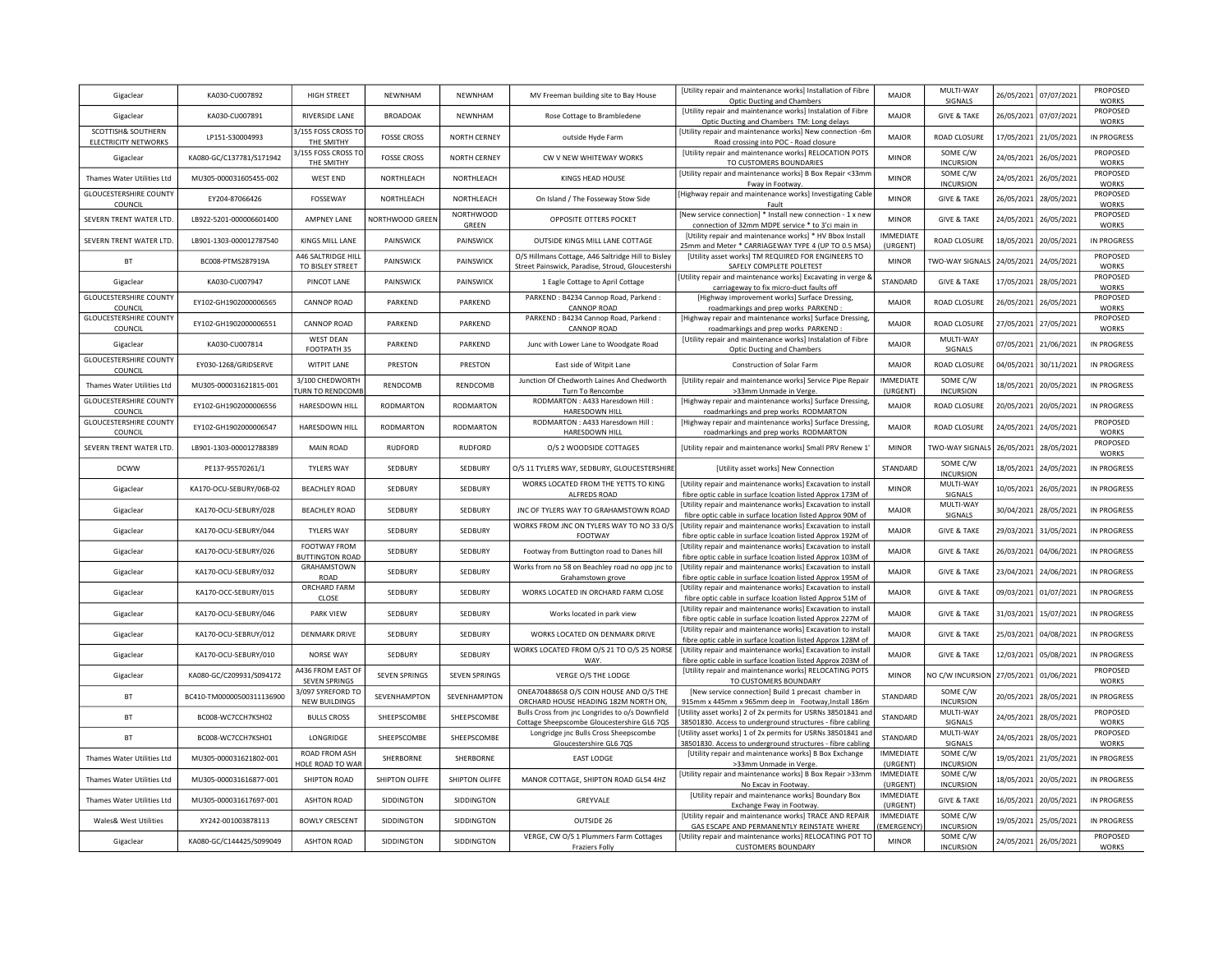| Gigaclear                                  | KA030-CU007892            | HIGH STREET                                     | NEWNHAM              | NEWNHAM                   | MV Freeman building site to Bay House                                                                   | [Utility repair and maintenance works] Installation of Fibre<br><b>Optic Ducting and Chambers</b>                           | <b>MAJOR</b>                  | MULTI-WAY<br>SIGNALS         | 26/05/2021 | 07/07/2021 | PROPOSED<br><b>WORKS</b> |
|--------------------------------------------|---------------------------|-------------------------------------------------|----------------------|---------------------------|---------------------------------------------------------------------------------------------------------|-----------------------------------------------------------------------------------------------------------------------------|-------------------------------|------------------------------|------------|------------|--------------------------|
| Gigaclear                                  | KA030-CU007891            | RIVERSIDE LANE                                  | <b>BROADOAK</b>      | NEWNHAM                   | Rose Cottage to Brambledene                                                                             | [Utility repair and maintenance works] Instalation of Fibre<br>Optic Ducting and Chambers TM: Long delays                   | <b>MAJOR</b>                  | <b>GIVE &amp; TAKE</b>       | 26/05/2021 | 07/07/2021 | PROPOSED<br><b>WORKS</b> |
| SCOTTISH& SOUTHERN<br>ELECTRICITY NETWORKS | LP151-S30004993           | 3/155 FOSS CROSS TO<br>THE SMITHY               | <b>FOSSE CROSS</b>   | NORTH CERNEY              | outside Hyde Farm                                                                                       | [Utility repair and maintenance works] New connection -6m<br>Road crossing into POC - Road closure                          | <b>MAJOR</b>                  | ROAD CLOSURE                 | 17/05/2021 | 21/05/2021 | IN PROGRESS              |
| Gigaclear                                  | KA080-GC/C137781/S171942  | 3/155 FOSS CROSS TC<br>THE SMITHY               | <b>FOSSE CROSS</b>   | NORTH CERNEY              | CW V NEW WHITEWAY WORKS                                                                                 | [Utility repair and maintenance works] RELOCATION POTS<br>TO CUSTOMERS BOUNDARIES                                           | <b>MINOR</b>                  | SOME C/W<br><b>INCURSION</b> | 24/05/2021 | 26/05/2021 | PROPOSED<br><b>WORKS</b> |
| Thames Water Utilities Ltd                 | MU305-000031605455-002    | <b>WEST END</b>                                 | NORTHLEACH           | NORTHLEACH                | KINGS HEAD HOUSE                                                                                        | [Utility repair and maintenance works] B Box Repair <33mm<br>Fway in Footway                                                | <b>MINOR</b>                  | SOME C/W<br><b>INCURSION</b> | 24/05/2021 | 26/05/2021 | PROPOSED<br><b>WORKS</b> |
| <b>GLOUCESTERSHIRE COUNTY</b><br>COUNCIL   | FY204-87066426            | <b>FOSSEWAY</b>                                 | NORTHLEACH           | NORTHLEACH                | On Island / The Fosseway Stow Side                                                                      | [Highway repair and maintenance works] Investigating Cable<br>Fault                                                         | <b>MINOR</b>                  | <b>GIVE &amp; TAKE</b>       | 26/05/2021 | 28/05/2021 | PROPOSED<br><b>WORKS</b> |
| SEVERN TRENT WATER LTD.                    | LB922-5201-000006601400   | <b>AMPNEY LANE</b>                              | NORTHWOOD GREEN      | <b>NORTHWOOD</b><br>GREEN | OPPOSITE OTTERS POCKET                                                                                  | [New service connection] * Install new connection - 1 x new<br>connection of 32mm MDPE service * to 3'ci main in            | <b>MINOR</b>                  | <b>GIVE &amp; TAKE</b>       | 24/05/2021 | 26/05/2021 | PROPOSED<br><b>WORKS</b> |
| SEVERN TRENT WATER LTD.                    | LB901-1303-000012787540   | KINGS MILL LANE                                 | PAINSWICK            | PAINSWICK                 | OUTSIDE KINGS MILL LANE COTTAGE                                                                         | [Utility repair and maintenance works] * HV Bbox Install<br>25mm and Meter * CARRIAGEWAY TYPE 4 (UP TO 0.5 MSA              | <b>IMMEDIATE</b><br>(URGENT)  | ROAD CLOSURE                 | 18/05/2021 | 20/05/2021 | IN PROGRESS              |
| BT                                         | BC008-PTMS287919A         | A46 SALTRIDGE HILL<br>TO BISLEY STREET          | <b>PAINSWICK</b>     | <b>PAINSWICK</b>          | O/S Hillmans Cottage, A46 Saltridge Hill to Bisley<br>Street Painswick, Paradise, Stroud, Gloucestershi | [Utility asset works] TM REQUIRED FOR ENGINEERS TO<br>SAFELY COMPLETE POLETEST                                              | <b>MINOR</b>                  | TWO-WAY SIGNALS              | 24/05/2021 | 24/05/2021 | PROPOSED<br><b>WORKS</b> |
| Gigaclear                                  | KA030-CU007947            | PINCOT LANE                                     | PAINSWICK            | PAINSWICK                 | 1 Eagle Cottage to April Cottage                                                                        | Utility repair and maintenance works] Excavating in verge 8<br>carriageway to fix micro-duct faults off                     | STANDARD                      | <b>GIVE &amp; TAKE</b>       | 17/05/2021 | 28/05/2021 | PROPOSED<br><b>WORKS</b> |
| <b>GLOUCESTERSHIRE COUNTY</b><br>COUNCIL   | EY102-GH1902000006565     | <b>CANNOP ROAD</b>                              | PARKEND              | PARKEND                   | PARKEND: B4234 Cannop Road, Parkend:<br><b>CANNOP ROAD</b>                                              | [Highway improvement works] Surface Dressing,<br>roadmarkings and prep works PARKEND:                                       | <b>MAJOR</b>                  | ROAD CLOSURE                 | 26/05/2021 | 26/05/2021 | PROPOSED<br>WORKS        |
| <b>GLOUCESTERSHIRE COUNTY</b><br>COUNCIL   | EY102-GH1902000006551     | <b>CANNOP ROAD</b>                              | PARKEND              | PARKEND                   | PARKEND: B4234 Cannop Road, Parkend:<br><b>CANNOP ROAD</b>                                              | [Highway repair and maintenance works] Surface Dressing,<br>roadmarkings and prep works PARKEND:                            | <b>MAJOR</b>                  | ROAD CLOSURE                 | 27/05/2021 | 27/05/2021 | PROPOSED<br><b>WORKS</b> |
| Gigaclear                                  | KA030-CU007814            | <b>WEST DEAN</b><br>FOOTPATH 35                 | PARKEND              | PARKEND                   | Junc with Lower Lane to Woodgate Road                                                                   | [Utility repair and maintenance works] Instalation of Fibre<br>Optic Ducting and Chambers                                   | <b>MAJOR</b>                  | MULTI-WAY<br>SIGNALS         | 07/05/2021 | 21/06/2021 | IN PROGRESS              |
| <b>GLOUCESTERSHIRE COUNTY</b><br>COUNCIL   | EY030-1268/GRIDSERVE      | <b>WITPIT LANE</b>                              | PRESTON              | PRESTON                   | East side of Witpit Lane                                                                                | Construction of Solar Farm                                                                                                  | MAJOR                         | ROAD CLOSURE                 | 04/05/2021 | 30/11/2021 | IN PROGRESS              |
| Thames Water Utilities Ltd                 | MU305-000031621815-001    | 3/100 CHEDWORTH<br>URN TO RENDCOMI              | RENDCOMB             | RENDCOMB                  | Junction Of Chedworth Laines And Chedworth<br>Turn To Rencombe                                          | [Utility repair and maintenance works] Service Pipe Repair<br>>33mm Unmade in Verge.                                        | <b>IMMEDIATE</b><br>(URGENT)  | SOME C/W<br><b>INCURSION</b> | 18/05/2021 | 20/05/2021 | IN PROGRESS              |
| <b>GLOUCESTERSHIRE COUNTY</b><br>COUNCIL   | EY102-GH1902000006556     | HARESDOWN HILL                                  | <b>RODMARTON</b>     | RODMARTON                 | RODMARTON: A433 Haresdown Hill:<br>HARESDOWN HILL                                                       | [Highway repair and maintenance works] Surface Dressing,<br>roadmarkings and prep works RODMARTON                           | <b>MAJOR</b>                  | ROAD CLOSURE                 | 20/05/2021 | 20/05/2021 | IN PROGRESS              |
| <b>GLOUCESTERSHIRE COUNTY</b><br>COUNCIL   | EY102-GH1902000006547     | HARESDOWN HILL                                  | <b>RODMARTON</b>     | <b>RODMARTON</b>          | RODMARTON : A433 Haresdown Hill :<br>HARESDOWN HILL                                                     | [Highway repair and maintenance works] Surface Dressing,<br>roadmarkings and prep works RODMARTON                           | <b>MAJOR</b>                  | ROAD CLOSURE                 | 24/05/2021 | 24/05/2021 | PROPOSED<br><b>WORKS</b> |
| SEVERN TRENT WATER LTD.                    | LB901-1303-000012788389   | <b>MAIN ROAD</b>                                | <b>RUDFORD</b>       | <b>RUDFORD</b>            | O/S 2 WOODSIDE COTTAGES                                                                                 | [Utility repair and maintenance works] Small PRV Renew 1                                                                    | <b>MINOR</b>                  | TWO-WAY SIGNALS              | 26/05/2021 | 28/05/2021 | PROPOSED<br><b>WORKS</b> |
| <b>DCWW</b>                                | PE137-95570261/1          | <b>TYLERS WAY</b>                               | SEDBURY              | SEDBURY                   | O/S 11 TYLERS WAY, SEDBURY, GLOUCESTERSHIRE                                                             | [Utility asset works] New Connection                                                                                        | STANDARD                      | SOME C/W<br><b>INCURSION</b> | 18/05/2021 | 24/05/2021 | <b>IN PROGRESS</b>       |
| Gigaclear                                  | KA170-OCU-SEBURY/06B-02   | <b>BEACHLEY ROAD</b>                            | SEDBURY              | SEDBURY                   | WORKS LOCATED FROM THE YETTS TO KING<br>ALFREDS ROAD                                                    | [Utility repair and maintenance works] Excavation to install<br>fibre optic cable in surface Icoation listed Approx 173M of | <b>MINOR</b>                  | MULTI-WAY<br>SIGNALS         | 10/05/2021 | 26/05/2021 | <b>IN PROGRESS</b>       |
| Gigaclear                                  | KA170-OCU-SEBURY/028      | <b>BEACHLEY ROAD</b>                            | SEDBURY              | SEDBURY                   | JNC OF TYLERS WAY TO GRAHAMSTOWN ROAD                                                                   | [Utility repair and maintenance works] Excavation to install<br>fibre optic cable in surface location listed Approx 90M of  | <b>MAJOR</b>                  | MULTI-WAY<br>SIGNALS         | 30/04/2021 | 28/05/2021 | <b>IN PROGRESS</b>       |
| Gigaclear                                  | KA170-OCU-SEBURY/044      | <b>TYLERS WAY</b>                               | SEDBURY              | SEDBURY                   | WORKS FROM JNC ON TYLERS WAY TO NO 33 O/S<br>FOOTWAY                                                    | [Utility repair and maintenance works] Excavation to install<br>fibre optic cable in surface Icoation listed Approx 192M of | <b>MAJOR</b>                  | <b>GIVE &amp; TAKE</b>       | 29/03/2021 | 31/05/2021 | <b>IN PROGRESS</b>       |
| Gigaclear                                  | KA170-OCU-SEBURY/026      | FOOTWAY FROM<br><b>BUTTINGTON ROAD</b>          | SEDBURY              | SEDBURY                   | Footway from Buttington road to Danes hill                                                              | [Utility repair and maintenance works] Excavation to install<br>fibre optic cable in surface Icoation listed Approx 103M of | <b>MAJOR</b>                  | <b>GIVE &amp; TAKE</b>       | 26/03/2021 | 04/06/2021 | <b>IN PROGRESS</b>       |
| Gigaclear                                  | KA170-OCU-SEBURY/032      | GRAHAMSTOWN<br>ROAD                             | SEDBURY              | SEDBURY                   | Works from no 58 on Beachley road no opp jnc to<br>Grahamstown grove                                    | [Utility repair and maintenance works] Excavation to install<br>fibre optic cable in surface Icoation listed Approx 195M of | <b>MAJOR</b>                  | <b>GIVE &amp; TAKE</b>       | 23/04/2021 | 24/06/2021 | <b>IN PROGRESS</b>       |
| Gigaclear                                  | KA170-OCC-SEBURY/015      | ORCHARD FARM<br>CLOSE                           | SEDBURY              | SEDBURY                   | WORKS LOCATED IN ORCHARD FARM CLOSE                                                                     | [Utility repair and maintenance works] Excavation to install<br>fibre optic cable in surface Icoation listed Approx 51M of  | <b>MAJOR</b>                  | <b>GIVE &amp; TAKE</b>       | 09/03/2021 | 01/07/2021 | IN PROGRESS              |
| Gigaclear                                  | KA170-OCU-SEBURY/046      | <b>PARK VIEW</b>                                | SEDBURY              | SEDBURY                   | Works located in park view                                                                              | [Utility repair and maintenance works] Excavation to install<br>fibre optic cable in surface Icoation listed Approx 227M of | <b>MAJOR</b>                  | <b>GIVE &amp; TAKE</b>       | 31/03/2021 | 15/07/2021 | IN PROGRESS              |
| Gigaclear                                  | KA170-OCU-SEBRUY/012      | <b>DENMARK DRIVE</b>                            | SEDBURY              | SEDBURY                   | WORKS LOCATED ON DENMARK DRIVE                                                                          | [Utility repair and maintenance works] Excavation to install<br>fibre optic cable in surface Icoation listed Approx 128M of | <b>MAJOR</b>                  | <b>GIVE &amp; TAKE</b>       | 25/03/2021 | 04/08/2021 | IN PROGRESS              |
| Gigaclear                                  | KA170-OCU-SEBURY/010      | NORSE WAY                                       | SEDBURY              | SEDBURY                   | WORKS LOCATED FROM O/S 21 TO O/S 25 NORSE<br>WAY.                                                       | [Utility repair and maintenance works] Excavation to install<br>fibre optic cable in surface Icoation listed Approx 203M of | <b>MAIOR</b>                  | <b>GIVE &amp; TAKE</b>       | 12/03/2021 | 05/08/2021 | IN PROGRESS              |
| Gigaclear                                  | KA080-GC/C209931/S094172  | 4436 FROM EAST OF<br>SEVEN SPRINGS              | <b>SEVEN SPRINGS</b> | <b>SEVEN SPRINGS</b>      | VERGE O/S THE LODGE                                                                                     | [Utility repair and maintenance works] RELOCATING POTS<br>TO CUSTOMERS BOUNDARY                                             | <b>MINOR</b>                  | NO C/W INCURSION             | 27/05/2021 | 01/06/2021 | PROPOSED<br><b>WORKS</b> |
| BT                                         | BC410-TM00000500311136900 | 3/097 SYREFORD TO<br><b>NEW BUILDINGS</b>       | SEVENHAMPTON         | SEVENHAMPTON              | ONEA70488658 O/S COIN HOUSE AND O/S THE<br>ORCHARD HOUSE HEADING 182M NORTH ON,                         | [New service connection] Build 1 precast chamber in<br>915mm x 445mm x 965mm deep in Footway, Install 186m                  | STANDARD                      | SOME C/W<br><b>INCURSION</b> | 20/05/2021 | 28/05/2021 | <b>IN PROGRESS</b>       |
| <b>BT</b>                                  | BC008-WC7CCH7KSH02        | <b>BULLS CROSS</b>                              | SHEEPSCOMBE          | SHEEPSCOMBE               | Bulls Cross from jnc Longrides to o/s Downfield<br>Cottage Sheepscombe Gloucestershire GL6 7QS          | Utility asset works] 2 of 2x permits for USRNs 38501841 and<br>38501830. Access to underground structures - fibre cabling   | STANDARD                      | MULTI-WAY<br>SIGNALS         | 24/05/2021 | 28/05/2021 | PROPOSED<br><b>WORKS</b> |
| <b>BT</b>                                  | BC008-WC7CCH7KSH01        | LONGRIDGE                                       | SHEEPSCOMBE          | SHEEPSCOMBE               | Longridge jnc Bulls Cross Sheepscombe<br>Gloucestershire GL6 7QS                                        | Utility asset works] 1 of 2x permits for USRNs 38501841 and<br>38501830. Access to underground structures - fibre cabling   | STANDARD                      | MULTI-WAY<br>SIGNALS         | 24/05/2021 | 28/05/2021 | PROPOSED<br><b>WORKS</b> |
| Thames Water Utilities Ltd                 | MU305-000031621802-001    | <b>ROAD FROM ASH</b><br><b>IOLE ROAD TO WAF</b> | SHERBORNE            | SHERBORNE                 | <b>EAST LODGE</b>                                                                                       | [Utility repair and maintenance works] B Box Exchange<br>>33mm Unmade in Verge.                                             | <b>IMMEDIATE</b><br>(URGENT)  | SOME C/W<br><b>INCURSION</b> | 19/05/2021 | 21/05/2021 | IN PROGRESS              |
| Thames Water Utilities Ltd                 | MU305-000031616877-001    | SHIPTON ROAD                                    | SHIPTON OLIFFE       | SHIPTON OLIFFE            | MANOR COTTAGE, SHIPTON ROAD GL54 4HZ                                                                    | Utility repair and maintenance works] B Box Repair >33mn<br>No Excav in Footway                                             | IMMEDIATE<br>(URGENT)         | SOME C/W<br><b>INCURSION</b> | 18/05/2021 | 20/05/2021 | IN PROGRESS              |
| Thames Water Utilities Ltd                 | MU305-000031617697-001    | <b>ASHTON ROAD</b>                              | SIDDINGTON           | SIDDINGTON                | GREYVALE                                                                                                | [Utility repair and maintenance works] Boundary Box<br>Exchange Fway in Footway.                                            | <b>IMMEDIATE</b><br>(URGENT)  | <b>GIVE &amp; TAKE</b>       | 16/05/2021 | 20/05/2021 | IN PROGRESS              |
| <b>Wales&amp; West Utilities</b>           | XY242-001003878113        | <b>BOWLY CRESCENT</b>                           | SIDDINGTON           | SIDDINGTON                | <b>OUTSIDE 26</b>                                                                                       | [Utility repair and maintenance works] TRACE AND REPAIR<br>GAS ESCAPE AND PERMANENTLY REINSTATE WHERE                       | IMMEDIATE<br><b>EMERGENCY</b> | SOME C/W<br><b>INCURSION</b> | 19/05/2021 | 25/05/2021 | IN PROGRESS              |
| Gigaclear                                  | KA080-GC/C144425/S099049  | <b>ASHTON ROAD</b>                              | <b>SIDDINGTON</b>    | SIDDINGTON                | VERGE, CW O/S 1 Plummers Farm Cottages<br><b>Fraziers Folly</b>                                         | [Utility repair and maintenance works] RELOCATING POT TO<br><b>CUSTOMERS BOUNDARY</b>                                       | <b>MINOR</b>                  | SOME C/W<br><b>INCURSION</b> | 24/05/2021 | 26/05/2021 | PROPOSED<br><b>WORKS</b> |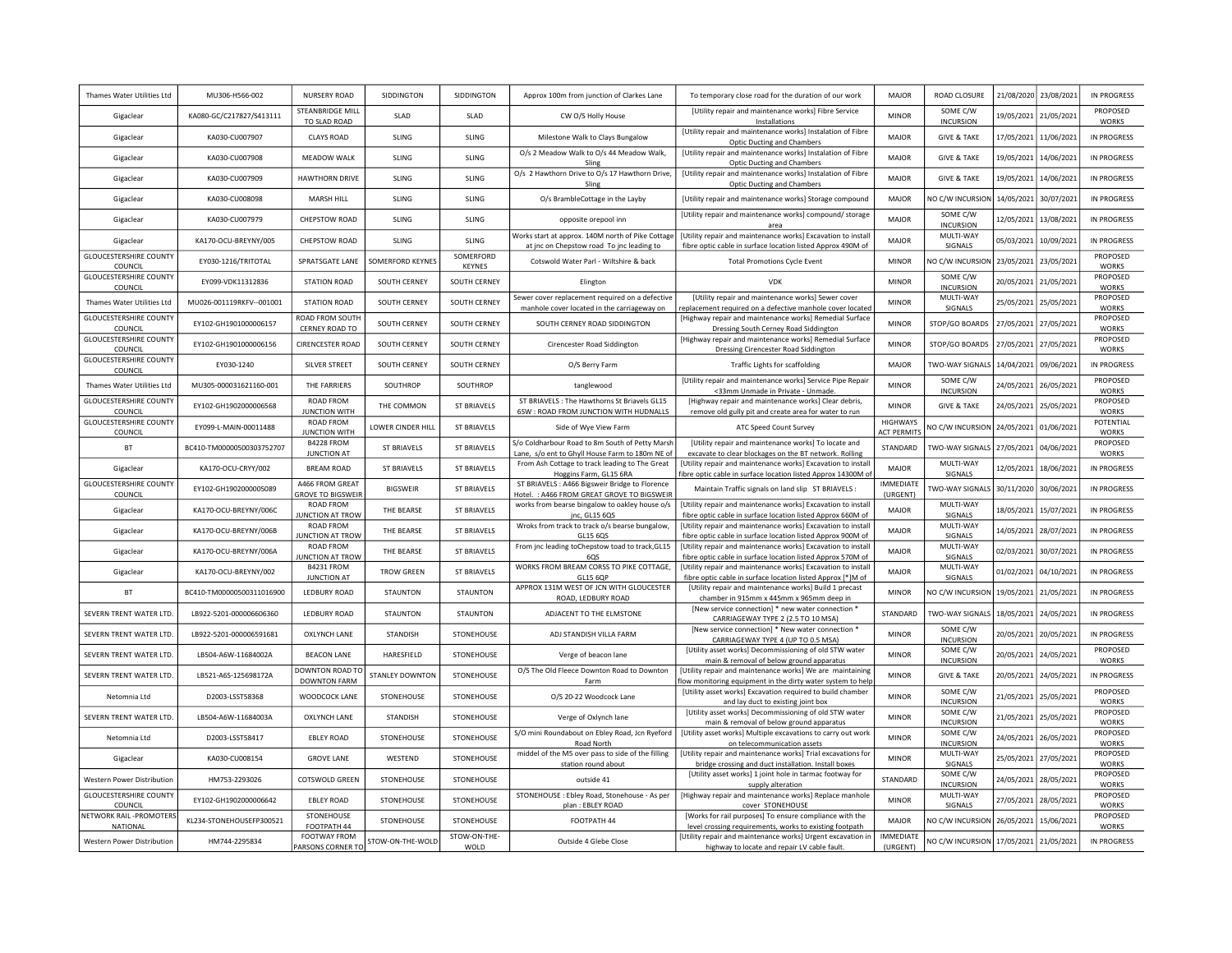| Thames Water Utilities Ltd               | MU306-H566-002            | NURSERY ROAD                                | SIDDINGTON         | SIDDINGTON           | Approx 100m from junction of Clarkes Lane                                                          | To temporary close road for the duration of our work                                                                                                                | <b>MAJOR</b>                          | ROAD CLOSURE                             | 21/08/2020 | 23/08/2021 | <b>IN PROGRESS</b>                       |
|------------------------------------------|---------------------------|---------------------------------------------|--------------------|----------------------|----------------------------------------------------------------------------------------------------|---------------------------------------------------------------------------------------------------------------------------------------------------------------------|---------------------------------------|------------------------------------------|------------|------------|------------------------------------------|
| Gigaclear                                | KA080-GC/C217827/S413111  | STEANBRIDGE MILL<br>TO SLAD ROAD            | SLAD               | SLAD                 | CW O/S Holly House                                                                                 | [Utility repair and maintenance works] Fibre Service<br>Installations                                                                                               | <b>MINOR</b>                          | SOME C/W<br><b>INCURSION</b>             | 19/05/2021 | 21/05/2021 | PROPOSED<br><b>WORKS</b>                 |
| Gigaclear                                | KA030-CU007907            | <b>CLAYS ROAD</b>                           | SLING              | SLING                | Milestone Walk to Clays Bungalow                                                                   | [Utility repair and maintenance works] Instalation of Fibre<br>Optic Ducting and Chambers                                                                           | MAJOR                                 | <b>GIVE &amp; TAKE</b>                   | 17/05/2021 | 11/06/2021 | <b>IN PROGRESS</b>                       |
| Gigaclear                                | KA030-CU007908            | <b>MFADOW WAIK</b>                          | <b>SLING</b>       | SLING                | O/s 2 Meadow Walk to O/s 44 Meadow Walk,<br>Sling                                                  | [Utility repair and maintenance works] Instalation of Fibre<br>Optic Ducting and Chambers                                                                           | MAIOR                                 | <b>GIVE &amp; TAKE</b>                   | 19/05/2021 | 14/06/2021 | <b>IN PROGRESS</b>                       |
| Gigaclear                                | KA030-CU007909            | HAWTHORN DRIVE                              | <b>SLING</b>       | <b>SLING</b>         | O/s 2 Hawthorn Drive to O/s 17 Hawthorn Drive,<br>Sling                                            | [Utility repair and maintenance works] Instalation of Fibre<br><b>Optic Ducting and Chambers</b>                                                                    | MAJOR                                 | <b>GIVE &amp; TAKE</b>                   | 19/05/2021 | 14/06/2021 | <b>IN PROGRESS</b>                       |
| Gigaclear                                | KA030-CU008098            | MARSH HILL                                  | SLING              | SLING                | O/s BrambleCottage in the Layby                                                                    | [Utility repair and maintenance works] Storage compound                                                                                                             | <b>MAJOR</b>                          | NO C/W INCURSION                         | 14/05/2021 | 30/07/2021 | <b>IN PROGRESS</b>                       |
| Gigaclear                                | KA030-CU007979            | CHEPSTOW ROAD                               | SLING              | SLING                | opposite orepool inn                                                                               | [Utility repair and maintenance works] compound/ storage<br>area                                                                                                    | <b>MAJOR</b>                          | SOME C/W<br><b>INCURSION</b>             | 12/05/2021 | 13/08/2021 | <b>IN PROGRESS</b>                       |
| Gigaclear                                | KA170-OCU-BREYNY/005      | CHEPSTOW ROAD                               | <b>SLING</b>       | SLING                | Works start at approx. 140M north of Pike Cottage<br>at jnc on Chepstow road To jnc leading to     | [Utility repair and maintenance works] Excavation to install<br>fibre optic cable in surface location listed Approx 490M of                                         | MAIOR                                 | MULTI-WAY<br>SIGNALS                     | 05/03/2021 | 10/09/2021 | <b>IN PROGRESS</b>                       |
| <b>GLOUCESTERSHIRE COUNTY</b><br>COUNCIL | EY030-1216/TRITOTAL       | SPRATSGATE LANE                             | SOMERFORD KEYNES   | SOMERFORD<br>KEYNES  | Cotswold Water Parl - Wiltshire & back                                                             | <b>Total Promotions Cycle Event</b>                                                                                                                                 | <b>MINOR</b>                          | NO C/W INCURSION                         | 23/05/2021 | 23/05/2021 | PROPOSED<br><b>WORKS</b>                 |
| <b>GLOUCESTERSHIRE COUNTY</b><br>COUNCIL | EY099-VDK11312836         | <b>STATION ROAD</b>                         | SOUTH CERNEY       | SOUTH CERNEY         | Elington                                                                                           | <b>VDK</b>                                                                                                                                                          | <b>MINOR</b>                          | SOME C/W<br><b>INCURSION</b>             | 20/05/2021 | 21/05/2021 | PROPOSED<br><b>WORKS</b>                 |
| Thames Water Utilities Ltd               | MU026-001119RKFV--001001  | <b>STATION ROAD</b>                         | SOUTH CERNEY       | SOUTH CERNEY         | Sewer cover replacement required on a defective<br>manhole cover located in the carriageway on     | [Utility repair and maintenance works] Sewer cover<br>eplacement required on a defective manhole cover located                                                      | <b>MINOR</b>                          | MULTI-WAY<br>SIGNALS                     | 25/05/2021 | 25/05/2021 | PROPOSED<br><b>WORKS</b>                 |
| <b>GLOUCESTERSHIRE COUNTY</b><br>COUNCIL | EY102-GH1901000006157     | ROAD FROM SOUTH<br>CERNEY ROAD TO           | SOUTH CERNEY       | <b>SOUTH CERNEY</b>  | SOUTH CERNEY ROAD SIDDINGTON                                                                       | [Highway repair and maintenance works] Remedial Surface<br>Dressing South Cerney Road Siddington                                                                    | <b>MINOR</b>                          | STOP/GO BOARDS                           | 27/05/2021 | 27/05/2021 | PROPOSED<br><b>WORKS</b>                 |
| <b>GLOUCESTERSHIRE COUNTY</b><br>COUNCIL | EY102-GH1901000006156     | <b>CIRENCESTER ROAD</b>                     | SOUTH CERNEY       | SOUTH CERNEY         | Cirencester Road Siddington                                                                        | [Highway repair and maintenance works] Remedial Surface<br>Dressing Cirencester Road Siddington                                                                     | <b>MINOR</b>                          | STOP/GO BOARDS                           | 27/05/2021 | 27/05/2021 | PROPOSED<br><b>WORKS</b>                 |
| <b>GLOUCESTERSHIRE COUNTY</b><br>COUNCIL | EY030-1240                | SILVER STREET                               | SOUTH CERNEY       | SOUTH CERNEY         | O/S Berry Farm                                                                                     | <b>Traffic Lights for scaffolding</b>                                                                                                                               | MAJOR                                 | TWO-WAY SIGNALS                          | 14/04/2021 | 09/06/2021 | <b>IN PROGRESS</b>                       |
| Thames Water Utilities Ltd               | MU305-000031621160-001    | THE FARRIERS                                | SOUTHROP           | SOUTHROP             | tanglewood                                                                                         | [Utility repair and maintenance works] Service Pipe Repair<br><33mm Unmade in Private - Unmade.                                                                     | <b>MINOR</b>                          | SOME C/W<br><b>INCURSION</b>             | 24/05/2021 | 26/05/2021 | PROPOSED<br><b>WORKS</b>                 |
| <b>GLOUCESTERSHIRE COUNTY</b><br>COUNCIL | EY102-GH1902000006568     | ROAD FROM<br>JUNCTION WITH                  | THE COMMON         | ST BRIAVELS          | ST BRIAVELS : The Hawthorns St Briavels GL15<br>6SW : ROAD FROM JUNCTION WITH HUDNALLS             | [Highway repair and maintenance works] Clear debris,<br>remove old gully pit and create area for water to run                                                       | <b>MINOR</b>                          | <b>GIVE &amp; TAKE</b>                   | 24/05/2021 | 25/05/2021 | PROPOSED<br><b>WORKS</b>                 |
| <b>GLOUCESTERSHIRE COUNTY</b><br>COUNCIL | EY099-L-MAIN-00011488     | ROAD FROM<br><b>JUNCTION WITH</b>           | LOWER CINDER HILL  | <b>ST BRIAVELS</b>   | Side of Wye View Farm                                                                              | ATC Speed Count Survey                                                                                                                                              | <b>HIGHWAYS</b><br><b>ACT PERMITS</b> | <b>VO C/W INCURSION</b>                  | 24/05/2021 | 01/06/2021 | POTENTIAL<br><b>WORKS</b>                |
| <b>BT</b>                                | BC410-TM00000500303752707 | B4228 FROM<br><b>JUNCTION AT</b>            | <b>ST BRIAVELS</b> | <b>ST BRIAVELS</b>   | S/o Coldharbour Road to 8m South of Petty Marsh<br>Lane, s/o ent to Ghyll House Farm to 180m NE of | [Utility repair and maintenance works] To locate and<br>excavate to clear blockages on the BT network. Rolling                                                      | STANDARD                              | TWO-WAY SIGNALS                          | 27/05/2021 | 04/06/2021 | PROPOSED<br><b>WORKS</b>                 |
| Gigaclear                                | KA170-OCU-CRYY/002        | <b>BREAM ROAD</b>                           | ST BRIAVELS        | <b>ST BRIAVELS</b>   | From Ash Cottage to track leading to The Great<br>Hoggins Farm, GL15 6RA                           | [Utility repair and maintenance works] Excavation to install<br>fibre optic cable in surface location listed Approx 14300M of                                       | <b>MAJOR</b>                          | MULTI-WAY<br>SIGNALS                     | 12/05/2021 | 18/06/2021 | <b>IN PROGRESS</b>                       |
| <b>GLOUCESTERSHIRE COUNTY</b><br>COUNCIL | EY102-GH1902000005089     | A466 FROM GREAT<br><b>GROVE TO BIGSWEIF</b> | <b>BIGSWEIR</b>    | ST BRIAVELS          | ST BRIAVELS : A466 Bigsweir Bridge to Florence<br>Hotel. : A466 FROM GREAT GROVE TO BIGSWEIR       | Maintain Traffic signals on land slip ST BRIAVELS :                                                                                                                 | <b>IMMEDIATE</b><br>(URGENT)          | <b>TWO-WAY SIGNALS</b>                   | 30/11/2020 | 30/06/2021 | <b>IN PROGRESS</b>                       |
| Gigaclear                                | KA170-OCU-BREYNY/006C     | ROAD FROM<br><b>UNCTION AT TROW</b>         | THE BEARSE         | ST BRIAVELS          | works from bearse bingalow to oakley house o/s<br>jnc, GL15 6QS                                    | [Utility repair and maintenance works] Excavation to install<br>fibre optic cable in surface location listed Approx 660M of                                         | MAJOR                                 | MULTI-WAY<br>SIGNALS                     | 18/05/2021 | 15/07/2021 | <b>IN PROGRESS</b>                       |
| Gigaclear                                | KA170-OCU-BREYNY/006B     | ROAD FROM<br>UNCTION AT TROW                | THE BEARSE         | <b>ST BRIAVELS</b>   | Wroks from track to track o/s bearse bungalow,<br>GL15 6QS                                         | [Utility repair and maintenance works] Excavation to install<br>fibre optic cable in surface location listed Approx 900M of                                         | <b>MAJOR</b>                          | MULTI-WAY<br>SIGNALS                     | 14/05/2021 | 28/07/2021 | <b>IN PROGRESS</b>                       |
| Gigaclear                                | KA170-OCU-BREYNY/006A     | ROAD FROM<br>UNCTION AT TROW                | THE BEARSE         | ST BRIAVELS          | From jnc leading toChepstow toad to track, GL15<br>6QS                                             | [Utility repair and maintenance works] Excavation to install<br>fibre optic cable in surface location listed Approx 570M of                                         | <b>MAJOR</b>                          | MULTI-WAY<br>SIGNALS                     | 02/03/2021 | 30/07/2021 | <b>IN PROGRESS</b>                       |
| Gigaclear                                | KA170-OCU-BREYNY/002      | B4231 FROM                                  | <b>TROW GREEN</b>  | ST BRIAVELS          | WORKS FROM BREAM CORSS TO PIKE COTTAGE,                                                            | [Utility repair and maintenance works] Excavation to install                                                                                                        | <b>MAJOR</b>                          | MULTI-WAY                                | 01/02/2021 | 04/10/2021 | <b>IN PROGRESS</b>                       |
| BT                                       | BC410-TM00000500311016900 | <b>JUNCTION AT</b><br>LEDBURY ROAD          | <b>STAUNTON</b>    | <b>STAUNTON</b>      | <b>GL15 6OP</b><br>APPROX 131M WEST OF JCN WITH GLOUCESTER<br>ROAD, LEDBURY ROAD                   | fibre optic cable in surface location listed Approx [*]M of<br>[Utility repair and maintenance works] Build 1 precast<br>chamber in 915mm x 445mm x 965mm deep in   | <b>MINOR</b>                          | SIGNALS<br>NO C/W INCURSION              | 19/05/2021 | 21/05/2021 | <b>IN PROGRESS</b>                       |
| SEVERN TRENT WATER LTD.                  | LB922-5201-000006606360   | LEDBURY ROAD                                | <b>STAUNTON</b>    | STAUNTON             | ADJACENT TO THE ELMSTONE                                                                           | [New service connection] * new water connection *<br>CARRIAGEWAY TYPE 2 (2.5 TO 10 MSA)                                                                             | STANDARD                              | TWO-WAY SIGNALS                          | 18/05/2021 | 24/05/2021 | <b>IN PROGRESS</b>                       |
| SEVERN TRENT WATER LTD.                  | LB922-5201-000006591681   | <b>OXLYNCH LANE</b>                         | <b>STANDISH</b>    | STONEHOUSE           | ADJ STANDISH VILLA FARM                                                                            | [New service connection] * New water connection *<br>CARRIAGEWAY TYPE 4 (UP TO 0.5 MSA)                                                                             | <b>MINOR</b>                          | SOME C/W<br><b>INCURSION</b>             | 20/05/2021 | 20/05/2021 | <b>IN PROGRESS</b>                       |
| SEVERN TRENT WATER LTD.                  | LB504-A6W-11684002A       | <b>BEACON LANE</b>                          | HARESFIELD         | STONEHOUSE           | Verge of beacon lane                                                                               | [Utility asset works] Decommissioning of old STW water                                                                                                              | <b>MINOR</b>                          | SOME C/W<br><b>INCURSION</b>             | 20/05/2021 | 24/05/2021 | PROPOSED                                 |
| SEVERN TRENT WATER LTD.                  | LB521-A6S-125698172A      | DOWNTON ROAD TO<br><b>DOWNTON FARM</b>      | STANLEY DOWNTON    | STONEHOUSE           | O/S The Old Fleece Downton Road to Downton<br>Farm                                                 | main & removal of below ground apparatus<br>[Utility repair and maintenance works] We are maintaining<br>low monitoring equipment in the dirty water system to help | <b>MINOR</b>                          | <b>GIVE &amp; TAKE</b>                   | 20/05/2021 | 24/05/2021 | <b>WORKS</b><br><b>IN PROGRESS</b>       |
| Netomnia Ltd                             | D2003-LSST58368           | WOODCOCK LANE                               | STONEHOUSE         | STONEHOUSE           | O/S 20-22 Woodcock Lane                                                                            | [Utility asset works] Excavation required to build chamber                                                                                                          | <b>MINOR</b>                          | SOME C/W<br><b>INCURSION</b>             | 21/05/2021 | 25/05/2021 | PROPOSED<br><b>WORKS</b>                 |
| SEVERN TRENT WATER LTD.                  | LB504-A6W-11684003A       | <b>OXLYNCH LANE</b>                         | <b>STANDISH</b>    | STONEHOUSE           | Verge of Oxlynch lane                                                                              | and lay duct to existing joint box<br>[Utility asset works] Decommissioning of old STW water                                                                        | <b>MINOR</b>                          | SOME C/W<br><b>INCURSION</b>             | 21/05/2021 | 25/05/2021 | PROPOSED<br><b>WORKS</b>                 |
| Netomnia I td                            | D2003-LSST58417           | <b>EBLEY ROAD</b>                           | STONEHOUSE         | STONEHOUSE           | S/O mini Roundabout on Ebley Road, Jcn Ryeford                                                     | main & removal of below ground apparatus<br>[Utility asset works] Multiple excavations to carry out work                                                            | <b>MINOR</b>                          | SOME C/W                                 | 24/05/2021 | 26/05/2021 | PROPOSED                                 |
| Gigaclear                                | KA030-CU008154            | <b>GROVE LANE</b>                           | WESTEND            | STONEHOUSE           | Road North<br>middel of the M5 over pass to side of the filling                                    | on telecommunication assets<br>[Utility repair and maintenance works] Trial excavations for                                                                         | <b>MINOR</b>                          | <b>INCURSION</b><br>MULTI-WAY<br>SIGNALS | 25/05/2021 | 27/05/2021 | <b>WORKS</b><br>PROPOSED<br><b>WORKS</b> |
| <b>Western Power Distribution</b>        | HM753-2293026             | COTSWOLD GREEN                              | STONEHOUSE         | STONEHOUSE           | station round about<br>outside 41                                                                  | bridge crossing and duct installation. Install boxes<br>[Utility asset works] 1 joint hole in tarmac footway for                                                    | STANDARD                              | SOME C/W                                 | 24/05/2021 | 28/05/2021 | PROPOSED                                 |
| <b>GLOUCESTERSHIRE COUNTY</b><br>COUNCIL | EY102-GH1902000006642     | <b>EBLEY ROAD</b>                           | STONEHOUSE         | STONEHOUSE           | STONEHOUSE : Ebley Road, Stonehouse - As per<br>plan: EBLEY ROAD                                   | supply alteration<br>[Highway repair and maintenance works] Replace manhole<br>cover STONEHOUSE                                                                     | <b>MINOR</b>                          | <b>INCURSION</b><br>MULTI-WAY<br>SIGNALS | 27/05/2021 | 28/05/2021 | <b>WORKS</b><br>PROPOSED<br><b>WORKS</b> |
| NETWORK RAIL -PROMOTERS<br>NATIONAL      | KL234-STONEHOUSEFP300521  | STONEHOUSE<br>FOOTPATH 44                   | STONEHOUSE         | STONEHOUSE           | FOOTPATH 44                                                                                        | [Works for rail purposes] To ensure compliance with the<br>level crossing requirements, works to existing footpath                                                  | <b>MAJOR</b>                          | NO C/W INCURSION                         | 26/05/2021 | 15/06/2021 | PROPOSED<br><b>WORKS</b>                 |
| <b>Western Power Distribution</b>        | HM744-2295834             | FOOTWAY FROM<br>ARSONS CORNER TO            | STOW-ON-THE-WOLD   | STOW-ON-THE-<br>WOLD | Outside 4 Glebe Close                                                                              | [Utility repair and maintenance works] Urgent excavation in<br>highway to locate and repair LV cable fault.                                                         | IMMEDIATE<br>(URGENT)                 | NO C/W INCURSION                         | 17/05/2021 | 21/05/2021 | <b>IN PROGRESS</b>                       |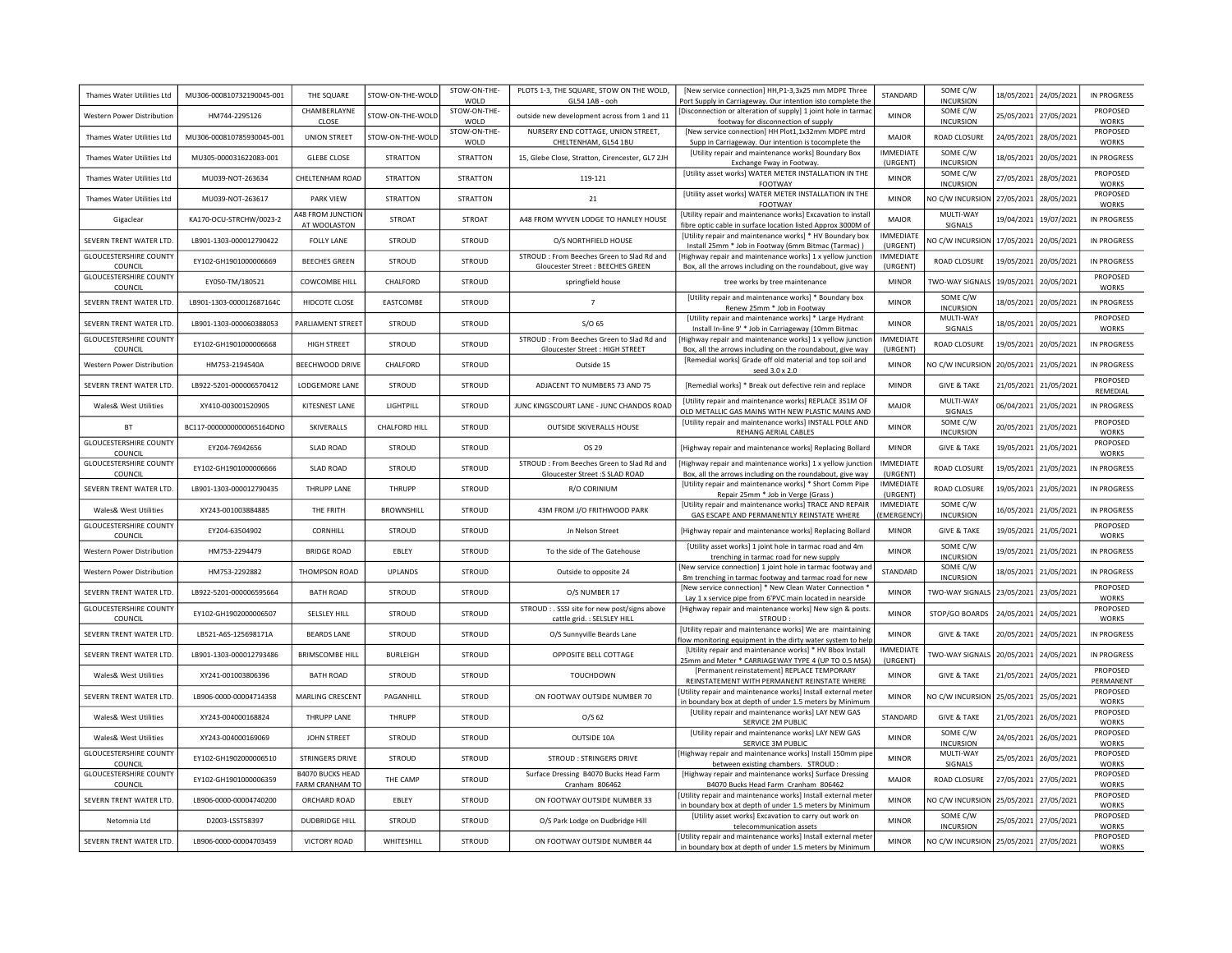| Thames Water Utilities Ltd               | MU306-000810732190045-001 | THE SQUARE                                        | STOW-ON-THE-WOLD  | STOW-ON-THE-<br>WOLD    | PLOTS 1-3, THE SQUARE, STOW ON THE WOLD,<br>GL54 1AB - ooh                     | [New service connection] HH, P1-3, 3x25 mm MDPE Three<br>Port Supply in Carriageway. Our intention isto complete the                    | STANDARD                      | SOME C/W<br><b>INCURSION</b>           | 18/05/2021 | 24/05/2021 | <b>IN PROGRESS</b>           |
|------------------------------------------|---------------------------|---------------------------------------------------|-------------------|-------------------------|--------------------------------------------------------------------------------|-----------------------------------------------------------------------------------------------------------------------------------------|-------------------------------|----------------------------------------|------------|------------|------------------------------|
| Western Power Distribution               | HM744-2295126             | CHAMBERLAYNE                                      | STOW-ON-THE-WOLD  | STOW-ON-THE-            | outside new development across from 1 and 11                                   | [Disconnection or alteration of supply] 1 joint hole in tarmac                                                                          | <b>MINOR</b>                  | SOME C/W                               | 25/05/2021 | 27/05/2021 | PROPOSED                     |
| Thames Water Utilities Ltd               | MU306-000810785930045-001 | CLOSE<br><b>UNION STREET</b>                      | STOW-ON-THE-WOLD  | WOLD<br>STOW-ON-THE-    | NURSERY END COTTAGE, UNION STREET,                                             | footway for disconnection of supply<br>[New service connection] HH Plot1,1x32mm MDPE mtrd                                               | <b>MAJOR</b>                  | <b>INCURSION</b><br>ROAD CLOSURE       | 24/05/2021 | 28/05/2021 | <b>WORKS</b><br>PROPOSED     |
| Thames Water Utilities I td              | MU305-000031622083-001    | <b>GLEBE CLOSE</b>                                | <b>STRATTON</b>   | WOLD<br><b>STRATTON</b> | CHELTENHAM, GL54 1BU<br>15, Glebe Close, Stratton, Cirencester, GL7 2JH        | Supp in Carriageway. Our intention is tocomplete the<br>[Utility repair and maintenance works] Boundary Box<br>Exchange Fway in Footway | <b>IMMEDIATE</b><br>(URGENT)  | SOME C/W<br><b>INCURSION</b>           | 18/05/2021 | 20/05/2021 | <b>WORKS</b><br>IN PROGRESS  |
| Thames Water Utilities Ltd               | MU039-NOT-263634          | CHELTENHAM ROAD                                   | <b>STRATTON</b>   | <b>STRATTON</b>         | 119-121                                                                        | [Utility asset works] WATER METER INSTALLATION IN THE<br>FOOTWAY                                                                        | <b>MINOR</b>                  | SOME C/W<br><b>INCURSION</b>           | 27/05/2021 | 28/05/2021 | PROPOSED<br><b>WORKS</b>     |
| Thames Water Utilities Ltd               | MU039-NOT-263617          | <b>PARK VIFW</b>                                  | <b>STRATTON</b>   | <b>STRATTON</b>         | 21                                                                             | [Utility asset works] WATER METER INSTALLATION IN THE<br><b>FOOTWAY</b>                                                                 | <b>MINOR</b>                  | NO C/W INCURSION 27/05/2021            |            | 28/05/2021 | PROPOSED<br><b>WORKS</b>     |
| Gigaclear                                | KA170-OCU-STRCHW/0023-2   | 448 FROM JUNCTION<br>AT WOOLASTON                 | <b>STROAT</b>     | STROAT                  | A48 FROM WYVEN LODGE TO HANLEY HOUSE                                           | [Utility repair and maintenance works] Excavation to install<br>fibre optic cable in surface location listed Approx 3000M of            | <b>MAJOR</b>                  | MULTI-WAY<br>SIGNALS                   | 19/04/2021 | 19/07/2021 | <b>IN PROGRESS</b>           |
| SEVERN TRENT WATER LTD.                  | LB901-1303-000012790422   | <b>FOLLY LANE</b>                                 | STROUD            | <b>STROUD</b>           | O/S NORTHFIELD HOUSE                                                           | [Utility repair and maintenance works] * HV Boundary box<br>Install 25mm * Job in Footway (6mm Bitmac (Tarmac))                         | <b>IMMEDIATE</b><br>(URGENT)  | NO C/W INCURSION                       | 17/05/2021 | 20/05/2021 | <b>IN PROGRESS</b>           |
| <b>GLOUCESTERSHIRE COUNTY</b><br>COUNCIL | EY102-GH1901000006669     | <b>BEECHES GREEN</b>                              | STROUD            | <b>STROUD</b>           | STROUD : From Beeches Green to Slad Rd and<br>Gloucester Street: BEECHES GREEN | Highway repair and maintenance works] 1 x yellow junctior<br>Box, all the arrows including on the roundabout, give way                  | IMMEDIATE<br>(URGENT)         | ROAD CLOSURE                           | 19/05/2021 | 20/05/2021 | <b>IN PROGRESS</b>           |
| <b>GLOUCESTERSHIRE COUNTY</b><br>COUNCIL | EY050-TM/180521           | COWCOMBE HILL                                     | CHAI FORD         | STROUD                  | springfield house                                                              | tree works by tree maintenance                                                                                                          | <b>MINOR</b>                  | TWO-WAY SIGNALS                        | 19/05/2021 | 20/05/2021 | PROPOSED<br><b>WORKS</b>     |
| SEVERN TRENT WATER LTD.                  | LB901-1303-000012687164C  | HIDCOTE CLOSE                                     | EASTCOMBE         | <b>STROUD</b>           | $7\overline{ }$                                                                | [Utility repair and maintenance works] * Boundary box<br>Renew 25mm * Job in Footway                                                    | <b>MINOR</b>                  | SOME C/W<br><b>INCURSION</b>           | 18/05/2021 | 20/05/2021 | IN PROGRESS                  |
| SEVERN TRENT WATER LTD                   | LB901-1303-000060388053   | PARLIAMENT STREET                                 | <b>STROUD</b>     | STROUD                  | $S/O$ 65                                                                       | [Utility repair and maintenance works] * Large Hydrant<br>Install In-line 9' * Job in Carriageway (10mm Bitmac                          | <b>MINOR</b>                  | MULTI-WAY<br>SIGNALS                   | 18/05/2021 | 20/05/2021 | PROPOSED<br><b>WORKS</b>     |
| <b>GLOUCESTERSHIRE COUNTY</b><br>COUNCIL | EY102-GH1901000006668     | <b>HIGH STREET</b>                                | <b>STROUD</b>     | <b>STROUD</b>           | STROUD : From Beeches Green to Slad Rd and<br>Gloucester Street: HIGH STREET   | Highway repair and maintenance works] 1 x yellow junction<br>Box, all the arrows including on the roundabout, give way                  | <b>IMMEDIATE</b><br>(URGENT)  | ROAD CLOSURE                           | 19/05/2021 | 20/05/2021 | IN PROGRESS                  |
| Western Power Distribution               | HM753-2194540A            | BEECHWOOD DRIVE                                   | CHALFORD          | <b>STROUD</b>           | Outside 15                                                                     | [Remedial works] Grade off old material and top soil and<br>seed 3.0 x 2.0                                                              | <b>MINOR</b>                  | NO C/W INCURSION                       | 20/05/2021 | 21/05/2021 | <b>IN PROGRESS</b>           |
| SEVERN TRENT WATER LTD.                  | LB922-5201-000006570412   | LODGEMORE LANE                                    | STROUD            | STROUD                  | ADJACENT TO NUMBERS 73 AND 75                                                  | [Remedial works] * Break out defective rein and replace                                                                                 | <b>MINOR</b>                  | <b>GIVE &amp; TAKE</b>                 | 21/05/2021 | 21/05/2021 | PROPOSED<br>REMEDIAL         |
| Wales& West Utilities                    | XY410-003001520905        | KITESNEST LANE                                    | LIGHTPILL         | <b>STROUD</b>           | JUNC KINGSCOURT LANE - JUNC CHANDOS ROAD                                       | [Utility repair and maintenance works] REPLACE 351M OF<br>OLD METALLIC GAS MAINS WITH NEW PLASTIC MAINS AND                             | <b>MAJOR</b>                  | MULTI-WAY<br><b>SIGNALS</b>            | 06/04/2021 | 21/05/2021 | IN PROGRESS                  |
| <b>BT</b>                                | BC117-0000000000065164DNO | SKIVERALLS                                        | CHALFORD HILL     | <b>STROUD</b>           | OUTSIDE SKIVERALLS HOUSE                                                       | [Utility repair and maintenance works] INSTALL POLE AND<br>REHANG AERIAL CABLES                                                         | <b>MINOR</b>                  | SOME C/W<br><b>INCURSION</b>           | 20/05/2021 | 21/05/2021 | PROPOSED<br><b>WORKS</b>     |
| <b>GLOUCESTERSHIRE COUNTY</b><br>COUNCIL | EY204-76942656            | <b>SLAD ROAD</b>                                  | STROUD            | <b>STROUD</b>           | OS 29                                                                          | [Highway repair and maintenance works] Replacing Bollard                                                                                | <b>MINOR</b>                  | <b>GIVE &amp; TAKE</b>                 | 19/05/2021 | 21/05/2021 | PROPOSED<br><b>WORKS</b>     |
| <b>GLOUCESTERSHIRE COUNTY</b><br>COUNCIL | EY102-GH1901000006666     | <b>SLAD ROAD</b>                                  | <b>STROUD</b>     | <b>STROUD</b>           | STROUD : From Beeches Green to Slad Rd and<br>Gloucester Street :S SLAD ROAD   | [Highway repair and maintenance works] 1 x yellow junction<br>Box, all the arrows including on the roundabout, give way                 | <b>IMMEDIATE</b><br>(URGENT)  | ROAD CLOSURE                           | 19/05/2021 | 21/05/2021 | <b>IN PROGRESS</b>           |
| SEVERN TRENT WATER LTD.                  | LB901-1303-000012790435   | THRUPP LANE                                       | THRUPP            | <b>STROUD</b>           | R/O CORINIUM                                                                   | [Utility repair and maintenance works] * Short Comm Pipe<br>Repair 25mm * Job in Verge (Grass)                                          | IMMEDIATE<br>(URGENT)         | ROAD CLOSURE                           | 19/05/2021 | 21/05/2021 | <b>IN PROGRESS</b>           |
| Wales& West Utilities                    | XY243-001003884885        | THE FRITH                                         | <b>BROWNSHILL</b> | <b>STROUD</b>           | 43M FROM J/O FRITHWOOD PARK                                                    | [Utility repair and maintenance works] TRACE AND REPAIR<br>GAS ESCAPE AND PERMANENTLY REINSTATE WHERE                                   | IMMEDIATE<br><b>EMERGENCY</b> | SOME C/W<br><b>INCURSION</b>           | 16/05/2021 | 21/05/2021 | <b>IN PROGRESS</b>           |
| <b>GLOUCESTERSHIRE COUNTY</b><br>COUNCIL | EY204-63504902            | CORNHILL                                          | STROUD            | <b>STROUD</b>           | Jn Nelson Street                                                               | [Highway repair and maintenance works] Replacing Bollard                                                                                | <b>MINOR</b>                  | <b>GIVE &amp; TAKE</b>                 | 19/05/2021 | 21/05/2021 | PROPOSED<br><b>WORKS</b>     |
| Western Power Distribution               | HM753-2294479             | <b>BRIDGE ROAD</b>                                | EBLEY             | <b>STROUD</b>           | To the side of The Gatehouse                                                   | [Utility asset works] 1 joint hole in tarmac road and 4m<br>trenching in tarmac road for new supply                                     | <b>MINOR</b>                  | SOME C/W<br><b>INCURSION</b>           | 19/05/2021 | 21/05/2021 | <b>IN PROGRESS</b>           |
| <b>Western Power Distribution</b>        | HM753-2292882             | THOMPSON ROAD                                     | <b>UPLANDS</b>    | <b>STROUD</b>           | Outside to opposite 24                                                         | [New service connection] 1 joint hole in tarmac footway an<br>8m trenching in tarmac footway and tarmac road for new                    | STANDARD                      | SOME C/W<br><b>INCURSION</b>           | 18/05/2021 | 21/05/2021 | <b>IN PROGRESS</b>           |
| SEVERN TRENT WATER LTD                   | LB922-5201-000006595664   | <b>BATH ROAD</b>                                  | STROUD            | STROUD                  | O/S NUMBER 17                                                                  | [New service connection] * New Clean Water Connection<br>Lay 1 x service pipe from 6'PVC main located in nearside                       | <b>MINOR</b>                  | TWO-WAY SIGNALS                        | 23/05/2021 | 23/05/2021 | PROPOSED<br><b>WORKS</b>     |
| <b>GLOUCESTERSHIRE COUNTY</b><br>COUNCIL | EY102-GH1902000006507     | SELSLEY HILL                                      | STROUD            | STROUD                  | STROUD : . SSSI site for new post/signs above<br>cattle grid. : SELSLEY HILL   | [Highway repair and maintenance works] New sign & posts<br><b>STROUD</b>                                                                | <b>MINOR</b>                  | STOP/GO BOARDS                         | 24/05/2021 | 24/05/2021 | PROPOSED<br><b>WORKS</b>     |
| SEVERN TRENT WATER LTD                   | LB521-A6S-125698171A      | <b>BEARDS LANE</b>                                | STROUD            | STROUD                  | O/S Sunnyville Beards Lane                                                     | [Utility repair and maintenance works] We are maintaining<br>flow monitoring equipment in the dirty water system to help                | <b>MINOR</b>                  | <b>GIVE &amp; TAKE</b>                 | 20/05/2021 | 24/05/2021 | IN PROGRESS                  |
| SEVERN TRENT WATER LTD.                  | LB901-1303-000012793486   | <b>BRIMSCOMBE HILL</b>                            | <b>BURLEIGH</b>   | <b>STROUD</b>           | OPPOSITE BELL COTTAGE                                                          | [Utility repair and maintenance works] * HV Bbox Install<br>25mm and Meter * CARRIAGEWAY TYPE 4 (UP TO 0.5 MSA)                         | <b>IMMEDIATE</b><br>(URGENT)  | TWO-WAY SIGNALS                        | 20/05/2021 | 24/05/2021 | <b>IN PROGRESS</b>           |
| Wales& West Utilities                    | XY241-001003806396        | <b>BATH ROAD</b>                                  | STROUD            | <b>STROUD</b>           | <b>TOUCHDOWN</b>                                                               | [Permanent reinstatement] REPLACE TEMPORARY<br>REINSTATEMENT WITH PERMANENT REINSTATE WHERE                                             | <b>MINOR</b>                  | <b>GIVE &amp; TAKE</b>                 | 21/05/2021 | 24/05/2021 | <b>PROPOSED</b><br>PERMANENT |
| SEVERN TRENT WATER LTD                   | LB906-0000-00004714358    | MARI ING CRESCENT                                 | PAGANHILL         | <b>STROUD</b>           | ON FOOTWAY OUTSIDE NUMBER 70                                                   | [Utility repair and maintenance works] Install external mete<br>in boundary box at depth of under 1.5 meters by Minimum                 | <b>MINOR</b>                  | NO C/W INCURSION 25/05/2021            |            | 25/05/2021 | PROPOSED<br><b>WORKS</b>     |
| Wales& West Utilities                    | XY243-004000168824        | <b>THRUPP LANE</b>                                | THRUPP            | STROUD                  | $O/S$ 62                                                                       | [Utility repair and maintenance works] LAY NEW GAS<br>SERVICE 2M PUBLIC                                                                 | STANDARD                      | <b>GIVE &amp; TAKE</b>                 | 21/05/2021 | 26/05/2021 | PROPOSED<br><b>WORKS</b>     |
| Wales& West Utilities                    | XY243-004000169069        | JOHN STREET                                       | <b>STROUD</b>     | STROUD                  | OUTSIDE 10A                                                                    | [Utility repair and maintenance works] LAY NEW GAS<br>SERVICE 3M PUBLIC                                                                 | <b>MINOR</b>                  | SOME C/W<br><b>INCURSION</b>           | 24/05/2021 | 26/05/2021 | PROPOSED<br><b>WORKS</b>     |
| <b>GLOUCESTERSHIRE COUNTY</b><br>COUNCIL | EY102-GH1902000006510     | <b>STRINGERS DRIVE</b>                            | STROUD            | STROUD                  | <b>STROUD: STRINGERS DRIVE</b>                                                 | [Highway repair and maintenance works] Install 150mm pipe<br>between existing chambers. STROUD:                                         | <b>MINOR</b>                  | MULTI-WAY<br>SIGNALS                   | 25/05/2021 | 26/05/2021 | PROPOSED<br><b>WORKS</b>     |
| <b>GLOUCESTERSHIRE COUNTY</b><br>COUNCIL | EY102-GH1901000006359     | <b>B4070 BUCKS HEAD</b><br><b>FARM CRANHAM TO</b> | THE CAMP          | <b>STROUD</b>           | Surface Dressing B4070 Bucks Head Farm<br>Cranham 806462                       | [Highway repair and maintenance works] Surface Dressing<br>B4070 Bucks Head Farm Cranham 806462                                         | <b>MAJOR</b>                  | ROAD CLOSURE                           | 27/05/2021 | 27/05/2021 | PROPOSED<br><b>WORKS</b>     |
| SEVERN TRENT WATER LTD                   | LB906-0000-00004740200    | ORCHARD ROAD                                      | EBLEY             | STROUD                  | ON FOOTWAY OUTSIDE NUMBER 33                                                   | [Utility repair and maintenance works] Install external meter<br>in boundary box at depth of under 1.5 meters by Minimum                | <b>MINOR</b>                  | NO C/W INCURSION                       | 25/05/2021 | 27/05/2021 | PROPOSED<br><b>WORKS</b>     |
| Netomnia Ltd                             | D2003-LSST58397           | <b>DUDBRIDGE HILL</b>                             | <b>STROUD</b>     | STROUD                  | O/S Park Lodge on Dudbridge Hill                                               | [Utility asset works] Excavation to carry out work on<br>telecommunication assets                                                       | <b>MINOR</b>                  | SOME C/W<br><b>INCURSION</b>           | 25/05/2021 | 27/05/2021 | PROPOSED<br><b>WORKS</b>     |
| SEVERN TRENT WATER LTD                   | LB906-0000-00004703459    | <b>VICTORY ROAD</b>                               | WHITESHILL        | <b>STROUD</b>           | ON FOOTWAY OUTSIDE NUMBER 44                                                   | [Utility repair and maintenance works] Install external meter<br>in boundary box at depth of under 1.5 meters by Minimum                | <b>MINOR</b>                  | NO C/W INCURSION 25/05/2021 27/05/2021 |            |            | PROPOSED<br><b>WORKS</b>     |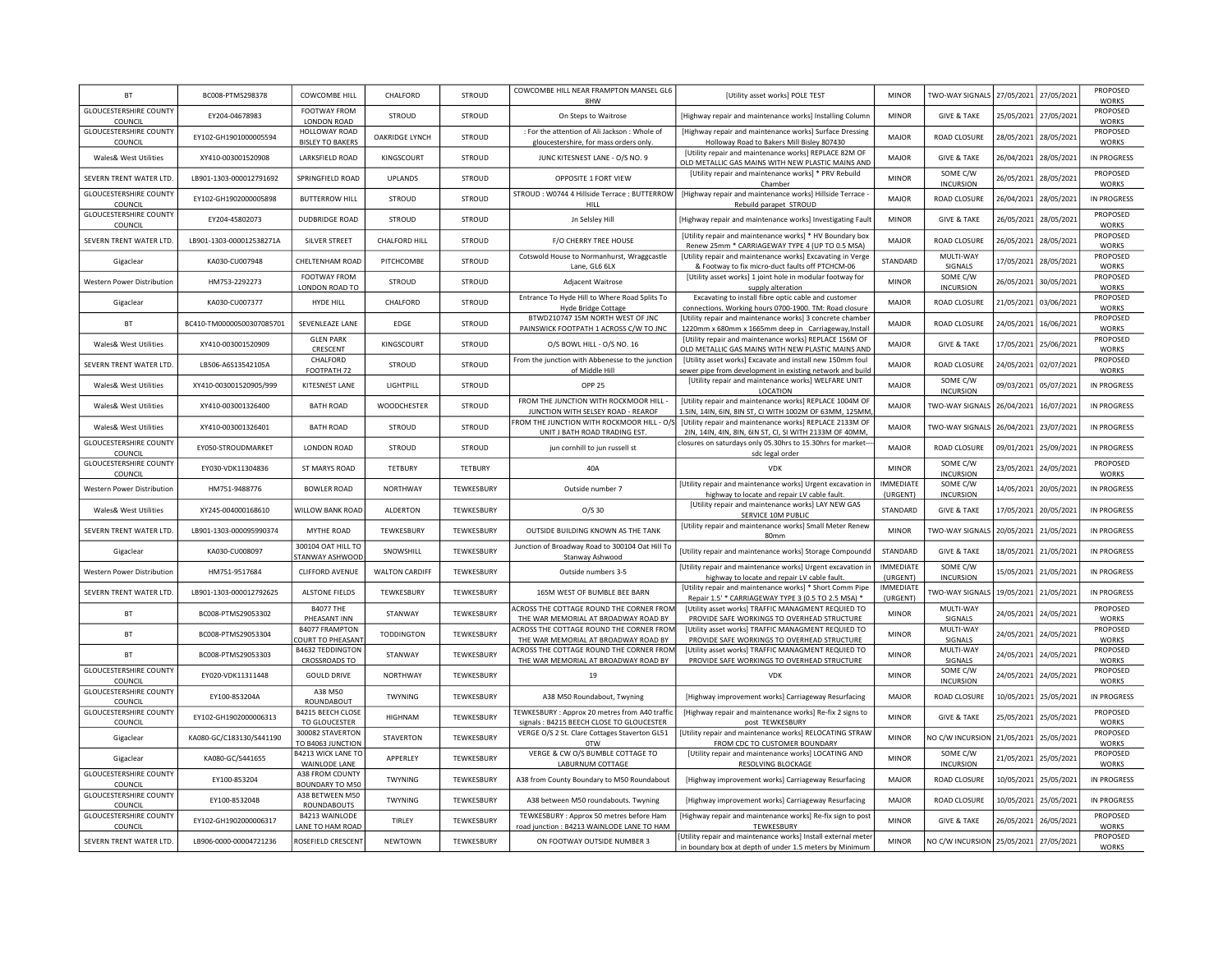| <b>BT</b>                                | BC008-PTMS298378          | COWCOMBE HILL                                   | CHALFORD              | <b>STROUD</b>     | COWCOMBE HILL NEAR FRAMPTON MANSEL GL6<br>8HW                                             | [Utility asset works] POLE TEST                                                                                          | <b>MINOR</b>                 | TWO-WAY SIGNALS              | 27/05/2021 | 27/05/2021 | PROPOSED<br><b>WORKS</b> |
|------------------------------------------|---------------------------|-------------------------------------------------|-----------------------|-------------------|-------------------------------------------------------------------------------------------|--------------------------------------------------------------------------------------------------------------------------|------------------------------|------------------------------|------------|------------|--------------------------|
| <b>GLOUCESTERSHIRE COUNTY</b><br>COUNCIL | EY204-04678983            | FOOTWAY FROM<br>LONDON ROAD                     | <b>STROUD</b>         | <b>STROUD</b>     | On Steps to Waitrose                                                                      | [Highway repair and maintenance works] Installing Column                                                                 | <b>MINOR</b>                 | <b>GIVE &amp; TAKE</b>       | 25/05/2021 | 27/05/2021 | PROPOSED<br><b>WORKS</b> |
| <b>GLOUCESTERSHIRE COUNTY</b><br>COUNCIL | EY102-GH1901000005594     | HOLLOWAY ROAD<br><b>BISLEY TO BAKERS</b>        | OAKRIDGE LYNCH        | <b>STROUD</b>     | : For the attention of Ali Jackson : Whole of<br>gloucestershire, for mass orders only    | [Highway repair and maintenance works] Surface Dressing<br>Holloway Road to Bakers Mill Bisley 807430                    | <b>MAJOR</b>                 | ROAD CLOSURE                 | 28/05/2021 | 28/05/2021 | PROPOSED<br><b>WORKS</b> |
| Wales& West Utilities                    | XY410-003001520908        | LARKSFIELD ROAD                                 | KINGSCOURT            | <b>STROUD</b>     | JUNC KITESNEST LANE - O/S NO. 9                                                           | [Utility repair and maintenance works] REPLACE 82M OF<br>OLD METALLIC GAS MAINS WITH NEW PLASTIC MAINS AND               | <b>MAIOR</b>                 | <b>GIVE &amp; TAKE</b>       | 26/04/2021 | 28/05/2021 | <b>IN PROGRESS</b>       |
| SEVERN TRENT WATER LTD.                  | LB901-1303-000012791692   | SPRINGFIELD ROAD                                | <b>UPLANDS</b>        | <b>STROUD</b>     | OPPOSITE 1 FORT VIEW                                                                      | [Utility repair and maintenance works] * PRV Rebuild<br>Chamber                                                          | <b>MINOR</b>                 | SOME C/W<br><b>INCURSION</b> | 26/05/2021 | 28/05/2021 | PROPOSED<br><b>WORKS</b> |
| <b>GLOUCESTERSHIRE COUNTY</b><br>COUNCIL | EY102-GH1902000005898     | <b>BUTTERROW HILL</b>                           | STROUD                | <b>STROUD</b>     | STROUD: W0744 4 Hillside Terrace: BUTTERROW<br>HILL                                       | [Highway repair and maintenance works] Hillside Terrace<br>Rebuild parapet STROUD                                        | <b>MAJOR</b>                 | ROAD CLOSURE                 | 26/04/2021 | 28/05/2021 | <b>IN PROGRESS</b>       |
| <b>GLOUCESTERSHIRE COUNTY</b><br>COUNCIL | EY204-45802073            | <b>DUDBRIDGE ROAD</b>                           | <b>STROUD</b>         | STROUD            | <b>Jn Selsley Hill</b>                                                                    | [Highway repair and maintenance works] Investigating Fault                                                               | <b>MINOR</b>                 | <b>GIVE &amp; TAKE</b>       | 26/05/2021 | 28/05/2021 | PROPOSED<br><b>WORKS</b> |
| SEVERN TRENT WATER LTD.                  | LB901-1303-000012538271A  | SILVER STREET                                   | <b>CHALFORD HILL</b>  | <b>STROUD</b>     | F/O CHERRY TREE HOUSE                                                                     | [Utility repair and maintenance works] * HV Boundary box<br>Renew 25mm * CARRIAGEWAY TYPE 4 (UP TO 0.5 MSA)              | MAIOR                        | ROAD CLOSURE                 | 26/05/2021 | 28/05/2021 | PROPOSED<br><b>WORKS</b> |
| Gigaclear                                | KA030-CU007948            | CHELTENHAM ROAD                                 | PITCHCOMBE            | <b>STROUD</b>     | Cotswold House to Normanhurst, Wraggcastle<br>Lane, GL6 6LX                               | [Utility repair and maintenance works] Excavating in Verge<br>& Footway to fix micro-duct faults off PTCHCM-06           | STANDARD                     | MULTI-WAY<br>SIGNALS         | 17/05/2021 | 28/05/2021 | PROPOSED<br><b>WORKS</b> |
| Western Power Distribution               | HM753-2292273             | FOOTWAY FROM<br>LONDON ROAD TO                  | STROUD                | STROUD            | Adjacent Waitrose                                                                         | [Utility asset works] 1 joint hole in modular footway for<br>supply alteration                                           | <b>MINOR</b>                 | SOME C/W<br><b>INCURSION</b> | 26/05/2021 | 30/05/2021 | PROPOSED<br><b>WORKS</b> |
| Gigaclear                                | KA030-CU007377            | <b>HYDE HILL</b>                                | CHALFORD              | <b>STROUD</b>     | Entrance To Hyde Hill to Where Road Splits To<br><b>Hyde Bridge Cottage</b>               | Excavating to install fibre optic cable and customer<br>connections. Working hours 0700-1900. TM: Road closure           | <b>MAJOR</b>                 | ROAD CLOSURE                 | 21/05/2021 | 03/06/2021 | PROPOSED<br><b>WORKS</b> |
| <b>BT</b>                                | BC410-TM00000500307085701 | SEVENLEAZE LANE                                 | <b>EDGE</b>           | <b>STROUD</b>     | BTWD210747 15M NORTH WEST OF JNC<br>PAINSWICK FOOTPATH 1 ACROSS C/W TO JNC                | [Utility repair and maintenance works] 3 concrete chamber<br>1220mm x 680mm x 1665mm deep in Carriageway, Install        | <b>MAJOR</b>                 | ROAD CLOSURE                 | 24/05/2021 | 16/06/2021 | PROPOSED<br><b>WORKS</b> |
| Wales& West Utilities                    | XY410-003001520909        | <b>GLEN PARK</b><br>CRESCENT                    | KINGSCOURT            | <b>STROUD</b>     | O/S BOWL HILL - O/S NO. 16                                                                | [Utility repair and maintenance works] REPLACE 156M OF<br>OLD METALLIC GAS MAINS WITH NEW PLASTIC MAINS AND              | <b>MAJOR</b>                 | <b>GIVE &amp; TAKE</b>       | 17/05/2021 | 25/06/2021 | PROPOSED<br><b>WORKS</b> |
| SEVERN TRENT WATER LTD.                  | LB506-A6S13542105A        | CHALFORD<br>FOOTPATH 72                         | <b>STROUD</b>         | <b>STROUD</b>     | From the junction with Abbenesse to the junction<br>of Middle Hill                        | [Utility asset works] Excavate and install new 150mm foul<br>sewer pipe from development in existing network and build   | <b>MAJOR</b>                 | <b>ROAD CLOSURE</b>          | 24/05/2021 | 02/07/2021 | PROPOSED<br><b>WORKS</b> |
| Wales& West Utilities                    | XY410-003001520905/999    | KITESNEST LANE                                  | LIGHTPILL             | STROUD            | OPP 25                                                                                    | [Utility repair and maintenance works] WELFARE UNIT<br>LOCATION                                                          | <b>MAIOR</b>                 | SOME C/W<br><b>INCURSION</b> | 09/03/2021 | 05/07/2021 | IN PROGRESS              |
| Wales& West Utilities                    | XY410-003001326400        | <b>BATH ROAD</b>                                | WOODCHESTER           | <b>STROUD</b>     | FROM THE JUNCTION WITH ROCKMOOR HILL<br>JUNCTION WITH SELSEY ROAD - REAROF                | [Utility repair and maintenance works] REPLACE 1004M OF<br>L.5IN, 14IN, 6IN, 8IN ST, CI WITH 1002M OF 63MM, 125MM        | MAIOR                        | <b>TWO-WAY SIGNALS</b>       | 26/04/2021 | 16/07/2021 | <b>IN PROGRESS</b>       |
| Wales& West Utilities                    | XY410-003001326401        | <b>BATH ROAD</b>                                | <b>STROUD</b>         | STROUD            | FROM THE JUNCTION WITH ROCKMOOR HILL - O/S<br>UNIT J BATH ROAD TRADING EST.               | [Utility repair and maintenance works] REPLACE 2133M OF<br>2IN, 14IN, 4IN, 8IN, 6IN ST, CI, SI WITH 2133M OF 40MM,       | <b>MAJOR</b>                 | TWO-WAY SIGNALS              | 26/04/2021 | 23/07/2021 | <b>IN PROGRESS</b>       |
| <b>GLOUCESTERSHIRE COUNTY</b><br>COUNCIL | EY050-STROUDMARKET        | <b>LONDON ROAD</b>                              | <b>STROUD</b>         | <b>STROUD</b>     | jun cornhill to jun russell st                                                            | closures on saturdays only 05.30hrs to 15.30hrs for market-<br>sdc legal order                                           | <b>MAJOR</b>                 | ROAD CLOSURE                 | 09/01/2021 | 25/09/2021 | <b>IN PROGRESS</b>       |
| <b>GLOUCESTERSHIRE COUNTY</b><br>COUNCIL | FY030-VDK11304836         | ST MARYS ROAD                                   | TETBURY               | <b>TETBURY</b>    | 40A                                                                                       | <b>VDK</b>                                                                                                               | <b>MINOR</b>                 | SOME C/W<br><b>INCURSION</b> | 23/05/2021 | 24/05/2021 | PROPOSED<br><b>WORKS</b> |
| Western Power Distribution               | HM751-9488776             | <b>BOWLER ROAD</b>                              | <b>NORTHWAY</b>       | TEWKESBURY        | Outside number 7                                                                          | [Utility repair and maintenance works] Urgent excavation in<br>highway to locate and repair LV cable fault.              | IMMEDIATE<br>(URGENT)        | SOME C/W<br><b>INCURSION</b> | 14/05/2021 | 20/05/2021 | IN PROGRESS              |
| Wales& West Utilities                    | XY245-004000168610        | WILLOW BANK ROAD                                | ALDERTON              | TEWKESBURY        | 0/5.30                                                                                    | [Utility repair and maintenance works] LAY NEW GAS<br>SERVICE 10M PUBLIC                                                 | STANDARD                     | <b>GIVE &amp; TAKE</b>       | 17/05/2021 | 20/05/2021 | <b>IN PROGRESS</b>       |
| SEVERN TRENT WATER LTD.                  | LB901-1303-000095990374   | MYTHE ROAD                                      | TEWKESBURY            | TEWKESBURY        | OUTSIDE BUILDING KNOWN AS THE TANK                                                        | [Utility repair and maintenance works] Small Meter Renew<br>80mm                                                         | <b>MINOR</b>                 | <b>TWO-WAY SIGNALS</b>       | 20/05/2021 | 21/05/2021 | <b>IN PROGRESS</b>       |
| Gigaclear                                | KA030-CU008097            | 300104 OAT HILL TO<br>STANWAY ASHWOOD           | SNOWSHILL             | TEWKESBURY        | Junction of Broadway Road to 300104 Oat Hill To<br>Stanway Ashwood                        | [Utility repair and maintenance works] Storage Compoundd                                                                 | STANDARD                     | <b>GIVE &amp; TAKE</b>       | 18/05/2021 | 21/05/2021 | <b>IN PROGRESS</b>       |
| Western Power Distribution               | HM751-9517684             | CLIFFORD AVENUE                                 | <b>WALTON CARDIFF</b> | TEWKESBURY        | Outside numbers 3-5                                                                       | [Utility repair and maintenance works] Urgent excavation in<br>highway to locate and repair LV cable fault.              | <b>IMMEDIATE</b><br>(URGENT) | SOME C/W<br><b>INCURSION</b> | 15/05/2021 | 21/05/2021 | <b>IN PROGRESS</b>       |
| SEVERN TRENT WATER LTD.                  | LB901-1303-000012792625   | <b>ALSTONE FIELDS</b>                           | TEWKESBURY            | TEWKESBURY        | 165M WEST OF BUMBLE BEE BARN                                                              | [Utility repair and maintenance works] * Short Comm Pipe<br>Repair 1.5' * CARRIAGEWAY TYPE 3 (0.5 TO 2.5 MSA) *          | <b>IMMEDIATE</b><br>(URGENT) | WO-WAY SIGNALS               | 19/05/2021 | 21/05/2021 | <b>IN PROGRESS</b>       |
| <b>BT</b>                                | BC008-PTMS29053302        | <b>B4077 THE</b><br>PHEASANT INN                | STANWAY               | TEWKESBURY        | ACROSS THE COTTAGE ROUND THE CORNER FROM<br>THE WAR MEMORIAL AT BROADWAY ROAD BY          | [Utility asset works] TRAFFIC MANAGMENT REQUIED TO<br>PROVIDE SAFE WORKINGS TO OVERHEAD STRUCTURE                        | <b>MINOR</b>                 | MULTI-WAY<br>SIGNALS         | 24/05/2021 | 24/05/2021 | PROPOSED<br><b>WORKS</b> |
| BT                                       | BC008-PTMS29053304        | <b>B4077 FRAMPTON</b><br>COURT TO PHEASANT      | <b>TODDINGTON</b>     | TEWKESBURY        | ACROSS THE COTTAGE ROUND THE CORNER FROM<br>THE WAR MEMORIAL AT BROADWAY ROAD BY          | [Utility asset works] TRAFFIC MANAGMENT REQUIED TO<br>PROVIDE SAFE WORKINGS TO OVERHEAD STRUCTURE                        | <b>MINOR</b>                 | MULTI-WAY<br>SIGNALS         | 24/05/2021 | 24/05/2021 | PROPOSED<br><b>WORKS</b> |
| <b>BT</b>                                | BC008-PTMS29053303        | <b>B4632 TEDDINGTON</b><br><b>CROSSROADS TO</b> | STANWAY               | TEWKESBURY        | ACROSS THE COTTAGE ROUND THE CORNER FROM<br>THE WAR MEMORIAL AT BROADWAY ROAD BY          | [Utility asset works] TRAFFIC MANAGMENT REQUIED TO<br>PROVIDE SAFE WORKINGS TO OVERHEAD STRUCTURE                        | <b>MINOR</b>                 | MULTI-WAY<br>SIGNALS.        | 24/05/2021 | 24/05/2021 | PROPOSED<br><b>WORKS</b> |
| <b>GLOUCESTERSHIRE COUNTY</b><br>COUNCIL | EY020-VDK11311448         | <b>GOULD DRIVE</b>                              | <b>NORTHWAY</b>       | TEWKESBURY        | 19                                                                                        | <b>VDK</b>                                                                                                               | <b>MINOR</b>                 | SOME C/W<br><b>INCURSION</b> | 24/05/2021 | 24/05/2021 | PROPOSED<br><b>WORKS</b> |
| <b>GLOUCESTERSHIRE COUNTY</b><br>COUNCIL | EY100-853204A             | A38 M50<br>ROUNDABOUT                           | TWYNING               | TEWKESBURY        | A38 M50 Roundabout, Twyning                                                               | [Highway improvement works] Carriageway Resurfacing                                                                      | MAJOR                        | <b>ROAD CLOSURE</b>          | 10/05/2021 | 25/05/2021 | <b>IN PROGRESS</b>       |
| <b>GLOUCESTERSHIRE COUNTY</b><br>COUNCIL | EY102-GH1902000006313     | B4215 BEECH CLOSE<br>TO GLOUCESTER              | <b>HIGHNAM</b>        | <b>TEWKESBURY</b> | TEWKESBURY: Approx 20 metres from A40 traffic<br>signals: B4215 BEECH CLOSE TO GLOUCESTER | [Highway repair and maintenance works] Re-fix 2 signs to<br>post TEWKESBURY                                              | <b>MINOR</b>                 | <b>GIVE &amp; TAKE</b>       | 25/05/2021 | 25/05/2021 | PROPOSED<br><b>WORKS</b> |
| Gigaclear                                | KA080-GC/C183130/S441190  | 300082 STAVERTON<br>TO B4063 JUNCTION           | <b>STAVERTON</b>      | TEWKESBURY        | VERGE O/S 2 St. Clare Cottages Staverton GL51<br><b>OTW</b>                               | [Utility repair and maintenance works] RELOCATING STRAW<br>FROM CDC TO CUSTOMER BOUNDARY                                 | <b>MINOR</b>                 | NO C/W INCURSION             | 21/05/2021 | 25/05/2021 | PROPOSED<br><b>WORKS</b> |
| Gigaclear                                | KA080-GC/S441655          | <b>B4213 WICK LANE TO</b><br>WAINLODE LANE      | APPERLEY              | TEWKESBURY        | VERGE & CW O/S BUMBLE COTTAGE TO<br>LABURNUM COTTAGE                                      | [Utility repair and maintenance works] LOCATING AND<br>RESOLVING BLOCKAGE                                                | <b>MINOR</b>                 | SOME C/W<br><b>INCURSION</b> | 21/05/2021 | 25/05/2021 | PROPOSED<br><b>WORKS</b> |
| <b>GLOUCESTERSHIRE COUNTY</b><br>COUNCIL | EY100-853204              | A38 FROM COUNTY<br><b>BOUNDARY TO M50</b>       | TWYNING               | TEWKESBURY        | A38 from County Boundary to M50 Roundabout                                                | [Highway improvement works] Carriageway Resurfacing                                                                      | MAJOR                        | ROAD CLOSURE                 | 10/05/2021 | 25/05/2021 | <b>IN PROGRESS</b>       |
| <b>GLOUCESTERSHIRE COUNTY</b><br>COUNCIL | EY100-853204B             | A38 BETWEEN M50<br>ROUNDABOUTS                  | <b>TWYNING</b>        | TEWKESBURY        | A38 between M50 roundabouts. Twyning                                                      | [Highway improvement works] Carriageway Resurfacing                                                                      | <b>MAJOR</b>                 | ROAD CLOSURE                 | 10/05/2021 | 25/05/2021 | IN PROGRESS              |
| <b>GLOUCESTERSHIRE COUNTY</b><br>COUNCIL | EY102-GH1902000006317     | B4213 WAINLODE<br>LANE TO HAM ROAD              | TIRLEY                | TEWKESBURY        | TEWKESBURY : Approx 50 metres before Ham<br>road junction : B4213 WAINLODE LANE TO HAM    | [Highway repair and maintenance works] Re-fix sign to post<br>TEWKESBURY                                                 | <b>MINOR</b>                 | <b>GIVE &amp; TAKE</b>       | 26/05/2021 | 26/05/2021 | PROPOSED<br><b>WORKS</b> |
| SEVERN TRENT WATER LTD.                  | LB906-0000-00004721236    | ROSEFIELD CRESCENT                              | NEWTOWN               | <b>TFWKFSBURY</b> | ON FOOTWAY OUTSIDE NUMBER 3                                                               | [Utility repair and maintenance works] Install external meter<br>in boundary box at depth of under 1.5 meters by Minimum | <b>MINOR</b>                 | NO C/W INCURSION             | 25/05/2021 | 27/05/2021 | PROPOSED<br><b>WORKS</b> |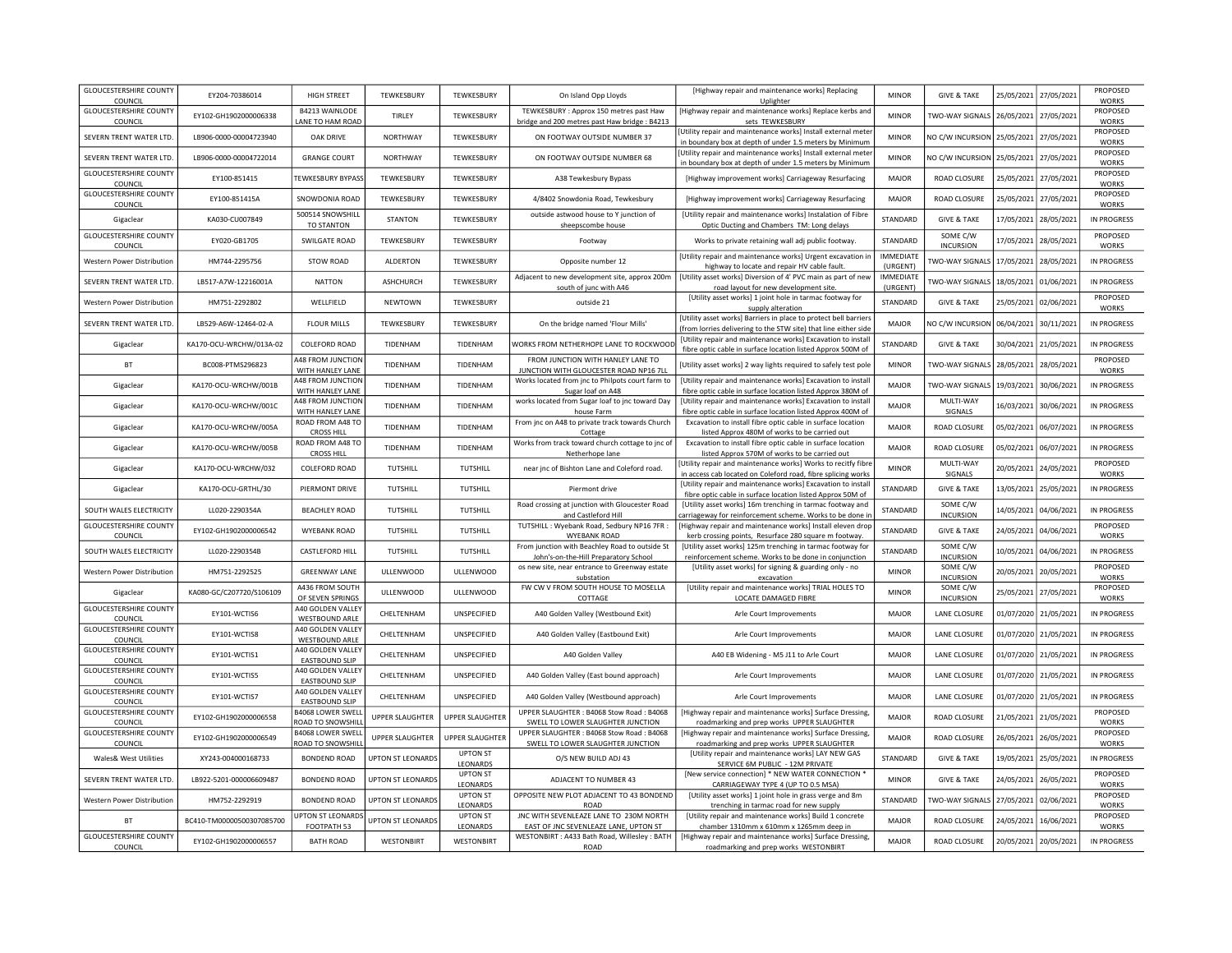| <b>GLOUCESTERSHIRE COUNTY</b><br>COUNCIL | EY204-70386014            | <b>HIGH STREET</b>                            | TEWKESBURY               | TEWKESBURY                  | On Island Opp Lloyds                                                                    | [Highway repair and maintenance works] Replacing<br>Uplighter                                                                       | <b>MINOR</b>          | <b>GIVE &amp; TAKE</b>       | 25/05/2021            | 27/05/2021            | PROPOSED<br><b>WORKS</b> |
|------------------------------------------|---------------------------|-----------------------------------------------|--------------------------|-----------------------------|-----------------------------------------------------------------------------------------|-------------------------------------------------------------------------------------------------------------------------------------|-----------------------|------------------------------|-----------------------|-----------------------|--------------------------|
| <b>GLOUCESTERSHIRE COUNTY</b><br>COUNCIL | EY102-GH1902000006338     | <b>B4213 WAINLODE</b><br>LANE TO HAM ROAD     | TIRLEY                   | TEWKESBURY                  | TEWKESBURY: Approx 150 metres past Haw<br>bridge and 200 metres past Haw bridge : B4213 | [Highway repair and maintenance works] Replace kerbs and<br>sets TEWKESBURY                                                         | <b>MINOR</b>          | TWO-WAY SIGNALS              | 26/05/2021            | 27/05/2021            | PROPOSED<br><b>WORKS</b> |
| SEVERN TRENT WATER LTD.                  | LB906-0000-00004723940    | OAK DRIVE                                     | NORTHWAY                 | TEWKESBURY                  | ON FOOTWAY OUTSIDE NUMBER 37                                                            | Utility repair and maintenance works] Install external mete<br>in boundary box at depth of under 1.5 meters by Minimum              | <b>MINOR</b>          | NO C/W INCURSION             | 25/05/2021            | 27/05/2021            | PROPOSED<br><b>WORKS</b> |
| SEVERN TRENT WATER LTD.                  | LB906-0000-00004722014    | <b>GRANGE COURT</b>                           | <b>NORTHWAY</b>          | TEWKESBURY                  | ON FOOTWAY OUTSIDE NUMBER 68                                                            | [Utility repair and maintenance works] Install external meter<br>in boundary box at depth of under 1.5 meters by Minimum            | <b>MINOR</b>          | NO C/W INCURSION             | 25/05/2021            | 27/05/2021            | PROPOSED<br><b>WORKS</b> |
| <b>GLOUCESTERSHIRE COUNTY</b><br>COUNCIL | EY100-851415              | TEWKESBURY BYPASS                             | TEWKESBURY               | TEWKESBURY                  | A38 Tewkesbury Bypass                                                                   | [Highway improvement works] Carriageway Resurfacing                                                                                 | <b>MAJOR</b>          | ROAD CLOSURE                 | 25/05/2021            | 27/05/2021            | PROPOSED<br><b>WORKS</b> |
| <b>GLOUCESTERSHIRE COUNTY</b><br>COUNCIL | EY100-851415A             | SNOWDONIA ROAD                                | TEWKESBURY               | TEWKESBURY                  | 4/8402 Snowdonia Road, Tewkesbury                                                       | [Highway improvement works] Carriageway Resurfacing                                                                                 | <b>MAJOR</b>          | ROAD CLOSURE                 | 25/05/2021            | 27/05/2021            | PROPOSED<br><b>WORKS</b> |
| Gigaclear                                | KA030-CU007849            | 500514 SNOWSHILL<br>TO STANTON                | <b>STANTON</b>           | TFWKFSBURY                  | outside astwood house to Y junction of<br>sheepscombe house                             | [Utility repair and maintenance works] Instalation of Fibre<br>Optic Ducting and Chambers TM: Long delays                           | STANDARD              | <b>GIVE &amp; TAKE</b>       | 17/05/2021            | 28/05/2021            | IN PROGRESS              |
| <b>GLOUCESTERSHIRE COUNTY</b><br>COUNCIL | EY020-GB1705              | SWILGATE ROAD                                 | TEWKESBURY               | TEWKESBURY                  | Footway                                                                                 | Works to private retaining wall adj public footway.                                                                                 | STANDARD              | SOME C/W<br><b>INCURSION</b> | 17/05/2021            | 28/05/2021            | PROPOSED<br><b>WORKS</b> |
| Western Power Distribution               | HM744-2295756             | STOW ROAD                                     | ALDERTON                 | TEWKESBURY                  | Opposite number 12                                                                      | [Utility repair and maintenance works] Urgent excavation i<br>highway to locate and repair HV cable fault.                          | IMMEDIATE<br>(URGENT) | <b>TWO-WAY SIGNALS</b>       | 17/05/2021            | 28/05/2021            | IN PROGRESS              |
| SEVERN TRENT WATER LTD                   | LB517-A7W-12216001A       | <b>NATTON</b>                                 | ASHCHURCH                | TFWKFSBURY                  | Adjacent to new development site, approx 200m<br>south of junc with A46                 | [Utility asset works] Diversion of 4' PVC main as part of new<br>road layout for new development site.                              | IMMEDIATE<br>(URGENT) | TWO-WAY SIGNALS              | 18/05/2021            | 01/06/2021            | <b>IN PROGRESS</b>       |
| Western Power Distribution               | HM751-2292802             | WELLFIELD                                     | NEWTOWN                  | TEWKESBURY                  | outside 21                                                                              | [Utility asset works] 1 joint hole in tarmac footway for<br>supply alteration                                                       | STANDARD              | <b>GIVE &amp; TAKE</b>       | 25/05/2021            | 02/06/2021            | PROPOSED<br>WORKS        |
| SEVERN TRENT WATER LTD.                  | LB529-A6W-12464-02-A      | <b>FLOUR MILLS</b>                            | <b>TEWKESBURY</b>        | TEWKESBURY                  | On the bridge named 'Flour Mills'                                                       | [Utility asset works] Barriers in place to protect bell barriers<br>(from lorries delivering to the STW site) that line either side | <b>MAJOR</b>          | NO C/W INCURSION             | 06/04/2021            | 30/11/2021            | IN PROGRESS              |
| Gigaclear                                | KA170-OCU-WRCHW/013A-02   | COLEFORD ROAD                                 | TIDENHAM                 | TIDENHAM                    | WORKS FROM NETHERHOPE LANE TO ROCKWOO                                                   | [Utility repair and maintenance works] Excavation to install<br>fibre optic cable in surface location listed Approx 500M of         | STANDARD              | <b>GIVE &amp; TAKE</b>       | 30/04/2021            | 21/05/2021            | IN PROGRESS              |
| BT                                       | BC008-PTMS296823          | 448 FROM JUNCTION<br>WITH HANLEY LANE         | TIDENHAM                 | TIDENHAM                    | FROM JUNCTION WITH HANLEY LANE TO<br>JUNCTION WITH GLOUCESTER ROAD NP16 7LL             | [Utility asset works] 2 way lights required to safely test pole                                                                     | <b>MINOR</b>          | TWO-WAY SIGNALS              | 28/05/2021            | 28/05/2021            | PROPOSED<br><b>WORKS</b> |
| Gigaclear                                | KA170-OCU-WRCHW/001B      | A48 FROM JUNCTION<br>WITH HANLEY LANE         | TIDENHAM                 | TIDENHAM                    | Works located from jnc to Philpots court farm to<br>Sugar loaf on A48                   | [Utility repair and maintenance works] Excavation to install<br>fibre optic cable in surface location listed Approx 380M of         | MAIOR                 | <b>TWO-WAY SIGNALS</b>       | 19/03/2021            | 30/06/2021            | IN PROGRESS              |
| Gigaclear                                | KA170-OCU-WRCHW/001C      | A48 FROM JUNCTION<br>WITH HANLEY LANE         | TIDENHAM                 | TIDENHAM                    | works located from Sugar loaf to jnc toward Day<br>house Farm                           | [Utility repair and maintenance works] Excavation to install<br>fibre optic cable in surface location listed Approx 400M of         | <b>MAJOR</b>          | MULTI-WAY<br>SIGNALS         | 16/03/2021            | 30/06/2021            | <b>IN PROGRESS</b>       |
| Gigaclear                                | KA170-OCU-WRCHW/005A      | ROAD FROM A48 TO<br><b>CROSS HILL</b>         | TIDENHAM                 | TIDENHAM                    | From jnc on A48 to private track towards Church<br>Cottage                              | Excavation to install fibre optic cable in surface location<br>listed Approx 480M of works to be carried out                        | <b>MAJOR</b>          | ROAD CLOSURE                 | 05/02/2021            | 06/07/2021            | <b>IN PROGRESS</b>       |
| Gigaclear                                | KA170-OCU-WRCHW/005B      | ROAD FROM A48 TO<br><b>CROSS HILL</b>         | TIDENHAM                 | TIDENHAM                    | Works from track toward church cottage to jnc of<br>Netherhope lane                     | Excavation to install fibre optic cable in surface location<br>listed Approx 570M of works to be carried out                        | <b>MAJOR</b>          | ROAD CLOSURE                 | 05/02/2021            | 06/07/2021            | <b>IN PROGRESS</b>       |
| Gigaclear                                | KA170-OCU-WRCHW/032       | COLEFORD ROAD                                 | TUTSHILL                 | TUTSHILL                    | near jnc of Bishton Lane and Coleford road.                                             | Utility repair and maintenance works] Works to recitfy fibre<br>in access cab located on Coleford road, fibre splicing works        | <b>MINOR</b>          | MULTI-WAY<br>SIGNALS         | 20/05/2021            | 24/05/2021            | PROPOSED<br><b>WORKS</b> |
| Gigaclear                                | KA170-OCU-GRTHL/30        | PIERMONT DRIVE                                | TUTSHILL                 | <b>TUTSHILL</b>             | Piermont drive                                                                          | [Utility repair and maintenance works] Excavation to install<br>fibre optic cable in surface location listed Approx 50M of          | STANDARD              | <b>GIVE &amp; TAKE</b>       | 13/05/2021            | 25/05/2021            | <b>IN PROGRESS</b>       |
| SOUTH WALES ELECTRICITY                  | LL020-2290354A            | <b>BEACHLEY ROAD</b>                          | TUTSHILL                 | TUTSHILL                    | Road crossing at junction with Gloucester Road<br>and Castleford Hill                   | [Utility asset works] 16m trenching in tarmac footway and<br>carriageway for reinforcement scheme. Works to be done in              | STANDARD              | SOME C/W<br><b>INCURSION</b> | 14/05/2021            | 04/06/2021            | IN PROGRESS              |
| <b>GLOUCESTERSHIRE COUNTY</b><br>COUNCIL | EY102-GH1902000006542     | WYEBANK ROAD                                  | TUTSHILL                 | TUTSHILL                    | TUTSHILL: Wyebank Road, Sedbury NP16 7FR:<br><b>WYEBANK ROAD</b>                        | [Highway repair and maintenance works] Install eleven drop<br>kerb crossing points, Resurface 280 square m footway.                 | STANDARD              | <b>GIVE &amp; TAKE</b>       | 24/05/2021            | 04/06/2021            | PROPOSED<br><b>WORKS</b> |
| SOUTH WALES ELECTRICITY                  | LL020-2290354B            | <b>CASTLEFORD HILL</b>                        | TUTSHILL                 | TUTSHILL                    | From junction with Beachley Road to outside St<br>John's-on-the-Hill Preparatory School | [Utility asset works] 125m trenching in tarmac footway for<br>reinforcement scheme. Works to be done in conjunction                 | STANDARD              | SOME C/W<br><b>INCURSION</b> | 10/05/2021            | 04/06/2021            | <b>IN PROGRESS</b>       |
| <b>Western Power Distribution</b>        | HM751-2292525             | <b>GREENWAY LANE</b>                          | ULLENWOOD                | ULLENWOOD                   | os new site, near entrance to Greenway estate<br>substation                             | [Utility asset works] for signing & guarding only - no<br>excavation                                                                | <b>MINOR</b>          | SOME C/W<br><b>INCURSION</b> | 20/05/2021            | 20/05/2021            | PROPOSED<br><b>WORKS</b> |
| Gigaclear                                | KA080-GC/C207720/S106109  | A436 FROM SOUTH<br>OF SEVEN SPRINGS           | ULLENWOOD                | <b>ULLENWOOD</b>            | FW CW V FROM SOUTH HOUSE TO MOSELLA<br>COTTAGE                                          | [Utility repair and maintenance works] TRIAL HOLES TO<br>LOCATE DAMAGED FIBRE                                                       | <b>MINOR</b>          | SOME C/W<br><b>INCURSION</b> | 25/05/2021            | 27/05/2021            | PROPOSED<br><b>WORKS</b> |
| <b>GLOUCESTERSHIRE COUNTY</b><br>COUNCIL | EY101-WCTIS6              | A40 GOLDEN VALLEY<br><b>WESTBOUND ARLE</b>    | CHELTENHAM               | UNSPECIFIED                 | A40 Golden Valley (Westbound Exit)                                                      | Arle Court Improvements                                                                                                             | MAIOR                 | LANE CLOSURE                 | 01/07/2020 21/05/2021 |                       | IN PROGRESS              |
| <b>GLOUCESTERSHIRE COUNTY</b><br>COUNCIL | EY101-WCTIS8              | A40 GOLDEN VALLEY<br>WESTBOUND ARLE           | CHELTENHAM               | UNSPECIFIED                 | A40 Golden Valley (Eastbound Exit)                                                      | Arle Court Improvements                                                                                                             | MAJOR                 | <b>LANE CLOSURE</b>          |                       | 01/07/2020 21/05/2021 | <b>IN PROGRESS</b>       |
| <b>GLOUCESTERSHIRE COUNTY</b><br>COUNCIL | EY101-WCTIS1              | A40 GOLDEN VALLEY<br>EASTBOUND SLIP           | CHELTENHAM               | UNSPECIFIED                 | A40 Golden Valley                                                                       | A40 EB Widening - M5 J11 to Arle Court                                                                                              | MAJOR                 | <b>LANE CLOSURE</b>          | 01/07/2020 21/05/2021 |                       | IN PROGRESS              |
| <b>GLOUCESTERSHIRE COUNTY</b><br>COUNCIL | EY101-WCTIS5              | A40 GOLDEN VALLEY<br>EASTBOUND SLIP           | CHEI TENHAM              | UNSPECIFIED                 | A40 Golden Valley (East bound approach)                                                 | Arle Court Improvements                                                                                                             | MAIOR                 | <b>LANE CLOSURE</b>          |                       | 01/07/2020 21/05/2021 | IN PROGRESS              |
| <b>GLOUCESTERSHIRE COUNTY</b><br>COUNCIL | EY101-WCTIS7              | A40 GOLDEN VALLEY<br>EASTBOUND SLIP           | CHEI TENHAM              | UNSPECIFIED                 | A40 Golden Valley (Westbound approach)                                                  | Arle Court Improvements                                                                                                             | MAIOR                 | LANE CLOSURE                 |                       | 01/07/2020 21/05/2021 | <b>IN PROGRESS</b>       |
| <b>GLOUCESTERSHIRE COUNTY</b><br>COUNCIL | EY102-GH1902000006558     | <b>B4068 LOWER SWELL</b><br>ROAD TO SNOWSHILI | UPPER SLAUGHTER          | UPPER SLAUGHTER             | UPPER SLAUGHTER: B4068 Stow Road: B4068<br>SWELL TO LOWER SLAUGHTER JUNCTION            | [Highway repair and maintenance works] Surface Dressing<br>roadmarking and prep works UPPER SLAUGHTER                               | <b>MAJOR</b>          | ROAD CLOSURE                 | 21/05/2021            | 21/05/2021            | PROPOSED<br><b>WORKS</b> |
| <b>GLOUCESTERSHIRE COUNTY</b><br>COUNCIL | EY102-GH1902000006549     | <b>B4068 LOWER SWELL</b><br>ROAD TO SNOWSHIL  | UPPER SLAUGHTER          | UPPER SLAUGHTER             | UPPER SLAUGHTER: B4068 Stow Road: B4068<br>SWELL TO LOWER SLAUGHTER JUNCTION            | [Highway repair and maintenance works] Surface Dressing<br>roadmarking and prep works UPPER SLAUGHTER                               | <b>MAJOR</b>          | ROAD CLOSURE                 | 26/05/2021            | 26/05/2021            | PROPOSED<br><b>WORKS</b> |
| Wales& West Utilities                    | XY243-004000168733        | <b>BONDEND ROAD</b>                           | <b>UPTON ST LEONARDS</b> | <b>UPTON ST</b><br>LEONARDS | O/S NEW BUILD ADJ 43                                                                    | [Utility repair and maintenance works] LAY NEW GAS<br>SERVICE 6M PUBLIC - 12M PRIVATE                                               | STANDARD              | <b>GIVE &amp; TAKE</b>       | 19/05/2021            | 25/05/2021            | <b>IN PROGRESS</b>       |
| SEVERN TRENT WATER LTD                   | LB922-5201-000006609487   | <b>BONDEND ROAD</b>                           | <b>UPTON ST LEONARDS</b> | <b>UPTON ST</b><br>LEONARDS | ADJACENT TO NUMBER 43                                                                   | [New service connection] * NEW WATER CONNECTION '<br>CARRIAGEWAY TYPE 4 (UP TO 0.5 MSA)                                             | <b>MINOR</b>          | <b>GIVE &amp; TAKE</b>       | 24/05/2021            | 26/05/2021            | PROPOSED<br><b>WORKS</b> |
| Western Power Distribution               | HM752-2292919             | <b>BONDEND ROAD</b>                           | <b>UPTON ST LEONARDS</b> | <b>UPTON ST</b><br>LEONARDS | OPPOSITE NEW PLOT ADJACENT TO 43 BONDEND<br><b>ROAD</b>                                 | [Utility asset works] 1 joint hole in grass verge and 8m<br>trenching in tarmac road for new supply                                 | STANDARD              | TWO-WAY SIGNALS              | 27/05/2021            | 02/06/2021            | PROPOSED<br><b>WORKS</b> |
| <b>BT</b>                                | BC410-TM00000500307085700 | <b>JPTON ST LEONARDS</b><br>FOOTPATH 53       | <b>UPTON ST LEONARDS</b> | <b>UPTON ST</b><br>LEONARDS | JNC WITH SEVENLEAZE LANE TO 230M NORTH<br>EAST OF JNC SEVENLEAZE LANE, UPTON ST         | [Utility repair and maintenance works] Build 1 concrete<br>chamber 1310mm x 610mm x 1265mm deep in                                  | <b>MAIOR</b>          | ROAD CLOSURE                 | 24/05/2021            | 16/06/2021            | PROPOSED<br><b>WORKS</b> |
| <b>GLOUCESTERSHIRE COUNTY</b><br>COUNCIL | EY102-GH1902000006557     | <b>BATH ROAD</b>                              | WESTONBIRT               | <b>WESTONBIRT</b>           | WESTONBIRT: A433 Bath Road, Willesley: BATH<br>ROAD                                     | [Highway repair and maintenance works] Surface Dressing,<br>roadmarking and prep works WESTONBIRT                                   | <b>MAJOR</b>          | ROAD CLOSURE                 | 20/05/2021            | 20/05/2021            | IN PROGRESS              |